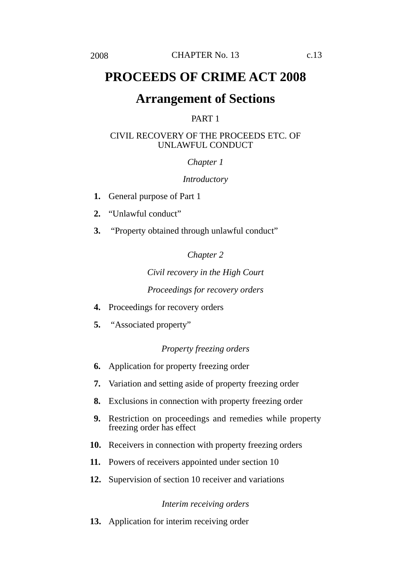# **PROCEEDS OF CRIME ACT 2008**

# **Arrangement of Sections**

# PART 1

# CIVIL RECOVERY OF THE PROCEEDS ETC. OF UNLAWFUL CONDUCT

# *Chapter 1*

# *Introductory*

- **1.** General purpose of Part 1
- **2.** "Unlawful conduct"
- **3.** "Property obtained through unlawful conduct"

*Chapter 2*

*Civil recovery in the High Court Proceedings for recovery orders*

- **4.** Proceedings for recovery orders
- **5.** "Associated property"

# *Property freezing orders*

- **6.** Application for property freezing order
- **7.** Variation and setting aside of property freezing order
- **8.** Exclusions in connection with property freezing order
- **9.** Restriction on proceedings and remedies while property freezing order has effect
- **10.** Receivers in connection with property freezing orders
- **11.** Powers of receivers appointed under section 10
- **12.** Supervision of section 10 receiver and variations

# *Interim receiving orders*

**13.** Application for interim receiving order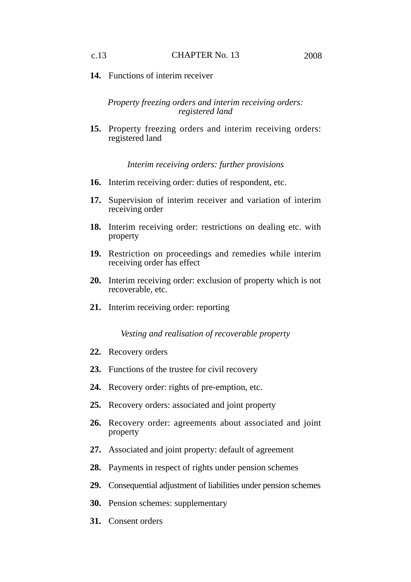**14.** Functions of interim receiver

*Property freezing orders and interim receiving orders: registered land*

**15.** Property freezing orders and interim receiving orders: registered land

*Interim receiving orders: further provisions*

- **16.** Interim receiving order: duties of respondent, etc.
- **17.** Supervision of interim receiver and variation of interim receiving order
- **18.** Interim receiving order: restrictions on dealing etc. with property
- **19.** Restriction on proceedings and remedies while interim receiving order has effect
- **20.** Interim receiving order: exclusion of property which is not recoverable, etc.
- **21.** Interim receiving order: reporting

*Vesting and realisation of recoverable property*

- **22.** Recovery orders
- **23.** Functions of the trustee for civil recovery
- **24.** Recovery order: rights of pre-emption, etc.
- **25.** Recovery orders: associated and joint property
- **26.** Recovery order: agreements about associated and joint property
- **27.** Associated and joint property: default of agreement
- **28.** Payments in respect of rights under pension schemes
- **29.** Consequential adjustment of liabilities under pension schemes
- **30.** Pension schemes: supplementary
- **31.** Consent orders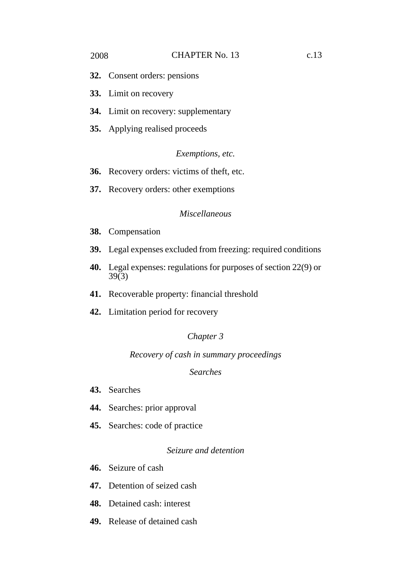- **32.** Consent orders: pensions
- **33.** Limit on recovery
- **34.** Limit on recovery: supplementary
- **35.** Applying realised proceeds

### *Exemptions, etc.*

- **36.** Recovery orders: victims of theft, etc.
- **37.** Recovery orders: other exemptions

### *Miscellaneous*

- **38.** Compensation
- **39.** Legal expenses excluded from freezing: required conditions
- **40.** Legal expenses: regulations for purposes of section 22(9) or 39(3)
- **41.** Recoverable property: financial threshold
- **42.** Limitation period for recovery

# *Chapter 3*

# *Recovery of cash in summary proceedings*

# *Searches*

- **43.** Searches
- **44.** Searches: prior approval
- **45.** Searches: code of practice

# *Seizure and detention*

- **46.** Seizure of cash
- **47.** Detention of seized cash
- **48.** Detained cash: interest
- **49.** Release of detained cash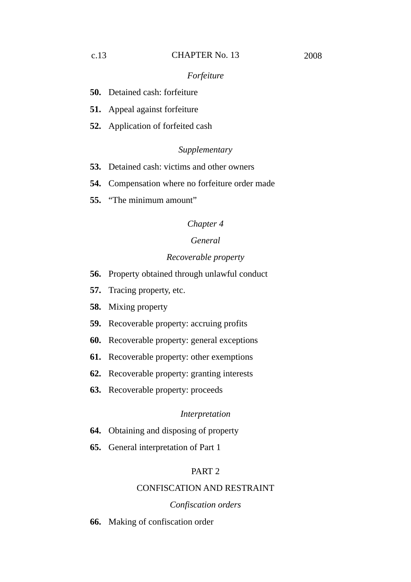- **50.** Detained cash: forfeiture
- **51.** Appeal against forfeiture
- **52.** Application of forfeited cash

### *Supplementary*

- **53.** Detained cash: victims and other owners
- **54.** Compensation where no forfeiture order made
- **55.** "The minimum amount"

# *Chapter 4*

# *General*

### *Recoverable property*

- **56.** Property obtained through unlawful conduct
- **57.** Tracing property, etc.
- **58.** Mixing property
- **59.** Recoverable property: accruing profits
- **60.** Recoverable property: general exceptions
- **61.** Recoverable property: other exemptions
- **62.** Recoverable property: granting interests
- **63.** Recoverable property: proceeds

### *Interpretation*

- **64.** Obtaining and disposing of property
- **65.** General interpretation of Part 1

# PART 2

# CONFISCATION AND RESTRAINT

#### *Confiscation orders*

**66.** Making of confiscation order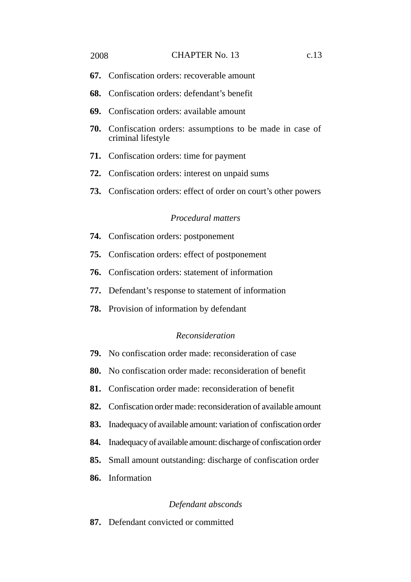#### 2008 **CHAPTER No. 13** c.13

- **67.** Confiscation orders: recoverable amount
- **68.** Confiscation orders: defendant's benefit
- **69.** Confiscation orders: available amount
- **70.** Confiscation orders: assumptions to be made in case of criminal lifestyle
- **71.** Confiscation orders: time for payment
- **72.** Confiscation orders: interest on unpaid sums
- **73.** Confiscation orders: effect of order on court's other powers

# *Procedural matters*

- **74.** Confiscation orders: postponement
- **75.** Confiscation orders: effect of postponement
- **76.** Confiscation orders: statement of information
- **77.** Defendant's response to statement of information
- **78.** Provision of information by defendant

# *Reconsideration*

- **79.** No confiscation order made: reconsideration of case
- **80.** No confiscation order made: reconsideration of benefit
- **81.** Confiscation order made: reconsideration of benefit
- **82.** Confiscation order made: reconsideration of available amount
- **83.** Inadequacy of available amount: variation of confiscation order
- **84.** Inadequacy of available amount: discharge of confiscation order
- **85.** Small amount outstanding: discharge of confiscation order
- **86.** Information

#### *Defendant absconds*

**87.** Defendant convicted or committed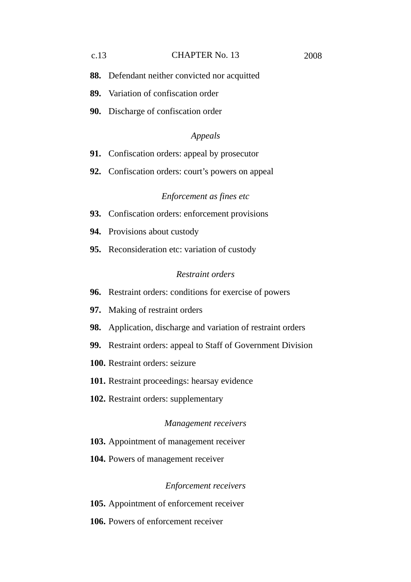#### c.13 CHAPTER No. 13 2008

- **88.** Defendant neither convicted nor acquitted
- **89.** Variation of confiscation order
- **90.** Discharge of confiscation order

# *Appeals*

- **91.** Confiscation orders: appeal by prosecutor
- **92.** Confiscation orders: court's powers on appeal

## *Enforcement as fines etc*

- **93.** Confiscation orders: enforcement provisions
- **94.** Provisions about custody
- **95.** Reconsideration etc: variation of custody

#### *Restraint orders*

- **96.** Restraint orders: conditions for exercise of powers
- **97.** Making of restraint orders
- **98.** Application, discharge and variation of restraint orders
- **99.** Restraint orders: appeal to Staff of Government Division
- **100.** Restraint orders: seizure
- **101.** Restraint proceedings: hearsay evidence
- **102.** Restraint orders: supplementary

### *Management receivers*

- **103.** Appointment of management receiver
- **104.** Powers of management receiver

# *Enforcement receivers*

**105.** Appointment of enforcement receiver

**106.** Powers of enforcement receiver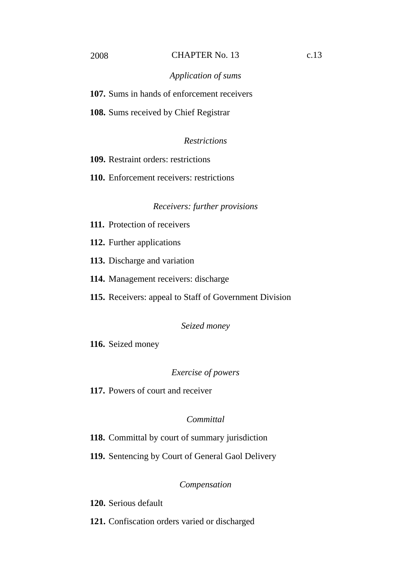#### 2008 CHAPTER No. 13 c.13

### *Application of sums*

**107.** Sums in hands of enforcement receivers

**108.** Sums received by Chief Registrar

# *Restrictions*

**109.** Restraint orders: restrictions

**110.** Enforcement receivers: restrictions

### *Receivers: further provisions*

- **111.** Protection of receivers
- **112.** Further applications
- **113.** Discharge and variation
- **114.** Management receivers: discharge
- **115.** Receivers: appeal to Staff of Government Division

#### *Seized money*

**116.** Seized money

### *Exercise of powers*

**117.** Powers of court and receiver

# *Committal*

**118.** Committal by court of summary jurisdiction

**119.** Sentencing by Court of General Gaol Delivery

# *Compensation*

**120.** Serious default

**121.** Confiscation orders varied or discharged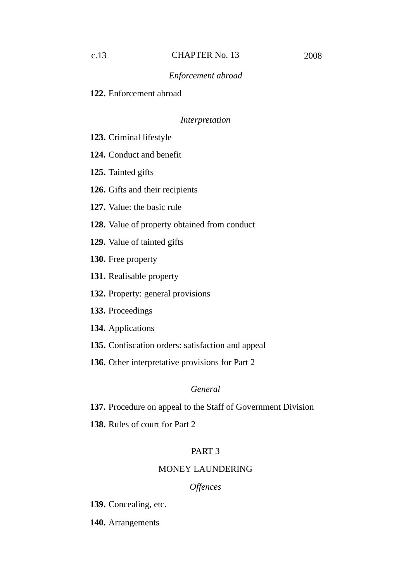**122.** Enforcement abroad

# *Interpretation*

- **123.** Criminal lifestyle
- **124.** Conduct and benefit
- **125.** Tainted gifts
- **126.** Gifts and their recipients
- **127.** Value: the basic rule
- **128.** Value of property obtained from conduct
- **129.** Value of tainted gifts
- **130.** Free property
- **131.** Realisable property
- **132.** Property: general provisions
- **133.** Proceedings
- **134.** Applications
- **135.** Confiscation orders: satisfaction and appeal
- **136.** Other interpretative provisions for Part 2

### *General*

- **137.** Procedure on appeal to the Staff of Government Division
- **138.** Rules of court for Part 2

# PART 3

# MONEY LAUNDERING

### *Offences*

**139.** Concealing, etc.

**140.** Arrangements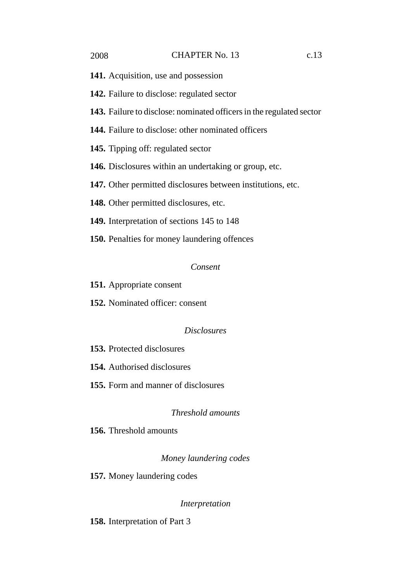- **141.** Acquisition, use and possession
- **142.** Failure to disclose: regulated sector
- **143.** Failure to disclose: nominated officers in the regulated sector
- **144.** Failure to disclose: other nominated officers
- **145.** Tipping off: regulated sector
- **146.** Disclosures within an undertaking or group, etc.
- **147.** Other permitted disclosures between institutions, etc.
- **148.** Other permitted disclosures, etc.
- **149.** Interpretation of sections 145 to 148
- **150.** Penalties for money laundering offences

#### *Consent*

- **151.** Appropriate consent
- **152.** Nominated officer: consent

# *Disclosures*

- **153.** Protected disclosures
- **154.** Authorised disclosures
- **155.** Form and manner of disclosures

# *Threshold amounts*

**156.** Threshold amounts

# *Money laundering codes*

**157.** Money laundering codes

#### *Interpretation*

**158.** Interpretation of Part 3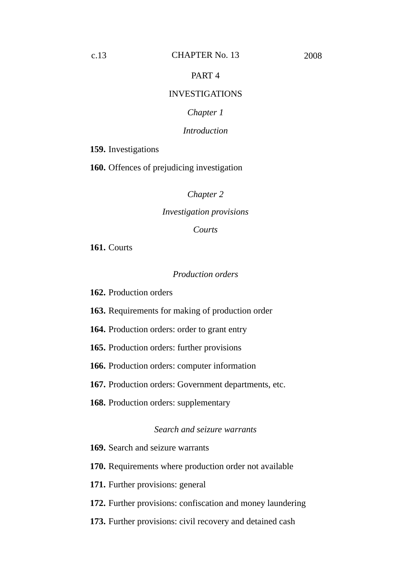# PART 4

### INVESTIGATIONS

# *Chapter 1*

#### *Introduction*

**159.** Investigations

**160.** Offences of prejudicing investigation

*Chapter 2*

#### *Investigation provisions*

### *Courts*

**161.** Courts

#### *Production orders*

**162.** Production orders

**163.** Requirements for making of production order

**164.** Production orders: order to grant entry

**165.** Production orders: further provisions

**166.** Production orders: computer information

**167.** Production orders: Government departments, etc.

**168.** Production orders: supplementary

#### *Search and seizure warrants*

**169.** Search and seizure warrants

**170.** Requirements where production order not available

**171.** Further provisions: general

**172.** Further provisions: confiscation and money laundering

**173.** Further provisions: civil recovery and detained cash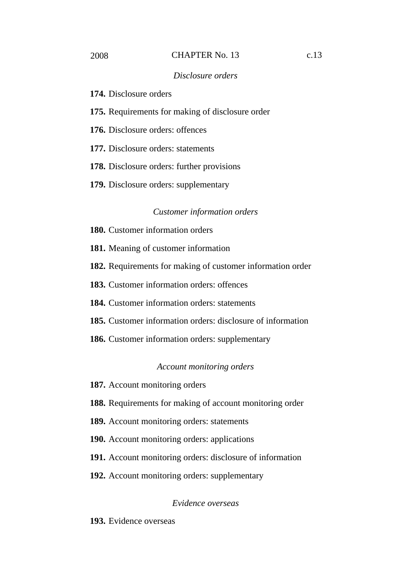#### 2008 CHAPTER No. 13 c.13

### *Disclosure orders*

**174.** Disclosure orders

**175.** Requirements for making of disclosure order

**176.** Disclosure orders: offences

**177.** Disclosure orders: statements

**178.** Disclosure orders: further provisions

**179.** Disclosure orders: supplementary

#### *Customer information orders*

**180.** Customer information orders

**181.** Meaning of customer information

**182.** Requirements for making of customer information order

**183.** Customer information orders: offences

**184.** Customer information orders: statements

**185.** Customer information orders: disclosure of information

**186.** Customer information orders: supplementary

# *Account monitoring orders*

**187.** Account monitoring orders

**188.** Requirements for making of account monitoring order

**189.** Account monitoring orders: statements

**190.** Account monitoring orders: applications

**191.** Account monitoring orders: disclosure of information

**192.** Account monitoring orders: supplementary

### *Evidence overseas*

**193.** Evidence overseas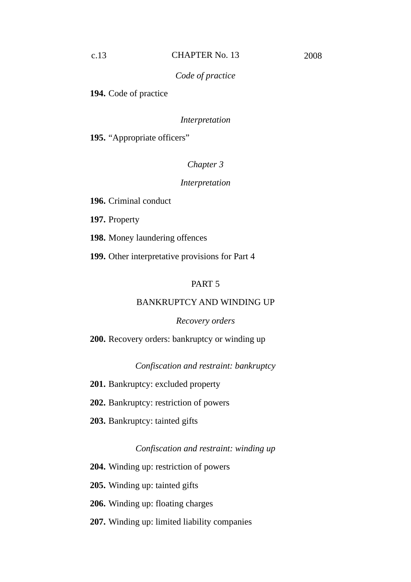# *Code of practice*

**194.** Code of practice

### *Interpretation*

**195.** "Appropriate officers"

# *Chapter 3*

# *Interpretation*

**196.** Criminal conduct

**197.** Property

**198.** Money laundering offences

**199.** Other interpretative provisions for Part 4

# PART 5

# BANKRUPTCY AND WINDING UP

#### *Recovery orders*

**200.** Recovery orders: bankruptcy or winding up

*Confiscation and restraint: bankruptcy*

- **201.** Bankruptcy: excluded property
- **202.** Bankruptcy: restriction of powers
- **203.** Bankruptcy: tainted gifts

#### *Confiscation and restraint: winding up*

**204.** Winding up: restriction of powers

**205.** Winding up: tainted gifts

**206.** Winding up: floating charges

**207.** Winding up: limited liability companies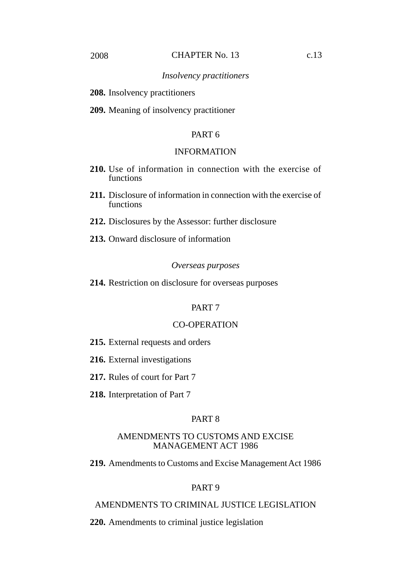**208.** Insolvency practitioners

**209.** Meaning of insolvency practitioner

# PART 6

### INFORMATION

- **210.** Use of information in connection with the exercise of functions
- **211.** Disclosure of information in connection with the exercise of functions
- **212.** Disclosures by the Assessor: further disclosure
- **213.** Onward disclosure of information

#### *Overseas purposes*

**214.** Restriction on disclosure for overseas purposes

# PART 7

# CO-OPERATION

- **215.** External requests and orders
- **216.** External investigations
- **217.** Rules of court for Part 7
- **218.** Interpretation of Part 7

# PART 8

# AMENDMENTS TO CUSTOMS AND EXCISE MANAGEMENT ACT 1986

**219.** Amendments to Customs and Excise Management Act 1986

# PART 9

# AMENDMENTS TO CRIMINAL JUSTICE LEGISLATION

**220.** Amendments to criminal justice legislation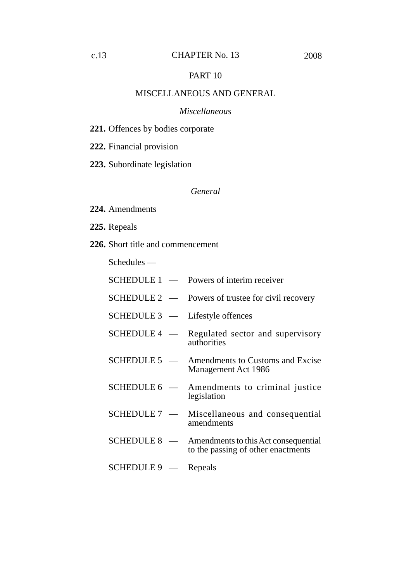# PART 10

#### MISCELLANEOUS AND GENERAL

#### *Miscellaneous*

- **221.** Offences by bodies corporate
- **222.** Financial provision
- **223.** Subordinate legislation

### *General*

- **224.** Amendments
- **225.** Repeals
- **226.** Short title and commencement

Schedules —

- SCHEDULE 1 Powers of interim receiver
- SCHEDULE 2 Powers of trustee for civil recovery
- SCHEDULE 3 Lifestyle offences
- SCHEDULE 4 Regulated sector and supervisory authorities
- SCHEDULE 5 Amendments to Customs and Excise Management Act 1986
- SCHEDULE 6 Amendments to criminal justice legislation
- SCHEDULE 7 Miscellaneous and consequential amendments
- SCHEDULE 8 Amendments to this Act consequential to the passing of other enactments
- SCHEDULE 9 Repeals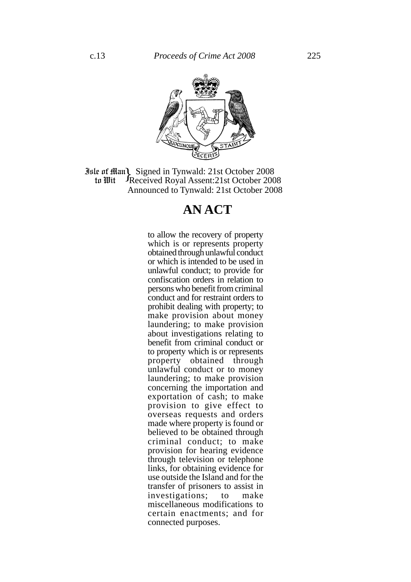

**Jule of Man)** Signed in Tynwald: 21st October 2008<br> **10 In Wit** Freceived Royal Assent: 21st October 2008 Received Royal Assent:21st October 2008 Announced to Tynwald: 21st October 2008 to Wit

# **AN ACT**

to allow the recovery of property which is or represents property obtained through unlawful conduct or which is intended to be used in unlawful conduct; to provide for confiscation orders in relation to persons who benefit from criminal conduct and for restraint orders to prohibit dealing with property; to make provision about money laundering; to make provision about investigations relating to benefit from criminal conduct or to property which is or represents property obtained through unlawful conduct or to money laundering; to make provision concerning the importation and exportation of cash; to make provision to give effect to overseas requests and orders made where property is found or believed to be obtained through criminal conduct; to make provision for hearing evidence through television or telephone links, for obtaining evidence for use outside the Island and for the transfer of prisoners to assist in investigations; to make miscellaneous modifications to certain enactments; and for connected purposes.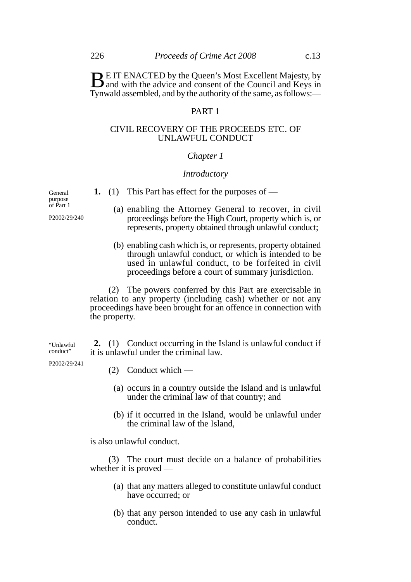**BE IT ENACTED by the Queen's Most Excellent Majesty, by** and with the advice and consent of the Council and Keys in Tynwald assembled, and by the authority of the same, as follows:—

# PART 1

#### CIVIL RECOVERY OF THE PROCEEDS ETC. OF UNLAWFUL CONDUCT

#### *Chapter 1*

#### *Introductory*

**1.** (1) This Part has effect for the purposes of —

- (a) enabling the Attorney General to recover, in civil proceedings before the High Court, property which is, or represents, property obtained through unlawful conduct;
- (b) enabling cash which is, or represents, property obtained through unlawful conduct, or which is intended to be used in unlawful conduct, to be forfeited in civil proceedings before a court of summary jurisdiction.

(2) The powers conferred by this Part are exercisable in relation to any property (including cash) whether or not any proceedings have been brought for an offence in connection with the property.

**2.** (1) Conduct occurring in the Island is unlawful conduct if it is unlawful under the criminal law. "Unlawful conduct"

- P2002/29/241
- (2) Conduct which —
- (a) occurs in a country outside the Island and is unlawful under the criminal law of that country; and
- (b) if it occurred in the Island, would be unlawful under the criminal law of the Island,

is also unlawful conduct.

(3) The court must decide on a balance of probabilities whether it is proved —

- (a) that any matters alleged to constitute unlawful conduct have occurred; or
- (b) that any person intended to use any cash in unlawful conduct.

General purpose of Part 1

P2002/29/240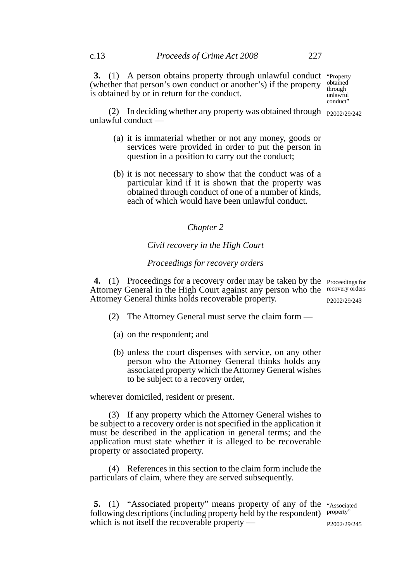**3.** (1) A person obtains property through unlawful conduct "Property (whether that person's own conduct or another's) if the property is obtained by or in return for the conduct. obtained through

unlawful conduct"

(2) In deciding whether any property was obtained through  $_{P2002/29/242}$ unlawful conduct —

- (a) it is immaterial whether or not any money, goods or services were provided in order to put the person in question in a position to carry out the conduct;
- (b) it is not necessary to show that the conduct was of a particular kind if it is shown that the property was obtained through conduct of one of a number of kinds, each of which would have been unlawful conduct.

#### *Chapter 2*

# *Civil recovery in the High Court*

### *Proceedings for recovery orders*

**4.** (1) Proceedings for a recovery order may be taken by the Proceedings for Attorney General in the High Court against any person who the recovery orders Attorney General thinks holds recoverable property. P2002/29/243

- (2) The Attorney General must serve the claim form
	- (a) on the respondent; and
	- (b) unless the court dispenses with service, on any other person who the Attorney General thinks holds any associated property which the Attorney General wishes to be subject to a recovery order,

wherever domiciled, resident or present.

(3) If any property which the Attorney General wishes to be subject to a recovery order is not specified in the application it must be described in the application in general terms; and the application must state whether it is alleged to be recoverable property or associated property.

(4) References in this section to the claim form include the particulars of claim, where they are served subsequently.

**5.** (1) "Associated property" means property of any of the "Associated following descriptions (including property held by the respondent) property" which is not itself the recoverable property — P2002/29/245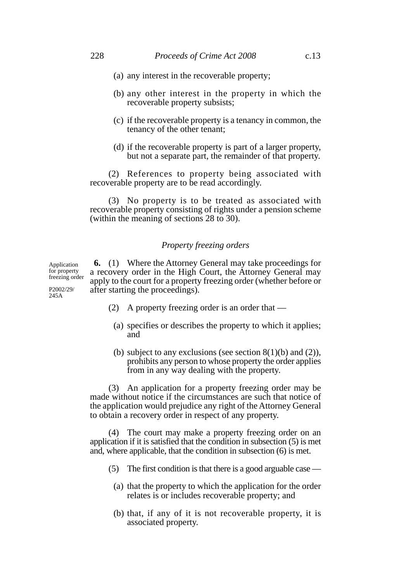- (b) any other interest in the property in which the recoverable property subsists;
- (c) if the recoverable property is a tenancy in common, the tenancy of the other tenant;
- (d) if the recoverable property is part of a larger property, but not a separate part, the remainder of that property.

(2) References to property being associated with recoverable property are to be read accordingly.

(3) No property is to be treated as associated with recoverable property consisting of rights under a pension scheme (within the meaning of sections 28 to 30).

### *Property freezing orders*

**6.** (1) Where the Attorney General may take proceedings for a recovery order in the High Court, the Attorney General may apply to the court for a property freezing order (whether before or after starting the proceedings).

(2) A property freezing order is an order that —

- (a) specifies or describes the property to which it applies; and
- (b) subject to any exclusions (see section  $8(1)(b)$  and  $(2)$ ). prohibits any person to whose property the order applies from in any way dealing with the property.

(3) An application for a property freezing order may be made without notice if the circumstances are such that notice of the application would prejudice any right of the Attorney General to obtain a recovery order in respect of any property.

(4) The court may make a property freezing order on an application if it is satisfied that the condition in subsection (5) is met and, where applicable, that the condition in subsection (6) is met.

- (5) The first condition is that there is a good arguable case
	- (a) that the property to which the application for the order relates is or includes recoverable property; and
	- (b) that, if any of it is not recoverable property, it is associated property.

Application for property freezing order

P2002/29/ 245A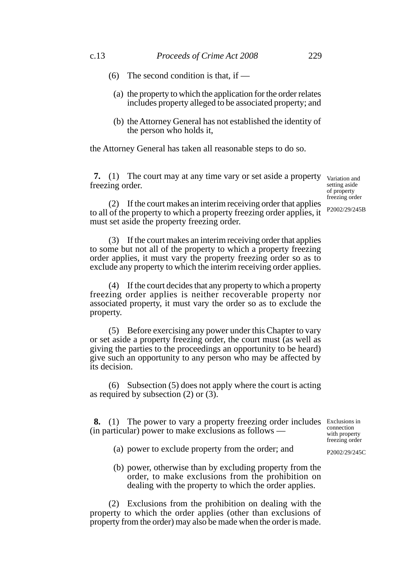- (6) The second condition is that, if  $-$ 
	- (a) the property to which the application for the order relates includes property alleged to be associated property; and
	- (b) the Attorney General has not established the identity of the person who holds it,

the Attorney General has taken all reasonable steps to do so.

**7.** (1) The court may at any time vary or set aside a property freezing order.

(2) If the court makes an interim receiving order that applies to all of the property to which a property freezing order applies, it must set aside the property freezing order.

(3) If the court makes an interim receiving order that applies to some but not all of the property to which a property freezing order applies, it must vary the property freezing order so as to exclude any property to which the interim receiving order applies.

(4) If the court decides that any property to which a property freezing order applies is neither recoverable property nor associated property, it must vary the order so as to exclude the property.

(5) Before exercising any power under this Chapter to vary or set aside a property freezing order, the court must (as well as giving the parties to the proceedings an opportunity to be heard) give such an opportunity to any person who may be affected by its decision.

(6) Subsection (5) does not apply where the court is acting as required by subsection (2) or (3).

**8.** (1) The power to vary a property freezing order includes Exclusions in (in particular) power to make exclusions as follows connection

- (a) power to exclude property from the order; and
- (b) power, otherwise than by excluding property from the order, to make exclusions from the prohibition on dealing with the property to which the order applies.

(2) Exclusions from the prohibition on dealing with the property to which the order applies (other than exclusions of property from the order) may also be made when the order is made.

with property freezing order P2002/29/245C

Variation and setting aside of property freezing order

P2002/29/245B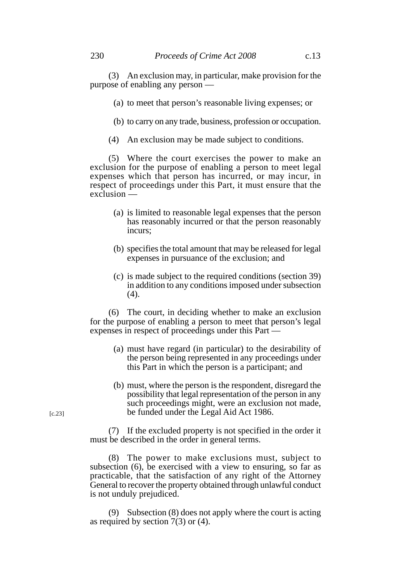- (a) to meet that person's reasonable living expenses; or
- (b) to carry on any trade, business, profession or occupation.
- (4) An exclusion may be made subject to conditions.

(5) Where the court exercises the power to make an exclusion for the purpose of enabling a person to meet legal expenses which that person has incurred, or may incur, in respect of proceedings under this Part, it must ensure that the exclusion —

- (a) is limited to reasonable legal expenses that the person has reasonably incurred or that the person reasonably incurs;
- (b) specifies the total amount that may be released for legal expenses in pursuance of the exclusion; and
- (c) is made subject to the required conditions (section 39) in addition to any conditions imposed under subsection (4).

(6) The court, in deciding whether to make an exclusion for the purpose of enabling a person to meet that person's legal expenses in respect of proceedings under this Part —

- (a) must have regard (in particular) to the desirability of the person being represented in any proceedings under this Part in which the person is a participant; and
- (b) must, where the person is the respondent, disregard the possibility that legal representation of the person in any such proceedings might, were an exclusion not made, be funded under the Legal Aid Act 1986.

(7) If the excluded property is not specified in the order it must be described in the order in general terms.

(8) The power to make exclusions must, subject to subsection (6), be exercised with a view to ensuring, so far as practicable, that the satisfaction of any right of the Attorney General to recover the property obtained through unlawful conduct is not unduly prejudiced.

(9) Subsection (8) does not apply where the court is acting as required by section 7(3) or (4).

[c.23]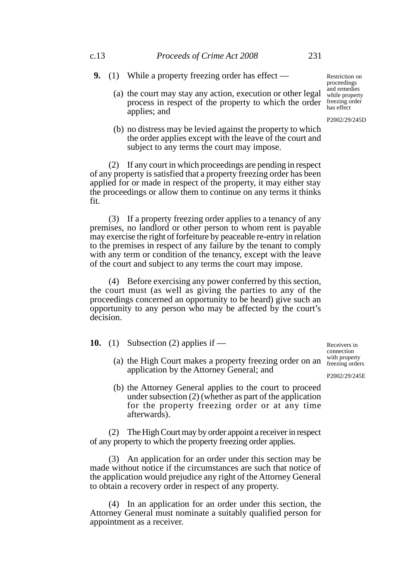- **9.** (1) While a property freezing order has effect
	- (a) the court may stay any action, execution or other legal process in respect of the property to which the order freezing order applies; and
	- (b) no distress may be levied against the property to which the order applies except with the leave of the court and subject to any terms the court may impose.

(2) If any court in which proceedings are pending in respect of any property is satisfied that a property freezing order has been applied for or made in respect of the property, it may either stay the proceedings or allow them to continue on any terms it thinks fit.

(3) If a property freezing order applies to a tenancy of any premises, no landlord or other person to whom rent is payable may exercise the right of forfeiture by peaceable re-entry in relation to the premises in respect of any failure by the tenant to comply with any term or condition of the tenancy, except with the leave of the court and subject to any terms the court may impose.

(4) Before exercising any power conferred by this section, the court must (as well as giving the parties to any of the proceedings concerned an opportunity to be heard) give such an opportunity to any person who may be affected by the court's decision.

**10.** (1) Subsection (2) applies if —

afterwards).

(a) the High Court makes a property freezing order on an  $\frac{\text{with property}}{\text{freezing order}}$ Receivers in connection<br>with property freezing orders

P2002/29/245E

(b) the Attorney General applies to the court to proceed under subsection (2) (whether as part of the application for the property freezing order or at any time

(2) The High Court may by order appoint a receiver in respect of any property to which the property freezing order applies.

application by the Attorney General; and

(3) An application for an order under this section may be made without notice if the circumstances are such that notice of the application would prejudice any right of the Attorney General to obtain a recovery order in respect of any property.

(4) In an application for an order under this section, the Attorney General must nominate a suitably qualified person for appointment as a receiver.

Restriction on proceedings and remedies while property has effect

P2002/29/245D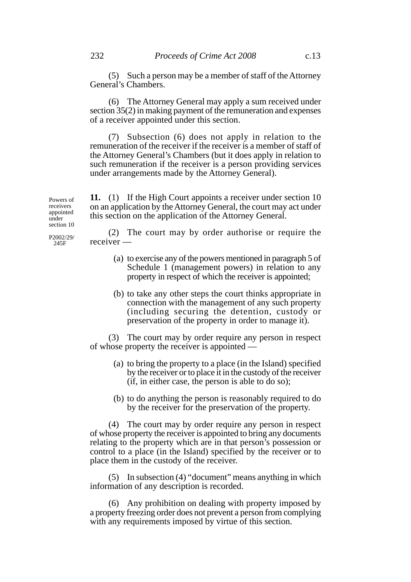(5) Such a person may be a member of staff of the Attorney General's Chambers.

(6) The Attorney General may apply a sum received under section 35(2) in making payment of the remuneration and expenses of a receiver appointed under this section.

(7) Subsection (6) does not apply in relation to the remuneration of the receiver if the receiver is a member of staff of the Attorney General's Chambers (but it does apply in relation to such remuneration if the receiver is a person providing services under arrangements made by the Attorney General).

**11.** (1) If the High Court appoints a receiver under section 10 on an application by the Attorney General, the court may act under this section on the application of the Attorney General.

section 10 P2002/29/ 245F

Powers of receivers appointed under

> (2) The court may by order authorise or require the receiver —

- (a) to exercise any of the powers mentioned in paragraph 5 of Schedule 1 (management powers) in relation to any property in respect of which the receiver is appointed;
- (b) to take any other steps the court thinks appropriate in connection with the management of any such property (including securing the detention, custody or preservation of the property in order to manage it).

(3) The court may by order require any person in respect of whose property the receiver is appointed —

- (a) to bring the property to a place (in the Island) specified by the receiver or to place it in the custody of the receiver (if, in either case, the person is able to do so);
- (b) to do anything the person is reasonably required to do by the receiver for the preservation of the property.

(4) The court may by order require any person in respect of whose property the receiver is appointed to bring any documents relating to the property which are in that person's possession or control to a place (in the Island) specified by the receiver or to place them in the custody of the receiver.

(5) In subsection (4) "document" means anything in which information of any description is recorded.

(6) Any prohibition on dealing with property imposed by a property freezing order does not prevent a person from complying with any requirements imposed by virtue of this section.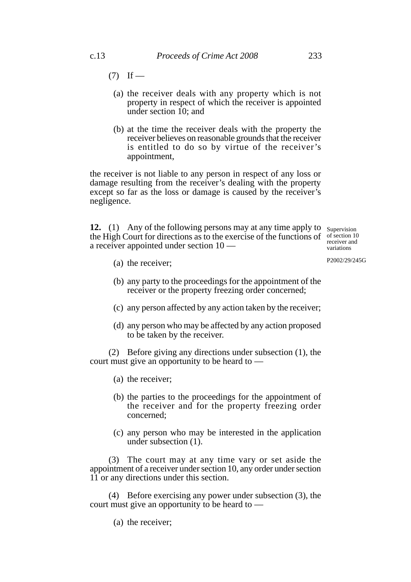- $(7)$  If
	- (a) the receiver deals with any property which is not property in respect of which the receiver is appointed under section 10; and
	- (b) at the time the receiver deals with the property the receiver believes on reasonable grounds that the receiver is entitled to do so by virtue of the receiver's appointment,

the receiver is not liable to any person in respect of any loss or damage resulting from the receiver's dealing with the property except so far as the loss or damage is caused by the receiver's negligence.

**12.** (1) Any of the following persons may at any time apply to supervision the High Court for directions as to the exercise of the functions of  $\frac{10}{2}$ a receiver appointed under section 10 —

receiver and variations

P2002/29/245G

- (a) the receiver;
- (b) any party to the proceedings for the appointment of the receiver or the property freezing order concerned;
- (c) any person affected by any action taken by the receiver;
- (d) any person who may be affected by any action proposed to be taken by the receiver.

(2) Before giving any directions under subsection (1), the court must give an opportunity to be heard to —

- (a) the receiver;
- (b) the parties to the proceedings for the appointment of the receiver and for the property freezing order concerned;
- (c) any person who may be interested in the application under subsection (1).

(3) The court may at any time vary or set aside the appointment of a receiver under section 10, any order under section 11 or any directions under this section.

(4) Before exercising any power under subsection (3), the court must give an opportunity to be heard to —

(a) the receiver;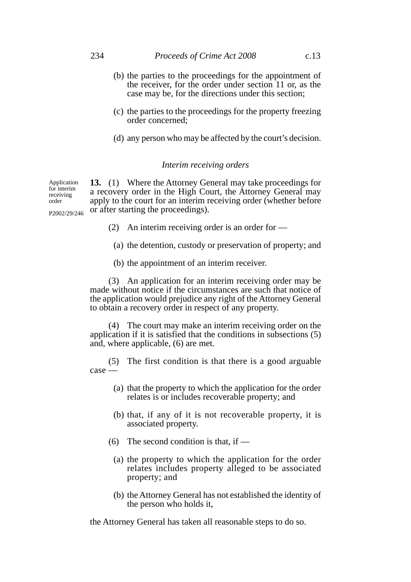- (b) the parties to the proceedings for the appointment of the receiver, for the order under section 11 or, as the case may be, for the directions under this section;
- (c) the parties to the proceedings for the property freezing order concerned;
- (d) any person who may be affected by the court's decision.

#### *Interim receiving orders*

**13.** (1) Where the Attorney General may take proceedings for a recovery order in the High Court, the Attorney General may apply to the court for an interim receiving order (whether before or after starting the proceedings). Application for interim receiving order

(2) An interim receiving order is an order for —

- (a) the detention, custody or preservation of property; and
- (b) the appointment of an interim receiver.

(3) An application for an interim receiving order may be made without notice if the circumstances are such that notice of the application would prejudice any right of the Attorney General to obtain a recovery order in respect of any property.

(4) The court may make an interim receiving order on the application if it is satisfied that the conditions in subsections (5) and, where applicable, (6) are met.

(5) The first condition is that there is a good arguable case —

- (a) that the property to which the application for the order relates is or includes recoverable property; and
- (b) that, if any of it is not recoverable property, it is associated property.
- (6) The second condition is that, if  $-$ 
	- (a) the property to which the application for the order relates includes property alleged to be associated property; and
	- (b) the Attorney General has not established the identity of the person who holds it,

the Attorney General has taken all reasonable steps to do so.

P2002/29/246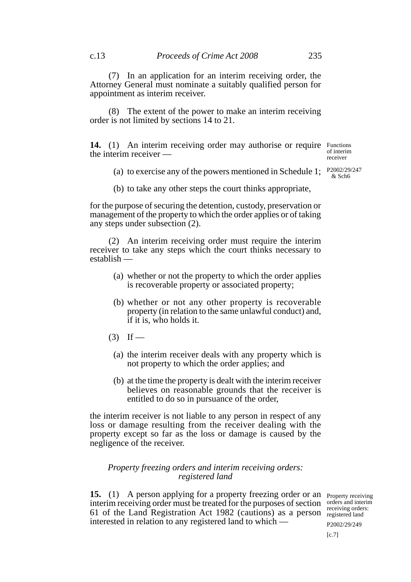(7) In an application for an interim receiving order, the Attorney General must nominate a suitably qualified person for appointment as interim receiver.

(8) The extent of the power to make an interim receiving order is not limited by sections 14 to 21.

14. (1) An interim receiving order may authorise or require Functions the interim receiver —

of interim receiver

& Sch6

(a) to exercise any of the powers mentioned in Schedule 1;  $\frac{P2002/29}{8.8 \text{ s}}$ 

(b) to take any other steps the court thinks appropriate,

for the purpose of securing the detention, custody, preservation or management of the property to which the order applies or of taking any steps under subsection (2).

(2) An interim receiving order must require the interim receiver to take any steps which the court thinks necessary to establish —

- (a) whether or not the property to which the order applies is recoverable property or associated property;
- (b) whether or not any other property is recoverable property (in relation to the same unlawful conduct) and, if it is, who holds it.
- $(3)$  If
	- (a) the interim receiver deals with any property which is not property to which the order applies; and
	- (b) at the time the property is dealt with the interim receiver believes on reasonable grounds that the receiver is entitled to do so in pursuance of the order,

the interim receiver is not liable to any person in respect of any loss or damage resulting from the receiver dealing with the property except so far as the loss or damage is caused by the negligence of the receiver.

#### *Property freezing orders and interim receiving orders: registered land*

**15.** (1) A person applying for a property freezing order or an Property receiving interim receiving order must be treated for the purposes of section orders and interim 61 of the Land Registration Act 1982 (cautions) as a person registered land interested in relation to any registered land to which —

receiving orders: P2002/29/249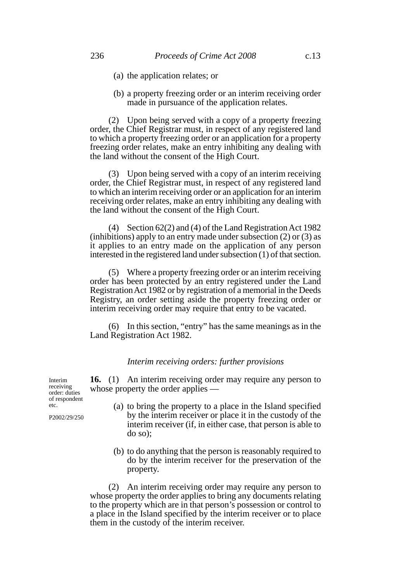- (a) the application relates; or
- (b) a property freezing order or an interim receiving order made in pursuance of the application relates.

(2) Upon being served with a copy of a property freezing order, the Chief Registrar must, in respect of any registered land to which a property freezing order or an application for a property freezing order relates, make an entry inhibiting any dealing with the land without the consent of the High Court.

(3) Upon being served with a copy of an interim receiving order, the Chief Registrar must, in respect of any registered land to which an interim receiving order or an application for an interim receiving order relates, make an entry inhibiting any dealing with the land without the consent of the High Court.

(4) Section 62(2) and (4) of the Land Registration Act 1982 (inhibitions) apply to an entry made under subsection (2) or (3) as it applies to an entry made on the application of any person interested in the registered land under subsection (1) of that section.

(5) Where a property freezing order or an interim receiving order has been protected by an entry registered under the Land Registration Act 1982 or by registration of a memorial in the Deeds Registry, an order setting aside the property freezing order or interim receiving order may require that entry to be vacated.

(6) In this section, "entry" has the same meanings as in the Land Registration Act 1982.

#### *Interim receiving orders: further provisions*

**16.** (1) An interim receiving order may require any person to whose property the order applies —

- (a) to bring the property to a place in the Island specified by the interim receiver or place it in the custody of the interim receiver (if, in either case, that person is able to do so);
- (b) to do anything that the person is reasonably required to do by the interim receiver for the preservation of the property.

(2) An interim receiving order may require any person to whose property the order applies to bring any documents relating to the property which are in that person's possession or control to a place in the Island specified by the interim receiver or to place them in the custody of the interim receiver.

Interim receiving order: duties of respondent etc.

P2002/29/250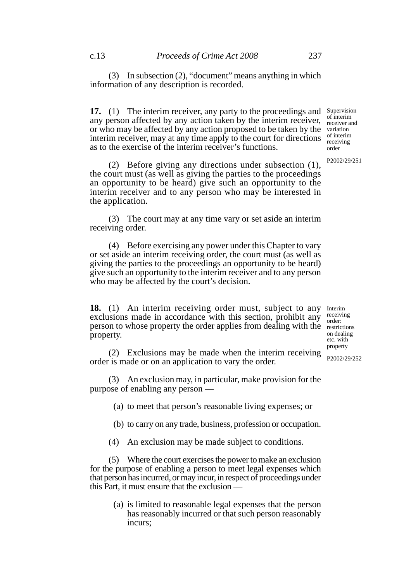(3) In subsection (2), "document" means anything in which information of any description is recorded.

**17.** (1) The interim receiver, any party to the proceedings and Supervision any person affected by any action taken by the interim receiver, or who may be affected by any action proposed to be taken by the interim receiver, may at any time apply to the court for directions as to the exercise of the interim receiver's functions. of interim receiver and variation of interim receiving order

(2) Before giving any directions under subsection (1), the court must (as well as giving the parties to the proceedings an opportunity to be heard) give such an opportunity to the interim receiver and to any person who may be interested in the application.

(3) The court may at any time vary or set aside an interim receiving order.

(4) Before exercising any power under this Chapter to vary or set aside an interim receiving order, the court must (as well as giving the parties to the proceedings an opportunity to be heard) give such an opportunity to the interim receiver and to any person who may be affected by the court's decision.

18. (1) An interim receiving order must, subject to any Interim exclusions made in accordance with this section, prohibit any person to whose property the order applies from dealing with the restrictions property.

receiving order: on dealing etc. with property

P2002/29/252

P2002/29/251

(2) Exclusions may be made when the interim receiving order is made or on an application to vary the order.

(3) An exclusion may, in particular, make provision for the purpose of enabling any person —

(a) to meet that person's reasonable living expenses; or

(b) to carry on any trade, business, profession or occupation.

(4) An exclusion may be made subject to conditions.

(5) Where the court exercises the power to make an exclusion for the purpose of enabling a person to meet legal expenses which that person has incurred, or may incur, in respect of proceedings under this Part, it must ensure that the exclusion —

> (a) is limited to reasonable legal expenses that the person has reasonably incurred or that such person reasonably incurs;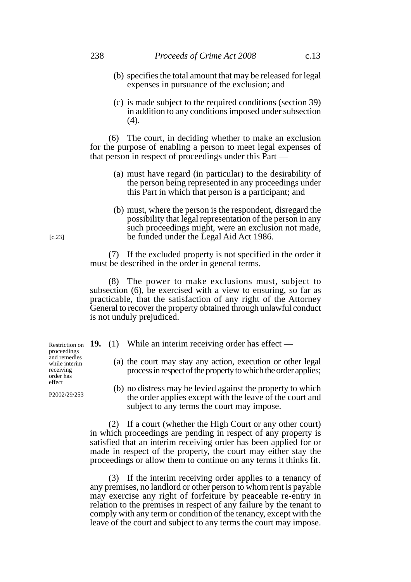- (b) specifies the total amount that may be released for legal expenses in pursuance of the exclusion; and
- (c) is made subject to the required conditions (section 39) in addition to any conditions imposed under subsection (4).

(6) The court, in deciding whether to make an exclusion for the purpose of enabling a person to meet legal expenses of that person in respect of proceedings under this Part —

- (a) must have regard (in particular) to the desirability of the person being represented in any proceedings under this Part in which that person is a participant; and
- (b) must, where the person is the respondent, disregard the possibility that legal representation of the person in any such proceedings might, were an exclusion not made, be funded under the Legal Aid Act 1986.

(7) If the excluded property is not specified in the order it must be described in the order in general terms.

(8) The power to make exclusions must, subject to subsection (6), be exercised with a view to ensuring, so far as practicable, that the satisfaction of any right of the Attorney General to recover the property obtained through unlawful conduct is not unduly prejudiced.

- Restriction on **19.** (1) While an interim receiving order has effect
	- (a) the court may stay any action, execution or other legal process in respect of the property to which the order applies;
	- (b) no distress may be levied against the property to which the order applies except with the leave of the court and subject to any terms the court may impose.

(2) If a court (whether the High Court or any other court) in which proceedings are pending in respect of any property is satisfied that an interim receiving order has been applied for or made in respect of the property, the court may either stay the proceedings or allow them to continue on any terms it thinks fit.

(3) If the interim receiving order applies to a tenancy of any premises, no landlord or other person to whom rent is payable may exercise any right of forfeiture by peaceable re-entry in relation to the premises in respect of any failure by the tenant to comply with any term or condition of the tenancy, except with the leave of the court and subject to any terms the court may impose.

proceedings and remedies while interim receiving order has effect

P2002/29/253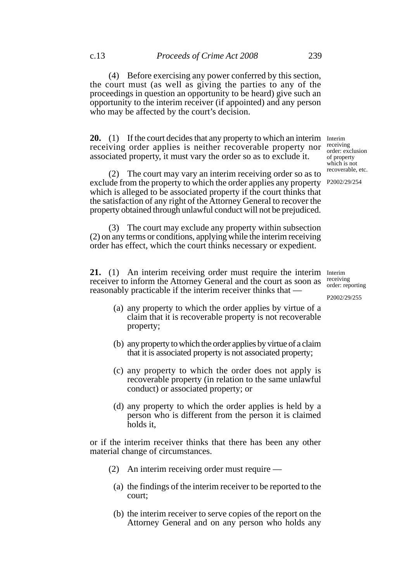(4) Before exercising any power conferred by this section, the court must (as well as giving the parties to any of the proceedings in question an opportunity to be heard) give such an opportunity to the interim receiver (if appointed) and any person who may be affected by the court's decision.

**20.** (1) If the court decides that any property to which an interim Interim receiving order applies is neither recoverable property nor associated property, it must vary the order so as to exclude it.

(2) The court may vary an interim receiving order so as to exclude from the property to which the order applies any property which is alleged to be associated property if the court thinks that the satisfaction of any right of the Attorney General to recover the property obtained through unlawful conduct will not be prejudiced.

(3) The court may exclude any property within subsection (2) on any terms or conditions, applying while the interim receiving order has effect, which the court thinks necessary or expedient.

21. (1) An interim receiving order must require the interim Interim receiver to inform the Attorney General and the court as soon as  $\frac{\text{receiving}}{\text{order}}$ reasonably practicable if the interim receiver thinks that —

- (a) any property to which the order applies by virtue of a claim that it is recoverable property is not recoverable property;
- (b) any property to which the order applies by virtue of a claim that it is associated property is not associated property;
- (c) any property to which the order does not apply is recoverable property (in relation to the same unlawful conduct) or associated property; or
- (d) any property to which the order applies is held by a person who is different from the person it is claimed holds it,

or if the interim receiver thinks that there has been any other material change of circumstances.

- (2) An interim receiving order must require
	- (a) the findings of the interim receiver to be reported to the court;
	- (b) the interim receiver to serve copies of the report on the Attorney General and on any person who holds any

order: reporting

P2002/29/255

receiving order: exclusion of property which is not recoverable, etc.

P2002/29/254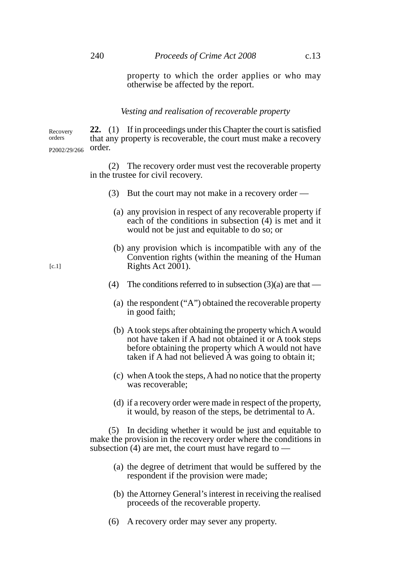property to which the order applies or who may otherwise be affected by the report.

#### *Vesting and realisation of recoverable property*

**22.** (1) If in proceedings under this Chapter the court is satisfied that any property is recoverable, the court must make a recovery order. Recovery orders P2002/29/266

> (2) The recovery order must vest the recoverable property in the trustee for civil recovery.

- (3) But the court may not make in a recovery order
	- (a) any provision in respect of any recoverable property if each of the conditions in subsection (4) is met and it would not be just and equitable to do so; or
	- (b) any provision which is incompatible with any of the Convention rights (within the meaning of the Human Rights Act 2001).
- (4) The conditions referred to in subsection  $(3)(a)$  are that
	- (a) the respondent ("A") obtained the recoverable property in good faith;
	- (b) A took steps after obtaining the property which A would not have taken if A had not obtained it or A took steps before obtaining the property which A would not have taken if A had not believed A was going to obtain it;
	- (c) when A took the steps, A had no notice that the property was recoverable;
	- (d) if a recovery order were made in respect of the property, it would, by reason of the steps, be detrimental to A.

(5) In deciding whether it would be just and equitable to make the provision in the recovery order where the conditions in subsection (4) are met, the court must have regard to —

- (a) the degree of detriment that would be suffered by the respondent if the provision were made;
- (b) the Attorney General's interest in receiving the realised proceeds of the recoverable property.
- (6) A recovery order may sever any property.

 $[c.1]$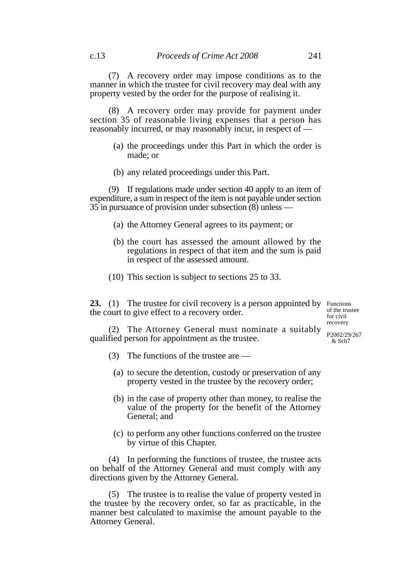(7) A recovery order may impose conditions as to the manner in which the trustee for civil recovery may deal with any property vested by the order for the purpose of realising it.

(8) A recovery order may provide for payment under section 35 of reasonable living expenses that a person has reasonably incurred, or may reasonably incur, in respect of —

- (a) the proceedings under this Part in which the order is made; or
- (b) any related proceedings under this Part.

(9) If regulations made under section 40 apply to an item of expenditure, a sum in respect of the item is not payable under section 35 in pursuance of provision under subsection (8) unless —

- (a) the Attorney General agrees to its payment; or
- (b) the court has assessed the amount allowed by the regulations in respect of that item and the sum is paid in respect of the assessed amount.
- (10) This section is subject to sections 25 to 33.

**23.** (1) The trustee for civil recovery is a person appointed by Functions the court to give effect to a recovery order.

of the trustee for civil recovery

(2) The Attorney General must nominate a suitably  $_{P2002/29/267}$ qualified person for appointment as the trustee.

 $&$  Sch $7$ 

- (3) The functions of the trustee are
	- (a) to secure the detention, custody or preservation of any property vested in the trustee by the recovery order;
	- (b) in the case of property other than money, to realise the value of the property for the benefit of the Attorney General; and
	- (c) to perform any other functions conferred on the trustee by virtue of this Chapter.

(4) In performing the functions of trustee, the trustee acts on behalf of the Attorney General and must comply with any directions given by the Attorney General.

(5) The trustee is to realise the value of property vested in the trustee by the recovery order, so far as practicable, in the manner best calculated to maximise the amount payable to the Attorney General.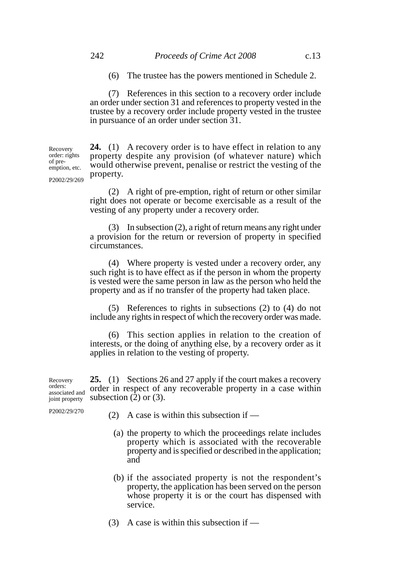(6) The trustee has the powers mentioned in Schedule 2.

(7) References in this section to a recovery order include an order under section 31 and references to property vested in the trustee by a recovery order include property vested in the trustee in pursuance of an order under section 31.

**24.** (1) A recovery order is to have effect in relation to any property despite any provision (of whatever nature) which would otherwise prevent, penalise or restrict the vesting of the property. Recovery order: rights of preemption, etc.

P2002/29/269

(2) A right of pre-emption, right of return or other similar right does not operate or become exercisable as a result of the vesting of any property under a recovery order.

(3) In subsection (2), a right of return means any right under a provision for the return or reversion of property in specified circumstances.

(4) Where property is vested under a recovery order, any such right is to have effect as if the person in whom the property is vested were the same person in law as the person who held the property and as if no transfer of the property had taken place.

(5) References to rights in subsections (2) to (4) do not include any rights in respect of which the recovery order was made.

(6) This section applies in relation to the creation of interests, or the doing of anything else, by a recovery order as it applies in relation to the vesting of property.

**25.** (1) Sections 26 and 27 apply if the court makes a recovery order in respect of any recoverable property in a case within subsection  $(2)$  or  $(3)$ . Recovery orders: associated and joint property

P2002/29/270

(2) A case is within this subsection if  $-$ 

- (a) the property to which the proceedings relate includes property which is associated with the recoverable property and is specified or described in the application; and
- (b) if the associated property is not the respondent's property, the application has been served on the person whose property it is or the court has dispensed with service.
- (3) A case is within this subsection if  $-$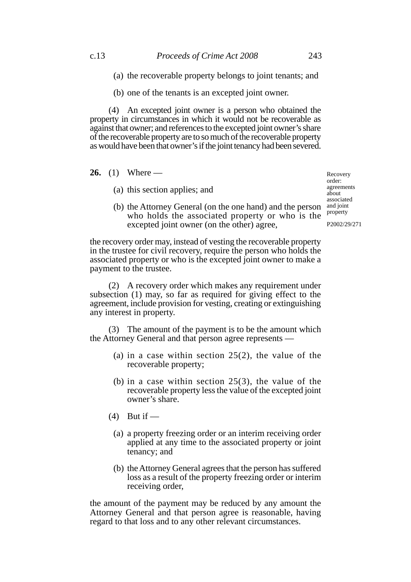- (a) the recoverable property belongs to joint tenants; and
- (b) one of the tenants is an excepted joint owner.

(4) An excepted joint owner is a person who obtained the property in circumstances in which it would not be recoverable as against that owner; and references to the excepted joint owner's share of the recoverable property are to so much of the recoverable property as would have been that owner's if the joint tenancy had been severed.

**26.** (1) Where —

(a) this section applies; and

(b) the Attorney General (on the one hand) and the person who holds the associated property or who is the excepted joint owner (on the other) agree,

the recovery order may, instead of vesting the recoverable property in the trustee for civil recovery, require the person who holds the associated property or who is the excepted joint owner to make a payment to the trustee.

(2) A recovery order which makes any requirement under subsection (1) may, so far as required for giving effect to the agreement, include provision for vesting, creating or extinguishing any interest in property.

(3) The amount of the payment is to be the amount which the Attorney General and that person agree represents —

- (a) in a case within section  $25(2)$ , the value of the recoverable property;
- (b) in a case within section 25(3), the value of the recoverable property less the value of the excepted joint owner's share.
- $(4)$  But if
	- (a) a property freezing order or an interim receiving order applied at any time to the associated property or joint tenancy; and
	- (b) the Attorney General agrees that the person has suffered loss as a result of the property freezing order or interim receiving order,

the amount of the payment may be reduced by any amount the Attorney General and that person agree is reasonable, having regard to that loss and to any other relevant circumstances.

Recovery order: agreements about associated and joint property

P2002/29/271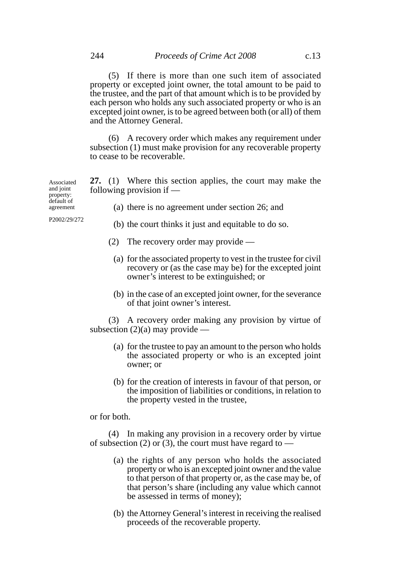(5) If there is more than one such item of associated property or excepted joint owner, the total amount to be paid to the trustee, and the part of that amount which is to be provided by each person who holds any such associated property or who is an excepted joint owner, is to be agreed between both (or all) of them and the Attorney General.

(6) A recovery order which makes any requirement under subsection (1) must make provision for any recoverable property to cease to be recoverable.

**27.** (1) Where this section applies, the court may make the following provision if — Associated and joint property:

(a) there is no agreement under section 26; and

- (b) the court thinks it just and equitable to do so.
- (2) The recovery order may provide
	- (a) for the associated property to vest in the trustee for civil recovery or (as the case may be) for the excepted joint owner's interest to be extinguished; or
	- (b) in the case of an excepted joint owner, for the severance of that joint owner's interest.

(3) A recovery order making any provision by virtue of subsection  $(2)(a)$  may provide —

- (a) for the trustee to pay an amount to the person who holds the associated property or who is an excepted joint owner; or
- (b) for the creation of interests in favour of that person, or the imposition of liabilities or conditions, in relation to the property vested in the trustee,

or for both.

(4) In making any provision in a recovery order by virtue of subsection (2) or (3), the court must have regard to —

- (a) the rights of any person who holds the associated property or who is an excepted joint owner and the value to that person of that property or, as the case may be, of that person's share (including any value which cannot be assessed in terms of money);
- (b) the Attorney General's interest in receiving the realised proceeds of the recoverable property.

agreement

default of

P2002/29/272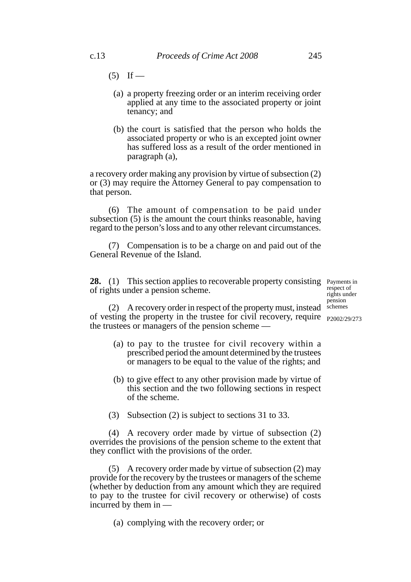- $(5)$  If
	- (a) a property freezing order or an interim receiving order applied at any time to the associated property or joint tenancy; and
	- (b) the court is satisfied that the person who holds the associated property or who is an excepted joint owner has suffered loss as a result of the order mentioned in paragraph (a),

a recovery order making any provision by virtue of subsection (2) or (3) may require the Attorney General to pay compensation to that person.

(6) The amount of compensation to be paid under subsection (5) is the amount the court thinks reasonable, having regard to the person's loss and to any other relevant circumstances.

(7) Compensation is to be a charge on and paid out of the General Revenue of the Island.

28. (1) This section applies to recoverable property consisting Payments in of rights under a pension scheme.

respect of rights under pension schemes

(2) A recovery order in respect of the property must, instead of vesting the property in the trustee for civil recovery, require <sub>P2002/29/273</sub> the trustees or managers of the pension scheme —

- (a) to pay to the trustee for civil recovery within a prescribed period the amount determined by the trustees or managers to be equal to the value of the rights; and
- (b) to give effect to any other provision made by virtue of this section and the two following sections in respect of the scheme.
- (3) Subsection (2) is subject to sections 31 to 33.

(4) A recovery order made by virtue of subsection (2) overrides the provisions of the pension scheme to the extent that they conflict with the provisions of the order.

(5) A recovery order made by virtue of subsection (2) may provide for the recovery by the trustees or managers of the scheme (whether by deduction from any amount which they are required to pay to the trustee for civil recovery or otherwise) of costs incurred by them in —

(a) complying with the recovery order; or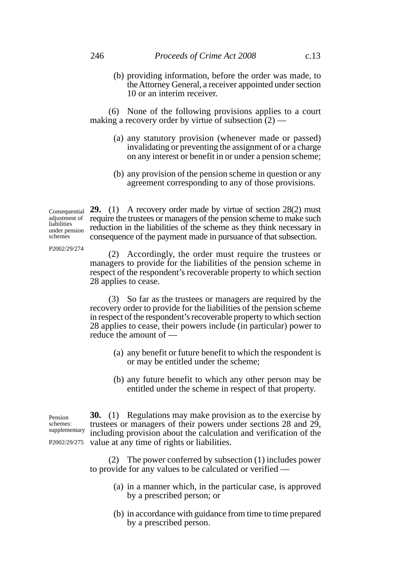(b) providing information, before the order was made, to the Attorney General, a receiver appointed under section 10 or an interim receiver.

(6) None of the following provisions applies to a court making a recovery order by virtue of subsection (2) —

- (a) any statutory provision (whenever made or passed) invalidating or preventing the assignment of or a charge on any interest or benefit in or under a pension scheme;
- (b) any provision of the pension scheme in question or any agreement corresponding to any of those provisions.

 $\alpha$ <sub>Consequential</sub> **29.** (1) A recovery order made by virtue of section 28(2) must require the trustees or managers of the pension scheme to make such reduction in the liabilities of the scheme as they think necessary in consequence of the payment made in pursuance of that subsection. adjustment of liabilities under pension

P2002/29/274

schemes

(2) Accordingly, the order must require the trustees or managers to provide for the liabilities of the pension scheme in respect of the respondent's recoverable property to which section 28 applies to cease.

(3) So far as the trustees or managers are required by the recovery order to provide for the liabilities of the pension scheme in respect of the respondent's recoverable property to which section 28 applies to cease, their powers include (in particular) power to reduce the amount of —

- (a) any benefit or future benefit to which the respondent is or may be entitled under the scheme;
- (b) any future benefit to which any other person may be entitled under the scheme in respect of that property.

**30.** (1) Regulations may make provision as to the exercise by trustees or managers of their powers under sections 28 and 29, including provision about the calculation and verification of the P2002/29/275 value at any time of rights or liabilities. Pension schemes: supplementary

> (2) The power conferred by subsection (1) includes power to provide for any values to be calculated or verified —

- (a) in a manner which, in the particular case, is approved by a prescribed person; or
- (b) in accordance with guidance from time to time prepared by a prescribed person.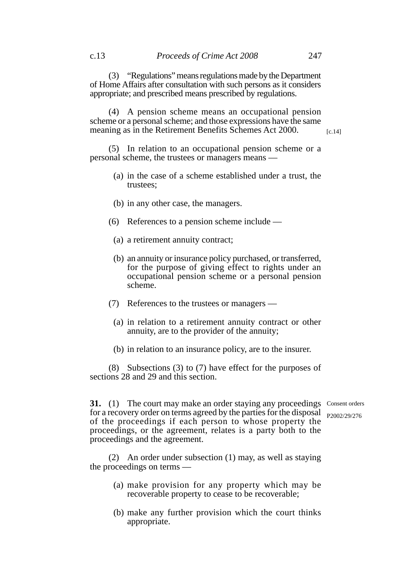(3) "Regulations" means regulations made by the Department of Home Affairs after consultation with such persons as it considers appropriate; and prescribed means prescribed by regulations.

(4) A pension scheme means an occupational pension scheme or a personal scheme; and those expressions have the same meaning as in the Retirement Benefits Schemes Act 2000.

[c.14]

(5) In relation to an occupational pension scheme or a personal scheme, the trustees or managers means —

- (a) in the case of a scheme established under a trust, the trustees;
- (b) in any other case, the managers.
- (6) References to a pension scheme include
	- (a) a retirement annuity contract;
	- (b) an annuity or insurance policy purchased, or transferred, for the purpose of giving effect to rights under an occupational pension scheme or a personal pension scheme.
- (7) References to the trustees or managers
	- (a) in relation to a retirement annuity contract or other annuity, are to the provider of the annuity;
	- (b) in relation to an insurance policy, are to the insurer.

(8) Subsections (3) to (7) have effect for the purposes of sections 28 and 29 and this section.

**31.** (1) The court may make an order staying any proceedings Consent orders for a recovery order on terms agreed by the parties for the disposal P2002/29/276of the proceedings if each person to whose property the proceedings, or the agreement, relates is a party both to the proceedings and the agreement.

(2) An order under subsection (1) may, as well as staying the proceedings on terms —

- (a) make provision for any property which may be recoverable property to cease to be recoverable;
- (b) make any further provision which the court thinks appropriate.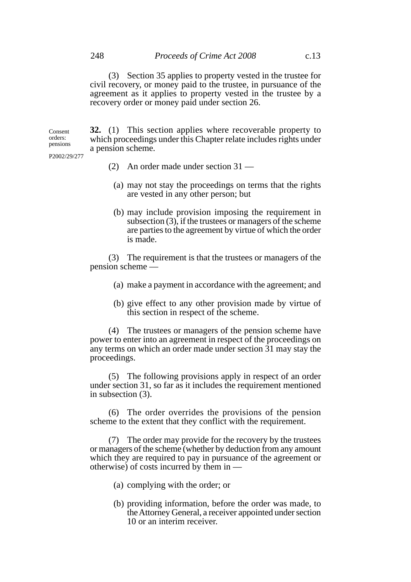(3) Section 35 applies to property vested in the trustee for civil recovery, or money paid to the trustee, in pursuance of the agreement as it applies to property vested in the trustee by a recovery order or money paid under section 26.

**32.** (1) This section applies where recoverable property to which proceedings under this Chapter relate includes rights under a pension scheme. Consent orders: pensions

P2002/29/277

- (2) An order made under section 31 —
- (a) may not stay the proceedings on terms that the rights are vested in any other person; but
- (b) may include provision imposing the requirement in subsection  $(3)$ , if the trustees or managers of the scheme are parties to the agreement by virtue of which the order is made.

(3) The requirement is that the trustees or managers of the pension scheme —

- (a) make a payment in accordance with the agreement; and
- (b) give effect to any other provision made by virtue of this section in respect of the scheme.

(4) The trustees or managers of the pension scheme have power to enter into an agreement in respect of the proceedings on any terms on which an order made under section 31 may stay the proceedings.

(5) The following provisions apply in respect of an order under section 31, so far as it includes the requirement mentioned in subsection (3).

(6) The order overrides the provisions of the pension scheme to the extent that they conflict with the requirement.

(7) The order may provide for the recovery by the trustees or managers of the scheme (whether by deduction from any amount which they are required to pay in pursuance of the agreement or otherwise) of costs incurred by them in —

- (a) complying with the order; or
- (b) providing information, before the order was made, to the Attorney General, a receiver appointed under section 10 or an interim receiver.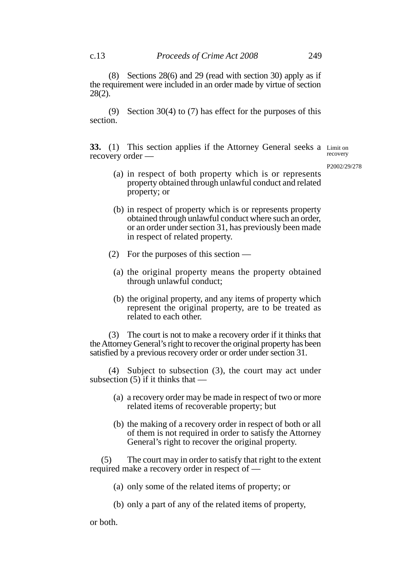(8) Sections 28(6) and 29 (read with section 30) apply as if the requirement were included in an order made by virtue of section 28(2).

(9) Section 30(4) to (7) has effect for the purposes of this section.

**33.** (1) This section applies if the Attorney General seeks a Limit on recovery order recovery

P2002/29/278

- (a) in respect of both property which is or represents property obtained through unlawful conduct and related property; or
- (b) in respect of property which is or represents property obtained through unlawful conduct where such an order, or an order under section 31, has previously been made in respect of related property.
- (2) For the purposes of this section
	- (a) the original property means the property obtained through unlawful conduct;
	- (b) the original property, and any items of property which represent the original property, are to be treated as related to each other.

(3) The court is not to make a recovery order if it thinks that the Attorney General's right to recover the original property has been satisfied by a previous recovery order or order under section 31.

(4) Subject to subsection (3), the court may act under subsection  $(5)$  if it thinks that  $-$ 

- (a) a recovery order may be made in respect of two or more related items of recoverable property; but
- (b) the making of a recovery order in respect of both or all of them is not required in order to satisfy the Attorney General's right to recover the original property.

 (5) The court may in order to satisfy that right to the extent required make a recovery order in respect of —

- (a) only some of the related items of property; or
- (b) only a part of any of the related items of property,

or both.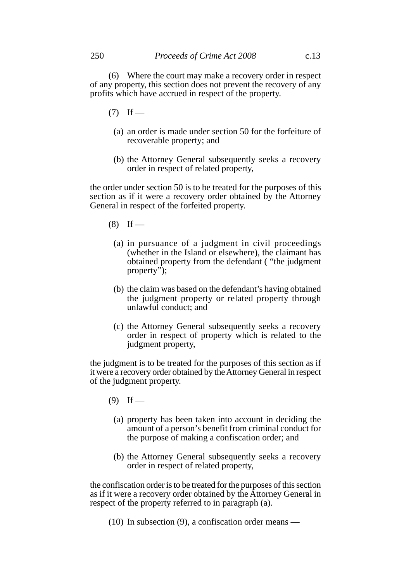(6) Where the court may make a recovery order in respect of any property, this section does not prevent the recovery of any profits which have accrued in respect of the property.

- $(7)$  If
	- (a) an order is made under section 50 for the forfeiture of recoverable property; and
	- (b) the Attorney General subsequently seeks a recovery order in respect of related property,

the order under section 50 is to be treated for the purposes of this section as if it were a recovery order obtained by the Attorney General in respect of the forfeited property.

- $(8)$  If
	- (a) in pursuance of a judgment in civil proceedings (whether in the Island or elsewhere), the claimant has obtained property from the defendant ( "the judgment property");
	- (b) the claim was based on the defendant's having obtained the judgment property or related property through unlawful conduct; and
	- (c) the Attorney General subsequently seeks a recovery order in respect of property which is related to the judgment property,

the judgment is to be treated for the purposes of this section as if it were a recovery order obtained by the Attorney General in respect of the judgment property.

- $(9)$  If
	- (a) property has been taken into account in deciding the amount of a person's benefit from criminal conduct for the purpose of making a confiscation order; and
	- (b) the Attorney General subsequently seeks a recovery order in respect of related property,

the confiscation order is to be treated for the purposes of this section as if it were a recovery order obtained by the Attorney General in respect of the property referred to in paragraph (a).

(10) In subsection (9), a confiscation order means —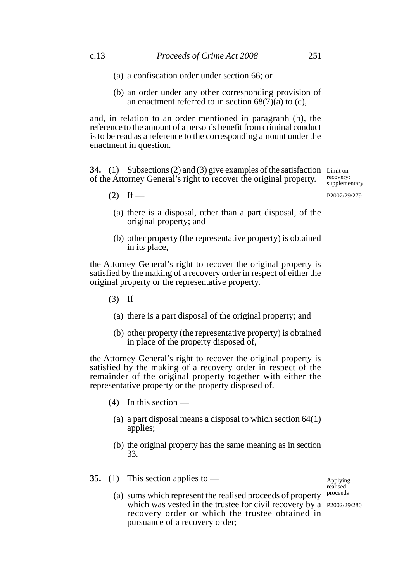- (a) a confiscation order under section 66; or
- (b) an order under any other corresponding provision of an enactment referred to in section  $68(7)(a)$  to (c),

and, in relation to an order mentioned in paragraph (b), the reference to the amount of a person's benefit from criminal conduct is to be read as a reference to the corresponding amount under the enactment in question.

**34.** (1) Subsections (2) and (3) give examples of the satisfaction Limit on of the Attorney General's right to recover the original property.

recovery: supplementary

P2002/29/279

- 
- (a) there is a disposal, other than a part disposal, of the original property; and
- (b) other property (the representative property) is obtained in its place,

the Attorney General's right to recover the original property is satisfied by the making of a recovery order in respect of either the original property or the representative property.

 $(3)$  If —

 $(2)$  If —

- (a) there is a part disposal of the original property; and
- (b) other property (the representative property) is obtained in place of the property disposed of,

the Attorney General's right to recover the original property is satisfied by the making of a recovery order in respect of the remainder of the original property together with either the representative property or the property disposed of.

- $(4)$  In this section
	- (a) a part disposal means a disposal to which section 64(1) applies;
	- (b) the original property has the same meaning as in section 33.
- **35.** (1) This section applies to (a) sums which represent the realised proceeds of property which was vested in the trustee for civil recovery by a P2002/29/280recovery order or which the trustee obtained in pursuance of a recovery order; Applying realised proceeds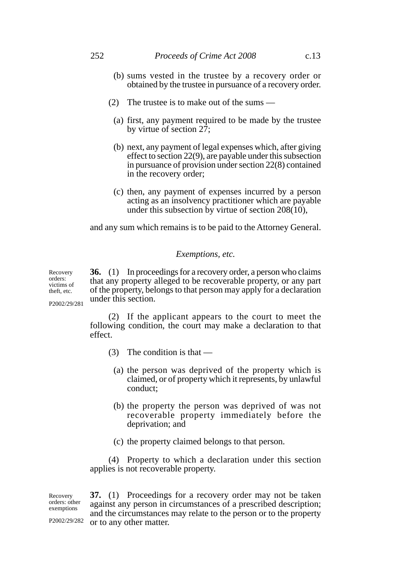- (b) sums vested in the trustee by a recovery order or obtained by the trustee in pursuance of a recovery order.
- (2) The trustee is to make out of the sums
	- (a) first, any payment required to be made by the trustee by virtue of section  $2\overline{7}$ ;
	- (b) next, any payment of legal expenses which, after giving effect to section 22(9), are payable under this subsection in pursuance of provision under section 22(8) contained in the recovery order;
	- (c) then, any payment of expenses incurred by a person acting as an insolvency practitioner which are payable under this subsection by virtue of section  $208(10)$ ,

and any sum which remains is to be paid to the Attorney General.

#### *Exemptions, etc.*

**36.** (1) In proceedings for a recovery order, a person who claims that any property alleged to be recoverable property, or any part of the property, belongs to that person may apply for a declaration under this section. Recovery orders: victims of theft, etc. P2002/29/281

> (2) If the applicant appears to the court to meet the following condition, the court may make a declaration to that effect.

- (3) The condition is that
	- (a) the person was deprived of the property which is claimed, or of property which it represents, by unlawful conduct;
	- (b) the property the person was deprived of was not recoverable property immediately before the deprivation; and
	- (c) the property claimed belongs to that person.

(4) Property to which a declaration under this section applies is not recoverable property.

**37.** (1) Proceedings for a recovery order may not be taken against any person in circumstances of a prescribed description; and the circumstances may relate to the person or to the property  $P2002/29/282$  or to any other matter. Recovery orders: other exemptions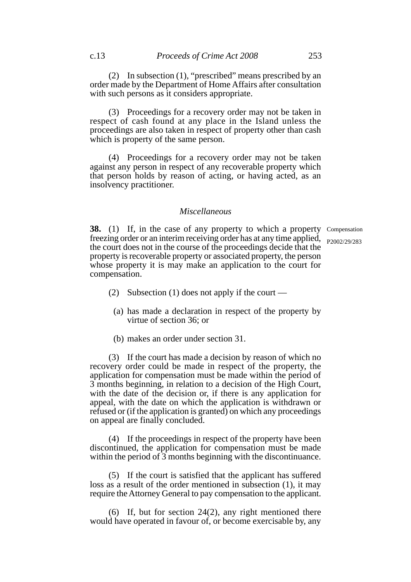(2) In subsection (1), "prescribed" means prescribed by an order made by the Department of Home Affairs after consultation with such persons as it considers appropriate.

(3) Proceedings for a recovery order may not be taken in respect of cash found at any place in the Island unless the proceedings are also taken in respect of property other than cash which is property of the same person.

(4) Proceedings for a recovery order may not be taken against any person in respect of any recoverable property which that person holds by reason of acting, or having acted, as an insolvency practitioner.

### *Miscellaneous*

**38.** (1) If, in the case of any property to which a property Compensation freezing order or an interim receiving order has at any time applied, the court does not in the course of the proceedings decide that the property is recoverable property or associated property, the person whose property it is may make an application to the court for compensation. P2002/29/283

- (2) Subsection (1) does not apply if the court
	- (a) has made a declaration in respect of the property by virtue of section 36; or
	- (b) makes an order under section 31.

(3) If the court has made a decision by reason of which no recovery order could be made in respect of the property, the application for compensation must be made within the period of 3 months beginning, in relation to a decision of the High Court, with the date of the decision or, if there is any application for appeal, with the date on which the application is withdrawn or refused or (if the application is granted) on which any proceedings on appeal are finally concluded.

(4) If the proceedings in respect of the property have been discontinued, the application for compensation must be made within the period of 3 months beginning with the discontinuance.

(5) If the court is satisfied that the applicant has suffered loss as a result of the order mentioned in subsection (1), it may require the Attorney General to pay compensation to the applicant.

(6) If, but for section 24(2), any right mentioned there would have operated in favour of, or become exercisable by, any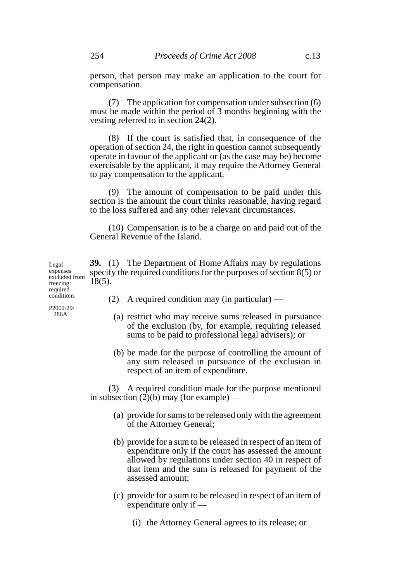person, that person may make an application to the court for compensation.

(7) The application for compensation under subsection (6) must be made within the period of 3 months beginning with the vesting referred to in section 24(2).

(8) If the court is satisfied that, in consequence of the operation of section 24, the right in question cannot subsequently operate in favour of the applicant or (as the case may be) become exercisable by the applicant, it may require the Attorney General to pay compensation to the applicant.

(9) The amount of compensation to be paid under this section is the amount the court thinks reasonable, having regard to the loss suffered and any other relevant circumstances.

(10) Compensation is to be a charge on and paid out of the General Revenue of the Island.

**39.** (1) The Department of Home Affairs may by regulations specify the required conditions for the purposes of section 8(5) or  $18(5)$ . excluded from

- (2) A required condition may (in particular)
	- (a) restrict who may receive sums released in pursuance of the exclusion (by, for example, requiring released sums to be paid to professional legal advisers); or
	- (b) be made for the purpose of controlling the amount of any sum released in pursuance of the exclusion in respect of an item of expenditure.

(3) A required condition made for the purpose mentioned in subsection  $(2)(b)$  may (for example) —

- (a) provide for sums to be released only with the agreement of the Attorney General;
- (b) provide for a sum to be released in respect of an item of expenditure only if the court has assessed the amount allowed by regulations under section 40 in respect of that item and the sum is released for payment of the assessed amount;
- (c) provide for a sum to be released in respect of an item of expenditure only if —
	- (i) the Attorney General agrees to its release; or

freezing: required conditions

Legal expenses

P2002/29/ 286A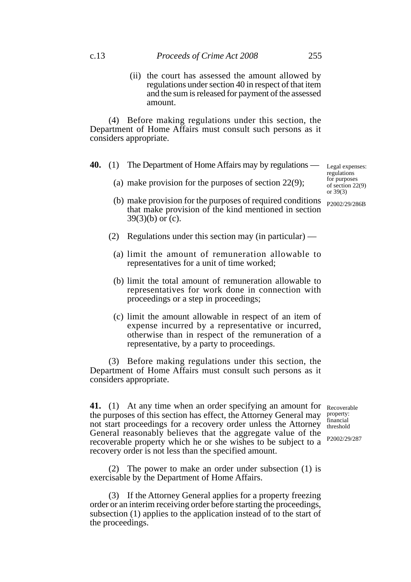(ii) the court has assessed the amount allowed by regulations under section 40 in respect of that item and the sum is released for payment of the assessed amount.

(4) Before making regulations under this section, the Department of Home Affairs must consult such persons as it considers appropriate.

- **40.** (1) The Department of Home Affairs may by regulations
	- (a) make provision for the purposes of section 22(9);
	- (b) make provision for the purposes of required conditions that make provision of the kind mentioned in section  $39(3)(b)$  or (c).
	- (2) Regulations under this section may (in particular)
		- (a) limit the amount of remuneration allowable to representatives for a unit of time worked;
		- (b) limit the total amount of remuneration allowable to representatives for work done in connection with proceedings or a step in proceedings;
		- (c) limit the amount allowable in respect of an item of expense incurred by a representative or incurred, otherwise than in respect of the remuneration of a representative, by a party to proceedings.

(3) Before making regulations under this section, the Department of Home Affairs must consult such persons as it considers appropriate.

41. (1) At any time when an order specifying an amount for Recoverable the purposes of this section has effect, the Attorney General may not start proceedings for a recovery order unless the Attorney General reasonably believes that the aggregate value of the recoverable property which he or she wishes to be subject to a recovery order is not less than the specified amount.

(2) The power to make an order under subsection (1) is exercisable by the Department of Home Affairs.

(3) If the Attorney General applies for a property freezing order or an interim receiving order before starting the proceedings, subsection (1) applies to the application instead of to the start of the proceedings.

property: financial threshold

P2002/29/287

Legal expenses: regulations for purposes of section 22(9) or 39(3)

P2002/29/286B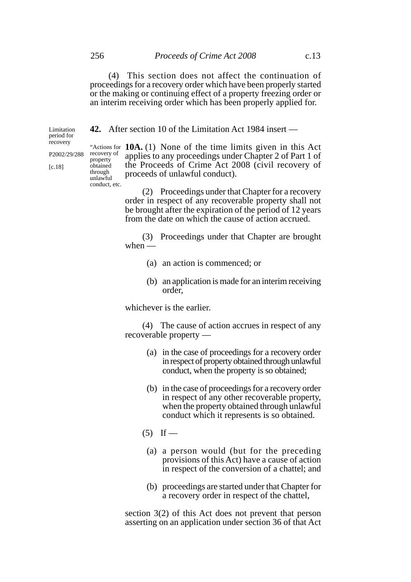(4) This section does not affect the continuation of proceedings for a recovery order which have been properly started or the making or continuing effect of a property freezing order or an interim receiving order which has been properly applied for.

**42.** After section 10 of the Limitation Act 1984 insert —

"Actions for **10A.** (1) None of the time limits given in this Act applies to any proceedings under Chapter 2 of Part 1 of the Proceeds of Crime Act 2008 (civil recovery of proceeds of unlawful conduct). unlawful

> (2) Proceedings under that Chapter for a recovery order in respect of any recoverable property shall not be brought after the expiration of the period of 12 years from the date on which the cause of action accrued.

> (3) Proceedings under that Chapter are brought when  $-$

- (a) an action is commenced; or
- (b) an application is made for an interim receiving order,

whichever is the earlier.

(4) The cause of action accrues in respect of any recoverable property —

- (a) in the case of proceedings for a recovery order in respect of property obtained through unlawful conduct, when the property is so obtained;
- (b) in the case of proceedings for a recovery order in respect of any other recoverable property, when the property obtained through unlawful conduct which it represents is so obtained.
- $(5)$  If
	- (a) a person would (but for the preceding provisions of this Act) have a cause of action in respect of the conversion of a chattel; and
	- (b) proceedings are started under that Chapter for a recovery order in respect of the chattel,

section 3(2) of this Act does not prevent that person asserting on an application under section 36 of that Act

property obtained through

conduct, etc.

recovery P2002/29/288 recovery of

Limitation period for

[c.18]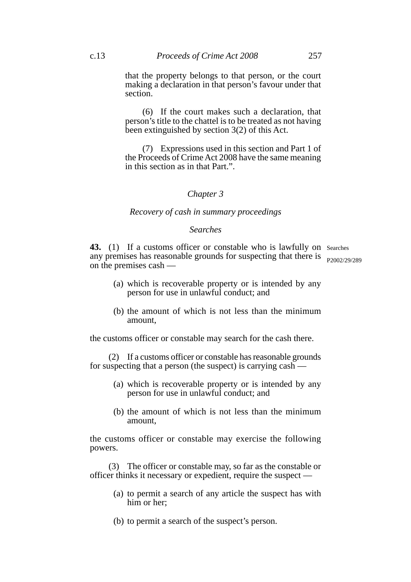that the property belongs to that person, or the court making a declaration in that person's favour under that section.

(6) If the court makes such a declaration, that person's title to the chattel is to be treated as not having been extinguished by section 3(2) of this Act.

(7) Expressions used in this section and Part 1 of the Proceeds of Crime Act 2008 have the same meaning in this section as in that Part.".

### *Chapter 3*

#### *Recovery of cash in summary proceedings*

### *Searches*

43. (1) If a customs officer or constable who is lawfully on Searches any premises has reasonable grounds for suspecting that there is <sub>P2002/29/289</sub> on the premises cash —

- (a) which is recoverable property or is intended by any person for use in unlawful conduct; and
- (b) the amount of which is not less than the minimum amount,

the customs officer or constable may search for the cash there.

(2) If a customs officer or constable has reasonable grounds for suspecting that a person (the suspect) is carrying cash —

- (a) which is recoverable property or is intended by any person for use in unlawful conduct; and
- (b) the amount of which is not less than the minimum amount,

the customs officer or constable may exercise the following powers.

(3) The officer or constable may, so far as the constable or officer thinks it necessary or expedient, require the suspect —

- (a) to permit a search of any article the suspect has with him or her;
- (b) to permit a search of the suspect's person.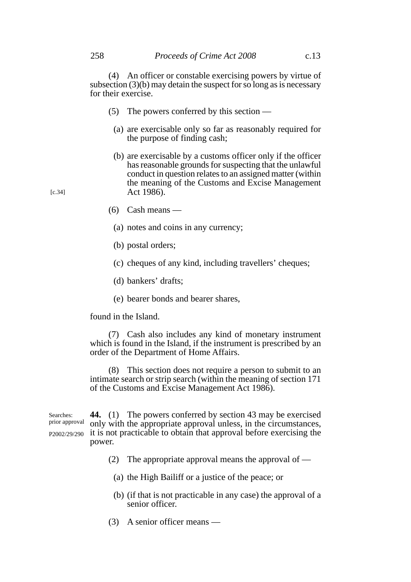(4) An officer or constable exercising powers by virtue of subsection (3)(b) may detain the suspect for so long as is necessary for their exercise.

- (5) The powers conferred by this section
	- (a) are exercisable only so far as reasonably required for the purpose of finding cash;
	- (b) are exercisable by a customs officer only if the officer has reasonable grounds for suspecting that the unlawful conduct in question relates to an assigned matter (within the meaning of the Customs and Excise Management Act 1986).
- (6) Cash means
	- (a) notes and coins in any currency;
	- (b) postal orders;
	- (c) cheques of any kind, including travellers' cheques;
	- (d) bankers' drafts;
	- (e) bearer bonds and bearer shares,

found in the Island.

(7) Cash also includes any kind of monetary instrument which is found in the Island, if the instrument is prescribed by an order of the Department of Home Affairs.

(8) This section does not require a person to submit to an intimate search or strip search (within the meaning of section 171 of the Customs and Excise Management Act 1986).

**44.** (1) The powers conferred by section 43 may be exercised only with the appropriate approval unless, in the circumstances, P2002/29/290 it is not practicable to obtain that approval before exercising the power. Searches: prior approval

- (2) The appropriate approval means the approval of  $-$ 
	- (a) the High Bailiff or a justice of the peace; or
	- (b) (if that is not practicable in any case) the approval of a senior officer.
- (3) A senior officer means —

[c.34]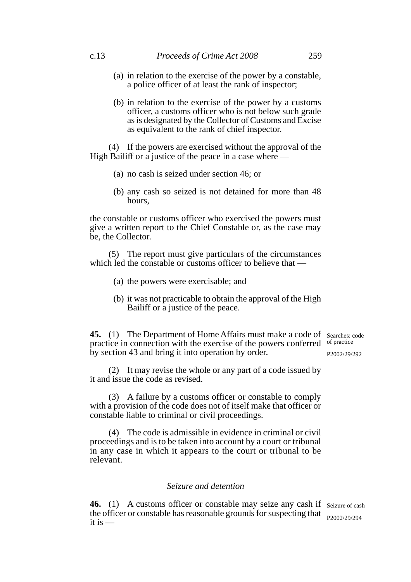- (a) in relation to the exercise of the power by a constable, a police officer of at least the rank of inspector;
- (b) in relation to the exercise of the power by a customs officer, a customs officer who is not below such grade as is designated by the Collector of Customs and Excise as equivalent to the rank of chief inspector.

(4) If the powers are exercised without the approval of the High Bailiff or a justice of the peace in a case where  $-$ 

- (a) no cash is seized under section 46; or
- (b) any cash so seized is not detained for more than 48 hours,

the constable or customs officer who exercised the powers must give a written report to the Chief Constable or, as the case may be, the Collector.

(5) The report must give particulars of the circumstances which led the constable or customs officer to believe that –

- (a) the powers were exercisable; and
- (b) it was not practicable to obtain the approval of the High Bailiff or a justice of the peace.

**45.** (1) The Department of Home Affairs must make a code of Searches: code practice in connection with the exercise of the powers conferred of practice by section 43 and bring it into operation by order. P2002/29/292

(2) It may revise the whole or any part of a code issued by it and issue the code as revised.

(3) A failure by a customs officer or constable to comply with a provision of the code does not of itself make that officer or constable liable to criminal or civil proceedings.

(4) The code is admissible in evidence in criminal or civil proceedings and is to be taken into account by a court or tribunal in any case in which it appears to the court or tribunal to be relevant.

## *Seizure and detention*

46. (1) A customs officer or constable may seize any cash if seizure of cash the officer or constable has reasonable grounds for suspecting that  $_{P2002/29/294}$ it is  $-$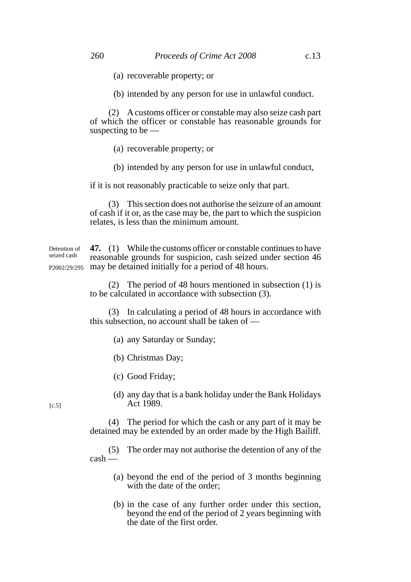(a) recoverable property; or

(b) intended by any person for use in unlawful conduct.

(2) A customs officer or constable may also seize cash part of which the officer or constable has reasonable grounds for suspecting to be —

(a) recoverable property; or

(b) intended by any person for use in unlawful conduct,

if it is not reasonably practicable to seize only that part.

(3) This section does not authorise the seizure of an amount of cash if it or, as the case may be, the part to which the suspicion relates, is less than the minimum amount.

**47.** (1) While the customs officer or constable continues to have reasonable grounds for suspicion, cash seized under section 46 P2002/29/295 may be detained initially for a period of 48 hours. Detention of seized cash

> (2) The period of 48 hours mentioned in subsection (1) is to be calculated in accordance with subsection (3).

> (3) In calculating a period of 48 hours in accordance with this subsection, no account shall be taken of —

- (a) any Saturday or Sunday;
- (b) Christmas Day;
- (c) Good Friday;
- (d) any day that is a bank holiday under the Bank Holidays Act 1989.

(4) The period for which the cash or any part of it may be detained may be extended by an order made by the High Bailiff.

(5) The order may not authorise the detention of any of the cash —

- (a) beyond the end of the period of 3 months beginning with the date of the order;
- (b) in the case of any further order under this section, beyond the end of the period of 2 years beginning with the date of the first order.

 $[c.5]$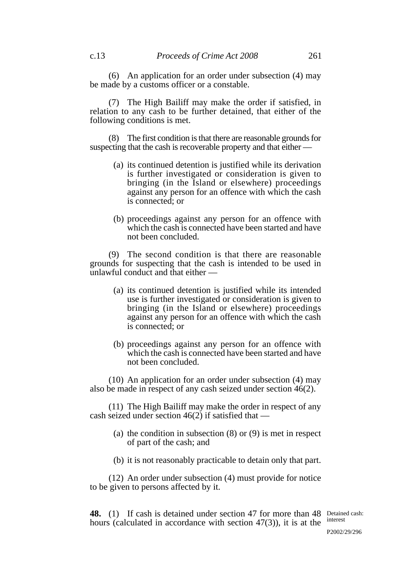(6) An application for an order under subsection (4) may be made by a customs officer or a constable.

(7) The High Bailiff may make the order if satisfied, in relation to any cash to be further detained, that either of the following conditions is met.

(8) The first condition is that there are reasonable grounds for suspecting that the cash is recoverable property and that either —

- (a) its continued detention is justified while its derivation is further investigated or consideration is given to bringing (in the Island or elsewhere) proceedings against any person for an offence with which the cash is connected; or
- (b) proceedings against any person for an offence with which the cash is connected have been started and have not been concluded.

(9) The second condition is that there are reasonable grounds for suspecting that the cash is intended to be used in unlawful conduct and that either —

- (a) its continued detention is justified while its intended use is further investigated or consideration is given to bringing (in the Island or elsewhere) proceedings against any person for an offence with which the cash is connected; or
- (b) proceedings against any person for an offence with which the cash is connected have been started and have not been concluded.

(10) An application for an order under subsection (4) may also be made in respect of any cash seized under section 46(2).

(11) The High Bailiff may make the order in respect of any cash seized under section  $46(2)$  if satisfied that —

- (a) the condition in subsection (8) or (9) is met in respect of part of the cash; and
- (b) it is not reasonably practicable to detain only that part.

(12) An order under subsection (4) must provide for notice to be given to persons affected by it.

**48.** (1) If cash is detained under section 47 for more than 48 Detained cash: hours (calculated in accordance with section  $47(3)$ ), it is at the interest

P2002/29/296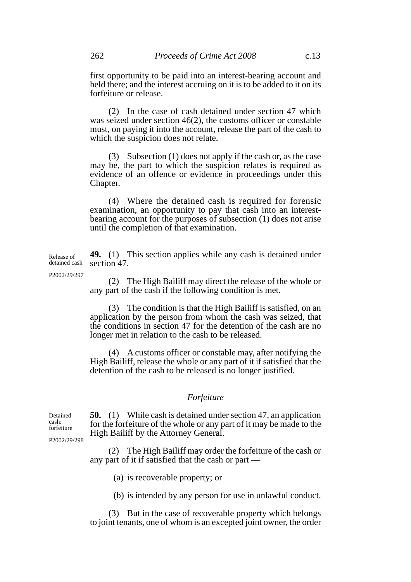first opportunity to be paid into an interest-bearing account and held there; and the interest accruing on it is to be added to it on its forfeiture or release.

(2) In the case of cash detained under section 47 which was seized under section 46(2), the customs officer or constable must, on paying it into the account, release the part of the cash to which the suspicion does not relate.

(3) Subsection (1) does not apply if the cash or, as the case may be, the part to which the suspicion relates is required as evidence of an offence or evidence in proceedings under this Chapter.

(4) Where the detained cash is required for forensic examination, an opportunity to pay that cash into an interestbearing account for the purposes of subsection (1) does not arise until the completion of that examination.

**49.** (1) This section applies while any cash is detained under section 47. Release of detained cash

P2002/29/297

(2) The High Bailiff may direct the release of the whole or any part of the cash if the following condition is met.

(3) The condition is that the High Bailiff is satisfied, on an application by the person from whom the cash was seized, that the conditions in section 47 for the detention of the cash are no longer met in relation to the cash to be released.

(4) A customs officer or constable may, after notifying the High Bailiff, release the whole or any part of it if satisfied that the detention of the cash to be released is no longer justified.

### *Forfeiture*

**50.** (1) While cash is detained under section 47, an application for the forfeiture of the whole or any part of it may be made to the High Bailiff by the Attorney General.

(2) The High Bailiff may order the forfeiture of the cash or any part of it if satisfied that the cash or part —

(a) is recoverable property; or

(b) is intended by any person for use in unlawful conduct.

(3) But in the case of recoverable property which belongs to joint tenants, one of whom is an excepted joint owner, the order

forfeiture P2002/29/298

Detained cash: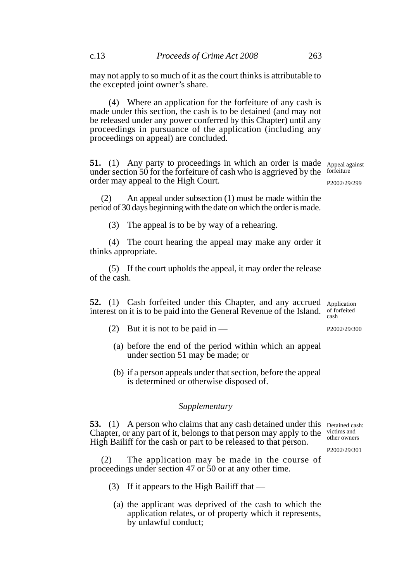may not apply to so much of it as the court thinks is attributable to the excepted joint owner's share.

(4) Where an application for the forfeiture of any cash is made under this section, the cash is to be detained (and may not be released under any power conferred by this Chapter) until any proceedings in pursuance of the application (including any proceedings on appeal) are concluded.

**51.** (1) Any party to proceedings in which an order is made Appeal against under section 50 for the forfeiture of cash who is aggrieved by the forfeiture order may appeal to the High Court. P2002/29/299

 (2) An appeal under subsection (1) must be made within the period of 30 days beginning with the date on which the order is made.

(3) The appeal is to be by way of a rehearing.

(4) The court hearing the appeal may make any order it thinks appropriate.

(5) If the court upholds the appeal, it may order the release of the cash.

**52.** (1) Cash forfeited under this Chapter, and any accrued Application interest on it is to be paid into the General Revenue of the Island. of forfeited

- (2) But it is not to be paid in  $-$ P2002/29/300
	- (a) before the end of the period within which an appeal under section 51 may be made; or
	- (b) if a person appeals under that section, before the appeal is determined or otherwise disposed of.

## *Supplementary*

**53.** (1) A person who claims that any cash detained under this Detained cash: Chapter, or any part of it, belongs to that person may apply to the High Bailiff for the cash or part to be released to that person. victims and other owners P2002/29/301

 (2) The application may be made in the course of proceedings under section 47 or 50 or at any other time.

- (3) If it appears to the High Bailiff that
	- (a) the applicant was deprived of the cash to which the application relates, or of property which it represents, by unlawful conduct;

cash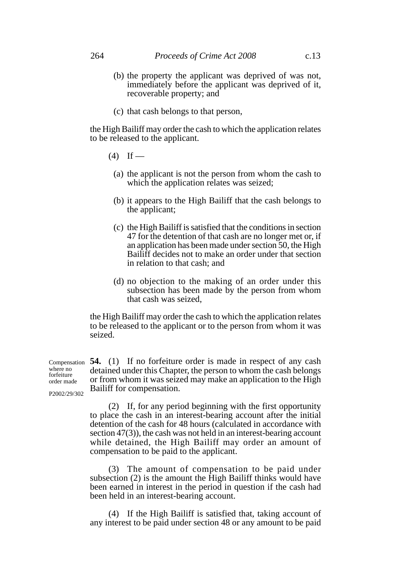- (b) the property the applicant was deprived of was not, immediately before the applicant was deprived of it, recoverable property; and
- (c) that cash belongs to that person,

the High Bailiff may order the cash to which the application relates to be released to the applicant.

- $(4)$  If
	- (a) the applicant is not the person from whom the cash to which the application relates was seized;
	- (b) it appears to the High Bailiff that the cash belongs to the applicant;
	- (c) the High Bailiff is satisfied that the conditions in section 47 for the detention of that cash are no longer met or, if an application has been made under section 50, the High Bailiff decides not to make an order under that section in relation to that cash; and
	- (d) no objection to the making of an order under this subsection has been made by the person from whom that cash was seized,

the High Bailiff may order the cash to which the application relates to be released to the applicant or to the person from whom it was seized.

Compensation 54. (1) If no forfeiture order is made in respect of any cash detained under this Chapter, the person to whom the cash belongs or from whom it was seized may make an application to the High Bailiff for compensation. where no forfeiture order made

P2002/29/302

(2) If, for any period beginning with the first opportunity to place the cash in an interest-bearing account after the initial detention of the cash for 48 hours (calculated in accordance with section 47(3)), the cash was not held in an interest-bearing account while detained, the High Bailiff may order an amount of compensation to be paid to the applicant.

(3) The amount of compensation to be paid under subsection (2) is the amount the High Bailiff thinks would have been earned in interest in the period in question if the cash had been held in an interest-bearing account.

(4) If the High Bailiff is satisfied that, taking account of any interest to be paid under section 48 or any amount to be paid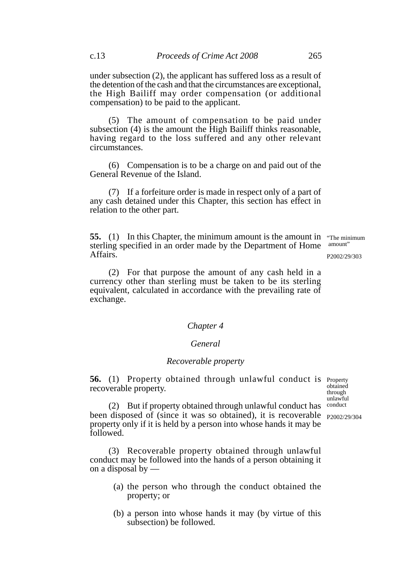under subsection (2), the applicant has suffered loss as a result of the detention of the cash and that the circumstances are exceptional, the High Bailiff may order compensation (or additional compensation) to be paid to the applicant.

(5) The amount of compensation to be paid under subsection (4) is the amount the High Bailiff thinks reasonable, having regard to the loss suffered and any other relevant circumstances.

(6) Compensation is to be a charge on and paid out of the General Revenue of the Island.

(7) If a forfeiture order is made in respect only of a part of any cash detained under this Chapter, this section has effect in relation to the other part.

**55.** (1) In this Chapter, the minimum amount is the amount in "The minimum" sterling specified in an order made by the Department of Home Affairs. amount" P2002/29/303

(2) For that purpose the amount of any cash held in a currency other than sterling must be taken to be its sterling equivalent, calculated in accordance with the prevailing rate of exchange.

# *Chapter 4*

### *General*

# *Recoverable property*

**56.** (1) Property obtained through unlawful conduct is Property recoverable property.

obtained through unlawful conduct

(2) But if property obtained through unlawful conduct has been disposed of (since it was so obtained), it is recoverable <sub>P2002/29/304</sub> property only if it is held by a person into whose hands it may be followed.

(3) Recoverable property obtained through unlawful conduct may be followed into the hands of a person obtaining it on a disposal by —

- (a) the person who through the conduct obtained the property; or
- (b) a person into whose hands it may (by virtue of this subsection) be followed.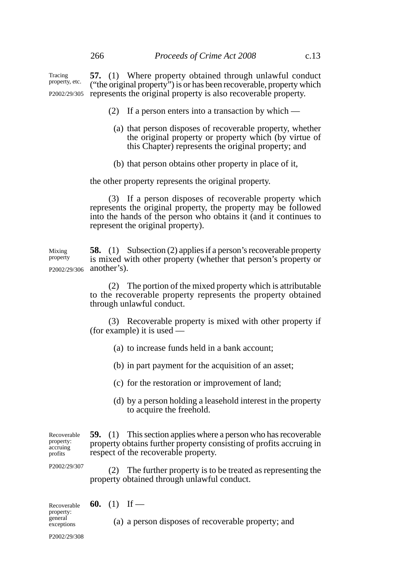**57.** (1) Where property obtained through unlawful conduct ("the original property") is or has been recoverable, property which P2002/29/305 represents the original property is also recoverable property. Tracing property, etc.

- (2) If a person enters into a transaction by which
	- (a) that person disposes of recoverable property, whether the original property or property which (by virtue of this Chapter) represents the original property; and
	- (b) that person obtains other property in place of it,

the other property represents the original property.

(3) If a person disposes of recoverable property which represents the original property, the property may be followed into the hands of the person who obtains it (and it continues to represent the original property).

**58.** (1) Subsection (2) applies if a person's recoverable property is mixed with other property (whether that person's property or P2002/29/306 another's). Mixing property

> (2) The portion of the mixed property which is attributable to the recoverable property represents the property obtained through unlawful conduct.

> (3) Recoverable property is mixed with other property if (for example) it is used —

- (a) to increase funds held in a bank account;
- (b) in part payment for the acquisition of an asset;
- (c) for the restoration or improvement of land;
- (d) by a person holding a leasehold interest in the property to acquire the freehold.

**59.** (1) This section applies where a person who has recoverable property obtains further property consisting of profits accruing in respect of the recoverable property. Recoverable property: accruing profits

P2002/29/307

(2) The further property is to be treated as representing the property obtained through unlawful conduct.

| Recoverable <b>60.</b> (1) If —<br>property:<br>general<br>exceptions |  |                                                    |
|-----------------------------------------------------------------------|--|----------------------------------------------------|
|                                                                       |  | (a) a person disposes of recoverable property; and |

P2002/29/308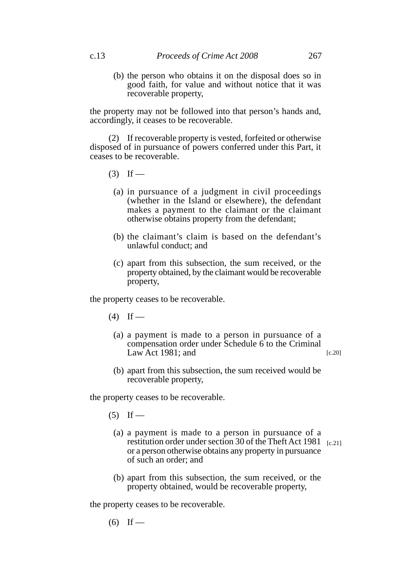(b) the person who obtains it on the disposal does so in good faith, for value and without notice that it was recoverable property,

the property may not be followed into that person's hands and, accordingly, it ceases to be recoverable.

(2) If recoverable property is vested, forfeited or otherwise disposed of in pursuance of powers conferred under this Part, it ceases to be recoverable.

- $(3)$  If
	- (a) in pursuance of a judgment in civil proceedings (whether in the Island or elsewhere), the defendant makes a payment to the claimant or the claimant otherwise obtains property from the defendant;
	- (b) the claimant's claim is based on the defendant's unlawful conduct; and
	- (c) apart from this subsection, the sum received, or the property obtained, by the claimant would be recoverable property,

the property ceases to be recoverable.

- $(4)$  If
	- (a) a payment is made to a person in pursuance of a compensation order under Schedule 6 to the Criminal Law Act 1981; and [c.20]
	- (b) apart from this subsection, the sum received would be recoverable property,

the property ceases to be recoverable.

- $(5)$  If
	- (a) a payment is made to a person in pursuance of a restitution order under section 30 of the Theft Act 1981 [c.21] or a person otherwise obtains any property in pursuance of such an order; and
	- (b) apart from this subsection, the sum received, or the property obtained, would be recoverable property,

the property ceases to be recoverable.

 $(6)$  If —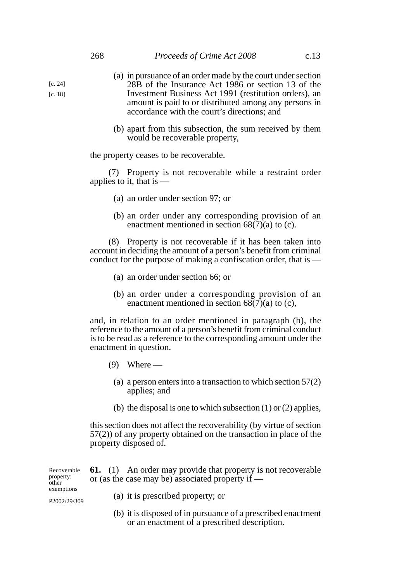- (a) in pursuance of an order made by the court under section 28B of the Insurance Act 1986 or section 13 of the Investment Business Act 1991 (restitution orders), an amount is paid to or distributed among any persons in accordance with the court's directions; and
- (b) apart from this subsection, the sum received by them would be recoverable property,

the property ceases to be recoverable.

(7) Property is not recoverable while a restraint order applies to it, that is —

- (a) an order under section 97; or
- (b) an order under any corresponding provision of an enactment mentioned in section  $68(7)(a)$  to (c).

(8) Property is not recoverable if it has been taken into account in deciding the amount of a person's benefit from criminal conduct for the purpose of making a confiscation order, that is —

- (a) an order under section 66; or
- (b) an order under a corresponding provision of an enactment mentioned in section  $68(7)(a)$  to (c),

and, in relation to an order mentioned in paragraph (b), the reference to the amount of a person's benefit from criminal conduct is to be read as a reference to the corresponding amount under the enactment in question.

- $(9)$  Where
	- (a) a person enters into a transaction to which section 57(2) applies; and
	- (b) the disposal is one to which subsection  $(1)$  or  $(2)$  applies,

this section does not affect the recoverability (by virtue of section 57(2)) of any property obtained on the transaction in place of the property disposed of.

or an enactment of a prescribed description.

| Recoverable<br>property:<br>other | <b>61.</b> (1) An order may provide that property is not recoverable<br>or (as the case may be) associated property if $-$ |  |  |  |  |  |
|-----------------------------------|----------------------------------------------------------------------------------------------------------------------------|--|--|--|--|--|
| exemptions<br>P2002/29/309        | (a) it is prescribed property; or                                                                                          |  |  |  |  |  |
|                                   | (b) it is disposed of in pursuance of a prescribed enactment                                                               |  |  |  |  |  |

[c. 24] [c. 18]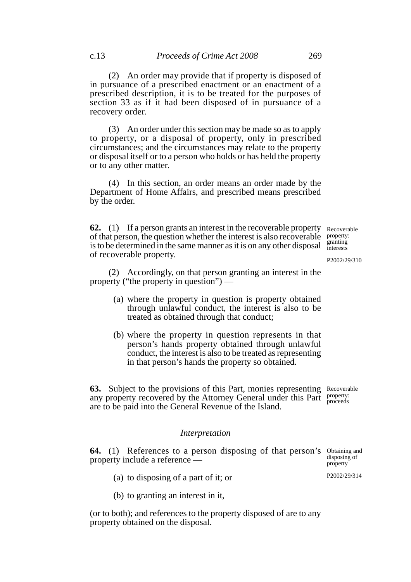(2) An order may provide that if property is disposed of in pursuance of a prescribed enactment or an enactment of a prescribed description, it is to be treated for the purposes of section 33 as if it had been disposed of in pursuance of a recovery order.

(3) An order under this section may be made so as to apply to property, or a disposal of property, only in prescribed circumstances; and the circumstances may relate to the property or disposal itself or to a person who holds or has held the property or to any other matter.

(4) In this section, an order means an order made by the Department of Home Affairs, and prescribed means prescribed by the order.

**62.** (1) If a person grants an interest in the recoverable property Recoverable of that person, the question whether the interest is also recoverable is to be determined in the same manner as it is on any other disposal of recoverable property. property: granting interests

(2) Accordingly, on that person granting an interest in the property ("the property in question") —

- (a) where the property in question is property obtained through unlawful conduct, the interest is also to be treated as obtained through that conduct;
- (b) where the property in question represents in that person's hands property obtained through unlawful conduct, the interest is also to be treated as representing in that person's hands the property so obtained.

**63.** Subject to the provisions of this Part, monies representing Recoverable any property recovered by the Attorney General under this Part property: are to be paid into the General Revenue of the Island. proceeds

### *Interpretation*

**64.** (1) References to a person disposing of that person's Obtaining and property include a reference —

- (a) to disposing of a part of it; or
- (b) to granting an interest in it,

(or to both); and references to the property disposed of are to any property obtained on the disposal.

P2002/29/310

disposing of property

P2002/29/314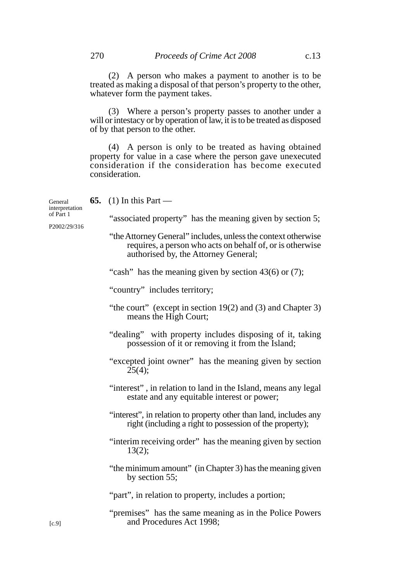(3) Where a person's property passes to another under a will or intestacy or by operation of law, it is to be treated as disposed of by that person to the other.

(4) A person is only to be treated as having obtained property for value in a case where the person gave unexecuted consideration if the consideration has become executed consideration.

**65.** (1) In this Part — "associated property" has the meaning given by section 5; "the Attorney General" includes, unless the context otherwise requires, a person who acts on behalf of, or is otherwise authorised by, the Attorney General; "cash" has the meaning given by section 43(6) or (7); "country" includes territory; "the court" (except in section 19(2) and (3) and Chapter 3) means the High Court; "dealing" with property includes disposing of it, taking possession of it or removing it from the Island; "excepted joint owner" has the meaning given by section  $25(4);$ "interest" , in relation to land in the Island, means any legal estate and any equitable interest or power; "interest", in relation to property other than land, includes any right (including a right to possession of the property); "interim receiving order" has the meaning given by section 13(2); "the minimum amount" (in Chapter 3) has the meaning given by section 55; "part", in relation to property, includes a portion; "premises" has the same meaning as in the Police Powers and Procedures Act 1998; General interpretation P2002/29/316

of Part 1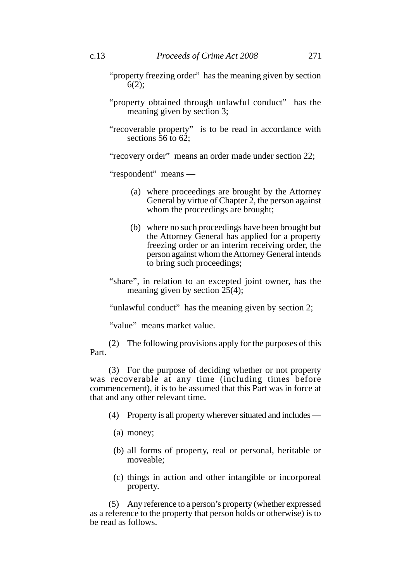- "property freezing order" has the meaning given by section  $6(2)$ :
- "property obtained through unlawful conduct" has the meaning given by section 3;
- "recoverable property" is to be read in accordance with sections  $\overline{56}$  to  $6\overline{2}$ :

"recovery order" means an order made under section 22;

"respondent" means —

- (a) where proceedings are brought by the Attorney General by virtue of Chapter 2, the person against whom the proceedings are brought;
- (b) where no such proceedings have been brought but the Attorney General has applied for a property freezing order or an interim receiving order, the person against whom the Attorney General intends to bring such proceedings;
- "share", in relation to an excepted joint owner, has the meaning given by section  $25(4)$ ;

"unlawful conduct" has the meaning given by section 2;

"value" means market value.

(2) The following provisions apply for the purposes of this Part.

(3) For the purpose of deciding whether or not property was recoverable at any time (including times before commencement), it is to be assumed that this Part was in force at that and any other relevant time.

- (4) Property is all property wherever situated and includes
	- (a) money;
	- (b) all forms of property, real or personal, heritable or moveable;
	- (c) things in action and other intangible or incorporeal property.

(5) Any reference to a person's property (whether expressed as a reference to the property that person holds or otherwise) is to be read as follows.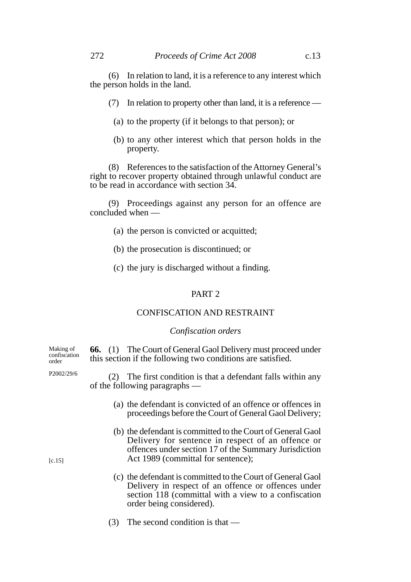(6) In relation to land, it is a reference to any interest which the person holds in the land.

- (7) In relation to property other than land, it is a reference
	- (a) to the property (if it belongs to that person); or
	- (b) to any other interest which that person holds in the property.

(8) References to the satisfaction of the Attorney General's right to recover property obtained through unlawful conduct are to be read in accordance with section 34.

(9) Proceedings against any person for an offence are concluded when —

- (a) the person is convicted or acquitted;
- (b) the prosecution is discontinued; or
- (c) the jury is discharged without a finding.

# PART 2

## CONFISCATION AND RESTRAINT

### *Confiscation orders*

| Making of<br>confiscation<br>order |                                                                                                 | <b>66.</b> (1) The Court of General Gaol Delivery must proceed under<br>this section if the following two conditions are satisfied.                                                                             |  |  |
|------------------------------------|-------------------------------------------------------------------------------------------------|-----------------------------------------------------------------------------------------------------------------------------------------------------------------------------------------------------------------|--|--|
| P2002/29/6                         | (2) The first condition is that a defendant falls within any<br>of the following paragraphs $-$ |                                                                                                                                                                                                                 |  |  |
|                                    |                                                                                                 | (a) the defendant is convicted of an offence or offences in<br>proceedings before the Court of General Gaol Delivery;                                                                                           |  |  |
| [c.15]                             |                                                                                                 | (b) the defendant is committed to the Court of General Gaol<br>Delivery for sentence in respect of an offence or<br>offences under section 17 of the Summary Jurisdiction<br>Act 1989 (committal for sentence); |  |  |
|                                    |                                                                                                 | (c) the defendant is committed to the Court of General Gaol<br>Delivery in respect of an offence or offences under<br>section 118 (committal with a view to a confiscation<br>order being considered).          |  |  |
|                                    | (3)                                                                                             | The second condition is that $-$                                                                                                                                                                                |  |  |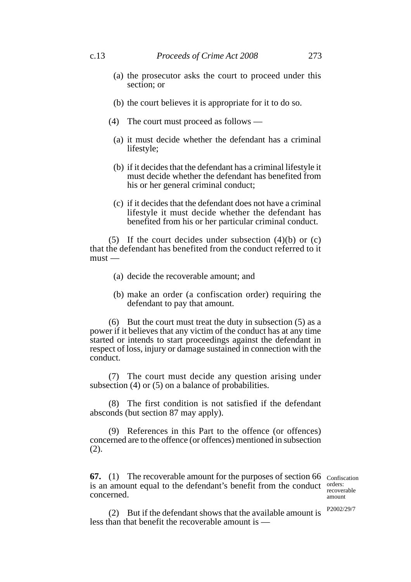- (a) the prosecutor asks the court to proceed under this section; or
- (b) the court believes it is appropriate for it to do so.
- (4) The court must proceed as follows
	- (a) it must decide whether the defendant has a criminal lifestyle;
	- (b) if it decides that the defendant has a criminal lifestyle it must decide whether the defendant has benefited from his or her general criminal conduct;
	- (c) if it decides that the defendant does not have a criminal lifestyle it must decide whether the defendant has benefited from his or her particular criminal conduct.

(5) If the court decides under subsection (4)(b) or (c) that the defendant has benefited from the conduct referred to it must —

- (a) decide the recoverable amount; and
- (b) make an order (a confiscation order) requiring the defendant to pay that amount.

(6) But the court must treat the duty in subsection (5) as a power if it believes that any victim of the conduct has at any time started or intends to start proceedings against the defendant in respect of loss, injury or damage sustained in connection with the conduct.

(7) The court must decide any question arising under subsection (4) or (5) on a balance of probabilities.

(8) The first condition is not satisfied if the defendant absconds (but section 87 may apply).

(9) References in this Part to the offence (or offences) concerned are to the offence (or offences) mentioned in subsection (2).

**67.** (1) The recoverable amount for the purposes of section 66 Confiscation is an amount equal to the defendant's benefit from the conduct orders: concerned.

recoverable amount

P2002/29/7

(2) But if the defendant shows that the available amount is less than that benefit the recoverable amount is —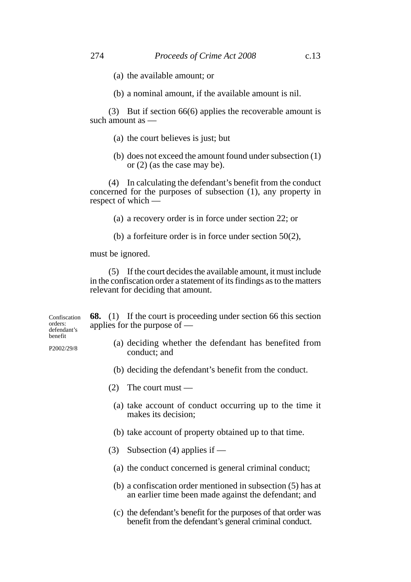- (a) the available amount; or
- (b) a nominal amount, if the available amount is nil.

(3) But if section 66(6) applies the recoverable amount is such amount as —

- (a) the court believes is just; but
- (b) does not exceed the amount found under subsection (1) or (2) (as the case may be).

(4) In calculating the defendant's benefit from the conduct concerned for the purposes of subsection (1), any property in respect of which —

(a) a recovery order is in force under section 22; or

(b) a forfeiture order is in force under section 50(2),

must be ignored.

(5) If the court decides the available amount, it must include in the confiscation order a statement of its findings as to the matters relevant for deciding that amount.

Confiscation orders: defendant's benefit

P2002/29/8

**68.** (1) If the court is proceeding under section 66 this section applies for the purpose of —

- (a) deciding whether the defendant has benefited from conduct; and
- (b) deciding the defendant's benefit from the conduct.
- (2) The court must
	- (a) take account of conduct occurring up to the time it makes its decision;
	- (b) take account of property obtained up to that time.
- (3) Subsection (4) applies if
	- (a) the conduct concerned is general criminal conduct;
	- (b) a confiscation order mentioned in subsection (5) has at an earlier time been made against the defendant; and
	- (c) the defendant's benefit for the purposes of that order was benefit from the defendant's general criminal conduct.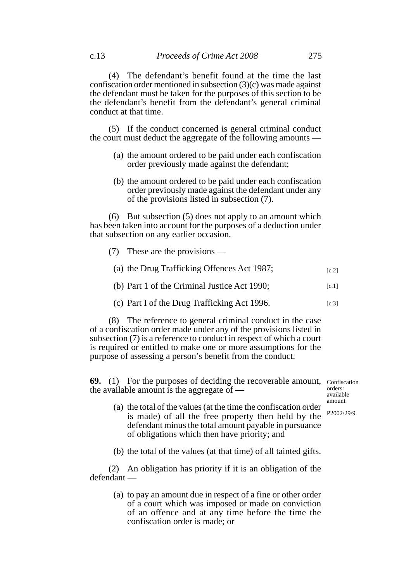(5) If the conduct concerned is general criminal conduct the court must deduct the aggregate of the following amounts —

- (a) the amount ordered to be paid under each confiscation order previously made against the defendant;
- (b) the amount ordered to be paid under each confiscation order previously made against the defendant under any of the provisions listed in subsection (7).

(6) But subsection (5) does not apply to an amount which has been taken into account for the purposes of a deduction under that subsection on any earlier occasion.

- (7) These are the provisions
	- (a) the Drug Trafficking Offences Act 1987;  $[c.2]$
	- (b) Part 1 of the Criminal Justice Act 1990;  $[c.1]$
	- (c) Part I of the Drug Trafficking Act 1996.  $[c.3]$

(8) The reference to general criminal conduct in the case of a confiscation order made under any of the provisions listed in subsection (7) is a reference to conduct in respect of which a court is required or entitled to make one or more assumptions for the purpose of assessing a person's benefit from the conduct.

**69.** (1) For the purposes of deciding the recoverable amount, Confiscation the available amount is the aggregate of —

orders: available amount

- (a) the total of the values (at the time the confiscation order is made) of all the free property then held by the defendant minus the total amount payable in pursuance of obligations which then have priority; and P2002/29/9
- (b) the total of the values (at that time) of all tainted gifts.

(2) An obligation has priority if it is an obligation of the defendant —

> (a) to pay an amount due in respect of a fine or other order of a court which was imposed or made on conviction of an offence and at any time before the time the confiscation order is made; or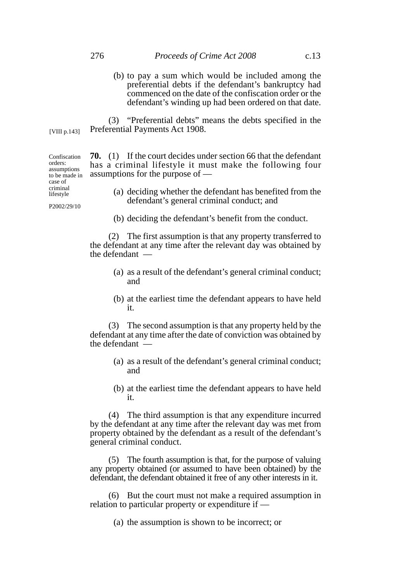(b) to pay a sum which would be included among the preferential debts if the defendant's bankruptcy had commenced on the date of the confiscation order or the defendant's winding up had been ordered on that date.

(3) "Preferential debts" means the debts specified in the Preferential Payments Act 1908. [VIII p.143]

> **70.** (1) If the court decides under section 66 that the defendant has a criminal lifestyle it must make the following four assumptions for the purpose of —

- (a) deciding whether the defendant has benefited from the defendant's general criminal conduct; and
- (b) deciding the defendant's benefit from the conduct.

(2) The first assumption is that any property transferred to the defendant at any time after the relevant day was obtained by the defendant —

- (a) as a result of the defendant's general criminal conduct; and
- (b) at the earliest time the defendant appears to have held it.

(3) The second assumption is that any property held by the defendant at any time after the date of conviction was obtained by the defendant —

- (a) as a result of the defendant's general criminal conduct; and
- (b) at the earliest time the defendant appears to have held it.

(4) The third assumption is that any expenditure incurred by the defendant at any time after the relevant day was met from property obtained by the defendant as a result of the defendant's general criminal conduct.

(5) The fourth assumption is that, for the purpose of valuing any property obtained (or assumed to have been obtained) by the defendant, the defendant obtained it free of any other interests in it.

(6) But the court must not make a required assumption in relation to particular property or expenditure if —

(a) the assumption is shown to be incorrect; or

Confiscation orders: assumptions to be made in case of criminal lifestyle

P2002/29/10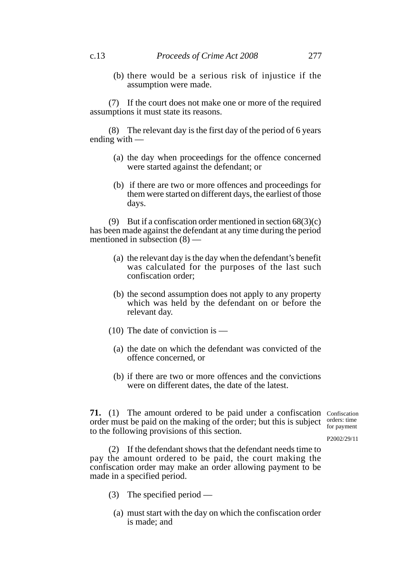(b) there would be a serious risk of injustice if the assumption were made.

(7) If the court does not make one or more of the required assumptions it must state its reasons.

(8) The relevant day is the first day of the period of 6 years ending with —

- (a) the day when proceedings for the offence concerned were started against the defendant; or
- (b) if there are two or more offences and proceedings for them were started on different days, the earliest of those days.

(9) But if a confiscation order mentioned in section  $68(3)(c)$ has been made against the defendant at any time during the period mentioned in subsection (8) —

- (a) the relevant day is the day when the defendant's benefit was calculated for the purposes of the last such confiscation order;
- (b) the second assumption does not apply to any property which was held by the defendant on or before the relevant day.
- (10) The date of conviction is
	- (a) the date on which the defendant was convicted of the offence concerned, or
	- (b) if there are two or more offences and the convictions were on different dates, the date of the latest.

**71.** (1) The amount ordered to be paid under a confiscation Confiscation order must be paid on the making of the order; but this is subject  $\frac{\text{orders: time}}{\text{for payment}}$ to the following provisions of this section.

for payment

P2002/29/11

(2) If the defendant shows that the defendant needs time to pay the amount ordered to be paid, the court making the confiscation order may make an order allowing payment to be made in a specified period.

- (3) The specified period
	- (a) must start with the day on which the confiscation order is made; and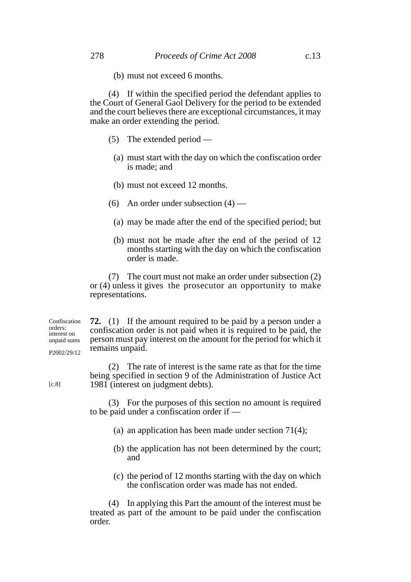(b) must not exceed 6 months.

(4) If within the specified period the defendant applies to the Court of General Gaol Delivery for the period to be extended and the court believes there are exceptional circumstances, it may make an order extending the period.

- (5) The extended period
	- (a) must start with the day on which the confiscation order is made; and
	- (b) must not exceed 12 months.
- (6) An order under subsection  $(4)$ 
	- (a) may be made after the end of the specified period; but
	- (b) must not be made after the end of the period of 12 months starting with the day on which the confiscation order is made.

(7) The court must not make an order under subsection (2) or (4) unless it gives the prosecutor an opportunity to make representations.

**72.** (1) If the amount required to be paid by a person under a confiscation order is not paid when it is required to be paid, the person must pay interest on the amount for the period for which it remains unpaid. Confiscation orders: interest on unpaid sums P2002/29/12

> (2) The rate of interest is the same rate as that for the time being specified in section 9 of the Administration of Justice Act 1981 (interest on judgment debts).

(3) For the purposes of this section no amount is required to be paid under a confiscation order if —

- (a) an application has been made under section 71(4);
- (b) the application has not been determined by the court; and
- (c) the period of 12 months starting with the day on which the confiscation order was made has not ended.

(4) In applying this Part the amount of the interest must be treated as part of the amount to be paid under the confiscation order.

[c.8]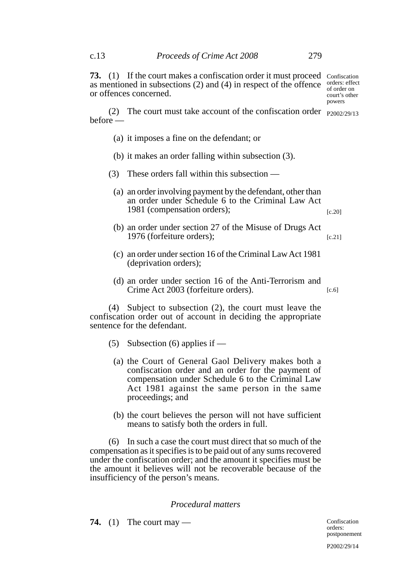**73.** (1) If the court makes a confiscation order it must proceed Confiscation as mentioned in subsections (2) and (4) in respect of the offence  $\frac{\text{orders: effect}}{\text{of order on}}$ or offences concerned.

(2) The court must take account of the confiscation order  $_{P2002/29/13}$ before —

- (a) it imposes a fine on the defendant; or
- (b) it makes an order falling within subsection (3).
- (3) These orders fall within this subsection
	- (a) an order involving payment by the defendant, other than an order under Schedule 6 to the Criminal Law Act 1981 (compensation orders); [c.20]
	- (b) an order under section 27 of the Misuse of Drugs Act 1976 (forfeiture orders); [c.21]
	- (c) an order under section 16 of the Criminal Law Act 1981 (deprivation orders);
	- (d) an order under section 16 of the Anti-Terrorism and Crime Act 2003 (forfeiture orders). [c.6]

(4) Subject to subsection (2), the court must leave the confiscation order out of account in deciding the appropriate sentence for the defendant.

- (5) Subsection (6) applies if  $-$ 
	- (a) the Court of General Gaol Delivery makes both a confiscation order and an order for the payment of compensation under Schedule 6 to the Criminal Law Act 1981 against the same person in the same proceedings; and
	- (b) the court believes the person will not have sufficient means to satisfy both the orders in full.

(6) In such a case the court must direct that so much of the compensation as it specifies is to be paid out of any sums recovered under the confiscation order; and the amount it specifies must be the amount it believes will not be recoverable because of the insufficiency of the person's means.

#### *Procedural matters*

**74.** (1) The court may —

of order on court's other powers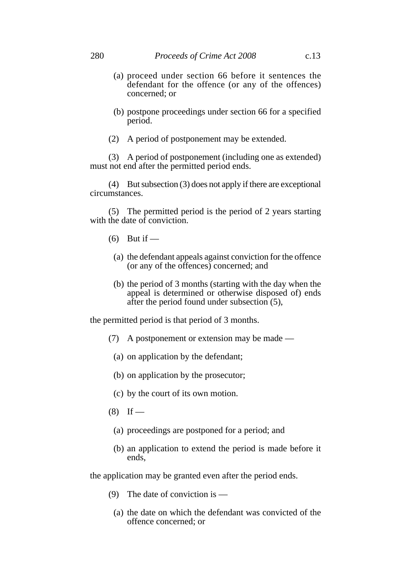- (a) proceed under section 66 before it sentences the defendant for the offence (or any of the offences) concerned; or
- (b) postpone proceedings under section 66 for a specified period.
- (2) A period of postponement may be extended.

(3) A period of postponement (including one as extended) must not end after the permitted period ends.

(4) But subsection (3) does not apply if there are exceptional circumstances.

(5) The permitted period is the period of 2 years starting with the date of conviction.

- $(6)$  But if —
- (a) the defendant appeals against conviction for the offence (or any of the offences) concerned; and
- (b) the period of 3 months (starting with the day when the appeal is determined or otherwise disposed of) ends after the period found under subsection (5),

the permitted period is that period of 3 months.

- (7) A postponement or extension may be made
	- (a) on application by the defendant;
	- (b) on application by the prosecutor;
	- (c) by the court of its own motion.
- $(8)$  If
	- (a) proceedings are postponed for a period; and
	- (b) an application to extend the period is made before it ends,

the application may be granted even after the period ends.

- (9) The date of conviction is
	- (a) the date on which the defendant was convicted of the offence concerned; or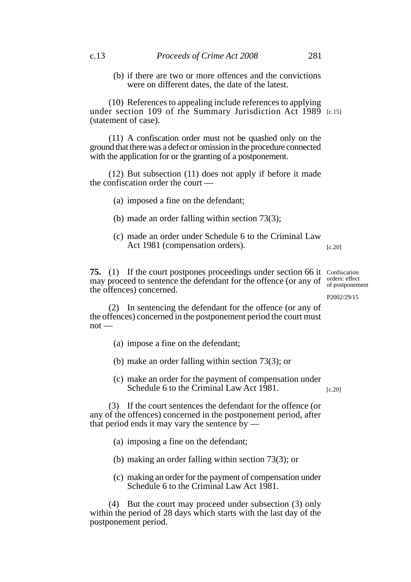(b) if there are two or more offences and the convictions were on different dates, the date of the latest.

(10) References to appealing include references to applying under section 109 of the Summary Jurisdiction Act 1989 [c.15] (statement of case).

(11) A confiscation order must not be quashed only on the ground that there was a defect or omission in the procedure connected with the application for or the granting of a postponement.

(12) But subsection (11) does not apply if before it made the confiscation order the court —

- (a) imposed a fine on the defendant;
- (b) made an order falling within section 73(3);
- (c) made an order under Schedule 6 to the Criminal Law Act 1981 (compensation orders).  $[c.20]$

**75.** (1) If the court postpones proceedings under section 66 it Confiscation may proceed to sentence the defendant for the offence (or any of  $\frac{\text{orders: effect}}{\text{of postponer}}$ the offences) concerned.

of postponement

P2002/29/15

(2) In sentencing the defendant for the offence (or any of the offences) concerned in the postponement period the court must  $not -$ 

- (a) impose a fine on the defendant;
- (b) make an order falling within section 73(3); or
- (c) make an order for the payment of compensation under Schedule 6 to the Criminal Law Act 1981. [c.20]

(3) If the court sentences the defendant for the offence (or any of the offences) concerned in the postponement period, after that period ends it may vary the sentence  $\bar{b}y$  —

- (a) imposing a fine on the defendant;
- (b) making an order falling within section 73(3); or
- (c) making an order for the payment of compensation under Schedule 6 to the Criminal Law Act 1981.

(4) But the court may proceed under subsection (3) only within the period of 28 days which starts with the last day of the postponement period.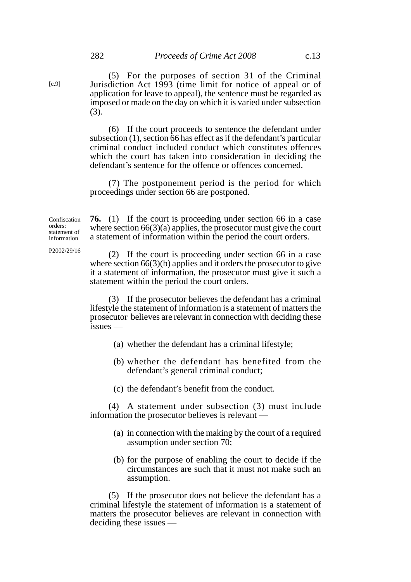(5) For the purposes of section 31 of the Criminal Jurisdiction Act 1993 (time limit for notice of appeal or of application for leave to appeal), the sentence must be regarded as imposed or made on the day on which it is varied under subsection (3).

(6) If the court proceeds to sentence the defendant under subsection (1), section 66 has effect as if the defendant's particular criminal conduct included conduct which constitutes offences which the court has taken into consideration in deciding the defendant's sentence for the offence or offences concerned.

(7) The postponement period is the period for which proceedings under section 66 are postponed.

Confiscation orders: statement of information

[c.9]

**76.** (1) If the court is proceeding under section 66 in a case where section  $66(3)(a)$  applies, the prosecutor must give the court a statement of information within the period the court orders.

P2002/29/16

(2) If the court is proceeding under section 66 in a case where section 66(3)(b) applies and it orders the prosecutor to give it a statement of information, the prosecutor must give it such a statement within the period the court orders.

(3) If the prosecutor believes the defendant has a criminal lifestyle the statement of information is a statement of matters the prosecutor believes are relevant in connection with deciding these issues —

- (a) whether the defendant has a criminal lifestyle;
- (b) whether the defendant has benefited from the defendant's general criminal conduct;
- (c) the defendant's benefit from the conduct.

(4) A statement under subsection (3) must include information the prosecutor believes is relevant —

- (a) in connection with the making by the court of a required assumption under section 70;
- (b) for the purpose of enabling the court to decide if the circumstances are such that it must not make such an assumption.

(5) If the prosecutor does not believe the defendant has a criminal lifestyle the statement of information is a statement of matters the prosecutor believes are relevant in connection with deciding these issues —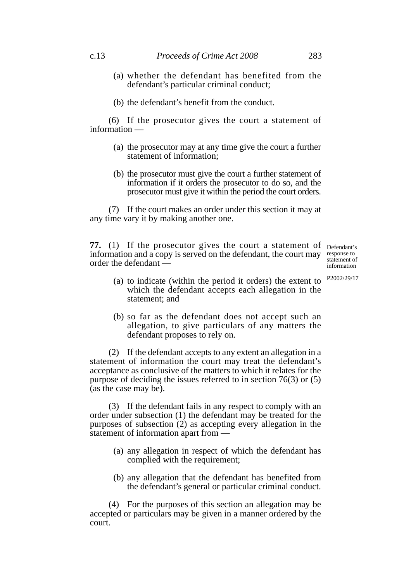- (a) whether the defendant has benefited from the defendant's particular criminal conduct;
- (b) the defendant's benefit from the conduct.

(6) If the prosecutor gives the court a statement of information —

- (a) the prosecutor may at any time give the court a further statement of information;
- (b) the prosecutor must give the court a further statement of information if it orders the prosecutor to do so, and the prosecutor must give it within the period the court orders.

(7) If the court makes an order under this section it may at any time vary it by making another one.

**77.** (1) If the prosecutor gives the court a statement of Defendant's information and a copy is served on the defendant, the court may order the defendant —

response to statement of information

P2002/29/17

- (a) to indicate (within the period it orders) the extent to which the defendant accepts each allegation in the statement; and
- (b) so far as the defendant does not accept such an allegation, to give particulars of any matters the defendant proposes to rely on.

(2) If the defendant accepts to any extent an allegation in a statement of information the court may treat the defendant's acceptance as conclusive of the matters to which it relates for the purpose of deciding the issues referred to in section 76(3) or (5) (as the case may be).

(3) If the defendant fails in any respect to comply with an order under subsection (1) the defendant may be treated for the purposes of subsection (2) as accepting every allegation in the statement of information apart from —

- (a) any allegation in respect of which the defendant has complied with the requirement;
- (b) any allegation that the defendant has benefited from the defendant's general or particular criminal conduct.

(4) For the purposes of this section an allegation may be accepted or particulars may be given in a manner ordered by the court.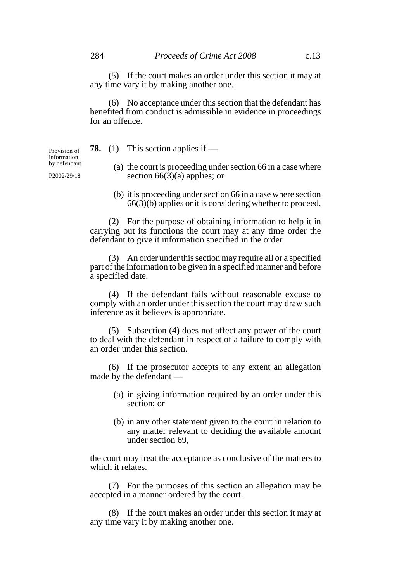(6) No acceptance under this section that the defendant has benefited from conduct is admissible in evidence in proceedings for an offence.

**78.** (1) This section applies if —

Provision of information by defendant

P2002/29/18

- (a) the court is proceeding under section 66 in a case where section  $66(\overline{3})(a)$  applies; or
- (b) it is proceeding under section 66 in a case where section 66(3)(b) applies or it is considering whether to proceed.

(2) For the purpose of obtaining information to help it in carrying out its functions the court may at any time order the defendant to give it information specified in the order.

(3) An order under this section may require all or a specified part of the information to be given in a specified manner and before a specified date.

(4) If the defendant fails without reasonable excuse to comply with an order under this section the court may draw such inference as it believes is appropriate.

(5) Subsection (4) does not affect any power of the court to deal with the defendant in respect of a failure to comply with an order under this section.

(6) If the prosecutor accepts to any extent an allegation made by the defendant —

- (a) in giving information required by an order under this section; or
- (b) in any other statement given to the court in relation to any matter relevant to deciding the available amount under section 69,

the court may treat the acceptance as conclusive of the matters to which it relates.

(7) For the purposes of this section an allegation may be accepted in a manner ordered by the court.

(8) If the court makes an order under this section it may at any time vary it by making another one.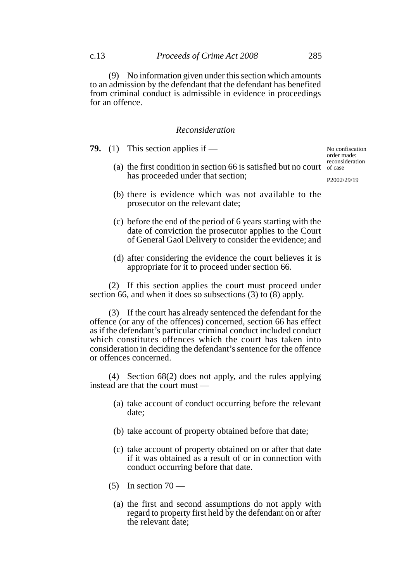(9) No information given under this section which amounts to an admission by the defendant that the defendant has benefited from criminal conduct is admissible in evidence in proceedings for an offence.

#### *Reconsideration*

**79.** (1) This section applies if —

(a) the first condition in section 66 is satisfied but no court of case has proceeded under that section;

No confiscation order made: reconsideration

P2002/29/19

- (b) there is evidence which was not available to the prosecutor on the relevant date;
- (c) before the end of the period of 6 years starting with the date of conviction the prosecutor applies to the Court of General Gaol Delivery to consider the evidence; and
- (d) after considering the evidence the court believes it is appropriate for it to proceed under section 66.

(2) If this section applies the court must proceed under section 66, and when it does so subsections (3) to  $(8)$  apply.

(3) If the court has already sentenced the defendant for the offence (or any of the offences) concerned, section 66 has effect as if the defendant's particular criminal conduct included conduct which constitutes offences which the court has taken into consideration in deciding the defendant's sentence for the offence or offences concerned.

(4) Section 68(2) does not apply, and the rules applying instead are that the court must —

- (a) take account of conduct occurring before the relevant date;
- (b) take account of property obtained before that date;
- (c) take account of property obtained on or after that date if it was obtained as a result of or in connection with conduct occurring before that date.
- (5) In section  $70 -$ 
	- (a) the first and second assumptions do not apply with regard to property first held by the defendant on or after the relevant date;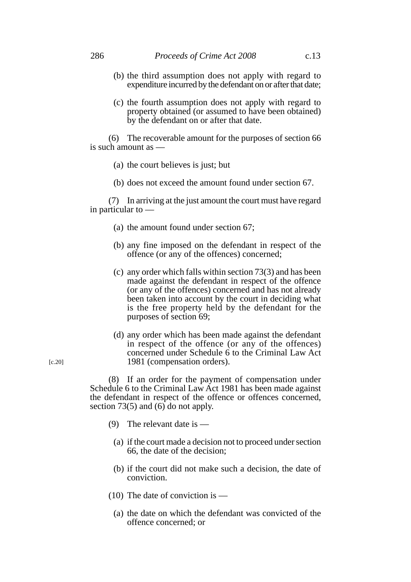- (b) the third assumption does not apply with regard to expenditure incurred by the defendant on or after that date;
- (c) the fourth assumption does not apply with regard to property obtained (or assumed to have been obtained) by the defendant on or after that date.

(6) The recoverable amount for the purposes of section 66 is such amount as —

- (a) the court believes is just; but
- (b) does not exceed the amount found under section 67.

(7) In arriving at the just amount the court must have regard in particular to —

- (a) the amount found under section 67;
- (b) any fine imposed on the defendant in respect of the offence (or any of the offences) concerned;
- (c) any order which falls within section 73(3) and has been made against the defendant in respect of the offence (or any of the offences) concerned and has not already been taken into account by the court in deciding what is the free property held by the defendant for the purposes of section 69;
- (d) any order which has been made against the defendant in respect of the offence (or any of the offences) concerned under Schedule 6 to the Criminal Law Act 1981 (compensation orders).

(8) If an order for the payment of compensation under Schedule 6 to the Criminal Law Act 1981 has been made against the defendant in respect of the offence or offences concerned, section 73(5) and  $(6)$  do not apply.

- (9) The relevant date is
	- (a) if the court made a decision not to proceed under section 66, the date of the decision;
	- (b) if the court did not make such a decision, the date of conviction.
- (10) The date of conviction is
	- (a) the date on which the defendant was convicted of the offence concerned; or

[c.20]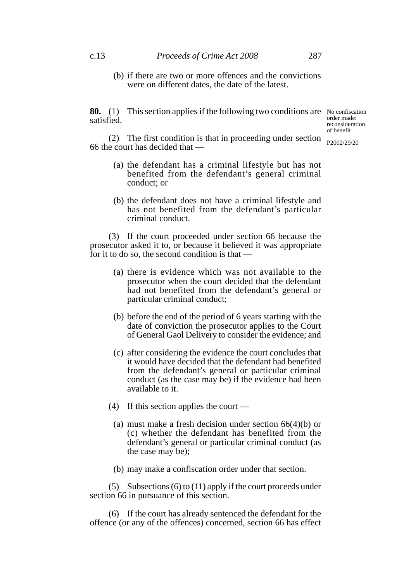(b) if there are two or more offences and the convictions were on different dates, the date of the latest.

**80.** (1) This section applies if the following two conditions are No confiscation satisfied.

order made: reconsideration of benefit

P2002/29/20

(2) The first condition is that in proceeding under section 66 the court has decided that —

- (a) the defendant has a criminal lifestyle but has not benefited from the defendant's general criminal conduct; or
- (b) the defendant does not have a criminal lifestyle and has not benefited from the defendant's particular criminal conduct.

(3) If the court proceeded under section 66 because the prosecutor asked it to, or because it believed it was appropriate for it to do so, the second condition is that —

- (a) there is evidence which was not available to the prosecutor when the court decided that the defendant had not benefited from the defendant's general or particular criminal conduct;
- (b) before the end of the period of 6 years starting with the date of conviction the prosecutor applies to the Court of General Gaol Delivery to consider the evidence; and
- (c) after considering the evidence the court concludes that it would have decided that the defendant had benefited from the defendant's general or particular criminal conduct (as the case may be) if the evidence had been available to it.
- (4) If this section applies the court
	- (a) must make a fresh decision under section 66(4)(b) or (c) whether the defendant has benefited from the defendant's general or particular criminal conduct (as the case may be);
	- (b) may make a confiscation order under that section.

(5) Subsections (6) to (11) apply if the court proceeds under section 66 in pursuance of this section.

(6) If the court has already sentenced the defendant for the offence (or any of the offences) concerned, section 66 has effect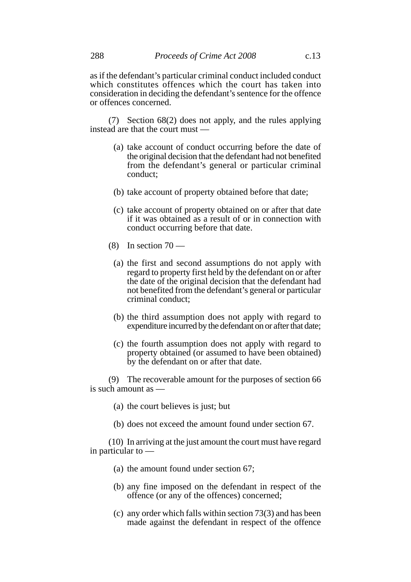as if the defendant's particular criminal conduct included conduct which constitutes offences which the court has taken into consideration in deciding the defendant's sentence for the offence or offences concerned.

(7) Section 68(2) does not apply, and the rules applying instead are that the court must —

- (a) take account of conduct occurring before the date of the original decision that the defendant had not benefited from the defendant's general or particular criminal conduct;
- (b) take account of property obtained before that date;
- (c) take account of property obtained on or after that date if it was obtained as a result of or in connection with conduct occurring before that date.
- (8) In section  $70 -$ 
	- (a) the first and second assumptions do not apply with regard to property first held by the defendant on or after the date of the original decision that the defendant had not benefited from the defendant's general or particular criminal conduct;
	- (b) the third assumption does not apply with regard to expenditure incurred by the defendant on or after that date;
	- (c) the fourth assumption does not apply with regard to property obtained (or assumed to have been obtained) by the defendant on or after that date.

(9) The recoverable amount for the purposes of section 66 is such amount as —

- (a) the court believes is just; but
- (b) does not exceed the amount found under section 67.

(10) In arriving at the just amount the court must have regard in particular to —

- (a) the amount found under section 67;
- (b) any fine imposed on the defendant in respect of the offence (or any of the offences) concerned;
- (c) any order which falls within section 73(3) and has been made against the defendant in respect of the offence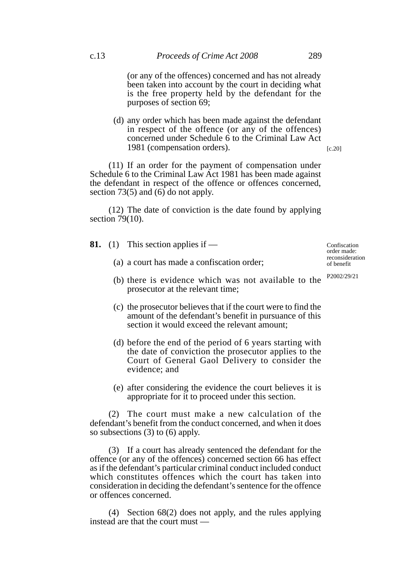(or any of the offences) concerned and has not already been taken into account by the court in deciding what is the free property held by the defendant for the purposes of section 69;

(d) any order which has been made against the defendant in respect of the offence (or any of the offences) concerned under Schedule 6 to the Criminal Law Act 1981 (compensation orders).

(11) If an order for the payment of compensation under Schedule 6 to the Criminal Law Act 1981 has been made against the defendant in respect of the offence or offences concerned, section 73(5) and (6) do not apply.

(12) The date of conviction is the date found by applying section 79(10).

- **81.** (1) This section applies if
	- (a) a court has made a confiscation order;

(b) there is evidence which was not available to the prosecutor at the relevant time;

- (c) the prosecutor believes that if the court were to find the amount of the defendant's benefit in pursuance of this section it would exceed the relevant amount;
- (d) before the end of the period of 6 years starting with the date of conviction the prosecutor applies to the Court of General Gaol Delivery to consider the evidence; and
- (e) after considering the evidence the court believes it is appropriate for it to proceed under this section.

(2) The court must make a new calculation of the defendant's benefit from the conduct concerned, and when it does so subsections (3) to (6) apply.

(3) If a court has already sentenced the defendant for the offence (or any of the offences) concerned section 66 has effect as if the defendant's particular criminal conduct included conduct which constitutes offences which the court has taken into consideration in deciding the defendant's sentence for the offence or offences concerned.

(4) Section 68(2) does not apply, and the rules applying instead are that the court must —

Confiscation order made: reconsideration of benefit

P2002/29/21

[c.20]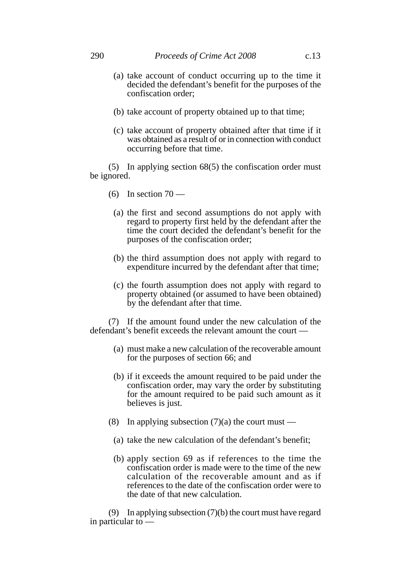- (a) take account of conduct occurring up to the time it decided the defendant's benefit for the purposes of the confiscation order;
- (b) take account of property obtained up to that time;
- (c) take account of property obtained after that time if it was obtained as a result of or in connection with conduct occurring before that time.

(5) In applying section 68(5) the confiscation order must be ignored.

- $(6)$  In section  $70$ 
	- (a) the first and second assumptions do not apply with regard to property first held by the defendant after the time the court decided the defendant's benefit for the purposes of the confiscation order;
	- (b) the third assumption does not apply with regard to expenditure incurred by the defendant after that time;
	- (c) the fourth assumption does not apply with regard to property obtained (or assumed to have been obtained) by the defendant after that time.

(7) If the amount found under the new calculation of the defendant's benefit exceeds the relevant amount the court —

- (a) must make a new calculation of the recoverable amount for the purposes of section 66; and
- (b) if it exceeds the amount required to be paid under the confiscation order, may vary the order by substituting for the amount required to be paid such amount as it believes is just.
- (8) In applying subsection  $(7)(a)$  the court must
	- (a) take the new calculation of the defendant's benefit;
	- (b) apply section 69 as if references to the time the confiscation order is made were to the time of the new calculation of the recoverable amount and as if references to the date of the confiscation order were to the date of that new calculation.

(9) In applying subsection (7)(b) the court must have regard in particular to —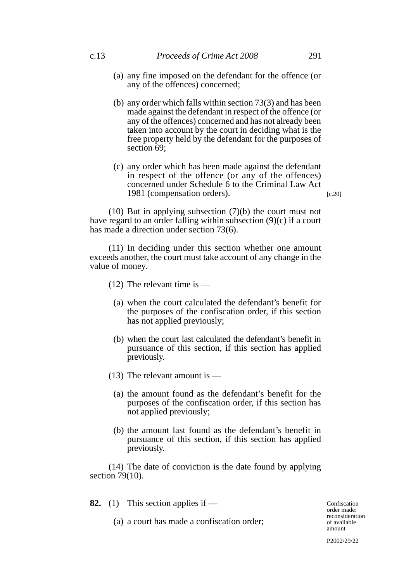- (a) any fine imposed on the defendant for the offence (or any of the offences) concerned;
- (b) any order which falls within section 73(3) and has been made against the defendant in respect of the offence (or any of the offences) concerned and has not already been taken into account by the court in deciding what is the free property held by the defendant for the purposes of section 69:
- (c) any order which has been made against the defendant in respect of the offence (or any of the offences) concerned under Schedule 6 to the Criminal Law Act 1981 (compensation orders).

(10) But in applying subsection (7)(b) the court must not have regard to an order falling within subsection (9)(c) if a court has made a direction under section 73(6).

(11) In deciding under this section whether one amount exceeds another, the court must take account of any change in the value of money.

(12) The relevant time is —

- (a) when the court calculated the defendant's benefit for the purposes of the confiscation order, if this section has not applied previously;
- (b) when the court last calculated the defendant's benefit in pursuance of this section, if this section has applied previously.
- (13) The relevant amount is
	- (a) the amount found as the defendant's benefit for the purposes of the confiscation order, if this section has not applied previously;
	- (b) the amount last found as the defendant's benefit in pursuance of this section, if this section has applied previously.

(14) The date of conviction is the date found by applying section 79(10).

**82.** (1) This section applies if —

(a) a court has made a confiscation order;

Confiscation order made: reconsideration of available amount

P2002/29/22

[c.20]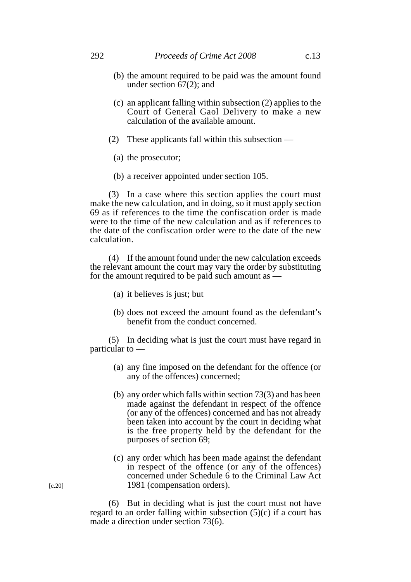- (b) the amount required to be paid was the amount found under section  $\overline{67(2)}$ ; and
- (c) an applicant falling within subsection (2) applies to the Court of General Gaol Delivery to make a new calculation of the available amount.
- (2) These applicants fall within this subsection
	- (a) the prosecutor;
	- (b) a receiver appointed under section 105.

(3) In a case where this section applies the court must make the new calculation, and in doing, so it must apply section 69 as if references to the time the confiscation order is made were to the time of the new calculation and as if references to the date of the confiscation order were to the date of the new calculation.

(4) If the amount found under the new calculation exceeds the relevant amount the court may vary the order by substituting for the amount required to be paid such amount as —

- (a) it believes is just; but
- (b) does not exceed the amount found as the defendant's benefit from the conduct concerned.

(5) In deciding what is just the court must have regard in particular to —

- (a) any fine imposed on the defendant for the offence (or any of the offences) concerned;
- (b) any order which falls within section 73(3) and has been made against the defendant in respect of the offence (or any of the offences) concerned and has not already been taken into account by the court in deciding what is the free property held by the defendant for the purposes of section 69;
- (c) any order which has been made against the defendant in respect of the offence (or any of the offences) concerned under Schedule 6 to the Criminal Law Act 1981 (compensation orders).

(6) But in deciding what is just the court must not have regard to an order falling within subsection (5)(c) if a court has made a direction under section 73(6).

[c.20]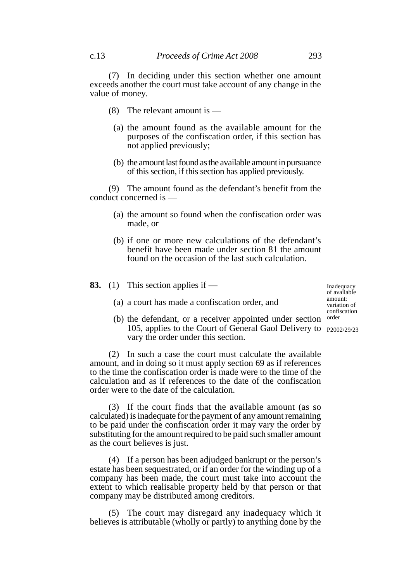(7) In deciding under this section whether one amount exceeds another the court must take account of any change in the value of money.

- (8) The relevant amount is
	- (a) the amount found as the available amount for the purposes of the confiscation order, if this section has not applied previously;
	- (b) the amount last found as the available amount in pursuance of this section, if this section has applied previously.

(9) The amount found as the defendant's benefit from the conduct concerned is —

- (a) the amount so found when the confiscation order was made, or
- (b) if one or more new calculations of the defendant's benefit have been made under section 81 the amount found on the occasion of the last such calculation.

|  | <b>83.</b> (1) This section applies if —       |
|--|------------------------------------------------|
|  | (a) a court has made a confiscation order, and |

Inadequacy of available amount: variation of confiscation

(b) the defendant, or a receiver appointed under section order 105, applies to the Court of General Gaol Delivery to P2002/29/23vary the order under this section.

(2) In such a case the court must calculate the available amount, and in doing so it must apply section 69 as if references to the time the confiscation order is made were to the time of the calculation and as if references to the date of the confiscation order were to the date of the calculation.

(3) If the court finds that the available amount (as so calculated) is inadequate for the payment of any amount remaining to be paid under the confiscation order it may vary the order by substituting for the amount required to be paid such smaller amount as the court believes is just.

(4) If a person has been adjudged bankrupt or the person's estate has been sequestrated, or if an order for the winding up of a company has been made, the court must take into account the extent to which realisable property held by that person or that company may be distributed among creditors.

(5) The court may disregard any inadequacy which it believes is attributable (wholly or partly) to anything done by the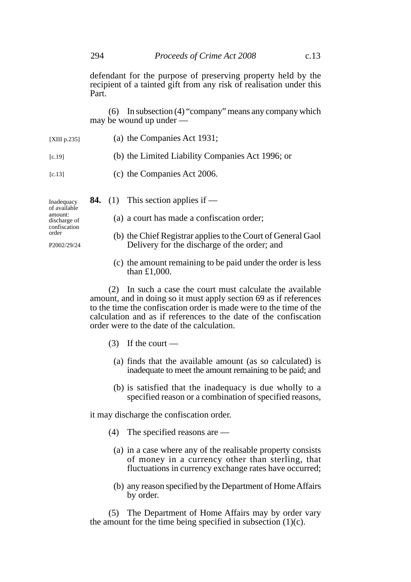defendant for the purpose of preserving property held by the recipient of a tainted gift from any risk of realisation under this Part.

(6) In subsection (4) "company" means any company which may be wound up under —

| Inadequacy   | <b>84.</b> (1) This section applies if $-$       |
|--------------|--------------------------------------------------|
| [c.13]       | (c) the Companies Act 2006.                      |
| [c.19]       | (b) the Limited Liability Companies Act 1996; or |
| [XIII p.235] | (a) the Companies Act 1931;                      |

of available amount: discharge of confiscation order

P2002/29/24

- (a) a court has made a confiscation order;
- (b) the Chief Registrar applies to the Court of General Gaol Delivery for the discharge of the order; and
- (c) the amount remaining to be paid under the order is less than £1,000.

(2) In such a case the court must calculate the available amount, and in doing so it must apply section 69 as if references to the time the confiscation order is made were to the time of the calculation and as if references to the date of the confiscation order were to the date of the calculation.

- $(3)$  If the court
	- (a) finds that the available amount (as so calculated) is inadequate to meet the amount remaining to be paid; and
	- (b) is satisfied that the inadequacy is due wholly to a specified reason or a combination of specified reasons,

it may discharge the confiscation order.

- (4) The specified reasons are
	- (a) in a case where any of the realisable property consists of money in a currency other than sterling, that fluctuations in currency exchange rates have occurred;
	- (b) any reason specified by the Department of Home Affairs by order.

(5) The Department of Home Affairs may by order vary the amount for the time being specified in subsection  $(1)(c)$ .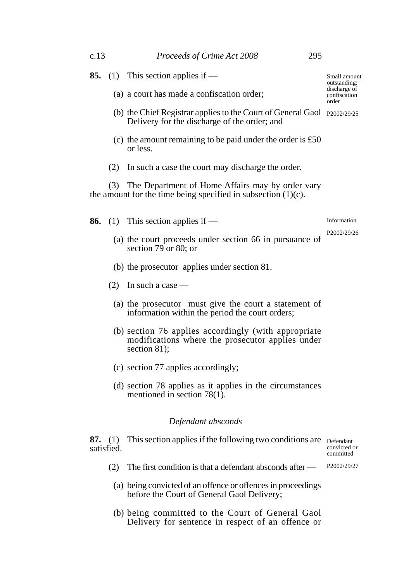| c.13 |                              | Proceeds of Crime Act 2008                                                                                                    | 295 |                                        |
|------|------------------------------|-------------------------------------------------------------------------------------------------------------------------------|-----|----------------------------------------|
|      |                              | <b>85.</b> (1) This section applies if —                                                                                      |     | Small amount<br>outstanding:           |
|      |                              | (a) a court has made a confiscation order;                                                                                    |     | discharge of<br>confiscation<br>order  |
|      |                              | (b) the Chief Registrar applies to the Court of General Gaol $_{P2002/29/25}$<br>Delivery for the discharge of the order; and |     |                                        |
|      |                              | (c) the amount remaining to be paid under the order is $£50$<br>or less.                                                      |     |                                        |
|      |                              | (2) In such a case the court may discharge the order.                                                                         |     |                                        |
|      |                              | (3) The Department of Home Affairs may by order vary<br>the amount for the time being specified in subsection $(1)(c)$ .      |     |                                        |
|      |                              | <b>86.</b> (1) This section applies if —                                                                                      |     | Information                            |
|      |                              | (a) the court proceeds under section 66 in pursuance of<br>section 79 or 80; or                                               |     | P2002/29/26                            |
|      |                              | (b) the prosecutor applies under section 81.                                                                                  |     |                                        |
|      |                              | $(2)$ In such a case —                                                                                                        |     |                                        |
|      |                              | (a) the prosecutor must give the court a statement of<br>information within the period the court orders;                      |     |                                        |
|      |                              | (b) section 76 applies accordingly (with appropriate<br>modifications where the prosecutor applies under<br>section $81$ ;    |     |                                        |
|      |                              | (c) section 77 applies accordingly;                                                                                           |     |                                        |
|      |                              | (d) section 78 applies as it applies in the circumstances<br>mentioned in section $78(1)$ .                                   |     |                                        |
|      |                              | Defendant absconds                                                                                                            |     |                                        |
|      | <b>87.</b> (1)<br>satisfied. | This section applies if the following two conditions are                                                                      |     | Defendant<br>convicted or<br>committed |
|      | (2)                          | The first condition is that a defendant absconds after —                                                                      |     | P <sub>2002</sub> /29/27               |
|      |                              | (a) being convicted of an offence or offences in proceedings<br>before the Court of General Gaol Delivery;                    |     |                                        |
|      |                              | $\lambda$ to the Count of Consul                                                                                              |     |                                        |

(b) being committed to the Court of General Gaol Delivery for sentence in respect of an offence or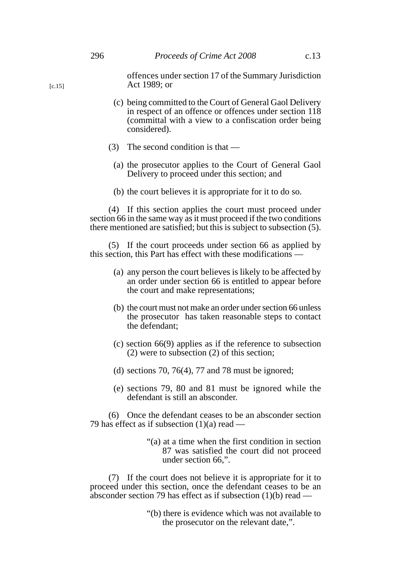- (c) being committed to the Court of General Gaol Delivery in respect of an offence or offences under section 118 (committal with a view to a confiscation order being considered).
- (3) The second condition is that
	- (a) the prosecutor applies to the Court of General Gaol Delivery to proceed under this section; and
	- (b) the court believes it is appropriate for it to do so.

(4) If this section applies the court must proceed under section 66 in the same way as it must proceed if the two conditions there mentioned are satisfied; but this is subject to subsection (5).

(5) If the court proceeds under section 66 as applied by this section, this Part has effect with these modifications —

- (a) any person the court believes is likely to be affected by an order under section 66 is entitled to appear before the court and make representations;
- (b) the court must not make an order under section 66 unless the prosecutor has taken reasonable steps to contact the defendant;
- (c) section 66(9) applies as if the reference to subsection (2) were to subsection (2) of this section;
- (d) sections 70, 76(4), 77 and 78 must be ignored;
- (e) sections 79, 80 and 81 must be ignored while the defendant is still an absconder.

(6) Once the defendant ceases to be an absconder section 79 has effect as if subsection  $(1)(a)$  read —

> "(a) at a time when the first condition in section 87 was satisfied the court did not proceed under section 66,".

(7) If the court does not believe it is appropriate for it to proceed under this section, once the defendant ceases to be an absconder section 79 has effect as if subsection (1)(b) read —

> "(b) there is evidence which was not available to the prosecutor on the relevant date,".

[c.15]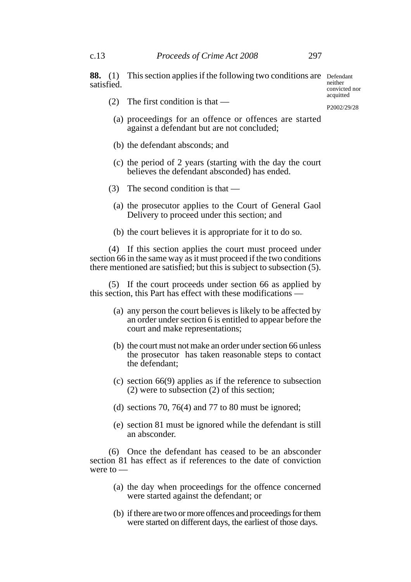**88.** (1) This section applies if the following two conditions are Defendant satisfied.

(2) The first condition is that —

acquitted P2002/29/28

neither convicted nor

- (a) proceedings for an offence or offences are started against a defendant but are not concluded;
- (b) the defendant absconds; and
- (c) the period of 2 years (starting with the day the court believes the defendant absconded) has ended.
- (3) The second condition is that
	- (a) the prosecutor applies to the Court of General Gaol Delivery to proceed under this section; and
	- (b) the court believes it is appropriate for it to do so.

(4) If this section applies the court must proceed under section 66 in the same way as it must proceed if the two conditions there mentioned are satisfied; but this is subject to subsection (5).

(5) If the court proceeds under section 66 as applied by this section, this Part has effect with these modifications —

- (a) any person the court believes is likely to be affected by an order under section 6 is entitled to appear before the court and make representations;
- (b) the court must not make an order under section 66 unless the prosecutor has taken reasonable steps to contact the defendant;
- (c) section 66(9) applies as if the reference to subsection (2) were to subsection (2) of this section;
- (d) sections 70, 76(4) and 77 to 80 must be ignored;
- (e) section 81 must be ignored while the defendant is still an absconder.

(6) Once the defendant has ceased to be an absconder section 81 has effect as if references to the date of conviction were to —

- (a) the day when proceedings for the offence concerned were started against the defendant; or
- (b) if there are two or more offences and proceedings for them were started on different days, the earliest of those days.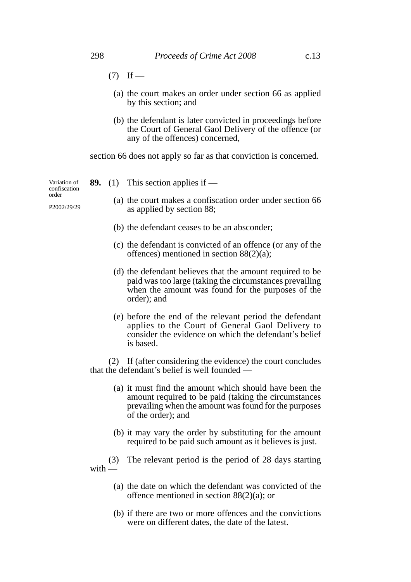- $(7)$  If
	- (a) the court makes an order under section 66 as applied by this section; and
	- (b) the defendant is later convicted in proceedings before the Court of General Gaol Delivery of the offence (or any of the offences) concerned,

section 66 does not apply so far as that conviction is concerned.

Variation of confiscation order

P2002/29/29

- **89.** (1) This section applies if
	- (a) the court makes a confiscation order under section 66 as applied by section 88;
	- (b) the defendant ceases to be an absconder;
	- (c) the defendant is convicted of an offence (or any of the offences) mentioned in section 88(2)(a);
	- (d) the defendant believes that the amount required to be paid was too large (taking the circumstances prevailing when the amount was found for the purposes of the order); and
	- (e) before the end of the relevant period the defendant applies to the Court of General Gaol Delivery to consider the evidence on which the defendant's belief is based.

(2) If (after considering the evidence) the court concludes that the defendant's belief is well founded —

- (a) it must find the amount which should have been the amount required to be paid (taking the circumstances prevailing when the amount was found for the purposes of the order); and
- (b) it may vary the order by substituting for the amount required to be paid such amount as it believes is just.

(3) The relevant period is the period of 28 days starting with —

- (a) the date on which the defendant was convicted of the offence mentioned in section 88(2)(a); or
- (b) if there are two or more offences and the convictions were on different dates, the date of the latest.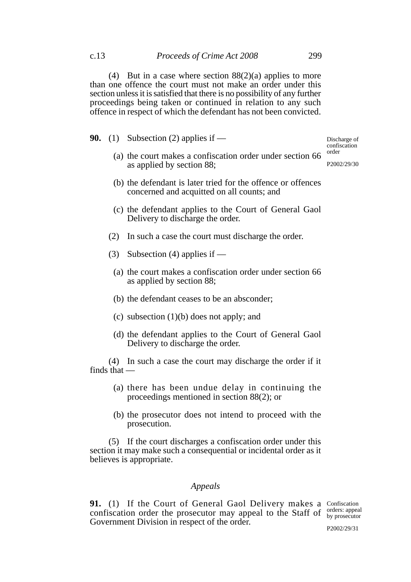(4) But in a case where section  $88(2)(a)$  applies to more than one offence the court must not make an order under this section unless it is satisfied that there is no possibility of any further proceedings being taken or continued in relation to any such offence in respect of which the defendant has not been convicted.

**90.** (1) Subsection (2) applies if —

Discharge of confiscation order

- P2002/29/30
- (a) the court makes a confiscation order under section 66 as applied by section 88;
- (b) the defendant is later tried for the offence or offences concerned and acquitted on all counts; and
- (c) the defendant applies to the Court of General Gaol Delivery to discharge the order.
- (2) In such a case the court must discharge the order.
- (3) Subsection (4) applies if
	- (a) the court makes a confiscation order under section 66 as applied by section 88;
	- (b) the defendant ceases to be an absconder;
	- (c) subsection (1)(b) does not apply; and
	- (d) the defendant applies to the Court of General Gaol Delivery to discharge the order.

(4) In such a case the court may discharge the order if it finds that —

- (a) there has been undue delay in continuing the proceedings mentioned in section 88(2); or
- (b) the prosecutor does not intend to proceed with the prosecution.

(5) If the court discharges a confiscation order under this section it may make such a consequential or incidental order as it believes is appropriate.

## *Appeals*

**91.** (1) If the Court of General Gaol Delivery makes a Confiscation confiscation order the prosecutor may appeal to the Staff of  $\frac{1}{N}$  by prosecutor Government Division in respect of the order. by prosecutor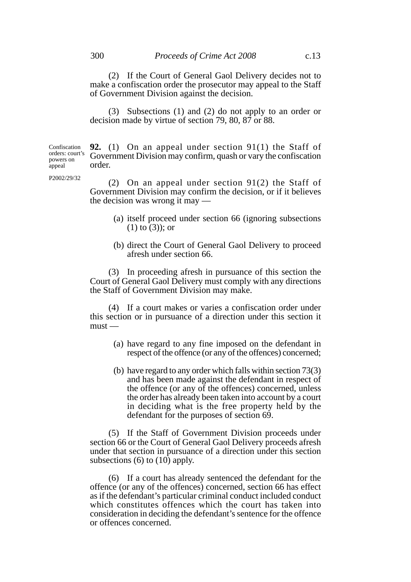(2) If the Court of General Gaol Delivery decides not to make a confiscation order the prosecutor may appeal to the Staff of Government Division against the decision.

(3) Subsections (1) and (2) do not apply to an order or decision made by virtue of section 79, 80, 87 or 88.

**92.** (1) On an appeal under section 91(1) the Staff of Government Division may confirm, quash or vary the confiscation order. Confiscation orders: court's powers on appeal

P2002/29/32

(2) On an appeal under section 91(2) the Staff of Government Division may confirm the decision, or if it believes the decision was wrong it may —

- (a) itself proceed under section 66 (ignoring subsections (1) to (3)); or
- (b) direct the Court of General Gaol Delivery to proceed afresh under section 66.

(3) In proceeding afresh in pursuance of this section the Court of General Gaol Delivery must comply with any directions the Staff of Government Division may make.

(4) If a court makes or varies a confiscation order under this section or in pursuance of a direction under this section it must —

- (a) have regard to any fine imposed on the defendant in respect of the offence (or any of the offences) concerned;
- (b) have regard to any order which falls within section 73(3) and has been made against the defendant in respect of the offence (or any of the offences) concerned, unless the order has already been taken into account by a court in deciding what is the free property held by the defendant for the purposes of section 69.

(5) If the Staff of Government Division proceeds under section 66 or the Court of General Gaol Delivery proceeds afresh under that section in pursuance of a direction under this section subsections (6) to (10) apply.

(6) If a court has already sentenced the defendant for the offence (or any of the offences) concerned, section 66 has effect as if the defendant's particular criminal conduct included conduct which constitutes offences which the court has taken into consideration in deciding the defendant's sentence for the offence or offences concerned.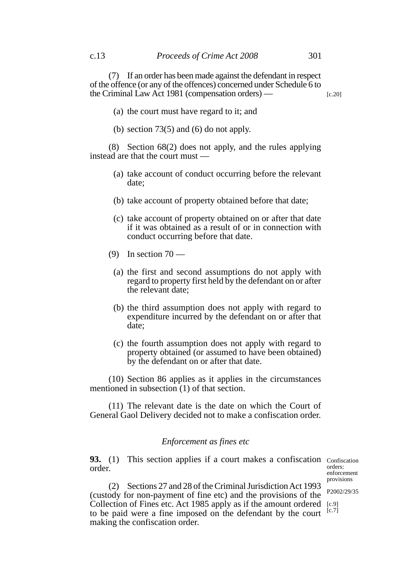(7) If an order has been made against the defendant in respect of the offence (or any of the offences) concerned under Schedule 6 to the Criminal Law Act 1981 (compensation orders) — [c.20]

- (a) the court must have regard to it; and
- (b) section  $73(5)$  and  $(6)$  do not apply.

(8) Section 68(2) does not apply, and the rules applying instead are that the court must —

- (a) take account of conduct occurring before the relevant date;
- (b) take account of property obtained before that date;
- (c) take account of property obtained on or after that date if it was obtained as a result of or in connection with conduct occurring before that date.
- (9) In section  $70 -$ 
	- (a) the first and second assumptions do not apply with regard to property first held by the defendant on or after the relevant date;
	- (b) the third assumption does not apply with regard to expenditure incurred by the defendant on or after that date;
	- (c) the fourth assumption does not apply with regard to property obtained (or assumed to have been obtained) by the defendant on or after that date.

(10) Section 86 applies as it applies in the circumstances mentioned in subsection (1) of that section.

(11) The relevant date is the date on which the Court of General Gaol Delivery decided not to make a confiscation order.

## *Enforcement as fines etc*

**93.** (1) This section applies if a court makes a confiscation Confiscation order.

orders: enforcement provisions

(2) Sections 27 and 28 of the Criminal Jurisdiction Act 1993 (custody for non-payment of fine etc) and the provisions of the Collection of Fines etc. Act 1985 apply as if the amount ordered to be paid were a fine imposed on the defendant by the court making the confiscation order. [c.9]  $[c.7]$ 

P2002/29/35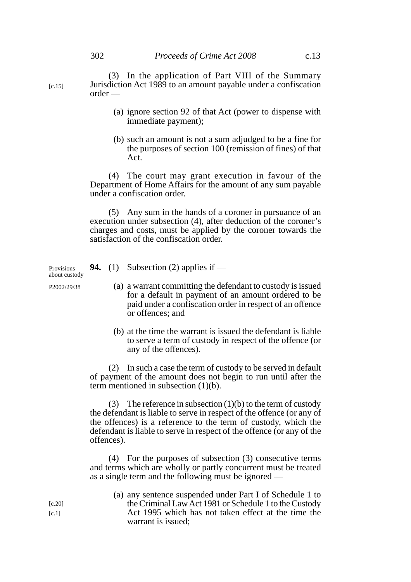- (a) ignore section 92 of that Act (power to dispense with immediate payment);
- (b) such an amount is not a sum adjudged to be a fine for the purposes of section 100 (remission of fines) of that Act.

(4) The court may grant execution in favour of the Department of Home Affairs for the amount of any sum payable under a confiscation order.

(5) Any sum in the hands of a coroner in pursuance of an execution under subsection (4), after deduction of the coroner's charges and costs, must be applied by the coroner towards the satisfaction of the confiscation order.

**94.** (1) Subsection (2) applies if —

- (a) a warrant committing the defendant to custody is issued for a default in payment of an amount ordered to be paid under a confiscation order in respect of an offence or offences; and
	- (b) at the time the warrant is issued the defendant is liable to serve a term of custody in respect of the offence (or any of the offences).

(2) In such a case the term of custody to be served in default of payment of the amount does not begin to run until after the term mentioned in subsection (1)(b).

(3) The reference in subsection  $(1)(b)$  to the term of custody the defendant is liable to serve in respect of the offence (or any of the offences) is a reference to the term of custody, which the defendant is liable to serve in respect of the offence (or any of the offences).

(4) For the purposes of subsection (3) consecutive terms and terms which are wholly or partly concurrent must be treated as a single term and the following must be ignored —

| (a) any sentence suspended under Part I of Schedule 1 to |
|----------------------------------------------------------|
| the Criminal Law Act 1981 or Schedule 1 to the Custody   |
| Act 1995 which has not taken effect at the time the      |
| warrant is issued:                                       |

Provisions about custody

P2002/29/38

 $[c.1]$ [c.20]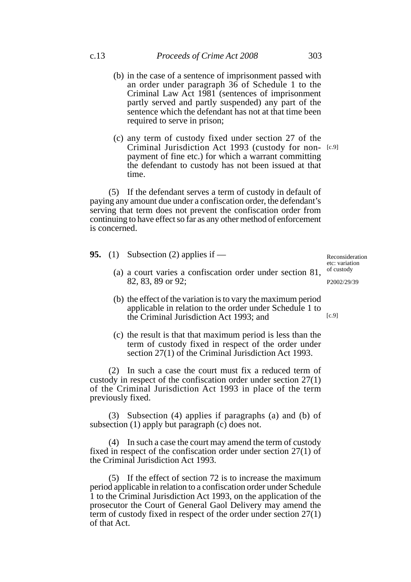- (b) in the case of a sentence of imprisonment passed with an order under paragraph 36 of Schedule 1 to the Criminal Law Act 1981 (sentences of imprisonment partly served and partly suspended) any part of the sentence which the defendant has not at that time been required to serve in prison;
- (c) any term of custody fixed under section 27 of the Criminal Jurisdiction Act 1993 (custody for non-[c.9] payment of fine etc.) for which a warrant committing the defendant to custody has not been issued at that time.

(5) If the defendant serves a term of custody in default of paying any amount due under a confiscation order, the defendant's serving that term does not prevent the confiscation order from continuing to have effect so far as any other method of enforcement is concerned.

**95.** (1) Subsection (2) applies if —

Reconsideration etc: variation of custody

P2002/29/39

- (a) a court varies a confiscation order under section 81, 82, 83, 89 or 92;
- (b) the effect of the variation is to vary the maximum period applicable in relation to the order under Schedule 1 to the Criminal Jurisdiction Act 1993; and [c.9]
- (c) the result is that that maximum period is less than the term of custody fixed in respect of the order under section 27(1) of the Criminal Jurisdiction Act 1993.

(2) In such a case the court must fix a reduced term of custody in respect of the confiscation order under section 27(1) of the Criminal Jurisdiction Act 1993 in place of the term previously fixed.

(3) Subsection (4) applies if paragraphs (a) and (b) of subsection (1) apply but paragraph (c) does not.

(4) In such a case the court may amend the term of custody fixed in respect of the confiscation order under section 27(1) of the Criminal Jurisdiction Act 1993.

(5) If the effect of section 72 is to increase the maximum period applicable in relation to a confiscation order under Schedule 1 to the Criminal Jurisdiction Act 1993, on the application of the prosecutor the Court of General Gaol Delivery may amend the term of custody fixed in respect of the order under section 27(1) of that Act.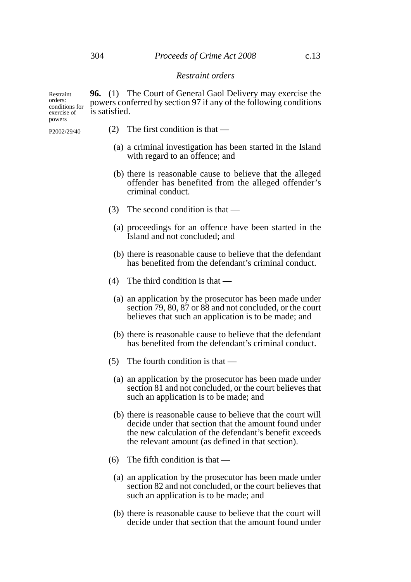**96.** (1) The Court of General Gaol Delivery may exercise the powers conferred by section 97 if any of the following conditions is satisfied. Restraint conditions for exercise of

P2002/29/40

orders:

powers

- (2) The first condition is that
	- (a) a criminal investigation has been started in the Island with regard to an offence; and
	- (b) there is reasonable cause to believe that the alleged offender has benefited from the alleged offender's criminal conduct.
- (3) The second condition is that
	- (a) proceedings for an offence have been started in the Island and not concluded; and
	- (b) there is reasonable cause to believe that the defendant has benefited from the defendant's criminal conduct.
- (4) The third condition is that
	- (a) an application by the prosecutor has been made under section 79, 80, 87 or 88 and not concluded, or the court believes that such an application is to be made; and
	- (b) there is reasonable cause to believe that the defendant has benefited from the defendant's criminal conduct.
- (5) The fourth condition is that
	- (a) an application by the prosecutor has been made under section 81 and not concluded, or the court believes that such an application is to be made; and
	- (b) there is reasonable cause to believe that the court will decide under that section that the amount found under the new calculation of the defendant's benefit exceeds the relevant amount (as defined in that section).
- (6) The fifth condition is that
	- (a) an application by the prosecutor has been made under section 82 and not concluded, or the court believes that such an application is to be made; and
	- (b) there is reasonable cause to believe that the court will decide under that section that the amount found under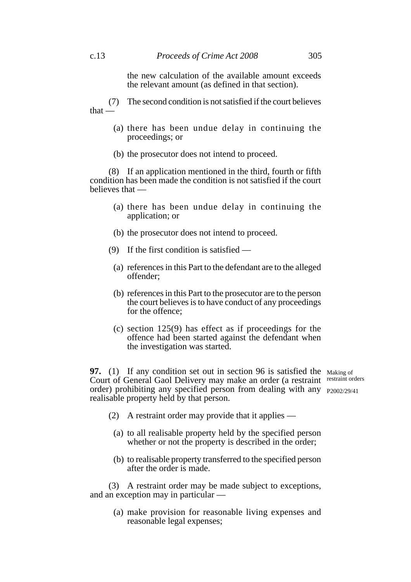the new calculation of the available amount exceeds the relevant amount (as defined in that section).

(7) The second condition is not satisfied if the court believes that —

- (a) there has been undue delay in continuing the proceedings; or
- (b) the prosecutor does not intend to proceed.

(8) If an application mentioned in the third, fourth or fifth condition has been made the condition is not satisfied if the court believes that —

- (a) there has been undue delay in continuing the application; or
- (b) the prosecutor does not intend to proceed.
- (9) If the first condition is satisfied
	- (a) references in this Part to the defendant are to the alleged offender;
	- (b) references in this Part to the prosecutor are to the person the court believes is to have conduct of any proceedings for the offence;
	- (c) section 125(9) has effect as if proceedings for the offence had been started against the defendant when the investigation was started.

**97.** (1) If any condition set out in section 96 is satisfied the Making of Court of General Gaol Delivery may make an order (a restraint restraint orders order) prohibiting any specified person from dealing with any P2002/29/41realisable property held by that person.

- (2) A restraint order may provide that it applies
	- (a) to all realisable property held by the specified person whether or not the property is described in the order;
	- (b) to realisable property transferred to the specified person after the order is made.

(3) A restraint order may be made subject to exceptions, and an exception may in particular —

(a) make provision for reasonable living expenses and reasonable legal expenses;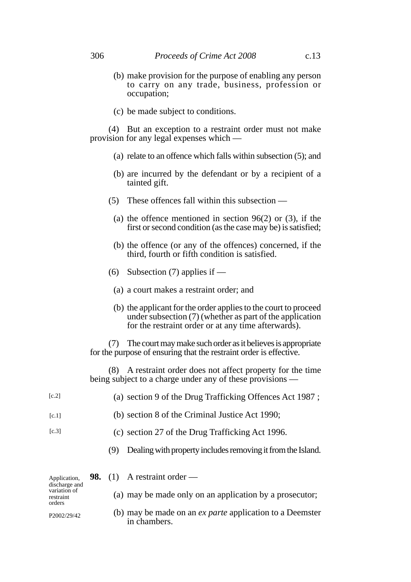- (b) make provision for the purpose of enabling any person to carry on any trade, business, profession or occupation;
- (c) be made subject to conditions.

(4) But an exception to a restraint order must not make provision for any legal expenses which —

- (a) relate to an offence which falls within subsection (5); and
- (b) are incurred by the defendant or by a recipient of a tainted gift.
- (5) These offences fall within this subsection
	- (a) the offence mentioned in section  $96(2)$  or (3), if the first or second condition (as the case may be) is satisfied;
	- (b) the offence (or any of the offences) concerned, if the third, fourth or fifth condition is satisfied.
- (6) Subsection (7) applies if
	- (a) a court makes a restraint order; and
	- (b) the applicant for the order applies to the court to proceed under subsection (7) (whether as part of the application for the restraint order or at any time afterwards).

(7) The court may make such order as it believes is appropriate for the purpose of ensuring that the restraint order is effective.

(8) A restraint order does not affect property for the time being subject to a charge under any of these provisions —

| [c.2]                               |  |     | (a) section 9 of the Drug Trafficking Offences Act 1987;                        |
|-------------------------------------|--|-----|---------------------------------------------------------------------------------|
| [c.1]                               |  |     | (b) section 8 of the Criminal Justice Act 1990;                                 |
| [c.3]                               |  |     | (c) section 27 of the Drug Trafficking Act 1996.                                |
|                                     |  | (9) | Dealing with property includes removing it from the Island.                     |
| Application,<br>discharge and       |  |     | <b>98.</b> (1) A restraint order —                                              |
| variation of<br>restraint<br>orders |  |     | (a) may be made only on an application by a prosecutor;                         |
| P2002/29/42                         |  |     | (b) may be made on an <i>ex parte</i> application to a Deemster<br>in chambers. |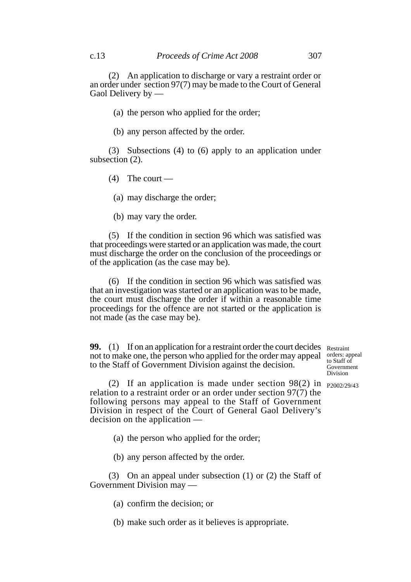(2) An application to discharge or vary a restraint order or an order under section 97(7) may be made to the Court of General Gaol Delivery by —

(a) the person who applied for the order;

(b) any person affected by the order.

(3) Subsections (4) to (6) apply to an application under subsection (2).

 $(4)$  The court —

(a) may discharge the order;

(b) may vary the order.

(5) If the condition in section 96 which was satisfied was that proceedings were started or an application was made, the court must discharge the order on the conclusion of the proceedings or of the application (as the case may be).

(6) If the condition in section 96 which was satisfied was that an investigation was started or an application was to be made, the court must discharge the order if within a reasonable time proceedings for the offence are not started or the application is not made (as the case may be).

**99.** (1) If on an application for a restraint order the court decides Restraint not to make one, the person who applied for the order may appeal to the Staff of Government Division against the decision.

orders: appeal to Staff of Government Division

(2) If an application is made under section 98(2) in  $_{P2002/29/43}$ relation to a restraint order or an order under section 97(7) the following persons may appeal to the Staff of Government Division in respect of the Court of General Gaol Delivery's decision on the application —

(a) the person who applied for the order;

(b) any person affected by the order.

(3) On an appeal under subsection (1) or (2) the Staff of Government Division may —

(a) confirm the decision; or

(b) make such order as it believes is appropriate.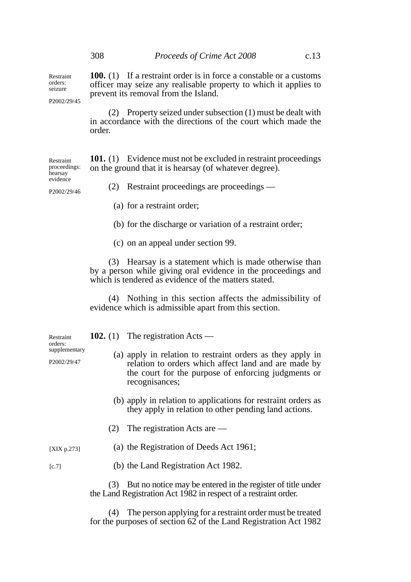**100.** (1) If a restraint order is in force a constable or a customs officer may seize any realisable property to which it applies to prevent its removal from the Island.

P2002/29/45

Restraint orders: seizure

> (2) Property seized under subsection (1) must be dealt with in accordance with the directions of the court which made the order.

**101.** (1) Evidence must not be excluded in restraint proceedings on the ground that it is hearsay (of whatever degree). proceedings:

hearsay evidence P2002/29/46

Restraint

(2) Restraint proceedings are proceedings —

- (a) for a restraint order;
- (b) for the discharge or variation of a restraint order;
- (c) on an appeal under section 99.

(3) Hearsay is a statement which is made otherwise than by a person while giving oral evidence in the proceedings and which is tendered as evidence of the matters stated.

(4) Nothing in this section affects the admissibility of evidence which is admissible apart from this section.

| Restraint<br>orders:<br>supplementary |     | 102. (1) The registration Acts —                                                                                                                                                            |  |
|---------------------------------------|-----|---------------------------------------------------------------------------------------------------------------------------------------------------------------------------------------------|--|
| P2002/29/47                           |     | (a) apply in relation to restraint orders as they apply in<br>relation to orders which affect land and are made by<br>the court for the purpose of enforcing judgments or<br>recognisances; |  |
|                                       |     | (b) apply in relation to applications for restraint orders as<br>they apply in relation to other pending land actions.                                                                      |  |
|                                       | (2) | The registration Acts are $-$                                                                                                                                                               |  |

(a) the Registration of Deeds Act 1961; [XIX p.273]

[c.7]

(b) the Land Registration Act 1982.

(3) But no notice may be entered in the register of title under the Land Registration Act 1982 in respect of a restraint order.

(4) The person applying for a restraint order must be treated for the purposes of section 62 of the Land Registration Act 1982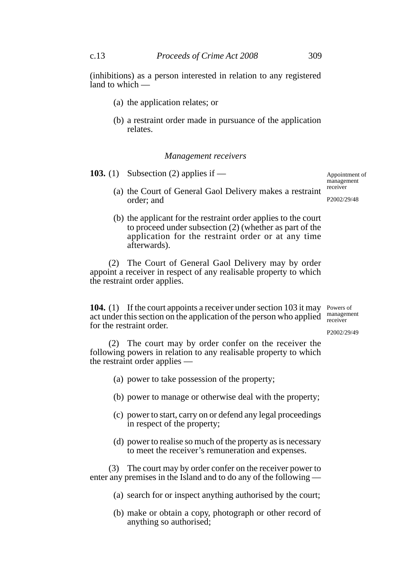(inhibitions) as a person interested in relation to any registered land to which -

- (a) the application relates; or
- (b) a restraint order made in pursuance of the application relates.

### *Management receivers*

**103.** (1) Subsection (2) applies if —

Appointment of management receiver

P2002/29/48

- (a) the Court of General Gaol Delivery makes a restraint order; and
- (b) the applicant for the restraint order applies to the court to proceed under subsection (2) (whether as part of the application for the restraint order or at any time afterwards).

(2) The Court of General Gaol Delivery may by order appoint a receiver in respect of any realisable property to which the restraint order applies.

**104.** (1) If the court appoints a receiver under section 103 it may Powers of act under this section on the application of the person who applied  $\frac{\text{management}}{\text{recoiver}}$ for the restraint order. receiver

P2002/29/49

(2) The court may by order confer on the receiver the following powers in relation to any realisable property to which the restraint order applies —

- (a) power to take possession of the property;
- (b) power to manage or otherwise deal with the property;
- (c) power to start, carry on or defend any legal proceedings in respect of the property;
- (d) power to realise so much of the property as is necessary to meet the receiver's remuneration and expenses.

(3) The court may by order confer on the receiver power to enter any premises in the Island and to do any of the following —

- (a) search for or inspect anything authorised by the court;
- (b) make or obtain a copy, photograph or other record of anything so authorised;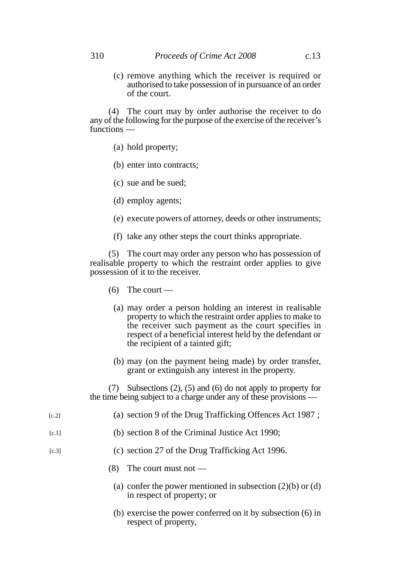(c) remove anything which the receiver is required or authorised to take possession of in pursuance of an order of the court.

(4) The court may by order authorise the receiver to do any of the following for the purpose of the exercise of the receiver's functions —

- (a) hold property;
- (b) enter into contracts;
- (c) sue and be sued;
- (d) employ agents;
- (e) execute powers of attorney, deeds or other instruments;
- (f) take any other steps the court thinks appropriate.

(5) The court may order any person who has possession of realisable property to which the restraint order applies to give possession of it to the receiver.

- $(6)$  The court
	- (a) may order a person holding an interest in realisable property to which the restraint order applies to make to the receiver such payment as the court specifies in respect of a beneficial interest held by the defendant or the recipient of a tainted gift;
	- (b) may (on the payment being made) by order transfer, grant or extinguish any interest in the property.

(7) Subsections (2), (5) and (6) do not apply to property for the time being subject to a charge under any of these provisions —

- (a) section 9 of the Drug Trafficking Offences Act 1987 ; [c.2]
- (b) section 8 of the Criminal Justice Act 1990;  $[c.1]$
- (c) section 27 of the Drug Trafficking Act 1996.  $[c.3]$ 
	- (8) The court must not
		- (a) confer the power mentioned in subsection  $(2)(b)$  or  $(d)$ in respect of property; or
		- (b) exercise the power conferred on it by subsection (6) in respect of property,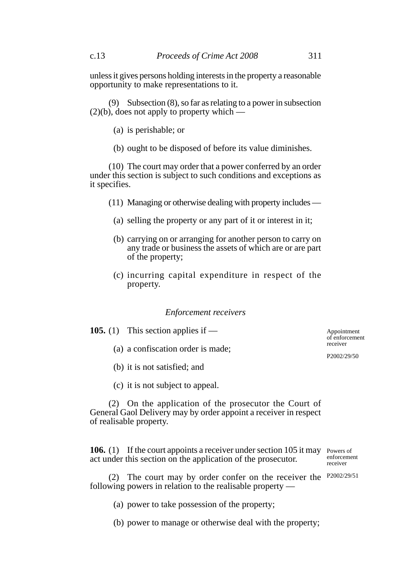unless it gives persons holding interests in the property a reasonable opportunity to make representations to it.

(9) Subsection (8), so far as relating to a power in subsection  $(2)(b)$ , does not apply to property which —

- (a) is perishable; or
- (b) ought to be disposed of before its value diminishes.

(10) The court may order that a power conferred by an order under this section is subject to such conditions and exceptions as it specifies.

- (11) Managing or otherwise dealing with property includes
	- (a) selling the property or any part of it or interest in it;
	- (b) carrying on or arranging for another person to carry on any trade or business the assets of which are or are part of the property;
	- (c) incurring capital expenditure in respect of the property.

#### *Enforcement receivers*

| <b>105.</b> (1) This section applies if — | of  |  |
|-------------------------------------------|-----|--|
| (a) a confiscation order is made;         | rec |  |
|                                           | P2  |  |
|                                           |     |  |

- (b) it is not satisfied; and
- (c) it is not subject to appeal.

(2) On the application of the prosecutor the Court of General Gaol Delivery may by order appoint a receiver in respect of realisable property.

**106.** (1) If the court appoints a receiver under section 105 it may Powers of act under this section on the application of the prosecutor.

enforcement receiver

(2) The court may by order confer on the receiver the P2002/29/51 following powers in relation to the realisable property —

- (a) power to take possession of the property;
- (b) power to manage or otherwise deal with the property;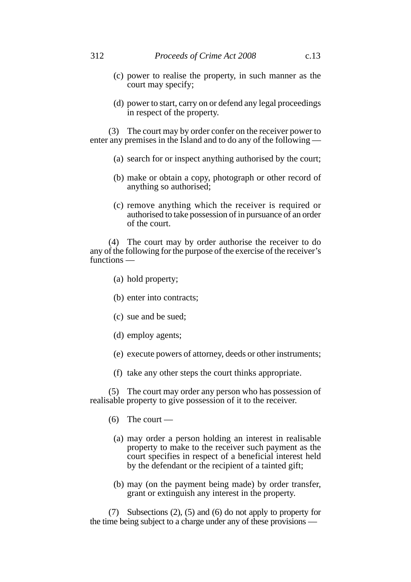- (c) power to realise the property, in such manner as the court may specify;
- (d) power to start, carry on or defend any legal proceedings in respect of the property.

(3) The court may by order confer on the receiver power to enter any premises in the Island and to do any of the following —

- (a) search for or inspect anything authorised by the court;
- (b) make or obtain a copy, photograph or other record of anything so authorised;
- (c) remove anything which the receiver is required or authorised to take possession of in pursuance of an order of the court.

(4) The court may by order authorise the receiver to do any of the following for the purpose of the exercise of the receiver's functions —

- (a) hold property;
- (b) enter into contracts;
- (c) sue and be sued;
- (d) employ agents;
- (e) execute powers of attorney, deeds or other instruments;
- (f) take any other steps the court thinks appropriate.

(5) The court may order any person who has possession of realisable property to give possession of it to the receiver.

- $(6)$  The court
	- (a) may order a person holding an interest in realisable property to make to the receiver such payment as the court specifies in respect of a beneficial interest held by the defendant or the recipient of a tainted gift;
	- (b) may (on the payment being made) by order transfer, grant or extinguish any interest in the property.

(7) Subsections (2), (5) and (6) do not apply to property for the time being subject to a charge under any of these provisions —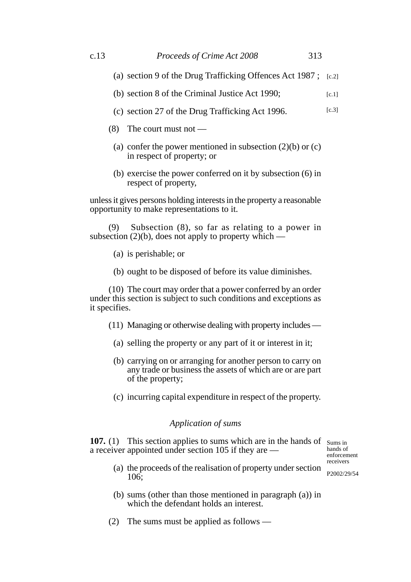- (a) section 9 of the Drug Trafficking Offences Act 1987 ; [c.2]
- (b) section 8 of the Criminal Justice Act 1990;  $[c.1]$
- (c) section 27 of the Drug Trafficking Act 1996. [c.3]
- (8) The court must not
	- (a) confer the power mentioned in subsection  $(2)(b)$  or  $(c)$ in respect of property; or
	- (b) exercise the power conferred on it by subsection (6) in respect of property,

unless it gives persons holding interests in the property a reasonable opportunity to make representations to it.

(9) Subsection (8), so far as relating to a power in subsection  $(2)(b)$ , does not apply to property which —

(a) is perishable; or

106;

(b) ought to be disposed of before its value diminishes.

(10) The court may order that a power conferred by an order under this section is subject to such conditions and exceptions as it specifies.

- (11) Managing or otherwise dealing with property includes
	- (a) selling the property or any part of it or interest in it;
	- (b) carrying on or arranging for another person to carry on any trade or business the assets of which are or are part of the property;
	- (c) incurring capital expenditure in respect of the property.

# *Application of sums*

**107.** (1) This section applies to sums which are in the hands of sums in a receiver appointed under section 105 if they are —

hands of enforcement receivers

P2002/29/54

(b) sums (other than those mentioned in paragraph (a)) in which the defendant holds an interest.

(a) the proceeds of the realisation of property under section

(2) The sums must be applied as follows —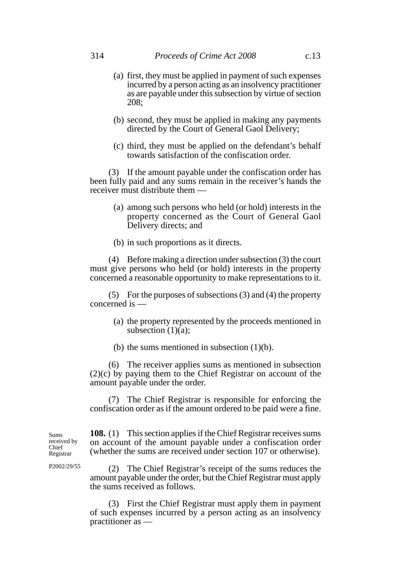- (a) first, they must be applied in payment of such expenses incurred by a person acting as an insolvency practitioner as are payable under this subsection by virtue of section 208;
- (b) second, they must be applied in making any payments directed by the Court of General Gaol Delivery;
- (c) third, they must be applied on the defendant's behalf towards satisfaction of the confiscation order.

(3) If the amount payable under the confiscation order has been fully paid and any sums remain in the receiver's hands the receiver must distribute them —

- (a) among such persons who held (or hold) interests in the property concerned as the Court of General Gaol Delivery directs; and
- (b) in such proportions as it directs.

(4) Before making a direction under subsection (3) the court must give persons who held (or hold) interests in the property concerned a reasonable opportunity to make representations to it.

(5) For the purposes of subsections (3) and (4) the property concerned is —

- (a) the property represented by the proceeds mentioned in subsection  $(1)(a)$ ;
- (b) the sums mentioned in subsection (1)(b).

(6) The receiver applies sums as mentioned in subsection (2)(c) by paying them to the Chief Registrar on account of the amount payable under the order.

(7) The Chief Registrar is responsible for enforcing the confiscation order as if the amount ordered to be paid were a fine.

**108.** (1) This section applies if the Chief Registrar receives sums on account of the amount payable under a confiscation order (whether the sums are received under section 107 or otherwise).

(2) The Chief Registrar's receipt of the sums reduces the amount payable under the order, but the Chief Registrar must apply the sums received as follows.

(3) First the Chief Registrar must apply them in payment of such expenses incurred by a person acting as an insolvency practitioner as —

Sums received by Chief Registrar

P2002/29/55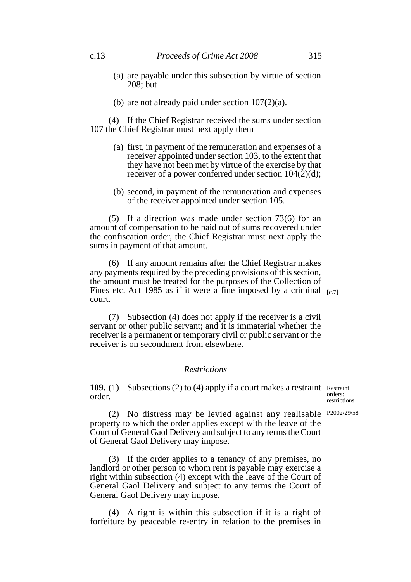- (a) are payable under this subsection by virtue of section 208; but
- (b) are not already paid under section 107(2)(a).

(4) If the Chief Registrar received the sums under section 107 the Chief Registrar must next apply them —

- (a) first, in payment of the remuneration and expenses of a receiver appointed under section 103, to the extent that they have not been met by virtue of the exercise by that receiver of a power conferred under section 104(2)(d);
- (b) second, in payment of the remuneration and expenses of the receiver appointed under section 105.

(5) If a direction was made under section 73(6) for an amount of compensation to be paid out of sums recovered under the confiscation order, the Chief Registrar must next apply the sums in payment of that amount.

(6) If any amount remains after the Chief Registrar makes any payments required by the preceding provisions of this section, the amount must be treated for the purposes of the Collection of Fines etc. Act 1985 as if it were a fine imposed by a criminal  $_{[c.7]}$ court.

(7) Subsection (4) does not apply if the receiver is a civil servant or other public servant; and it is immaterial whether the receiver is a permanent or temporary civil or public servant or the receiver is on secondment from elsewhere.

## *Restrictions*

**109.** (1) Subsections (2) to (4) apply if a court makes a restraint Restraint order. orders:

restrictions

(2) No distress may be levied against any realisable P2002/29/58 property to which the order applies except with the leave of the Court of General Gaol Delivery and subject to any terms the Court of General Gaol Delivery may impose.

(3) If the order applies to a tenancy of any premises, no landlord or other person to whom rent is payable may exercise a right within subsection (4) except with the leave of the Court of General Gaol Delivery and subject to any terms the Court of General Gaol Delivery may impose.

(4) A right is within this subsection if it is a right of forfeiture by peaceable re-entry in relation to the premises in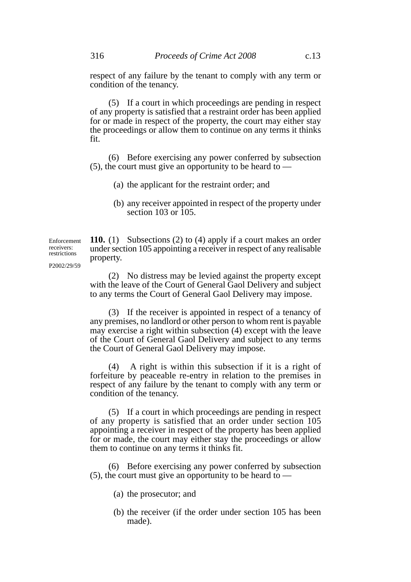(5) If a court in which proceedings are pending in respect of any property is satisfied that a restraint order has been applied for or made in respect of the property, the court may either stay the proceedings or allow them to continue on any terms it thinks fit.

(6) Before exercising any power conferred by subsection  $(5)$ , the court must give an opportunity to be heard to —

- (a) the applicant for the restraint order; and
- (b) any receiver appointed in respect of the property under section  $103$  or  $105$ .

**110.** (1) Subsections (2) to (4) apply if a court makes an order under section 105 appointing a receiver in respect of any realisable property. Enforcement P2002/29/59

> (2) No distress may be levied against the property except with the leave of the Court of General Gaol Delivery and subject to any terms the Court of General Gaol Delivery may impose.

> (3) If the receiver is appointed in respect of a tenancy of any premises, no landlord or other person to whom rent is payable may exercise a right within subsection (4) except with the leave of the Court of General Gaol Delivery and subject to any terms the Court of General Gaol Delivery may impose.

> (4) A right is within this subsection if it is a right of forfeiture by peaceable re-entry in relation to the premises in respect of any failure by the tenant to comply with any term or condition of the tenancy.

> (5) If a court in which proceedings are pending in respect of any property is satisfied that an order under section 105 appointing a receiver in respect of the property has been applied for or made, the court may either stay the proceedings or allow them to continue on any terms it thinks fit.

> (6) Before exercising any power conferred by subsection  $(5)$ , the court must give an opportunity to be heard to —

- (a) the prosecutor; and
- (b) the receiver (if the order under section 105 has been made).

receivers: restrictions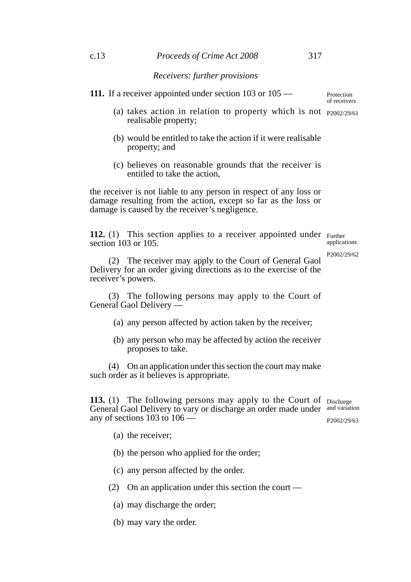**111.** If a receiver appointed under section 103 or 105 —

Protection of receivers

- (a) takes action in relation to property which is not  $p_{2002/29/61}$ realisable property;
- (b) would be entitled to take the action if it were realisable property; and
- (c) believes on reasonable grounds that the receiver is entitled to take the action,

the receiver is not liable to any person in respect of any loss or damage resulting from the action, except so far as the loss or damage is caused by the receiver's negligence.

**112.** (1) This section applies to a receiver appointed under Further section 103 or 105. applications

P2002/29/62

(2) The receiver may apply to the Court of General Gaol Delivery for an order giving directions as to the exercise of the receiver's powers.

(3) The following persons may apply to the Court of General Gaol Delivery —

- (a) any person affected by action taken by the receiver;
- (b) any person who may be affected by action the receiver proposes to take.

(4) On an application under this section the court may make such order as it believes is appropriate.

**113.** (1) The following persons may apply to the Court of Discharge General Gaol Delivery to vary or discharge an order made under and variation any of sections 103 to 106 — P2002/29/63

- (a) the receiver;
- (b) the person who applied for the order;
- (c) any person affected by the order.
- (2) On an application under this section the court
	- (a) may discharge the order;
	- (b) may vary the order.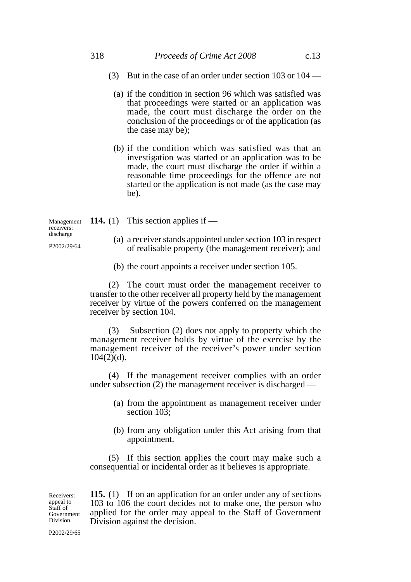## 318 *Proceeds of Crime Act 2008* c.13

- (3) But in the case of an order under section 103 or 104
	- (a) if the condition in section 96 which was satisfied was that proceedings were started or an application was made, the court must discharge the order on the conclusion of the proceedings or of the application (as the case may be);
	- (b) if the condition which was satisfied was that an investigation was started or an application was to be made, the court must discharge the order if within a reasonable time proceedings for the offence are not started or the application is not made (as the case may be).

**114.** (1) This section applies if — (a) a receiver stands appointed under section 103 in respect of realisable property (the management receiver); and Management receivers: discharge P2002/29/64

(b) the court appoints a receiver under section 105.

(2) The court must order the management receiver to transfer to the other receiver all property held by the management receiver by virtue of the powers conferred on the management receiver by section 104.

(3) Subsection (2) does not apply to property which the management receiver holds by virtue of the exercise by the management receiver of the receiver's power under section  $104(2)(d)$ .

(4) If the management receiver complies with an order under subsection (2) the management receiver is discharged —

- (a) from the appointment as management receiver under section  $10\overline{3}$ ;
- (b) from any obligation under this Act arising from that appointment.

(5) If this section applies the court may make such a consequential or incidental order as it believes is appropriate.

**115.** (1) If on an application for an order under any of sections 103 to 106 the court decides not to make one, the person who applied for the order may appeal to the Staff of Government Division against the decision.

Receivers: appeal to Staff of Government Division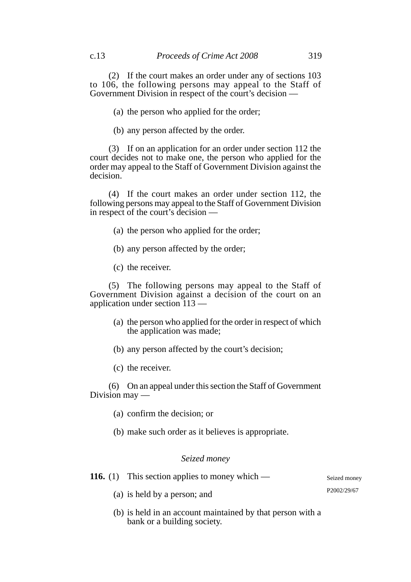(2) If the court makes an order under any of sections 103 to 106, the following persons may appeal to the Staff of Government Division in respect of the court's decision —

(a) the person who applied for the order;

(b) any person affected by the order.

(3) If on an application for an order under section 112 the court decides not to make one, the person who applied for the order may appeal to the Staff of Government Division against the decision.

(4) If the court makes an order under section 112, the following persons may appeal to the Staff of Government Division in respect of the court's decision —

- (a) the person who applied for the order;
- (b) any person affected by the order;
- (c) the receiver.

(5) The following persons may appeal to the Staff of Government Division against a decision of the court on an application under section 113 —

- (a) the person who applied for the order in respect of which the application was made;
- (b) any person affected by the court's decision;
- (c) the receiver.

(6) On an appeal under this section the Staff of Government Division may —

- (a) confirm the decision; or
- (b) make such order as it believes is appropriate.

# *Seized money*

**116.** (1) This section applies to money which —

(a) is held by a person; and

(b) is held in an account maintained by that person with a bank or a building society.

Seized money P2002/29/67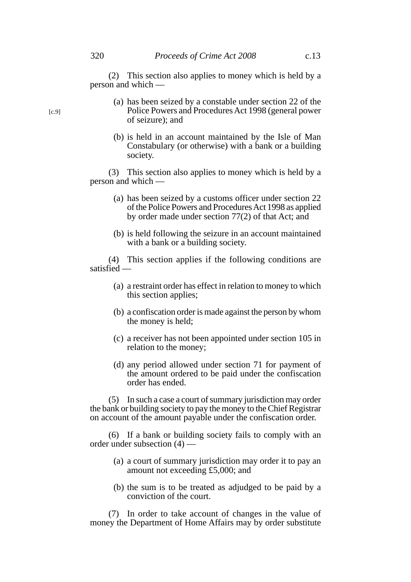- (a) has been seized by a constable under section 22 of the Police Powers and Procedures Act 1998 (general power of seizure); and
- (b) is held in an account maintained by the Isle of Man Constabulary (or otherwise) with a bank or a building society.

(3) This section also applies to money which is held by a person and which —

- (a) has been seized by a customs officer under section 22 of the Police Powers and Procedures Act 1998 as applied by order made under section 77(2) of that Act; and
- (b) is held following the seizure in an account maintained with a bank or a building society.

(4) This section applies if the following conditions are satisfied —

- (a) a restraint order has effect in relation to money to which this section applies;
- (b) a confiscation order is made against the person by whom the money is held;
- (c) a receiver has not been appointed under section 105 in relation to the money;
- (d) any period allowed under section 71 for payment of the amount ordered to be paid under the confiscation order has ended.

(5) In such a case a court of summary jurisdiction may order the bank or building society to pay the money to the Chief Registrar on account of the amount payable under the confiscation order.

(6) If a bank or building society fails to comply with an order under subsection (4) —

- (a) a court of summary jurisdiction may order it to pay an amount not exceeding £5,000; and
- (b) the sum is to be treated as adjudged to be paid by a conviction of the court.

(7) In order to take account of changes in the value of money the Department of Home Affairs may by order substitute

[c.9]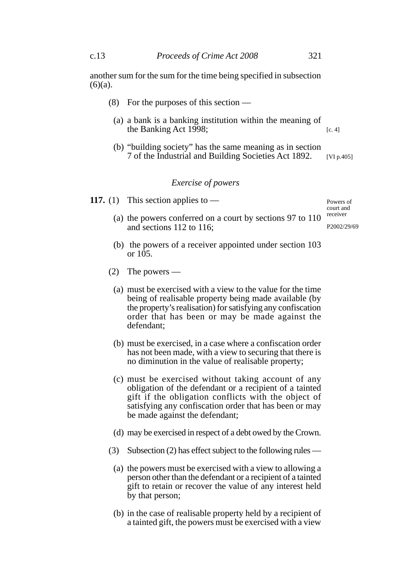another sum for the sum for the time being specified in subsection  $(6)(a)$ .

- (8) For the purposes of this section
	- (a) a bank is a banking institution within the meaning of the Banking Act 1998; [c. 4]
	- (b) "building society" has the same meaning as in section 7 of the Industrial and Building Societies Act 1892. [VI p.405]

## *Exercise of powers*

**117.** (1) This section applies to —

Powers of court and receiver

P2002/29/69

- (a) the powers conferred on a court by sections 97 to 110 and sections 112 to 116;
- (b) the powers of a receiver appointed under section 103 or 105.
- (2) The powers
	- (a) must be exercised with a view to the value for the time being of realisable property being made available (by the property's realisation) for satisfying any confiscation order that has been or may be made against the defendant;
	- (b) must be exercised, in a case where a confiscation order has not been made, with a view to securing that there is no diminution in the value of realisable property;
	- (c) must be exercised without taking account of any obligation of the defendant or a recipient of a tainted gift if the obligation conflicts with the object of satisfying any confiscation order that has been or may be made against the defendant;
	- (d) may be exercised in respect of a debt owed by the Crown.
- (3) Subsection (2) has effect subject to the following rules
	- (a) the powers must be exercised with a view to allowing a person other than the defendant or a recipient of a tainted gift to retain or recover the value of any interest held by that person;
	- (b) in the case of realisable property held by a recipient of a tainted gift, the powers must be exercised with a view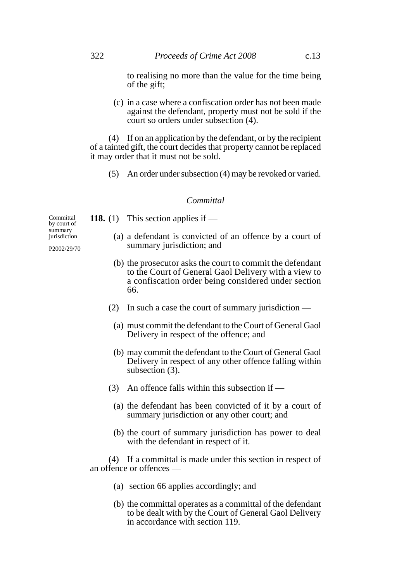to realising no more than the value for the time being of the gift;

(c) in a case where a confiscation order has not been made against the defendant, property must not be sold if the court so orders under subsection (4).

(4) If on an application by the defendant, or by the recipient of a tainted gift, the court decides that property cannot be replaced it may order that it must not be sold.

(5) An order under subsection (4) may be revoked or varied.

## *Committal*

Committal by court of summary

(a) a defendant is convicted of an offence by a court of

**118.** (1) This section applies if —

- summary jurisdiction; and
- (b) the prosecutor asks the court to commit the defendant to the Court of General Gaol Delivery with a view to a confiscation order being considered under section 66.
- (2) In such a case the court of summary jurisdiction
	- (a) must commit the defendant to the Court of General Gaol Delivery in respect of the offence; and
	- (b) may commit the defendant to the Court of General Gaol Delivery in respect of any other offence falling within subsection (3).
- (3) An offence falls within this subsection if
	- (a) the defendant has been convicted of it by a court of summary jurisdiction or any other court; and
	- (b) the court of summary jurisdiction has power to deal with the defendant in respect of it.

(4) If a committal is made under this section in respect of an offence or offences —

- (a) section 66 applies accordingly; and
- (b) the committal operates as a committal of the defendant to be dealt with by the Court of General Gaol Delivery in accordance with section 119.

jurisdiction P2002/29/70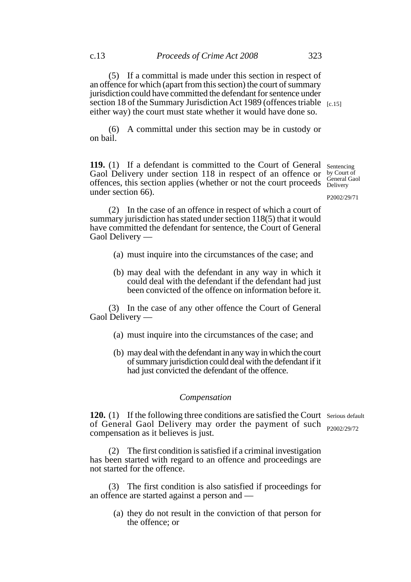(5) If a committal is made under this section in respect of an offence for which (apart from this section) the court of summary jurisdiction could have committed the defendant for sentence under section 18 of the Summary Jurisdiction Act 1989 (offences triable  $_{[c.15]}$ either way) the court must state whether it would have done so.

(6) A committal under this section may be in custody or on bail.

**119.** (1) If a defendant is committed to the Court of General Gaol Delivery under section 118 in respect of an offence or offences, this section applies (whether or not the court proceeds under section 66).

Sentencing by Court of General Gaol Delivery

P2002/29/71

(2) In the case of an offence in respect of which a court of summary jurisdiction has stated under section 118(5) that it would have committed the defendant for sentence, the Court of General Gaol Delivery —

- (a) must inquire into the circumstances of the case; and
- (b) may deal with the defendant in any way in which it could deal with the defendant if the defendant had just been convicted of the offence on information before it.

(3) In the case of any other offence the Court of General Gaol Delivery —

- (a) must inquire into the circumstances of the case; and
- (b) may deal with the defendant in any way in which the court of summary jurisdiction could deal with the defendant if it had just convicted the defendant of the offence.

### *Compensation*

**120.** (1) If the following three conditions are satisfied the Court Serious default of General Gaol Delivery may order the payment of such P2002/29/72compensation as it believes is just.

(2) The first condition is satisfied if a criminal investigation has been started with regard to an offence and proceedings are not started for the offence.

(3) The first condition is also satisfied if proceedings for an offence are started against a person and —

(a) they do not result in the conviction of that person for the offence; or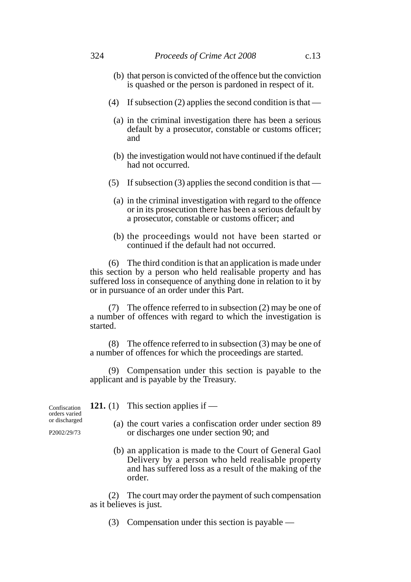- (b) that person is convicted of the offence but the conviction is quashed or the person is pardoned in respect of it.
- (4) If subsection (2) applies the second condition is that
	- (a) in the criminal investigation there has been a serious default by a prosecutor, constable or customs officer; and
	- (b) the investigation would not have continued if the default had not occurred.
- (5) If subsection (3) applies the second condition is that
	- (a) in the criminal investigation with regard to the offence or in its prosecution there has been a serious default by a prosecutor, constable or customs officer; and
	- (b) the proceedings would not have been started or continued if the default had not occurred.

(6) The third condition is that an application is made under this section by a person who held realisable property and has suffered loss in consequence of anything done in relation to it by or in pursuance of an order under this Part.

(7) The offence referred to in subsection (2) may be one of a number of offences with regard to which the investigation is started.

(8) The offence referred to in subsection (3) may be one of a number of offences for which the proceedings are started.

(9) Compensation under this section is payable to the applicant and is payable by the Treasury.

(a) the court varies a confiscation order under section 89 or discharges one under section 90; and

**121.** (1) This section applies if —

(b) an application is made to the Court of General Gaol Delivery by a person who held realisable property and has suffered loss as a result of the making of the order.

(2) The court may order the payment of such compensation as it believes is just.

(3) Compensation under this section is payable —

Confiscation orders varied or discharged

P2002/29/73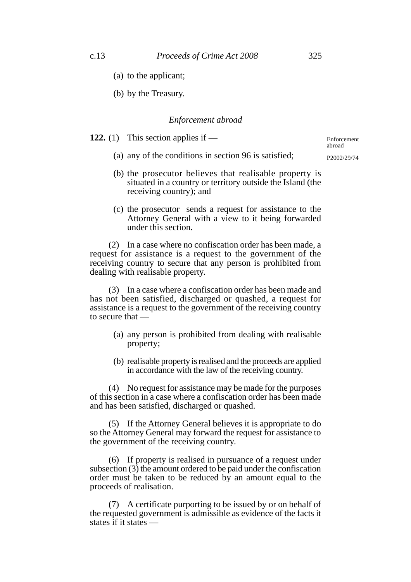- (a) to the applicant;
- (b) by the Treasury.

### *Enforcement abroad*

**122.** (1) This section applies if —

Enforcement abroad P2002/29/74

- (a) any of the conditions in section 96 is satisfied;
- (b) the prosecutor believes that realisable property is situated in a country or territory outside the Island (the receiving country); and
- (c) the prosecutor sends a request for assistance to the Attorney General with a view to it being forwarded under this section.

(2) In a case where no confiscation order has been made, a request for assistance is a request to the government of the receiving country to secure that any person is prohibited from dealing with realisable property.

(3) In a case where a confiscation order has been made and has not been satisfied, discharged or quashed, a request for assistance is a request to the government of the receiving country to secure that —

- (a) any person is prohibited from dealing with realisable property;
- (b) realisable property is realised and the proceeds are applied in accordance with the law of the receiving country.

(4) No request for assistance may be made for the purposes of this section in a case where a confiscation order has been made and has been satisfied, discharged or quashed.

(5) If the Attorney General believes it is appropriate to do so the Attorney General may forward the request for assistance to the government of the receiving country.

(6) If property is realised in pursuance of a request under subsection  $(3)$  the amount ordered to be paid under the confiscation order must be taken to be reduced by an amount equal to the proceeds of realisation.

(7) A certificate purporting to be issued by or on behalf of the requested government is admissible as evidence of the facts it states if it states —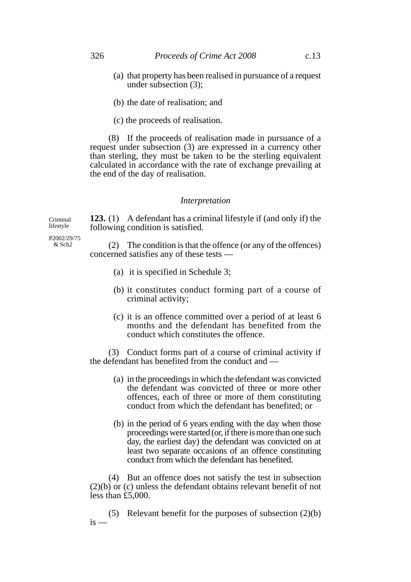- (a) that property has been realised in pursuance of a request under subsection (3);
- (b) the date of realisation; and
- (c) the proceeds of realisation.

(8) If the proceeds of realisation made in pursuance of a request under subsection (3) are expressed in a currency other than sterling, they must be taken to be the sterling equivalent calculated in accordance with the rate of exchange prevailing at the end of the day of realisation.

#### *Interpretation*

**123.** (1) A defendant has a criminal lifestyle if (and only if) the following condition is satisfied.

P2002/29/75  $&$  Sch<sub>2</sub>

Criminal lifestyle

> (2) The condition is that the offence (or any of the offences) concerned satisfies any of these tests —

- (a) it is specified in Schedule 3;
- (b) it constitutes conduct forming part of a course of criminal activity;
- (c) it is an offence committed over a period of at least 6 months and the defendant has benefited from the conduct which constitutes the offence.

(3) Conduct forms part of a course of criminal activity if the defendant has benefited from the conduct and —

- (a) in the proceedings in which the defendant was convicted the defendant was convicted of three or more other offences, each of three or more of them constituting conduct from which the defendant has benefited; or
- (b) in the period of 6 years ending with the day when those proceedings were started (or, if there is more than one such day, the earliest day) the defendant was convicted on at least two separate occasions of an offence constituting conduct from which the defendant has benefited.

(4) But an offence does not satisfy the test in subsection (2)(b) or (c) unless the defendant obtains relevant benefit of not less than £5,000.

(5) Relevant benefit for the purposes of subsection (2)(b)  $i<sub>s</sub>$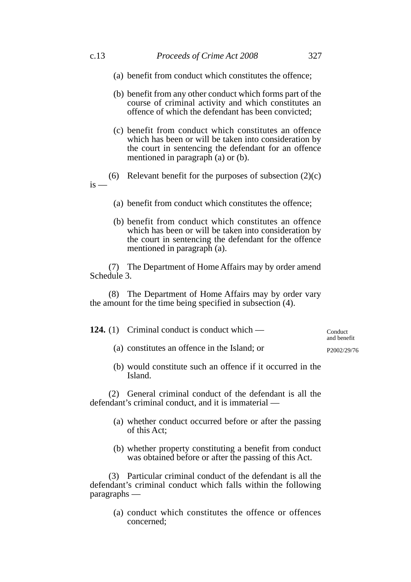- (a) benefit from conduct which constitutes the offence;
- (b) benefit from any other conduct which forms part of the course of criminal activity and which constitutes an offence of which the defendant has been convicted;
- (c) benefit from conduct which constitutes an offence which has been or will be taken into consideration by the court in sentencing the defendant for an offence mentioned in paragraph (a) or (b).
- (6) Relevant benefit for the purposes of subsection (2)(c)  $is -$ 
	- (a) benefit from conduct which constitutes the offence;
	- (b) benefit from conduct which constitutes an offence which has been or will be taken into consideration by the court in sentencing the defendant for the offence mentioned in paragraph (a).

(7) The Department of Home Affairs may by order amend Schedule 3.

(8) The Department of Home Affairs may by order vary the amount for the time being specified in subsection (4).

| <b>124.</b> (1) Criminal conduct is conduct which — | Conduct<br>and benefit |
|-----------------------------------------------------|------------------------|
|-----------------------------------------------------|------------------------|

(a) constitutes an offence in the Island; or

P2002/29/76

(b) would constitute such an offence if it occurred in the Island.

(2) General criminal conduct of the defendant is all the defendant's criminal conduct, and it is immaterial —

- (a) whether conduct occurred before or after the passing of this Act;
- (b) whether property constituting a benefit from conduct was obtained before or after the passing of this Act.

(3) Particular criminal conduct of the defendant is all the defendant's criminal conduct which falls within the following paragraphs —

> (a) conduct which constitutes the offence or offences concerned;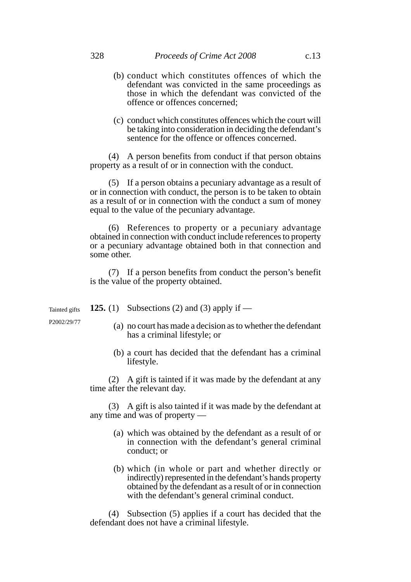- (b) conduct which constitutes offences of which the defendant was convicted in the same proceedings as those in which the defendant was convicted of the offence or offences concerned;
- (c) conduct which constitutes offences which the court will be taking into consideration in deciding the defendant's sentence for the offence or offences concerned.

(4) A person benefits from conduct if that person obtains property as a result of or in connection with the conduct.

(5) If a person obtains a pecuniary advantage as a result of or in connection with conduct, the person is to be taken to obtain as a result of or in connection with the conduct a sum of money equal to the value of the pecuniary advantage.

(6) References to property or a pecuniary advantage obtained in connection with conduct include references to property or a pecuniary advantage obtained both in that connection and some other.

(7) If a person benefits from conduct the person's benefit is the value of the property obtained.

**125.** (1) Subsections (2) and (3) apply if — Tainted gifts

P2002/29/77

- (a) no court has made a decision as to whether the defendant has a criminal lifestyle; or
- (b) a court has decided that the defendant has a criminal lifestyle.

(2) A gift is tainted if it was made by the defendant at any time after the relevant day.

(3) A gift is also tainted if it was made by the defendant at any time and was of property —

- (a) which was obtained by the defendant as a result of or in connection with the defendant's general criminal conduct; or
- (b) which (in whole or part and whether directly or indirectly) represented in the defendant's hands property obtained by the defendant as a result of or in connection with the defendant's general criminal conduct.

(4) Subsection (5) applies if a court has decided that the defendant does not have a criminal lifestyle.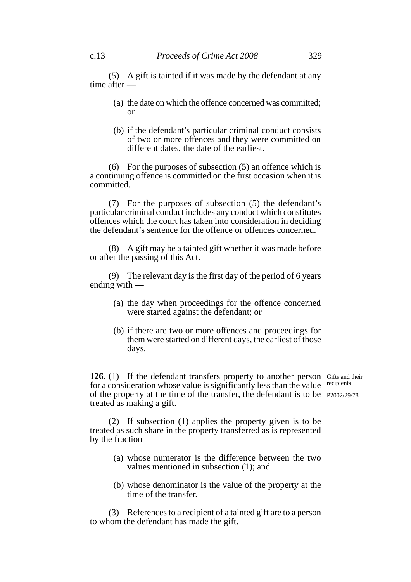(5) A gift is tainted if it was made by the defendant at any time after —

- (a) the date on which the offence concerned was committed; or
- (b) if the defendant's particular criminal conduct consists of two or more offences and they were committed on different dates, the date of the earliest.

(6) For the purposes of subsection (5) an offence which is a continuing offence is committed on the first occasion when it is committed.

(7) For the purposes of subsection (5) the defendant's particular criminal conduct includes any conduct which constitutes offences which the court has taken into consideration in deciding the defendant's sentence for the offence or offences concerned.

(8) A gift may be a tainted gift whether it was made before or after the passing of this Act.

(9) The relevant day is the first day of the period of 6 years ending with —

- (a) the day when proceedings for the offence concerned were started against the defendant; or
- (b) if there are two or more offences and proceedings for them were started on different days, the earliest of those days.

126. (1) If the defendant transfers property to another person Gifts and their for a consideration whose value is significantly less than the value of the property at the time of the transfer, the defendant is to be P2002/29/78treated as making a gift. recipients

(2) If subsection (1) applies the property given is to be treated as such share in the property transferred as is represented by the fraction —

- (a) whose numerator is the difference between the two values mentioned in subsection (1); and
- (b) whose denominator is the value of the property at the time of the transfer.

(3) References to a recipient of a tainted gift are to a person to whom the defendant has made the gift.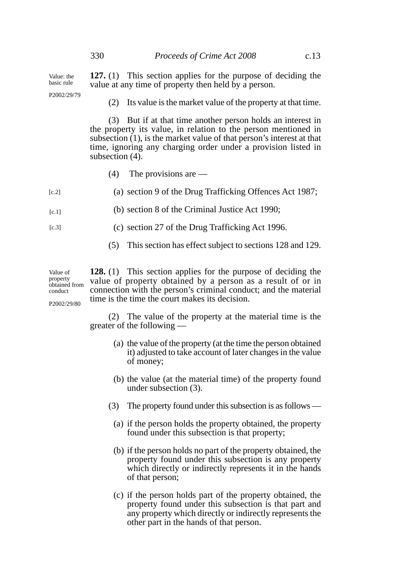**127.** (1) This section applies for the purpose of deciding the value at any time of property then held by a person. Value: the basic rule

P2002/29/79

(2) Its value is the market value of the property at that time.

(3) But if at that time another person holds an interest in the property its value, in relation to the person mentioned in subsection (1), is the market value of that person's interest at that time, ignoring any charging order under a provision listed in subsection  $(4)$ .

- (4) The provisions are —
- (a) section 9 of the Drug Trafficking Offences Act 1987;  $[c.2]$

(b) section 8 of the Criminal Justice Act 1990;  $[c.1]$ 

(c) section 27 of the Drug Trafficking Act 1996.  $[c.3]$ 

(5) This section has effect subject to sections 128 and 129.

**128.** (1) This section applies for the purpose of deciding the value of property obtained by a person as a result of or in connection with the person's criminal conduct; and the material time is the time the court makes its decision. Value of property obtained from conduct P2002/29/80

> (2) The value of the property at the material time is the greater of the following —

- (a) the value of the property (at the time the person obtained it) adjusted to take account of later changes in the value of money;
- (b) the value (at the material time) of the property found under subsection (3).
- (3) The property found under this subsection is as follows
	- (a) if the person holds the property obtained, the property found under this subsection is that property;
	- (b) if the person holds no part of the property obtained, the property found under this subsection is any property which directly or indirectly represents it in the hands of that person;
	- (c) if the person holds part of the property obtained, the property found under this subsection is that part and any property which directly or indirectly represents the other part in the hands of that person.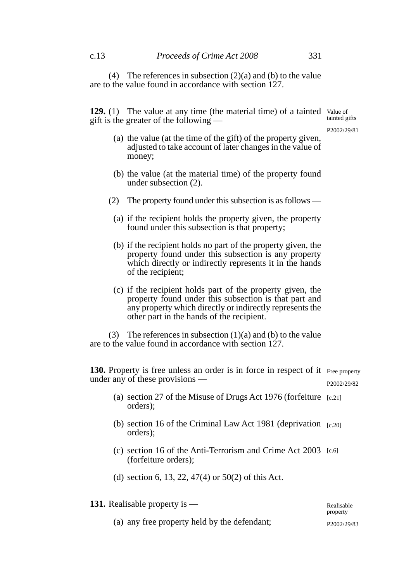(4) The references in subsection (2)(a) and (b) to the value are to the value found in accordance with section 127.

129. (1) The value at any time (the material time) of a tainted Value of gift is the greater of the following tainted gifts

P2002/29/81

- (a) the value (at the time of the gift) of the property given, adjusted to take account of later changes in the value of money;
- (b) the value (at the material time) of the property found under subsection (2).
- (2) The property found under this subsection is as follows
	- (a) if the recipient holds the property given, the property found under this subsection is that property;
	- (b) if the recipient holds no part of the property given, the property found under this subsection is any property which directly or indirectly represents it in the hands of the recipient;
	- (c) if the recipient holds part of the property given, the property found under this subsection is that part and any property which directly or indirectly represents the other part in the hands of the recipient.

(3) The references in subsection  $(1)(a)$  and  $(b)$  to the value are to the value found in accordance with section 127.

130. Property is free unless an order is in force in respect of it Free property under any of these provisions — P2002/29/82

- (a) section 27 of the Misuse of Drugs Act 1976 (forfeiture [c.21]orders);
- (b) section 16 of the Criminal Law Act 1981 (deprivation [c.20] orders);
- (c) section 16 of the Anti-Terrorism and Crime Act 2003 [c.6] (forfeiture orders);
- (d) section 6, 13, 22, 47(4) or 50(2) of this Act.

| <b>131.</b> Realisable property is —         | Realisable<br>property   |
|----------------------------------------------|--------------------------|
| (a) any free property held by the defendant; | P <sub>2002</sub> /29/83 |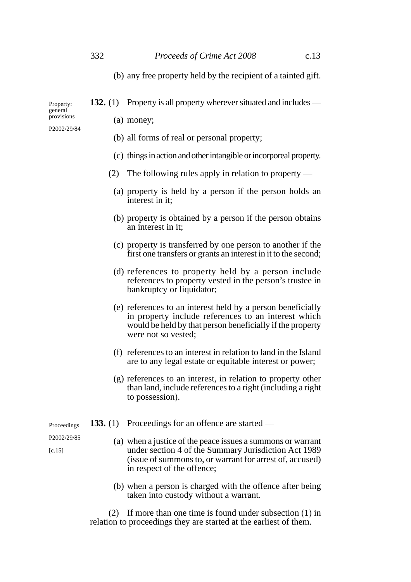(b) any free property held by the recipient of a tainted gift.

**132.** (1) Property is all property wherever situated and includes —

(a) money;

- (b) all forms of real or personal property;
- (c) things in action and other intangible or incorporeal property.
- (2) The following rules apply in relation to property
	- (a) property is held by a person if the person holds an interest in it;
	- (b) property is obtained by a person if the person obtains an interest in it;
	- (c) property is transferred by one person to another if the first one transfers or grants an interest in it to the second;
	- (d) references to property held by a person include references to property vested in the person's trustee in bankruptcy or liquidator;
	- (e) references to an interest held by a person beneficially in property include references to an interest which would be held by that person beneficially if the property were not so vested;
	- (f) references to an interest in relation to land in the Island are to any legal estate or equitable interest or power;
	- (g) references to an interest, in relation to property other than land, include references to a right (including a right to possession).
- **133.** (1) Proceedings for an offence are started Proceedings
	- (a) when a justice of the peace issues a summons or warrant under section 4 of the Summary Jurisdiction Act 1989 (issue of summons to, or warrant for arrest of, accused) in respect of the offence;
	- (b) when a person is charged with the offence after being taken into custody without a warrant.

(2) If more than one time is found under subsection (1) in relation to proceedings they are started at the earliest of them.

P2002/29/84

Property: general provisions

P2002/29/85  $[c.15]$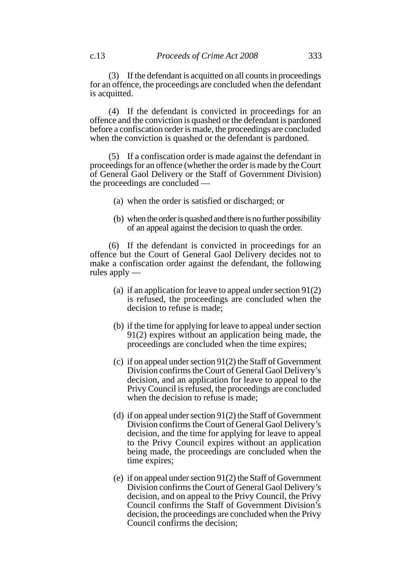(3) If the defendant is acquitted on all counts in proceedings for an offence, the proceedings are concluded when the defendant is acquitted.

(4) If the defendant is convicted in proceedings for an offence and the conviction is quashed or the defendant is pardoned before a confiscation order is made, the proceedings are concluded when the conviction is quashed or the defendant is pardoned.

(5) If a confiscation order is made against the defendant in proceedings for an offence (whether the order is made by the Court of General Gaol Delivery or the Staff of Government Division) the proceedings are concluded —

- (a) when the order is satisfied or discharged; or
- (b) when the order is quashed and there is no further possibility of an appeal against the decision to quash the order.

(6) If the defendant is convicted in proceedings for an offence but the Court of General Gaol Delivery decides not to make a confiscation order against the defendant, the following rules apply —

- (a) if an application for leave to appeal under section 91(2) is refused, the proceedings are concluded when the decision to refuse is made;
- (b) if the time for applying for leave to appeal under section 91(2) expires without an application being made, the proceedings are concluded when the time expires;
- (c) if on appeal under section 91(2) the Staff of Government Division confirms the Court of General Gaol Delivery's decision, and an application for leave to appeal to the Privy Council is refused, the proceedings are concluded when the decision to refuse is made:
- (d) if on appeal under section 91(2) the Staff of Government Division confirms the Court of General Gaol Delivery's decision, and the time for applying for leave to appeal to the Privy Council expires without an application being made, the proceedings are concluded when the time expires;
- (e) if on appeal under section 91(2) the Staff of Government Division confirms the Court of General Gaol Delivery's decision, and on appeal to the Privy Council, the Privy Council confirms the Staff of Government Division's decision, the proceedings are concluded when the Privy Council confirms the decision;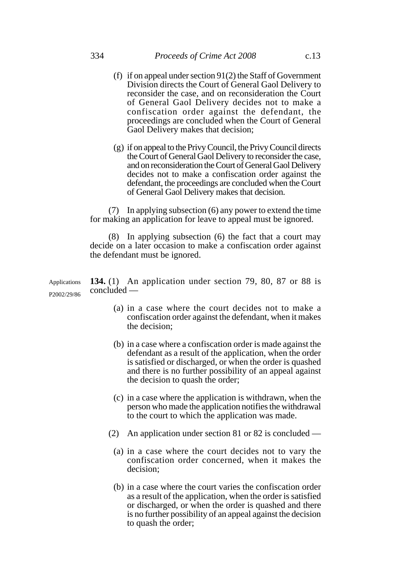- (f) if on appeal under section 91(2) the Staff of Government Division directs the Court of General Gaol Delivery to reconsider the case, and on reconsideration the Court of General Gaol Delivery decides not to make a confiscation order against the defendant, the proceedings are concluded when the Court of General Gaol Delivery makes that decision;
- (g) if on appeal to the Privy Council, the Privy Council directs the Court of General Gaol Delivery to reconsider the case, and on reconsideration the Court of General Gaol Delivery decides not to make a confiscation order against the defendant, the proceedings are concluded when the Court of General Gaol Delivery makes that decision.

(7) In applying subsection (6) any power to extend the time for making an application for leave to appeal must be ignored.

(8) In applying subsection (6) the fact that a court may decide on a later occasion to make a confiscation order against the defendant must be ignored.

**134.** (1) An application under section 79, 80, 87 or 88 is concluded — Applications P2002/29/86

- (a) in a case where the court decides not to make a confiscation order against the defendant, when it makes the decision;
- (b) in a case where a confiscation order is made against the defendant as a result of the application, when the order is satisfied or discharged, or when the order is quashed and there is no further possibility of an appeal against the decision to quash the order;
- (c) in a case where the application is withdrawn, when the person who made the application notifies the withdrawal to the court to which the application was made.
- (2) An application under section 81 or 82 is concluded
	- (a) in a case where the court decides not to vary the confiscation order concerned, when it makes the decision;
	- (b) in a case where the court varies the confiscation order as a result of the application, when the order is satisfied or discharged, or when the order is quashed and there is no further possibility of an appeal against the decision to quash the order;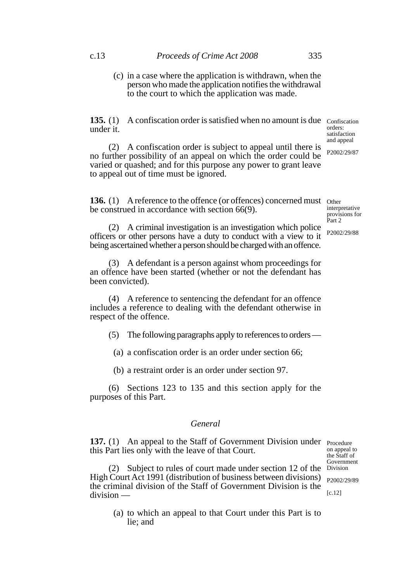(c) in a case where the application is withdrawn, when the person who made the application notifies the withdrawal to the court to which the application was made.

**135.** (1) A confiscation order is satisfied when no amount is due confiscation under it.

(2) A confiscation order is subject to appeal until there is no further possibility of an appeal on which the order could be varied or quashed; and for this purpose any power to grant leave to appeal out of time must be ignored.

136. (1) A reference to the offence (or offences) concerned must other be construed in accordance with section 66(9).

(2) A criminal investigation is an investigation which police officers or other persons have a duty to conduct with a view to it being ascertained whether a person should be charged with an offence.

(3) A defendant is a person against whom proceedings for an offence have been started (whether or not the defendant has been convicted).

(4) A reference to sentencing the defendant for an offence includes a reference to dealing with the defendant otherwise in respect of the offence.

(5) The following paragraphs apply to references to orders —

(a) a confiscation order is an order under section 66;

(b) a restraint order is an order under section 97.

(6) Sections 123 to 135 and this section apply for the purposes of this Part.

## *General*

137. (1) An appeal to the Staff of Government Division under Procedure this Part lies only with the leave of that Court.

(2) Subject to rules of court made under section 12 of the High Court Act 1991 (distribution of business between divisions) the criminal division of the Staff of Government Division is the division — Division

(a) to which an appeal to that Court under this Part is to lie; and

orders: satisfaction and appeal P2002/29/87

interpretative provisions for Part 2

P2002/29/88

on appeal to the Staff of Government

P2002/29/89

[c.12]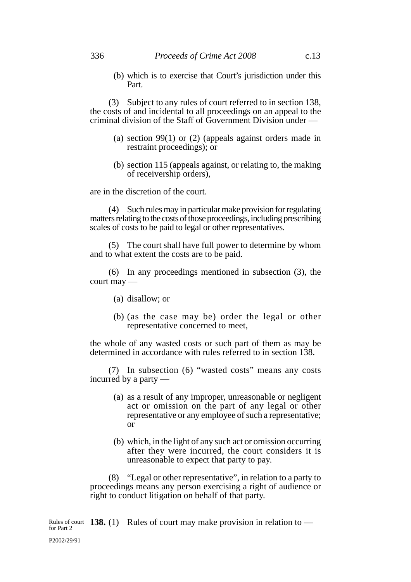(b) which is to exercise that Court's jurisdiction under this Part.

(3) Subject to any rules of court referred to in section 138, the costs of and incidental to all proceedings on an appeal to the criminal division of the Staff of Government Division under —

- (a) section 99(1) or (2) (appeals against orders made in restraint proceedings); or
- (b) section 115 (appeals against, or relating to, the making of receivership orders),

are in the discretion of the court.

(4) Such rules may in particular make provision for regulating matters relating to the costs of those proceedings, including prescribing scales of costs to be paid to legal or other representatives.

(5) The court shall have full power to determine by whom and to what extent the costs are to be paid.

(6) In any proceedings mentioned in subsection (3), the court may —

- (a) disallow; or
- (b) (as the case may be) order the legal or other representative concerned to meet,

the whole of any wasted costs or such part of them as may be determined in accordance with rules referred to in section 138.

(7) In subsection (6) "wasted costs" means any costs incurred by a party —

- (a) as a result of any improper, unreasonable or negligent act or omission on the part of any legal or other representative or any employee of such a representative; or
- (b) which, in the light of any such act or omission occurring after they were incurred, the court considers it is unreasonable to expect that party to pay.

(8) "Legal or other representative", in relation to a party to proceedings means any person exercising a right of audience or right to conduct litigation on behalf of that party.

Rules of court **138.** (1) Rules of court may make provision in relation to  $\frac{138}{100}$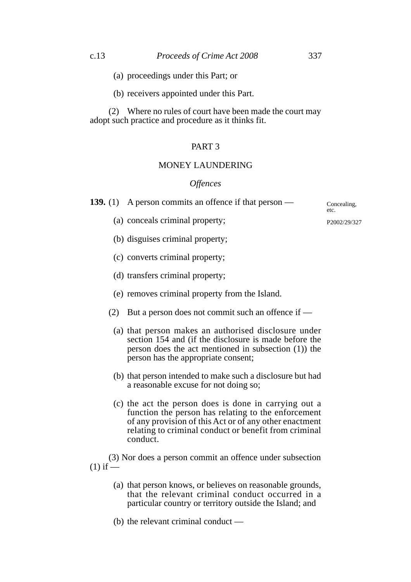- (a) proceedings under this Part; or
- (b) receivers appointed under this Part.

(2) Where no rules of court have been made the court may adopt such practice and procedure as it thinks fit.

# PART 3

# MONEY LAUNDERING

## *Offences*

**139.** (1) A person commits an offence if that person —

(a) conceals criminal property;

(b) disguises criminal property;

- (c) converts criminal property;
- (d) transfers criminal property;
- (e) removes criminal property from the Island.
- (2) But a person does not commit such an offence if
	- (a) that person makes an authorised disclosure under section 154 and (if the disclosure is made before the person does the act mentioned in subsection (1)) the person has the appropriate consent;
	- (b) that person intended to make such a disclosure but had a reasonable excuse for not doing so;
	- (c) the act the person does is done in carrying out a function the person has relating to the enforcement of any provision of this Act or of any other enactment relating to criminal conduct or benefit from criminal conduct.

(3) Nor does a person commit an offence under subsection  $(1)$  if  $-$ 

- (a) that person knows, or believes on reasonable grounds, that the relevant criminal conduct occurred in a particular country or territory outside the Island; and
- (b) the relevant criminal conduct —

P2002/29/327

Concealing, etc.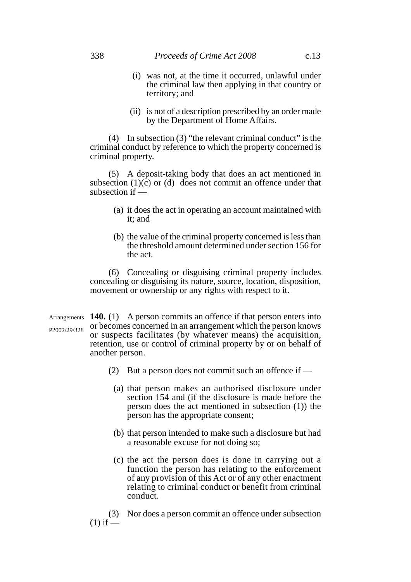- (i) was not, at the time it occurred, unlawful under the criminal law then applying in that country or territory; and
- (ii) is not of a description prescribed by an order made by the Department of Home Affairs.

(4) In subsection (3) "the relevant criminal conduct" is the criminal conduct by reference to which the property concerned is criminal property.

(5) A deposit-taking body that does an act mentioned in subsection  $(1)(\tilde{c})$  or (d) does not commit an offence under that subsection if —

- (a) it does the act in operating an account maintained with it; and
- (b) the value of the criminal property concerned is less than the threshold amount determined under section 156 for the act.

(6) Concealing or disguising criminal property includes concealing or disguising its nature, source, location, disposition, movement or ownership or any rights with respect to it.

Arrangements **140.** (1) A person commits an offence if that person enters into or becomes concerned in an arrangement which the person knows or suspects facilitates (by whatever means) the acquisition, retention, use or control of criminal property by or on behalf of another person. P2002/29/328

- (2) But a person does not commit such an offence if
	- (a) that person makes an authorised disclosure under section 154 and (if the disclosure is made before the person does the act mentioned in subsection (1)) the person has the appropriate consent;
	- (b) that person intended to make such a disclosure but had a reasonable excuse for not doing so;
	- (c) the act the person does is done in carrying out a function the person has relating to the enforcement of any provision of this Act or of any other enactment relating to criminal conduct or benefit from criminal conduct.

(3) Nor does a person commit an offence under subsection  $(1)$  if —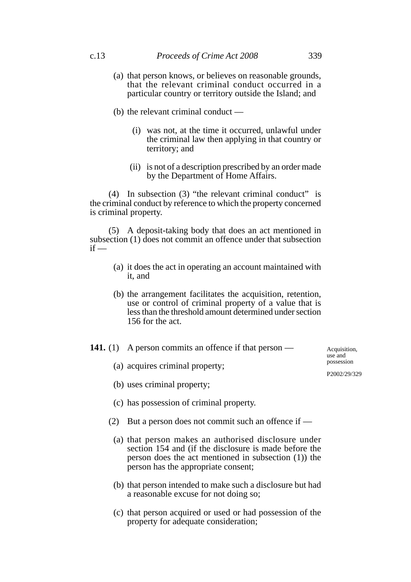- (a) that person knows, or believes on reasonable grounds, that the relevant criminal conduct occurred in a particular country or territory outside the Island; and
- (b) the relevant criminal conduct
	- (i) was not, at the time it occurred, unlawful under the criminal law then applying in that country or territory; and
	- (ii) is not of a description prescribed by an order made by the Department of Home Affairs.

(4) In subsection (3) "the relevant criminal conduct" is the criminal conduct by reference to which the property concerned is criminal property.

(5) A deposit-taking body that does an act mentioned in subsection (1) does not commit an offence under that subsection  $if -$ 

- (a) it does the act in operating an account maintained with it, and
- (b) the arrangement facilitates the acquisition, retention, use or control of criminal property of a value that is less than the threshold amount determined under section 156 for the act.

## **141.** (1) A person commits an offence if that person —

(a) acquires criminal property;

(b) uses criminal property;

- (c) has possession of criminal property.
- (2) But a person does not commit such an offence if
	- (a) that person makes an authorised disclosure under section 154 and (if the disclosure is made before the person does the act mentioned in subsection (1)) the person has the appropriate consent;
	- (b) that person intended to make such a disclosure but had a reasonable excuse for not doing so;
	- (c) that person acquired or used or had possession of the property for adequate consideration;

Acquisition, use and possession

P2002/29/329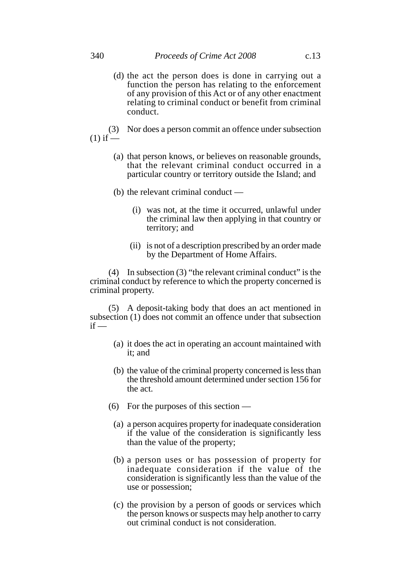(d) the act the person does is done in carrying out a function the person has relating to the enforcement of any provision of this Act or of any other enactment relating to criminal conduct or benefit from criminal conduct.

(3) Nor does a person commit an offence under subsection  $(1)$  if  $\frac{1}{2}$ 

- (a) that person knows, or believes on reasonable grounds, that the relevant criminal conduct occurred in a particular country or territory outside the Island; and
- (b) the relevant criminal conduct
	- (i) was not, at the time it occurred, unlawful under the criminal law then applying in that country or territory; and
	- (ii) is not of a description prescribed by an order made by the Department of Home Affairs.

(4) In subsection (3) "the relevant criminal conduct" is the criminal conduct by reference to which the property concerned is criminal property.

(5) A deposit-taking body that does an act mentioned in subsection (1) does not commit an offence under that subsection  $if -$ 

- (a) it does the act in operating an account maintained with it; and
- (b) the value of the criminal property concerned is less than the threshold amount determined under section 156 for the act.
- (6) For the purposes of this section
	- (a) a person acquires property for inadequate consideration if the value of the consideration is significantly less than the value of the property;
	- (b) a person uses or has possession of property for inadequate consideration if the value of the consideration is significantly less than the value of the use or possession;
	- (c) the provision by a person of goods or services which the person knows or suspects may help another to carry out criminal conduct is not consideration.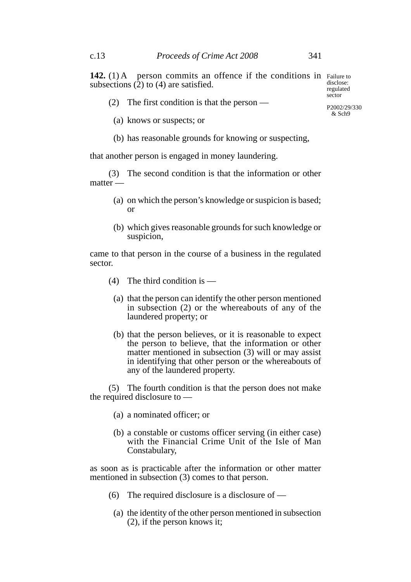**142.** (1) A person commits an offence if the conditions in Failure to subsections  $(2)$  to  $(4)$  are satisfied.

(2) The first condition is that the person —

- (a) knows or suspects; or
- (b) has reasonable grounds for knowing or suspecting,

that another person is engaged in money laundering.

(3) The second condition is that the information or other matter —

- (a) on which the person's knowledge or suspicion is based; or
- (b) which gives reasonable grounds for such knowledge or suspicion,

came to that person in the course of a business in the regulated sector.

- (4) The third condition is
	- (a) that the person can identify the other person mentioned in subsection (2) or the whereabouts of any of the laundered property; or
	- (b) that the person believes, or it is reasonable to expect the person to believe, that the information or other matter mentioned in subsection (3) will or may assist in identifying that other person or the whereabouts of any of the laundered property.

(5) The fourth condition is that the person does not make the required disclosure to —

- (a) a nominated officer; or
- (b) a constable or customs officer serving (in either case) with the Financial Crime Unit of the Isle of Man Constabulary,

as soon as is practicable after the information or other matter mentioned in subsection (3) comes to that person.

- (6) The required disclosure is a disclosure of
	- (a) the identity of the other person mentioned in subsection (2), if the person knows it;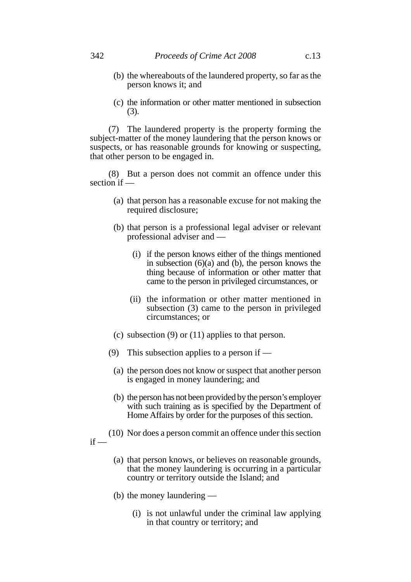- (b) the whereabouts of the laundered property, so far as the person knows it; and
- (c) the information or other matter mentioned in subsection (3).

(7) The laundered property is the property forming the subject-matter of the money laundering that the person knows or suspects, or has reasonable grounds for knowing or suspecting, that other person to be engaged in.

(8) But a person does not commit an offence under this section if —

- (a) that person has a reasonable excuse for not making the required disclosure;
- (b) that person is a professional legal adviser or relevant professional adviser and —
	- (i) if the person knows either of the things mentioned in subsection  $(6)(a)$  and  $(b)$ , the person knows the thing because of information or other matter that came to the person in privileged circumstances, or
	- (ii) the information or other matter mentioned in subsection (3) came to the person in privileged circumstances; or
- (c) subsection (9) or (11) applies to that person.
- (9) This subsection applies to a person if
	- (a) the person does not know or suspect that another person is engaged in money laundering; and
	- (b) the person has not been provided by the person's employer with such training as is specified by the Department of Home Affairs by order for the purposes of this section.
- (10) Nor does a person commit an offence under this section  $if -$ 
	- (a) that person knows, or believes on reasonable grounds, that the money laundering is occurring in a particular country or territory outside the Island; and
	- (b) the money laundering
		- (i) is not unlawful under the criminal law applying in that country or territory; and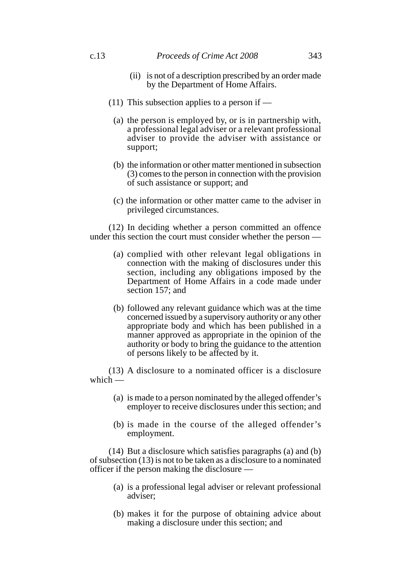#### c.13 *Proceeds of Crime Act 2008* 343

- (ii) is not of a description prescribed by an order made by the Department of Home Affairs.
- (11) This subsection applies to a person if  $-$ 
	- (a) the person is employed by, or is in partnership with, a professional legal adviser or a relevant professional adviser to provide the adviser with assistance or support;
	- (b) the information or other matter mentioned in subsection (3) comes to the person in connection with the provision of such assistance or support; and
	- (c) the information or other matter came to the adviser in privileged circumstances.

(12) In deciding whether a person committed an offence under this section the court must consider whether the person —

- (a) complied with other relevant legal obligations in connection with the making of disclosures under this section, including any obligations imposed by the Department of Home Affairs in a code made under section 157; and
- (b) followed any relevant guidance which was at the time concerned issued by a supervisory authority or any other appropriate body and which has been published in a manner approved as appropriate in the opinion of the authority or body to bring the guidance to the attention of persons likely to be affected by it.

(13) A disclosure to a nominated officer is a disclosure which —

- (a) is made to a person nominated by the alleged offender's employer to receive disclosures under this section; and
- (b) is made in the course of the alleged offender's employment.

(14) But a disclosure which satisfies paragraphs (a) and (b) of subsection (13) is not to be taken as a disclosure to a nominated officer if the person making the disclosure —

- (a) is a professional legal adviser or relevant professional adviser;
- (b) makes it for the purpose of obtaining advice about making a disclosure under this section; and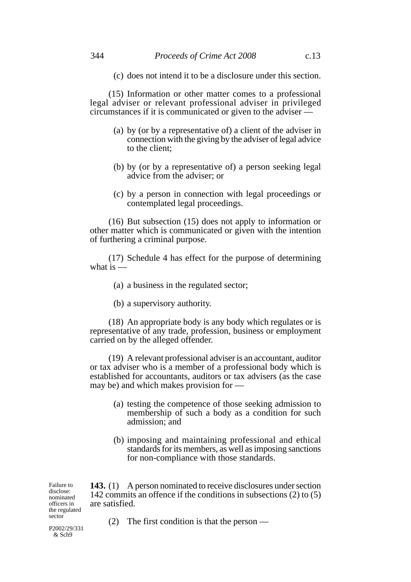(c) does not intend it to be a disclosure under this section.

(15) Information or other matter comes to a professional legal adviser or relevant professional adviser in privileged circumstances if it is communicated or given to the adviser —

- (a) by (or by a representative of) a client of the adviser in connection with the giving by the adviser of legal advice to the client;
- (b) by (or by a representative of) a person seeking legal advice from the adviser; or
- (c) by a person in connection with legal proceedings or contemplated legal proceedings.

(16) But subsection (15) does not apply to information or other matter which is communicated or given with the intention of furthering a criminal purpose.

(17) Schedule 4 has effect for the purpose of determining what is  $-$ 

- (a) a business in the regulated sector;
- (b) a supervisory authority.

(18) An appropriate body is any body which regulates or is representative of any trade, profession, business or employment carried on by the alleged offender.

(19) A relevant professional adviser is an accountant, auditor or tax adviser who is a member of a professional body which is established for accountants, auditors or tax advisers (as the case may be) and which makes provision for —

- (a) testing the competence of those seeking admission to membership of such a body as a condition for such admission; and
- (b) imposing and maintaining professional and ethical standards for its members, as well as imposing sanctions for non-compliance with those standards.

**143.** (1) A person nominated to receive disclosures under section 142 commits an offence if the conditions in subsections (2) to (5) are satisfied.

Failure to disclose: nominated officers in the regulated sector

P2002/29/331 & Sch9

(2) The first condition is that the person —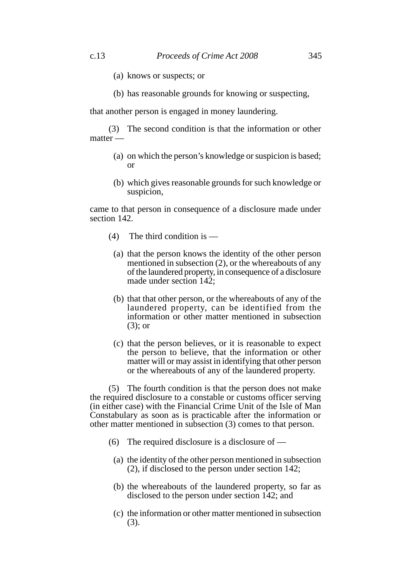- (a) knows or suspects; or
- (b) has reasonable grounds for knowing or suspecting,

that another person is engaged in money laundering.

(3) The second condition is that the information or other matter -

- (a) on which the person's knowledge or suspicion is based; or
- (b) which gives reasonable grounds for such knowledge or suspicion,

came to that person in consequence of a disclosure made under section 142.

- (4) The third condition is
	- (a) that the person knows the identity of the other person mentioned in subsection (2), or the whereabouts of any of the laundered property, in consequence of a disclosure made under section  $142$ :
	- (b) that that other person, or the whereabouts of any of the laundered property, can be identified from the information or other matter mentioned in subsection (3); or
	- (c) that the person believes, or it is reasonable to expect the person to believe, that the information or other matter will or may assist in identifying that other person or the whereabouts of any of the laundered property.

(5) The fourth condition is that the person does not make the required disclosure to a constable or customs officer serving (in either case) with the Financial Crime Unit of the Isle of Man Constabulary as soon as is practicable after the information or other matter mentioned in subsection (3) comes to that person.

- (6) The required disclosure is a disclosure of
	- (a) the identity of the other person mentioned in subsection (2), if disclosed to the person under section 142;
	- (b) the whereabouts of the laundered property, so far as disclosed to the person under section 142; and
	- (c) the information or other matter mentioned in subsection (3).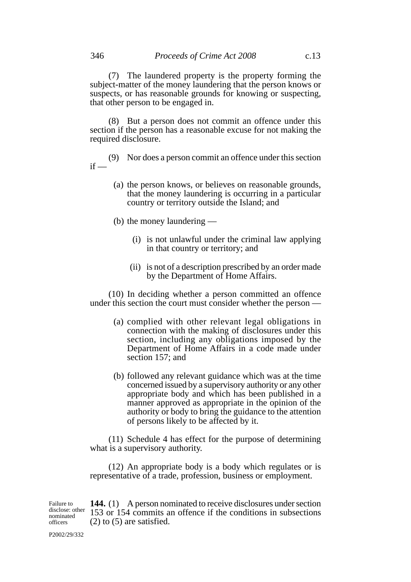(7) The laundered property is the property forming the subject-matter of the money laundering that the person knows or suspects, or has reasonable grounds for knowing or suspecting, that other person to be engaged in.

(8) But a person does not commit an offence under this section if the person has a reasonable excuse for not making the required disclosure.

(9) Nor does a person commit an offence under this section  $if -$ 

- (a) the person knows, or believes on reasonable grounds, that the money laundering is occurring in a particular country or territory outside the Island; and
- (b) the money laundering
	- (i) is not unlawful under the criminal law applying in that country or territory; and
	- (ii) is not of a description prescribed by an order made by the Department of Home Affairs.

(10) In deciding whether a person committed an offence under this section the court must consider whether the person —

- (a) complied with other relevant legal obligations in connection with the making of disclosures under this section, including any obligations imposed by the Department of Home Affairs in a code made under section 157; and
- (b) followed any relevant guidance which was at the time concerned issued by a supervisory authority or any other appropriate body and which has been published in a manner approved as appropriate in the opinion of the authority or body to bring the guidance to the attention of persons likely to be affected by it.

(11) Schedule 4 has effect for the purpose of determining what is a supervisory authority.

(12) An appropriate body is a body which regulates or is representative of a trade, profession, business or employment.

**144.** (1) A person nominated to receive disclosures under section 153 or 154 commits an offence if the conditions in subsections (2) to (5) are satisfied. Failure to disclose: other nominated officers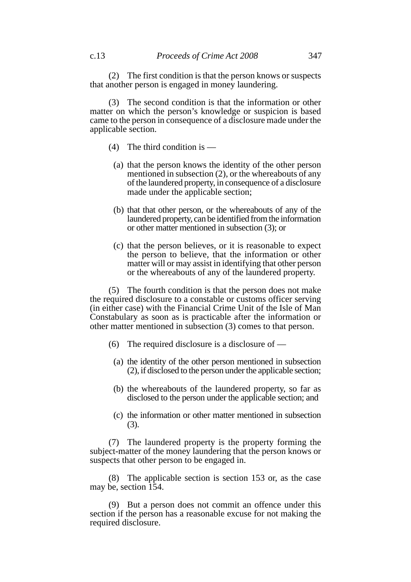(2) The first condition is that the person knows or suspects that another person is engaged in money laundering.

(3) The second condition is that the information or other matter on which the person's knowledge or suspicion is based came to the person in consequence of a disclosure made under the applicable section.

- (4) The third condition is
	- (a) that the person knows the identity of the other person mentioned in subsection (2), or the whereabouts of any of the laundered property, in consequence of a disclosure made under the applicable section;
	- (b) that that other person, or the whereabouts of any of the laundered property, can be identified from the information or other matter mentioned in subsection (3); or
	- (c) that the person believes, or it is reasonable to expect the person to believe, that the information or other matter will or may assist in identifying that other person or the whereabouts of any of the laundered property.

(5) The fourth condition is that the person does not make the required disclosure to a constable or customs officer serving (in either case) with the Financial Crime Unit of the Isle of Man Constabulary as soon as is practicable after the information or other matter mentioned in subsection (3) comes to that person.

- (6) The required disclosure is a disclosure of  $-$ 
	- (a) the identity of the other person mentioned in subsection (2), if disclosed to the person under the applicable section;
	- (b) the whereabouts of the laundered property, so far as disclosed to the person under the applicable section; and
	- (c) the information or other matter mentioned in subsection (3).

(7) The laundered property is the property forming the subject-matter of the money laundering that the person knows or suspects that other person to be engaged in.

(8) The applicable section is section 153 or, as the case may be, section 154.

(9) But a person does not commit an offence under this section if the person has a reasonable excuse for not making the required disclosure.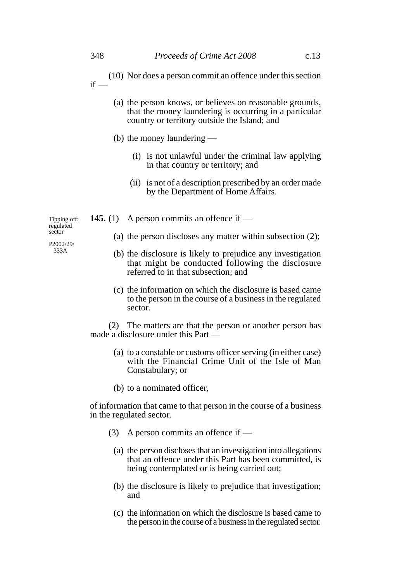- (10) Nor does a person commit an offence under this section  $if -$ 
	- (a) the person knows, or believes on reasonable grounds, that the money laundering is occurring in a particular country or territory outside the Island; and
	- (b) the money laundering
		- (i) is not unlawful under the criminal law applying in that country or territory; and
		- (ii) is not of a description prescribed by an order made by the Department of Home Affairs.
- **145.** (1) A person commits an offence if
	- (a) the person discloses any matter within subsection (2);
	- (b) the disclosure is likely to prejudice any investigation that might be conducted following the disclosure referred to in that subsection; and
	- (c) the information on which the disclosure is based came to the person in the course of a business in the regulated sector.

(2) The matters are that the person or another person has made a disclosure under this Part —

- (a) to a constable or customs officer serving (in either case) with the Financial Crime Unit of the Isle of Man Constabulary; or
- (b) to a nominated officer,

of information that came to that person in the course of a business in the regulated sector.

- (3) A person commits an offence if
	- (a) the person discloses that an investigation into allegations that an offence under this Part has been committed, is being contemplated or is being carried out;
	- (b) the disclosure is likely to prejudice that investigation; and
	- (c) the information on which the disclosure is based came to the person in the course of a business in the regulated sector.

Tipping off: regulated sector

P2002/29/ 333A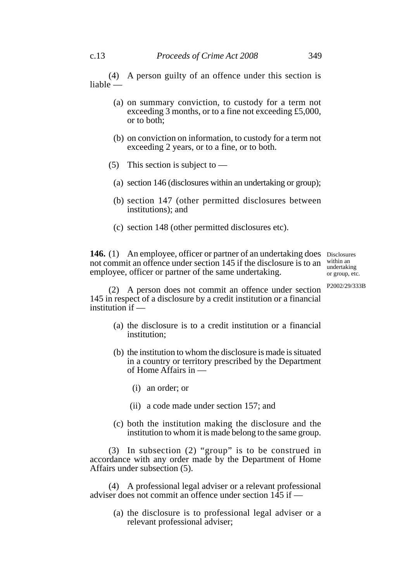(4) A person guilty of an offence under this section is liable —

- (a) on summary conviction, to custody for a term not exceeding 3 months, or to a fine not exceeding £5,000, or to both;
- (b) on conviction on information, to custody for a term not exceeding 2 years, or to a fine, or to both.
- (5) This section is subject to  $-$ 
	- (a) section 146 (disclosures within an undertaking or group);
	- (b) section 147 (other permitted disclosures between institutions); and
	- (c) section 148 (other permitted disclosures etc).

146. (1) An employee, officer or partner of an undertaking does Disclosures not commit an offence under section 145 if the disclosure is to an employee, officer or partner of the same undertaking. within an undertaking or group, etc.

P2002/29/333B

(2) A person does not commit an offence under section 145 in respect of a disclosure by a credit institution or a financial institution if  $-$ 

- (a) the disclosure is to a credit institution or a financial institution;
- (b) the institution to whom the disclosure is made is situated in a country or territory prescribed by the Department of Home Affairs in —
	- (i) an order; or
	- (ii) a code made under section 157; and
- (c) both the institution making the disclosure and the institution to whom it is made belong to the same group.

(3) In subsection (2) "group" is to be construed in accordance with any order made by the Department of Home Affairs under subsection (5).

(4) A professional legal adviser or a relevant professional adviser does not commit an offence under section  $145$  if —

(a) the disclosure is to professional legal adviser or a relevant professional adviser;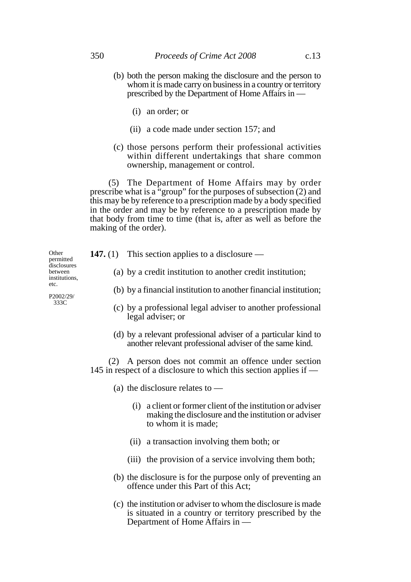- (b) both the person making the disclosure and the person to whom it is made carry on business in a country or territory prescribed by the Department of Home Affairs in —
	- (i) an order; or
	- (ii) a code made under section 157; and
- (c) those persons perform their professional activities within different undertakings that share common ownership, management or control.

(5) The Department of Home Affairs may by order prescribe what is a "group" for the purposes of subsection (2) and this may be by reference to a prescription made by a body specified in the order and may be by reference to a prescription made by that body from time to time (that is, after as well as before the making of the order).

| Other<br>permitted                                                   | 147. $(1)$ | This section applies to a disclosure $-$                                                                                  |
|----------------------------------------------------------------------|------------|---------------------------------------------------------------------------------------------------------------------------|
| disclosures<br>between<br>institutions,<br>etc.<br>P2002/29/<br>333C |            | (a) by a credit institution to another credit institution;                                                                |
|                                                                      |            | (b) by a financial institution to another financial institution;                                                          |
|                                                                      |            | (c) by a professional legal adviser to another professional<br>legal adviser; or                                          |
|                                                                      |            | (d) by a relevant professional adviser of a particular kind to<br>another relevant professional adviser of the same kind. |

(2) A person does not commit an offence under section 145 in respect of a disclosure to which this section applies if —

- (a) the disclosure relates to
	- (i) a client or former client of the institution or adviser making the disclosure and the institution or adviser to whom it is made;
	- (ii) a transaction involving them both; or
	- (iii) the provision of a service involving them both;
- (b) the disclosure is for the purpose only of preventing an offence under this Part of this Act;
- (c) the institution or adviser to whom the disclosure is made is situated in a country or territory prescribed by the Department of Home Affairs in —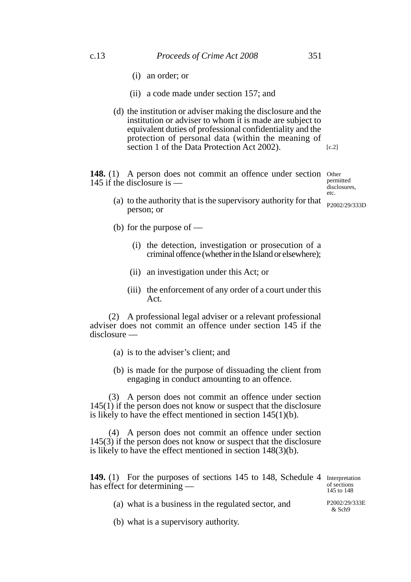- (i) an order; or
- (ii) a code made under section 157; and
- (d) the institution or adviser making the disclosure and the institution or adviser to whom it is made are subject to equivalent duties of professional confidentiality and the protection of personal data (within the meaning of section 1 of the Data Protection Act 2002).  $[c.2]$

148. (1) A person does not commit an offence under section Other 145 if the disclosure is —

permitted disclosures, etc.

- (a) to the authority that is the supervisory authority for that person; or
- (b) for the purpose of
	- (i) the detection, investigation or prosecution of a criminal offence (whether in the Island or elsewhere);
	- (ii) an investigation under this Act; or
	- (iii) the enforcement of any order of a court under this Act.

(2) A professional legal adviser or a relevant professional adviser does not commit an offence under section 145 if the disclosure —

- (a) is to the adviser's client; and
- (b) is made for the purpose of dissuading the client from engaging in conduct amounting to an offence.

(3) A person does not commit an offence under section 145(1) if the person does not know or suspect that the disclosure is likely to have the effect mentioned in section 145(1)(b).

(4) A person does not commit an offence under section 145(3) if the person does not know or suspect that the disclosure is likely to have the effect mentioned in section 148(3)(b).

149. (1) For the purposes of sections 145 to 148, Schedule 4 Interpretation has effect for determining —

of sections 145 to 148

(a) what is a business in the regulated sector, and

(b) what is a supervisory authority.

P2002/29/333D

P2002/29/333E  $&$  Sch $9$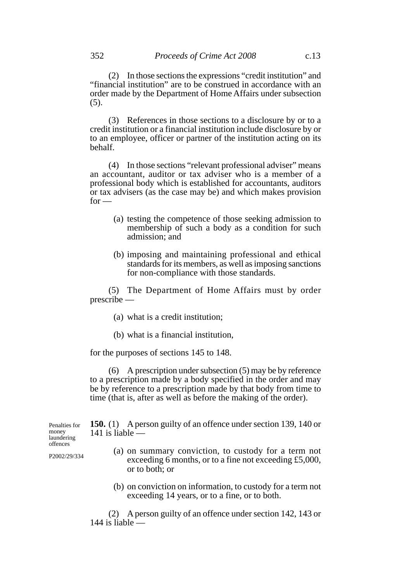(2) In those sections the expressions "credit institution" and "financial institution" are to be construed in accordance with an order made by the Department of Home Affairs under subsection (5).

(3) References in those sections to a disclosure by or to a credit institution or a financial institution include disclosure by or to an employee, officer or partner of the institution acting on its behalf.

(4) In those sections "relevant professional adviser" means an accountant, auditor or tax adviser who is a member of a professional body which is established for accountants, auditors or tax advisers (as the case may be) and which makes provision  $for -$ 

- (a) testing the competence of those seeking admission to membership of such a body as a condition for such admission; and
- (b) imposing and maintaining professional and ethical standards for its members, as well as imposing sanctions for non-compliance with those standards.

(5) The Department of Home Affairs must by order prescribe —

- (a) what is a credit institution;
- (b) what is a financial institution,

for the purposes of sections 145 to 148.

(6) A prescription under subsection (5) may be by reference to a prescription made by a body specified in the order and may be by reference to a prescription made by that body from time to time (that is, after as well as before the making of the order).

**150.** (1) A person guilty of an offence under section 139, 140 or 141 is liable —

- (a) on summary conviction, to custody for a term not exceeding 6 months, or to a fine not exceeding £5,000, or to both; or
- (b) on conviction on information, to custody for a term not exceeding 14 years, or to a fine, or to both.

(2) A person guilty of an offence under section 142, 143 or  $144$  is liable  $\sim$ 

Penalties for money laundering offences

P2002/29/334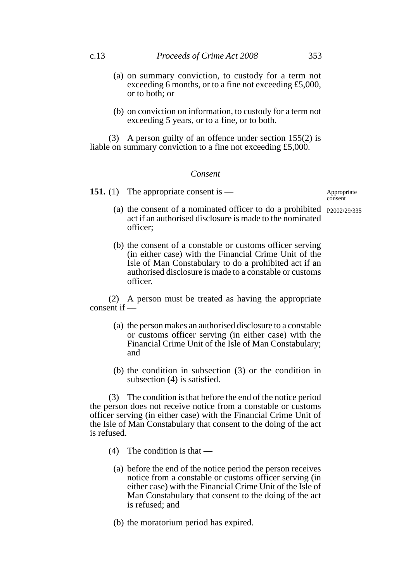- (a) on summary conviction, to custody for a term not exceeding 6 months, or to a fine not exceeding £5,000, or to both; or
- (b) on conviction on information, to custody for a term not exceeding 5 years, or to a fine, or to both.

(3) A person guilty of an offence under section 155(2) is liable on summary conviction to a fine not exceeding £5,000.

### *Consent*

**151.** (1) The appropriate consent is —

# Appropriate

- (a) the consent of a nominated officer to do a prohibited P2002/29/335act if an authorised disclosure is made to the nominated officer;
- (b) the consent of a constable or customs officer serving (in either case) with the Financial Crime Unit of the Isle of Man Constabulary to do a prohibited act if an authorised disclosure is made to a constable or customs officer.

(2) A person must be treated as having the appropriate consent if —

- (a) the person makes an authorised disclosure to a constable or customs officer serving (in either case) with the Financial Crime Unit of the Isle of Man Constabulary; and
- (b) the condition in subsection (3) or the condition in subsection (4) is satisfied.

(3) The condition is that before the end of the notice period the person does not receive notice from a constable or customs officer serving (in either case) with the Financial Crime Unit of the Isle of Man Constabulary that consent to the doing of the act is refused.

- (4) The condition is that
	- (a) before the end of the notice period the person receives notice from a constable or customs officer serving (in either case) with the Financial Crime Unit of the Isle of Man Constabulary that consent to the doing of the act is refused; and
	- (b) the moratorium period has expired.

consent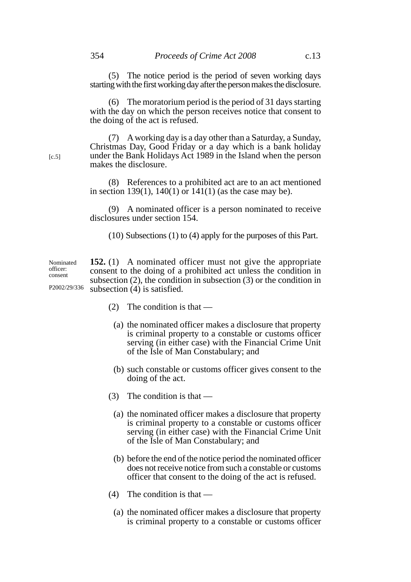(5) The notice period is the period of seven working days starting with the first working day after the person makes the disclosure.

(6) The moratorium period is the period of 31 days starting with the day on which the person receives notice that consent to the doing of the act is refused.

(7) A working day is a day other than a Saturday, a Sunday, Christmas Day, Good Friday or a day which is a bank holiday under the Bank Holidays Act 1989 in the Island when the person makes the disclosure.

(8) References to a prohibited act are to an act mentioned in section 139(1),  $140(1)$  or  $141(1)$  (as the case may be).

(9) A nominated officer is a person nominated to receive disclosures under section 154.

(10) Subsections (1) to (4) apply for the purposes of this Part.

**152.** (1) A nominated officer must not give the appropriate consent to the doing of a prohibited act unless the condition in subsection (2), the condition in subsection (3) or the condition in subsection (4) is satisfied. Nominated officer: consent P2002/29/336

- (2) The condition is that
	- (a) the nominated officer makes a disclosure that property is criminal property to a constable or customs officer serving (in either case) with the Financial Crime Unit of the Isle of Man Constabulary; and
	- (b) such constable or customs officer gives consent to the doing of the act.
- (3) The condition is that
	- (a) the nominated officer makes a disclosure that property is criminal property to a constable or customs officer serving (in either case) with the Financial Crime Unit of the Isle of Man Constabulary; and
	- (b) before the end of the notice period the nominated officer does not receive notice from such a constable or customs officer that consent to the doing of the act is refused.
- (4) The condition is that
	- (a) the nominated officer makes a disclosure that property is criminal property to a constable or customs officer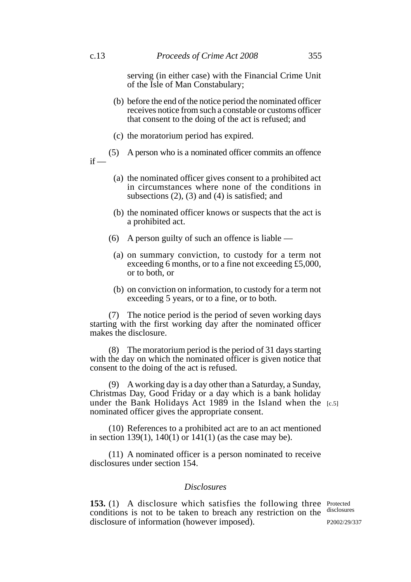serving (in either case) with the Financial Crime Unit of the Isle of Man Constabulary;

- (b) before the end of the notice period the nominated officer receives notice from such a constable or customs officer that consent to the doing of the act is refused; and
- (c) the moratorium period has expired.
- (5) A person who is a nominated officer commits an offence  $if -$ 
	- (a) the nominated officer gives consent to a prohibited act in circumstances where none of the conditions in subsections (2), (3) and (4) is satisfied; and
	- (b) the nominated officer knows or suspects that the act is a prohibited act.
	- (6) A person guilty of such an offence is liable
		- (a) on summary conviction, to custody for a term not exceeding 6 months, or to a fine not exceeding £5,000, or to both, or
		- (b) on conviction on information, to custody for a term not exceeding 5 years, or to a fine, or to both.

(7) The notice period is the period of seven working days starting with the first working day after the nominated officer makes the disclosure.

(8) The moratorium period is the period of 31 days starting with the day on which the nominated officer is given notice that consent to the doing of the act is refused.

(9) A working day is a day other than a Saturday, a Sunday, Christmas Day, Good Friday or a day which is a bank holiday under the Bank Holidays Act 1989 in the Island when the [c.5]nominated officer gives the appropriate consent.

(10) References to a prohibited act are to an act mentioned in section 139(1), 140(1) or  $141(1)$  (as the case may be).

(11) A nominated officer is a person nominated to receive disclosures under section 154.

#### *Disclosures*

**153.** (1) A disclosure which satisfies the following three Protected conditions is not to be taken to breach any restriction on the disclosures disclosure of information (however imposed).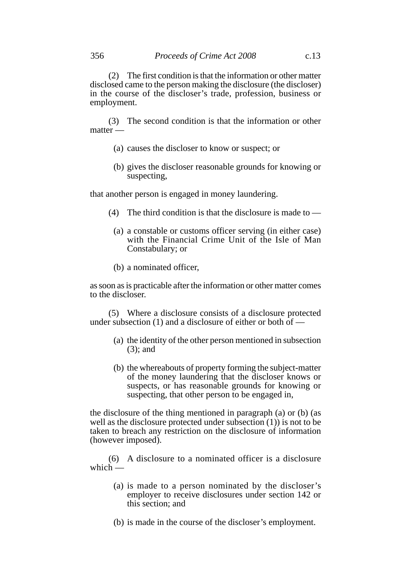(2) The first condition is that the information or other matter disclosed came to the person making the disclosure (the discloser) in the course of the discloser's trade, profession, business or employment.

(3) The second condition is that the information or other matter —

- (a) causes the discloser to know or suspect; or
- (b) gives the discloser reasonable grounds for knowing or suspecting,

that another person is engaged in money laundering.

- (4) The third condition is that the disclosure is made to  $-$ 
	- (a) a constable or customs officer serving (in either case) with the Financial Crime Unit of the Isle of Man Constabulary; or
	- (b) a nominated officer,

as soon as is practicable after the information or other matter comes to the discloser.

(5) Where a disclosure consists of a disclosure protected under subsection  $(1)$  and a disclosure of either or both of —

- (a) the identity of the other person mentioned in subsection (3); and
- (b) the whereabouts of property forming the subject-matter of the money laundering that the discloser knows or suspects, or has reasonable grounds for knowing or suspecting, that other person to be engaged in,

the disclosure of the thing mentioned in paragraph (a) or (b) (as well as the disclosure protected under subsection (1)) is not to be taken to breach any restriction on the disclosure of information (however imposed).

(6) A disclosure to a nominated officer is a disclosure which  $-$ 

- (a) is made to a person nominated by the discloser's employer to receive disclosures under section 142 or this section; and
- (b) is made in the course of the discloser's employment.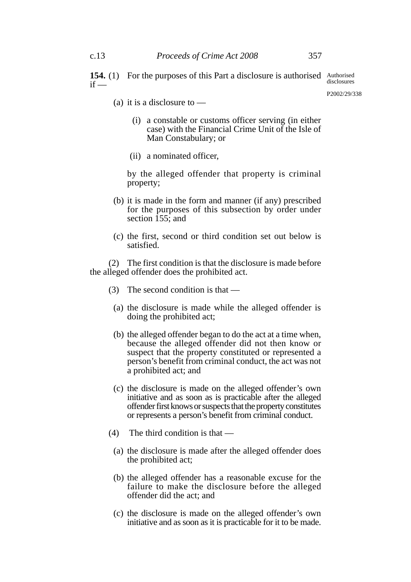**154.** (1) For the purposes of this Part a disclosure is authorised Authorised  $if$ disclosures

- (a) it is a disclosure to  $-$ 
	- (i) a constable or customs officer serving (in either case) with the Financial Crime Unit of the Isle of Man Constabulary; or
	- (ii) a nominated officer,

by the alleged offender that property is criminal property;

- (b) it is made in the form and manner (if any) prescribed for the purposes of this subsection by order under section  $\overline{155}$ ; and
- (c) the first, second or third condition set out below is satisfied.

(2) The first condition is that the disclosure is made before the alleged offender does the prohibited act.

- (3) The second condition is that
	- (a) the disclosure is made while the alleged offender is doing the prohibited act;
	- (b) the alleged offender began to do the act at a time when, because the alleged offender did not then know or suspect that the property constituted or represented a person's benefit from criminal conduct, the act was not a prohibited act; and
	- (c) the disclosure is made on the alleged offender's own initiative and as soon as is practicable after the alleged offender first knows or suspects that the property constitutes or represents a person's benefit from criminal conduct.
- (4) The third condition is that
	- (a) the disclosure is made after the alleged offender does the prohibited act;
	- (b) the alleged offender has a reasonable excuse for the failure to make the disclosure before the alleged offender did the act; and
	- (c) the disclosure is made on the alleged offender's own initiative and as soon as it is practicable for it to be made.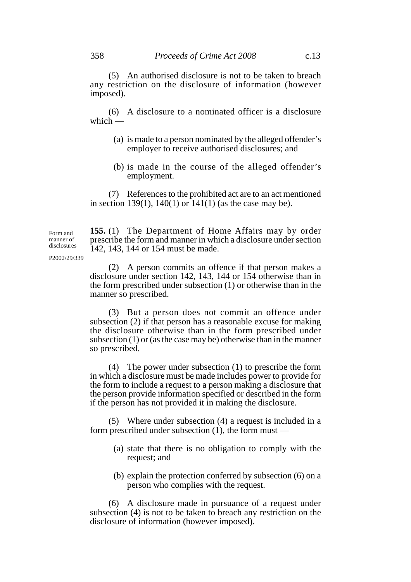(5) An authorised disclosure is not to be taken to breach any restriction on the disclosure of information (however imposed).

(6) A disclosure to a nominated officer is a disclosure which  $-$ 

- (a) is made to a person nominated by the alleged offender's employer to receive authorised disclosures; and
- (b) is made in the course of the alleged offender's employment.

(7) References to the prohibited act are to an act mentioned in section 139(1),  $140(1)$  or  $141(1)$  (as the case may be).

**155.** (1) The Department of Home Affairs may by order prescribe the form and manner in which a disclosure under section 142, 143, 144 or 154 must be made.

P2002/29/339

Form and manner of disclosures

> (2) A person commits an offence if that person makes a disclosure under section 142, 143, 144 or 154 otherwise than in the form prescribed under subsection (1) or otherwise than in the manner so prescribed.

> (3) But a person does not commit an offence under subsection (2) if that person has a reasonable excuse for making the disclosure otherwise than in the form prescribed under subsection (1) or (as the case may be) otherwise than in the manner so prescribed.

> (4) The power under subsection (1) to prescribe the form in which a disclosure must be made includes power to provide for the form to include a request to a person making a disclosure that the person provide information specified or described in the form if the person has not provided it in making the disclosure.

> (5) Where under subsection (4) a request is included in a form prescribed under subsection (1), the form must —

- (a) state that there is no obligation to comply with the request; and
- (b) explain the protection conferred by subsection (6) on a person who complies with the request.

(6) A disclosure made in pursuance of a request under subsection (4) is not to be taken to breach any restriction on the disclosure of information (however imposed).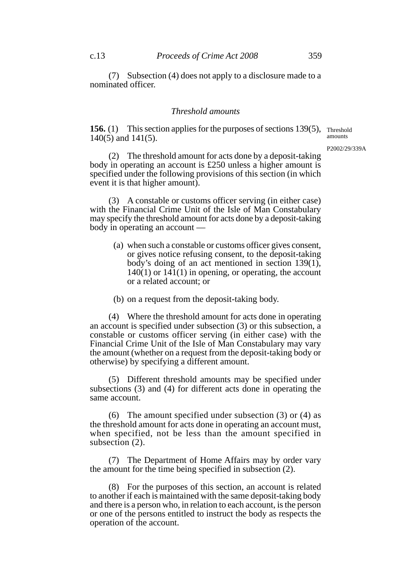(7) Subsection (4) does not apply to a disclosure made to a nominated officer.

### *Threshold amounts*

**156.** (1) This section applies for the purposes of sections 139(5), Threshold 140(5) and 141(5). amounts

P2002/29/339A

(2) The threshold amount for acts done by a deposit-taking body in operating an account is £250 unless a higher amount is specified under the following provisions of this section (in which event it is that higher amount).

(3) A constable or customs officer serving (in either case) with the Financial Crime Unit of the Isle of Man Constabulary may specify the threshold amount for acts done by a deposit-taking body in operating an account —

- (a) when such a constable or customs officer gives consent, or gives notice refusing consent, to the deposit-taking body's doing of an act mentioned in section 139(1),  $140(1)$  or  $141(1)$  in opening, or operating, the account or a related account; or
- (b) on a request from the deposit-taking body.

(4) Where the threshold amount for acts done in operating an account is specified under subsection (3) or this subsection, a constable or customs officer serving (in either case) with the Financial Crime Unit of the Isle of Man Constabulary may vary the amount (whether on a request from the deposit-taking body or otherwise) by specifying a different amount.

(5) Different threshold amounts may be specified under subsections (3) and (4) for different acts done in operating the same account.

(6) The amount specified under subsection (3) or (4) as the threshold amount for acts done in operating an account must, when specified, not be less than the amount specified in subsection (2).

(7) The Department of Home Affairs may by order vary the amount for the time being specified in subsection (2).

(8) For the purposes of this section, an account is related to another if each is maintained with the same deposit-taking body and there is a person who, in relation to each account, is the person or one of the persons entitled to instruct the body as respects the operation of the account.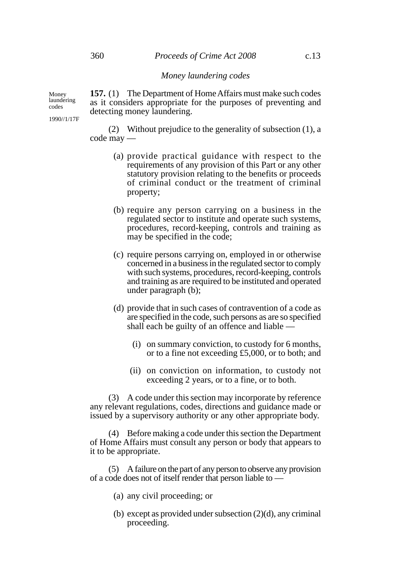#### *Money laundering codes*

**157.** (1) The Department of Home Affairs must make such codes as it considers appropriate for the purposes of preventing and detecting money laundering.

(2) Without prejudice to the generality of subsection (1), a code may —

- (a) provide practical guidance with respect to the requirements of any provision of this Part or any other statutory provision relating to the benefits or proceeds of criminal conduct or the treatment of criminal property;
- (b) require any person carrying on a business in the regulated sector to institute and operate such systems, procedures, record-keeping, controls and training as may be specified in the code;
- (c) require persons carrying on, employed in or otherwise concerned in a business in the regulated sector to comply with such systems, procedures, record-keeping, controls and training as are required to be instituted and operated under paragraph (b);
- (d) provide that in such cases of contravention of a code as are specified in the code, such persons as are so specified shall each be guilty of an offence and liable —
	- (i) on summary conviction, to custody for 6 months, or to a fine not exceeding £5,000, or to both; and
	- (ii) on conviction on information, to custody not exceeding 2 years, or to a fine, or to both.

(3) A code under this section may incorporate by reference any relevant regulations, codes, directions and guidance made or issued by a supervisory authority or any other appropriate body.

(4) Before making a code under this section the Department of Home Affairs must consult any person or body that appears to it to be appropriate.

(5) A failure on the part of any person to observe any provision of a code does not of itself render that person liable to —

- (a) any civil proceeding; or
- (b) except as provided under subsection (2)(d), any criminal proceeding.

Money laundering codes

1990//1/17F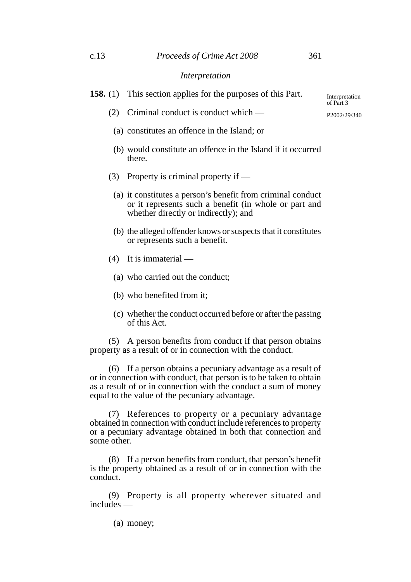#### c.13 *Proceeds of Crime Act 2008* 361

#### *Interpretation*

**158.** (1) This section applies for the purposes of this Part.

(2) Criminal conduct is conduct which —

P2002/29/340

- (a) constitutes an offence in the Island; or
- (b) would constitute an offence in the Island if it occurred there.
- (3) Property is criminal property if
	- (a) it constitutes a person's benefit from criminal conduct or it represents such a benefit (in whole or part and whether directly or indirectly); and
	- (b) the alleged offender knows or suspects that it constitutes or represents such a benefit.
- (4) It is immaterial
	- (a) who carried out the conduct;
	- (b) who benefited from it;
	- (c) whether the conduct occurred before or after the passing of this Act.

(5) A person benefits from conduct if that person obtains property as a result of or in connection with the conduct.

(6) If a person obtains a pecuniary advantage as a result of or in connection with conduct, that person is to be taken to obtain as a result of or in connection with the conduct a sum of money equal to the value of the pecuniary advantage.

(7) References to property or a pecuniary advantage obtained in connection with conduct include references to property or a pecuniary advantage obtained in both that connection and some other.

(8) If a person benefits from conduct, that person's benefit is the property obtained as a result of or in connection with the conduct.

(9) Property is all property wherever situated and includes —

(a) money;

Interpretation of Part 3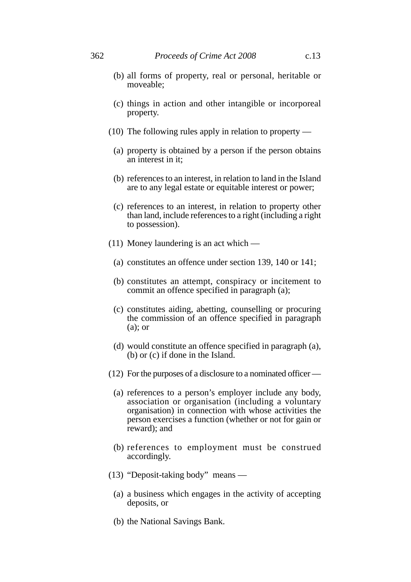- (c) things in action and other intangible or incorporeal property.
- (10) The following rules apply in relation to property
	- (a) property is obtained by a person if the person obtains an interest in it;
	- (b) references to an interest, in relation to land in the Island are to any legal estate or equitable interest or power;
	- (c) references to an interest, in relation to property other than land, include references to a right (including a right to possession).
- (11) Money laundering is an act which
	- (a) constitutes an offence under section 139, 140 or 141;
	- (b) constitutes an attempt, conspiracy or incitement to commit an offence specified in paragraph (a);
	- (c) constitutes aiding, abetting, counselling or procuring the commission of an offence specified in paragraph (a); or
	- (d) would constitute an offence specified in paragraph (a), (b) or (c) if done in the Island.
- (12) For the purposes of a disclosure to a nominated officer
	- (a) references to a person's employer include any body, association or organisation (including a voluntary organisation) in connection with whose activities the person exercises a function (whether or not for gain or reward); and
	- (b) references to employment must be construed accordingly.
- (13) "Deposit-taking body" means
	- (a) a business which engages in the activity of accepting deposits, or
	- (b) the National Savings Bank.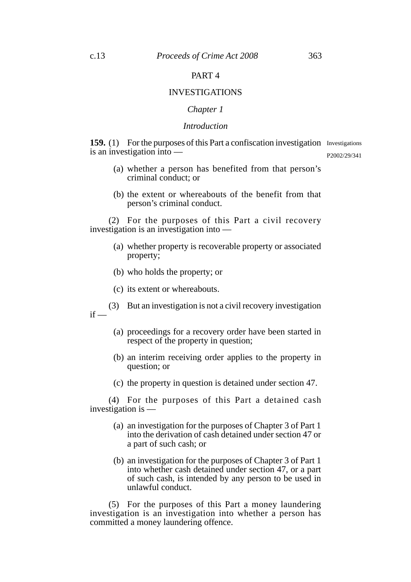# PART 4

## INVESTIGATIONS

# *Chapter 1*

## *Introduction*

**159.** (1) For the purposes of this Part a confiscation investigation Investigations is an investigation into —

P2002/29/341

- (a) whether a person has benefited from that person's criminal conduct; or
- (b) the extent or whereabouts of the benefit from that person's criminal conduct.

(2) For the purposes of this Part a civil recovery investigation is an investigation into —

- (a) whether property is recoverable property or associated property;
- (b) who holds the property; or
- (c) its extent or whereabouts.

(3) But an investigation is not a civil recovery investigation  $if -$ 

- (a) proceedings for a recovery order have been started in respect of the property in question;
- (b) an interim receiving order applies to the property in question; or
- (c) the property in question is detained under section 47.

(4) For the purposes of this Part a detained cash investigation is —

- (a) an investigation for the purposes of Chapter 3 of Part 1 into the derivation of cash detained under section 47 or a part of such cash; or
- (b) an investigation for the purposes of Chapter 3 of Part 1 into whether cash detained under section 47, or a part of such cash, is intended by any person to be used in unlawful conduct.

(5) For the purposes of this Part a money laundering investigation is an investigation into whether a person has committed a money laundering offence.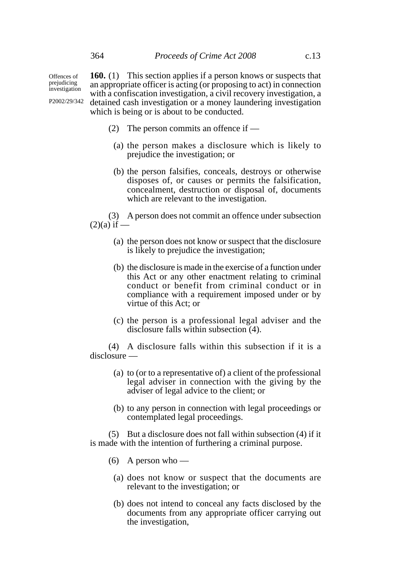Offences of prejudicing

**160.** (1) This section applies if a person knows or suspects that an appropriate officer is acting (or proposing to act) in connection with a confiscation investigation, a civil recovery investigation, a detained cash investigation or a money laundering investigation which is being or is about to be conducted. investigation P2002/29/342

- (2) The person commits an offence if
	- (a) the person makes a disclosure which is likely to prejudice the investigation; or
	- (b) the person falsifies, conceals, destroys or otherwise disposes of, or causes or permits the falsification, concealment, destruction or disposal of, documents which are relevant to the investigation.

(3) A person does not commit an offence under subsection  $(2)(a)$  if  $-$ 

- (a) the person does not know or suspect that the disclosure is likely to prejudice the investigation;
- (b) the disclosure is made in the exercise of a function under this Act or any other enactment relating to criminal conduct or benefit from criminal conduct or in compliance with a requirement imposed under or by virtue of this Act; or
- (c) the person is a professional legal adviser and the disclosure falls within subsection (4).

(4) A disclosure falls within this subsection if it is a disclosure —

- (a) to (or to a representative of) a client of the professional legal adviser in connection with the giving by the adviser of legal advice to the client; or
- (b) to any person in connection with legal proceedings or contemplated legal proceedings.

(5) But a disclosure does not fall within subsection (4) if it is made with the intention of furthering a criminal purpose.

- (6) A person who
	- (a) does not know or suspect that the documents are relevant to the investigation; or
	- (b) does not intend to conceal any facts disclosed by the documents from any appropriate officer carrying out the investigation,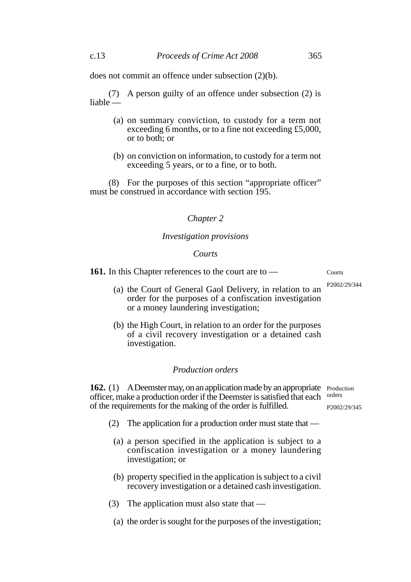does not commit an offence under subsection (2)(b).

(7) A person guilty of an offence under subsection (2) is liable —

- (a) on summary conviction, to custody for a term not exceeding 6 months, or to a fine not exceeding £5,000, or to both; or
- (b) on conviction on information, to custody for a term not exceeding 5 years, or to a fine, or to both.

(8) For the purposes of this section "appropriate officer" must be construed in accordance with section 195.

## *Chapter 2*

#### *Investigation provisions*

#### *Courts*

**161.** In this Chapter references to the court are to — Courts

- (a) the Court of General Gaol Delivery, in relation to an order for the purposes of a confiscation investigation or a money laundering investigation; P2002/29/344
	- (b) the High Court, in relation to an order for the purposes of a civil recovery investigation or a detained cash investigation.

### *Production orders*

162. (1) A Deemster may, on an application made by an appropriate Production officer, make a production order if the Deemster is satisfied that each orders of the requirements for the making of the order is fulfilled.

- (2) The application for a production order must state that
	- (a) a person specified in the application is subject to a confiscation investigation or a money laundering investigation; or
	- (b) property specified in the application is subject to a civil recovery investigation or a detained cash investigation.
- (3) The application must also state that  $-$
- (a) the order is sought for the purposes of the investigation;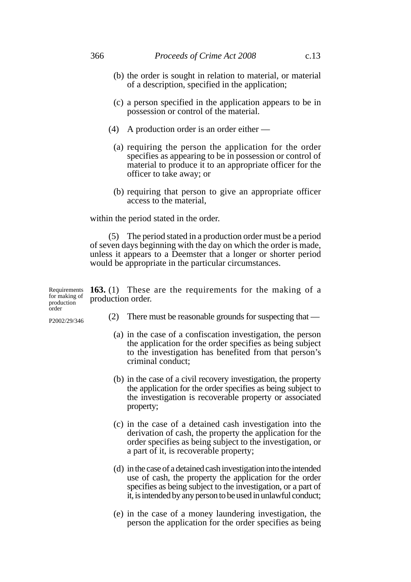- (b) the order is sought in relation to material, or material of a description, specified in the application;
- (c) a person specified in the application appears to be in possession or control of the material.
- (4) A production order is an order either
	- (a) requiring the person the application for the order specifies as appearing to be in possession or control of material to produce it to an appropriate officer for the officer to take away; or
	- (b) requiring that person to give an appropriate officer access to the material,

within the period stated in the order.

(5) The period stated in a production order must be a period of seven days beginning with the day on which the order is made, unless it appears to a Deemster that a longer or shorter period would be appropriate in the particular circumstances.

| for making of production order.<br>production<br>order |  | Requirements $163. (1)$ These are the requirements for the making of a |  |  |  |
|--------------------------------------------------------|--|------------------------------------------------------------------------|--|--|--|
| D2002/20/246                                           |  | There must be reasonable grounds for suspecting that —                 |  |  |  |

(a) in the case of a confiscation investigation, the person the application for the order specifies as being subject to the investigation has benefited from that person's criminal conduct;

- (b) in the case of a civil recovery investigation, the property the application for the order specifies as being subject to the investigation is recoverable property or associated property;
- (c) in the case of a detained cash investigation into the derivation of cash, the property the application for the order specifies as being subject to the investigation, or a part of it, is recoverable property;
- (d) in the case of a detained cash investigation into the intended use of cash, the property the application for the order specifies as being subject to the investigation, or a part of it, is intended by any person to be used in unlawful conduct;
- (e) in the case of a money laundering investigation, the person the application for the order specifies as being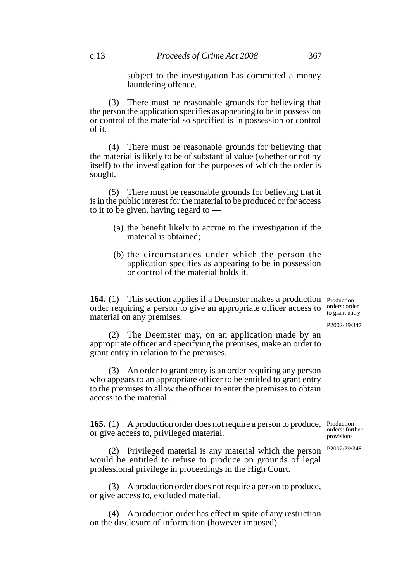subject to the investigation has committed a money laundering offence.

(3) There must be reasonable grounds for believing that the person the application specifies as appearing to be in possession or control of the material so specified is in possession or control of it.

(4) There must be reasonable grounds for believing that the material is likely to be of substantial value (whether or not by itself) to the investigation for the purposes of which the order is sought.

(5) There must be reasonable grounds for believing that it is in the public interest for the material to be produced or for access to it to be given, having regard to —

- (a) the benefit likely to accrue to the investigation if the material is obtained;
- (b) the circumstances under which the person the application specifies as appearing to be in possession or control of the material holds it.

**164.** (1) This section applies if a Deemster makes a production Production order requiring a person to give an appropriate officer access to material on any premises. orders: order to grant entry

P2002/29/347

(2) The Deemster may, on an application made by an appropriate officer and specifying the premises, make an order to grant entry in relation to the premises.

(3) An order to grant entry is an order requiring any person who appears to an appropriate officer to be entitled to grant entry to the premises to allow the officer to enter the premises to obtain access to the material.

**165.** (1) A production order does not require a person to produce, or give access to, privileged material.

(2) Privileged material is any material which the person would be entitled to refuse to produce on grounds of legal professional privilege in proceedings in the High Court.

(3) A production order does not require a person to produce, or give access to, excluded material.

(4) A production order has effect in spite of any restriction on the disclosure of information (however imposed).

Production orders: further provisions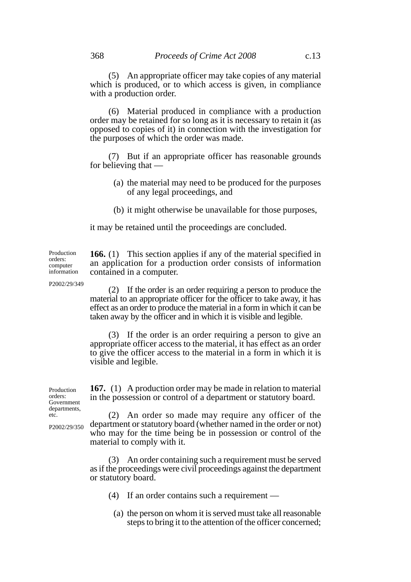(5) An appropriate officer may take copies of any material which is produced, or to which access is given, in compliance with a production order.

(6) Material produced in compliance with a production order may be retained for so long as it is necessary to retain it (as opposed to copies of it) in connection with the investigation for the purposes of which the order was made.

(7) But if an appropriate officer has reasonable grounds for believing that —

- (a) the material may need to be produced for the purposes of any legal proceedings, and
- (b) it might otherwise be unavailable for those purposes,

it may be retained until the proceedings are concluded.

**166.** (1) This section applies if any of the material specified in an application for a production order consists of information contained in a computer. Production orders: computer information

P2002/29/349

(2) If the order is an order requiring a person to produce the material to an appropriate officer for the officer to take away, it has effect as an order to produce the material in a form in which it can be taken away by the officer and in which it is visible and legible.

(3) If the order is an order requiring a person to give an appropriate officer access to the material, it has effect as an order to give the officer access to the material in a form in which it is visible and legible.

**167.** (1) A production order may be made in relation to material in the possession or control of a department or statutory board.

(2) An order so made may require any officer of the department or statutory board (whether named in the order or not) who may for the time being be in possession or control of the material to comply with it.

(3) An order containing such a requirement must be served as if the proceedings were civil proceedings against the department or statutory board.

- (4) If an order contains such a requirement
	- (a) the person on whom it is served must take all reasonable steps to bring it to the attention of the officer concerned;

Production orders: Government departments, etc.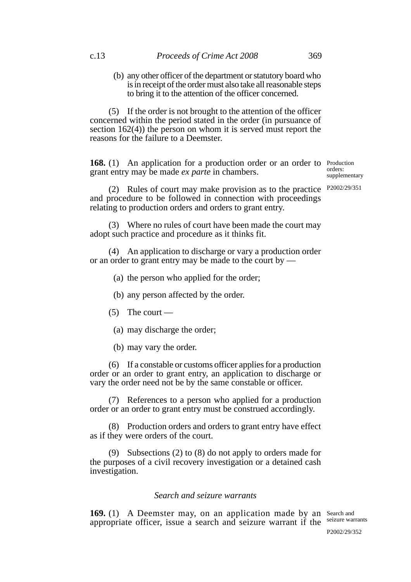(b) any other officer of the department or statutory board who is in receipt of the order must also take all reasonable steps to bring it to the attention of the officer concerned.

(5) If the order is not brought to the attention of the officer concerned within the period stated in the order (in pursuance of section 162(4)) the person on whom it is served must report the reasons for the failure to a Deemster.

**168.** (1) An application for a production order or an order to Production grant entry may be made *ex parte* in chambers.

orders: supplementary

(2) Rules of court may make provision as to the practice  $P2002/29/351$ and procedure to be followed in connection with proceedings relating to production orders and orders to grant entry.

(3) Where no rules of court have been made the court may adopt such practice and procedure as it thinks fit.

(4) An application to discharge or vary a production order or an order to grant entry may be made to the court by —

(a) the person who applied for the order;

(b) any person affected by the order.

- $(5)$  The court
	- (a) may discharge the order;
	- (b) may vary the order.

(6) If a constable or customs officer applies for a production order or an order to grant entry, an application to discharge or vary the order need not be by the same constable or officer.

(7) References to a person who applied for a production order or an order to grant entry must be construed accordingly.

(8) Production orders and orders to grant entry have effect as if they were orders of the court.

(9) Subsections (2) to (8) do not apply to orders made for the purposes of a civil recovery investigation or a detained cash investigation.

# *Search and seizure warrants*

169. (1) A Deemster may, on an application made by an Search and appropriate officer, issue a search and seizure warrant if the seizure warrants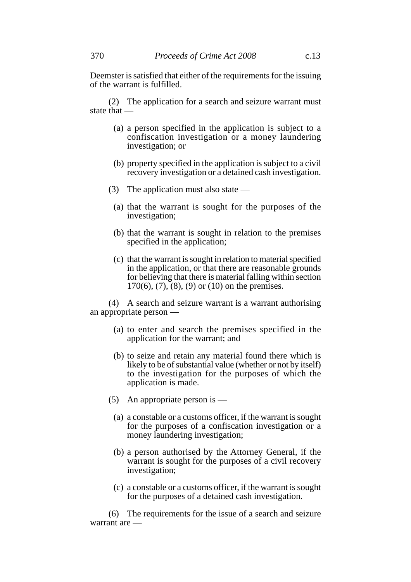(2) The application for a search and seizure warrant must state that —

- (a) a person specified in the application is subject to a confiscation investigation or a money laundering investigation; or
- (b) property specified in the application is subject to a civil recovery investigation or a detained cash investigation.
- (3) The application must also state
	- (a) that the warrant is sought for the purposes of the investigation;
	- (b) that the warrant is sought in relation to the premises specified in the application;
	- (c) that the warrant is sought in relation to material specified in the application, or that there are reasonable grounds for believing that there is material falling within section  $170(6)$ ,  $(7)$ ,  $(8)$ ,  $(9)$  or  $(10)$  on the premises.

(4) A search and seizure warrant is a warrant authorising an appropriate person —

- (a) to enter and search the premises specified in the application for the warrant; and
- (b) to seize and retain any material found there which is likely to be of substantial value (whether or not by itself) to the investigation for the purposes of which the application is made.
- (5) An appropriate person is
	- (a) a constable or a customs officer, if the warrant is sought for the purposes of a confiscation investigation or a money laundering investigation;
	- (b) a person authorised by the Attorney General, if the warrant is sought for the purposes of a civil recovery investigation;
	- (c) a constable or a customs officer, if the warrant is sought for the purposes of a detained cash investigation.

(6) The requirements for the issue of a search and seizure warrant are —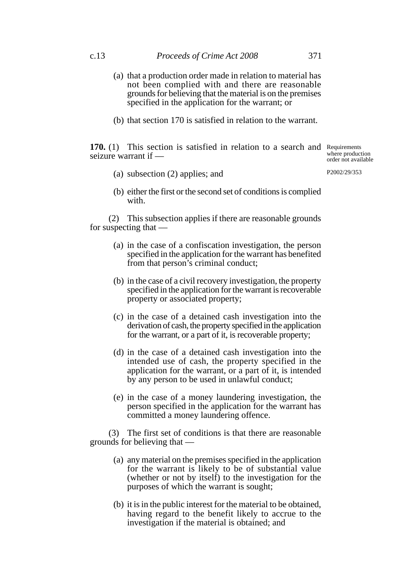- (a) that a production order made in relation to material has not been complied with and there are reasonable grounds for believing that the material is on the premises specified in the application for the warrant; or
- (b) that section 170 is satisfied in relation to the warrant.

**170.** (1) This section is satisfied in relation to a search and Requirements seizure warrant if —

where production order not available

(a) subsection (2) applies; and

P2002/29/353

(b) either the first or the second set of conditions is complied with.

(2) This subsection applies if there are reasonable grounds for suspecting that —

- (a) in the case of a confiscation investigation, the person specified in the application for the warrant has benefited from that person's criminal conduct;
- (b) in the case of a civil recovery investigation, the property specified in the application for the warrant is recoverable property or associated property;
- (c) in the case of a detained cash investigation into the derivation of cash, the property specified in the application for the warrant, or a part of it, is recoverable property;
- (d) in the case of a detained cash investigation into the intended use of cash, the property specified in the application for the warrant, or a part of it, is intended by any person to be used in unlawful conduct;
- (e) in the case of a money laundering investigation, the person specified in the application for the warrant has committed a money laundering offence.

(3) The first set of conditions is that there are reasonable grounds for believing that —

- (a) any material on the premises specified in the application for the warrant is likely to be of substantial value (whether or not by itself) to the investigation for the purposes of which the warrant is sought;
- (b) it is in the public interest for the material to be obtained, having regard to the benefit likely to accrue to the investigation if the material is obtained; and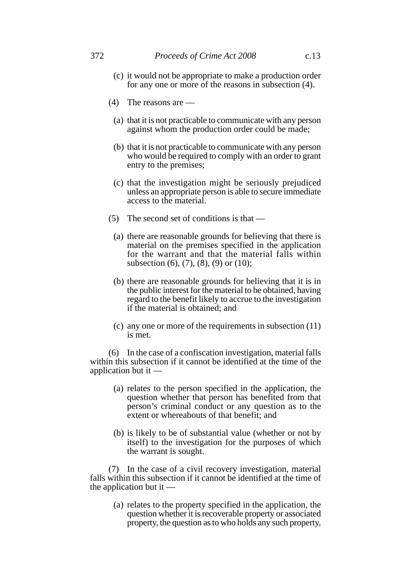- (c) it would not be appropriate to make a production order for any one or more of the reasons in subsection (4).
- (4) The reasons are
	- (a) that it is not practicable to communicate with any person against whom the production order could be made;
	- (b) that it is not practicable to communicate with any person who would be required to comply with an order to grant entry to the premises;
	- (c) that the investigation might be seriously prejudiced unless an appropriate person is able to secure immediate access to the material.
- (5) The second set of conditions is that
	- (a) there are reasonable grounds for believing that there is material on the premises specified in the application for the warrant and that the material falls within subsection (6), (7), (8), (9) or (10);
	- (b) there are reasonable grounds for believing that it is in the public interest for the material to be obtained, having regard to the benefit likely to accrue to the investigation if the material is obtained; and
	- (c) any one or more of the requirements in subsection (11) is met.

(6) In the case of a confiscation investigation, material falls within this subsection if it cannot be identified at the time of the application but it —

- (a) relates to the person specified in the application, the question whether that person has benefited from that person's criminal conduct or any question as to the extent or whereabouts of that benefit; and
- (b) is likely to be of substantial value (whether or not by itself) to the investigation for the purposes of which the warrant is sought.

(7) In the case of a civil recovery investigation, material falls within this subsection if it cannot be identified at the time of the application but it —

(a) relates to the property specified in the application, the question whether it is recoverable property or associated property, the question as to who holds any such property,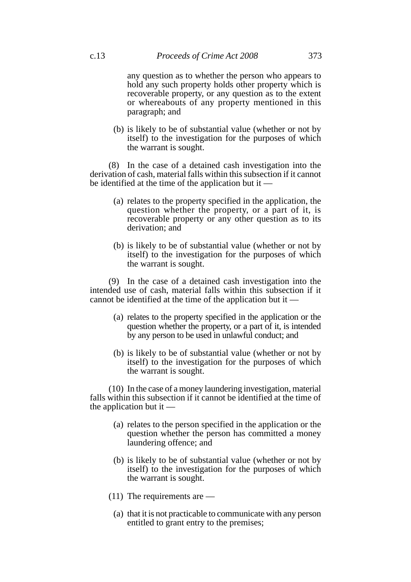any question as to whether the person who appears to hold any such property holds other property which is recoverable property, or any question as to the extent or whereabouts of any property mentioned in this paragraph; and

(b) is likely to be of substantial value (whether or not by itself) to the investigation for the purposes of which the warrant is sought.

(8) In the case of a detained cash investigation into the derivation of cash, material falls within this subsection if it cannot be identified at the time of the application but it —

- (a) relates to the property specified in the application, the question whether the property, or a part of it, is recoverable property or any other question as to its derivation; and
- (b) is likely to be of substantial value (whether or not by itself) to the investigation for the purposes of which the warrant is sought.

(9) In the case of a detained cash investigation into the intended use of cash, material falls within this subsection if it cannot be identified at the time of the application but it —

- (a) relates to the property specified in the application or the question whether the property, or a part of it, is intended by any person to be used in unlawful conduct; and
- (b) is likely to be of substantial value (whether or not by itself) to the investigation for the purposes of which the warrant is sought.

(10) In the case of a money laundering investigation, material falls within this subsection if it cannot be identified at the time of the application but it —

- (a) relates to the person specified in the application or the question whether the person has committed a money laundering offence; and
- (b) is likely to be of substantial value (whether or not by itself) to the investigation for the purposes of which the warrant is sought.
- (11) The requirements are
	- (a) that it is not practicable to communicate with any person entitled to grant entry to the premises;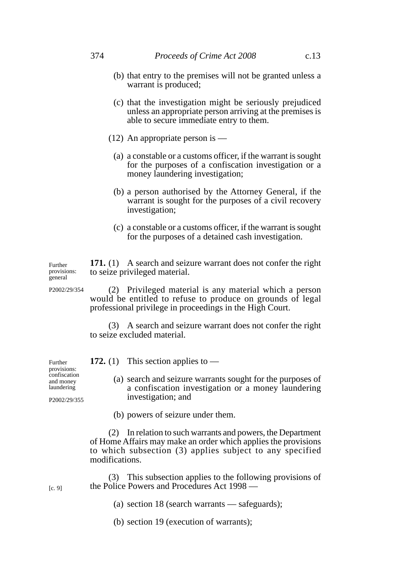- (b) that entry to the premises will not be granted unless a warrant is produced;
- (c) that the investigation might be seriously prejudiced unless an appropriate person arriving at the premises is able to secure immediate entry to them.
- (12) An appropriate person is
	- (a) a constable or a customs officer, if the warrant is sought for the purposes of a confiscation investigation or a money laundering investigation;
	- (b) a person authorised by the Attorney General, if the warrant is sought for the purposes of a civil recovery investigation;
	- (c) a constable or a customs officer, if the warrant is sought for the purposes of a detained cash investigation.

**171.** (1) A search and seizure warrant does not confer the right to seize privileged material. Further provisions: general

> (2) Privileged material is any material which a person would be entitled to refuse to produce on grounds of legal professional privilege in proceedings in the High Court.

> (3) A search and seizure warrant does not confer the right to seize excluded material.

- (a) search and seizure warrants sought for the purposes of a confiscation investigation or a money laundering investigation; and
- (b) powers of seizure under them.

**172.** (1) This section applies to —

(2) In relation to such warrants and powers, the Department of Home Affairs may make an order which applies the provisions to which subsection (3) applies subject to any specified modifications.

(3) This subsection applies to the following provisions of the Police Powers and Procedures Act 1998 —

- (a) section 18 (search warrants safeguards);
- (b) section 19 (execution of warrants);

Further provisions: confiscation and money laundering

P2002/29/354

P2002/29/355

[c. 9]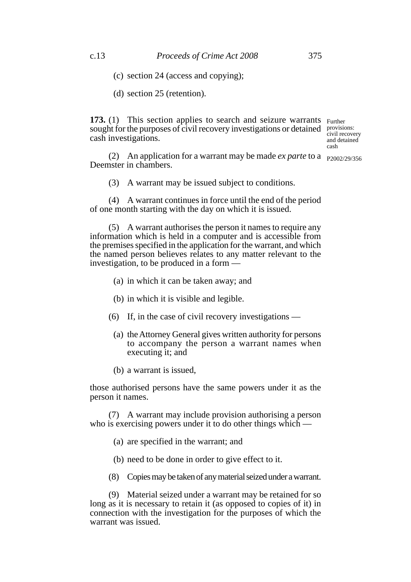- (c) section 24 (access and copying);
- (d) section 25 (retention).

**173.** (1) This section applies to search and seizure warrants Further sought for the purposes of civil recovery investigations or detained provisions: cash investigations.

civil recovery and detained cash

(2) An application for a warrant may be made *ex parte* to a  $_{P2002/29/356}$ Deemster in chambers.

(3) A warrant may be issued subject to conditions.

(4) A warrant continues in force until the end of the period of one month starting with the day on which it is issued.

(5) A warrant authorises the person it names to require any information which is held in a computer and is accessible from the premises specified in the application for the warrant, and which the named person believes relates to any matter relevant to the investigation, to be produced in a form —

- (a) in which it can be taken away; and
- (b) in which it is visible and legible.
- (6) If, in the case of civil recovery investigations
	- (a) the Attorney General gives written authority for persons to accompany the person a warrant names when executing it; and
	- (b) a warrant is issued,

those authorised persons have the same powers under it as the person it names.

(7) A warrant may include provision authorising a person who is exercising powers under it to do other things which —

- (a) are specified in the warrant; and
- (b) need to be done in order to give effect to it.
- (8) Copies may be taken of any material seized under a warrant.

(9) Material seized under a warrant may be retained for so long as it is necessary to retain it (as opposed to copies of it) in connection with the investigation for the purposes of which the warrant was issued.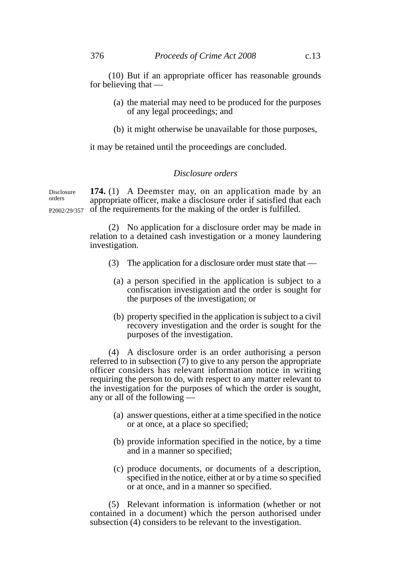(10) But if an appropriate officer has reasonable grounds for believing that —

- (a) the material may need to be produced for the purposes of any legal proceedings; and
- (b) it might otherwise be unavailable for those purposes,

it may be retained until the proceedings are concluded.

## *Disclosure orders*

**174.** (1) A Deemster may, on an application made by an appropriate officer, make a disclosure order if satisfied that each of the requirements for the making of the order is fulfilled. P2002/29/357

> (2) No application for a disclosure order may be made in relation to a detained cash investigation or a money laundering investigation.

- (3) The application for a disclosure order must state that
	- (a) a person specified in the application is subject to a confiscation investigation and the order is sought for the purposes of the investigation; or
	- (b) property specified in the application is subject to a civil recovery investigation and the order is sought for the purposes of the investigation.

(4) A disclosure order is an order authorising a person referred to in subsection (7) to give to any person the appropriate officer considers has relevant information notice in writing requiring the person to do, with respect to any matter relevant to the investigation for the purposes of which the order is sought, any or all of the following —

- (a) answer questions, either at a time specified in the notice or at once, at a place so specified;
- (b) provide information specified in the notice, by a time and in a manner so specified;
- (c) produce documents, or documents of a description, specified in the notice, either at or by a time so specified or at once, and in a manner so specified.

(5) Relevant information is information (whether or not contained in a document) which the person authorised under subsection (4) considers to be relevant to the investigation.

Disclosure orders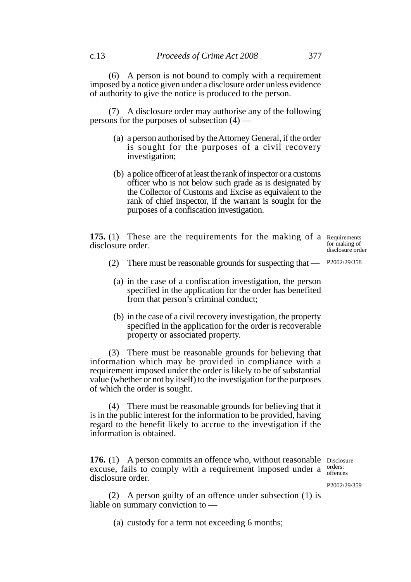(6) A person is not bound to comply with a requirement imposed by a notice given under a disclosure order unless evidence of authority to give the notice is produced to the person.

(7) A disclosure order may authorise any of the following persons for the purposes of subsection (4) —

- (a) a person authorised by the Attorney General, if the order is sought for the purposes of a civil recovery investigation;
- (b) a police officer of at least the rank of inspector or a customs officer who is not below such grade as is designated by the Collector of Customs and Excise as equivalent to the rank of chief inspector, if the warrant is sought for the purposes of a confiscation investigation.

**175.** (1) These are the requirements for the making of a Requirements disclosure order.

for making of disclosure order

- (2) There must be reasonable grounds for suspecting that P2002/29/358
	- (a) in the case of a confiscation investigation, the person specified in the application for the order has benefited from that person's criminal conduct;
	- (b) in the case of a civil recovery investigation, the property specified in the application for the order is recoverable property or associated property.

(3) There must be reasonable grounds for believing that information which may be provided in compliance with a requirement imposed under the order is likely to be of substantial value (whether or not by itself) to the investigation for the purposes of which the order is sought.

(4) There must be reasonable grounds for believing that it is in the public interest for the information to be provided, having regard to the benefit likely to accrue to the investigation if the information is obtained.

**176.** (1) A person commits an offence who, without reasonable Disclosure excuse, fails to comply with a requirement imposed under a  $\frac{\text{orders:}}{\text{offence}}$ disclosure order.

offences

P2002/29/359

(2) A person guilty of an offence under subsection (1) is liable on summary conviction to —

(a) custody for a term not exceeding 6 months;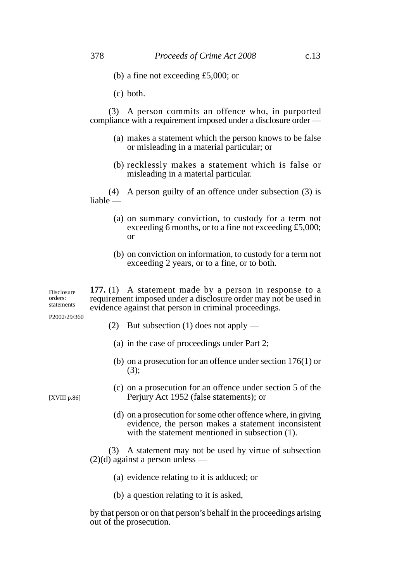(b) a fine not exceeding £5,000; or

(c) both.

(3) A person commits an offence who, in purported compliance with a requirement imposed under a disclosure order —

- (a) makes a statement which the person knows to be false or misleading in a material particular; or
- (b) recklessly makes a statement which is false or misleading in a material particular.

(4) A person guilty of an offence under subsection (3) is liable —

- (a) on summary conviction, to custody for a term not exceeding 6 months, or to a fine not exceeding £5,000; or
- (b) on conviction on information, to custody for a term not exceeding 2 years, or to a fine, or to both.

**177.** (1) A statement made by a person in response to a requirement imposed under a disclosure order may not be used in evidence against that person in criminal proceedings. Disclosure orders: statements

P2002/29/360

- (2) But subsection (1) does not apply
	- (a) in the case of proceedings under Part 2;
	- (b) on a prosecution for an offence under section 176(1) or (3);

[XVIII p.86]

- (c) on a prosecution for an offence under section 5 of the Perjury Act 1952 (false statements); or
- (d) on a prosecution for some other offence where, in giving evidence, the person makes a statement inconsistent with the statement mentioned in subsection  $(1)$ .

(3) A statement may not be used by virtue of subsection  $(2)(d)$  against a person unless —

- (a) evidence relating to it is adduced; or
- (b) a question relating to it is asked,

by that person or on that person's behalf in the proceedings arising out of the prosecution.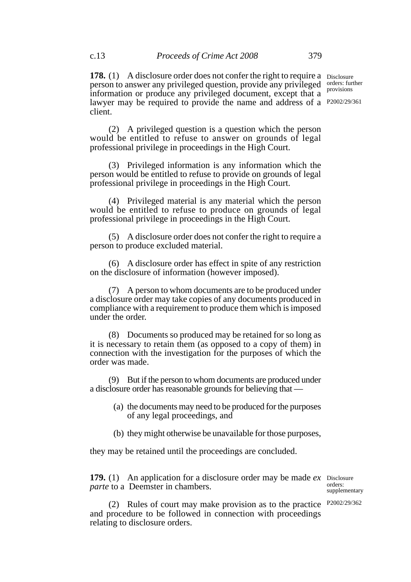**178.** (1) A disclosure order does not confer the right to require a Disclosure person to answer any privileged question, provide any privileged information or produce any privileged document, except that a lawyer may be required to provide the name and address of a P2002/29/361 client. orders: further provisions

(2) A privileged question is a question which the person would be entitled to refuse to answer on grounds of legal professional privilege in proceedings in the High Court.

(3) Privileged information is any information which the person would be entitled to refuse to provide on grounds of legal professional privilege in proceedings in the High Court.

(4) Privileged material is any material which the person would be entitled to refuse to produce on grounds of legal professional privilege in proceedings in the High Court.

(5) A disclosure order does not confer the right to require a person to produce excluded material.

(6) A disclosure order has effect in spite of any restriction on the disclosure of information (however imposed).

(7) A person to whom documents are to be produced under a disclosure order may take copies of any documents produced in compliance with a requirement to produce them which is imposed under the order.

(8) Documents so produced may be retained for so long as it is necessary to retain them (as opposed to a copy of them) in connection with the investigation for the purposes of which the order was made.

(9) But if the person to whom documents are produced under a disclosure order has reasonable grounds for believing that —

- (a) the documents may need to be produced for the purposes of any legal proceedings, and
- (b) they might otherwise be unavailable for those purposes,

they may be retained until the proceedings are concluded.

**179.** (1) An application for a disclosure order may be made *ex* Disclosure *parte* to a Deemster in chambers.

orders: supplementary

(2) Rules of court may make provision as to the practice P2002/29/362and procedure to be followed in connection with proceedings relating to disclosure orders.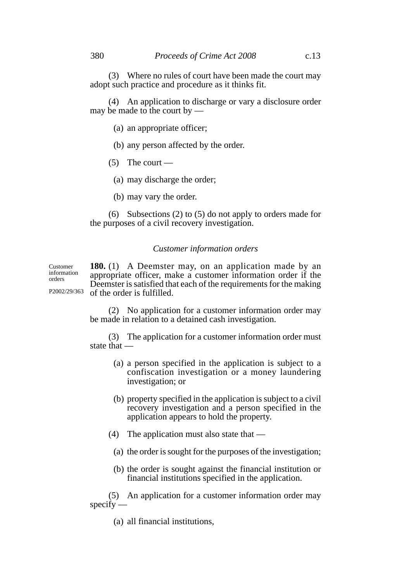(3) Where no rules of court have been made the court may adopt such practice and procedure as it thinks fit.

(4) An application to discharge or vary a disclosure order may be made to the court by —

- (a) an appropriate officer;
- (b) any person affected by the order.
- $(5)$  The court
	- (a) may discharge the order;
	- (b) may vary the order.

(6) Subsections (2) to (5) do not apply to orders made for the purposes of a civil recovery investigation.

### *Customer information orders*

**180.** (1) A Deemster may, on an application made by an appropriate officer, make a customer information order if the Deemster is satisfied that each of the requirements for the making of the order is fulfilled. Customer information orders P2002/29/363

> (2) No application for a customer information order may be made in relation to a detained cash investigation.

> (3) The application for a customer information order must state that —

- (a) a person specified in the application is subject to a confiscation investigation or a money laundering investigation; or
- (b) property specified in the application is subject to a civil recovery investigation and a person specified in the application appears to hold the property.
- (4) The application must also state that
	- (a) the order is sought for the purposes of the investigation;
	- (b) the order is sought against the financial institution or financial institutions specified in the application.

(5) An application for a customer information order may  $specify -$ 

(a) all financial institutions,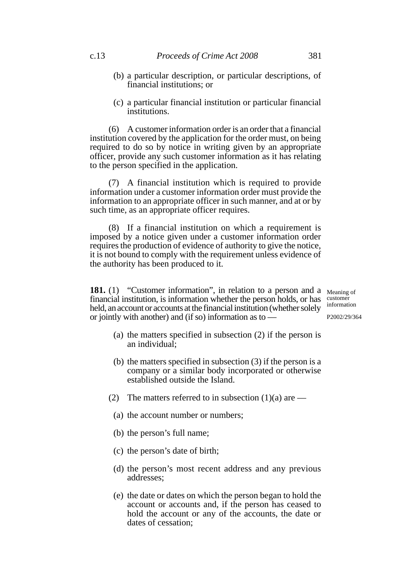- (b) a particular description, or particular descriptions, of financial institutions; or
- (c) a particular financial institution or particular financial institutions.

(6) A customer information order is an order that a financial institution covered by the application for the order must, on being required to do so by notice in writing given by an appropriate officer, provide any such customer information as it has relating to the person specified in the application.

(7) A financial institution which is required to provide information under a customer information order must provide the information to an appropriate officer in such manner, and at or by such time, as an appropriate officer requires.

(8) If a financial institution on which a requirement is imposed by a notice given under a customer information order requires the production of evidence of authority to give the notice, it is not bound to comply with the requirement unless evidence of the authority has been produced to it.

**181.** (1) "Customer information", in relation to a person and a Meaning of financial institution, is information whether the person holds, or has held, an account or accounts at the financial institution (whether solely or jointly with another) and (if so) information as to —

customer information

- (a) the matters specified in subsection (2) if the person is an individual;
- (b) the matters specified in subsection (3) if the person is a company or a similar body incorporated or otherwise established outside the Island.
- (2) The matters referred to in subsection  $(1)(a)$  are
	- (a) the account number or numbers;
	- (b) the person's full name;
	- (c) the person's date of birth;
	- (d) the person's most recent address and any previous addresses;
	- (e) the date or dates on which the person began to hold the account or accounts and, if the person has ceased to hold the account or any of the accounts, the date or dates of cessation;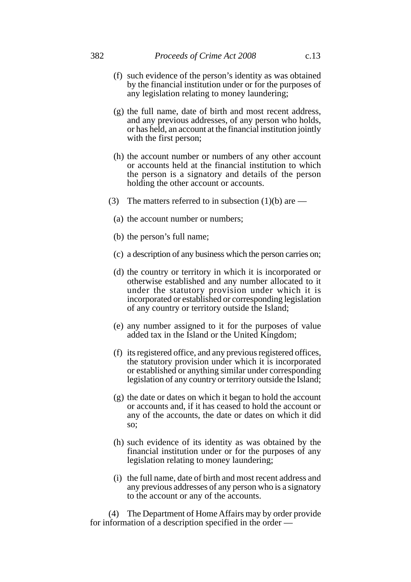- (f) such evidence of the person's identity as was obtained by the financial institution under or for the purposes of any legislation relating to money laundering;
- (g) the full name, date of birth and most recent address, and any previous addresses, of any person who holds, or has held, an account at the financial institution jointly with the first person;
- (h) the account number or numbers of any other account or accounts held at the financial institution to which the person is a signatory and details of the person holding the other account or accounts.
- (3) The matters referred to in subsection  $(1)(b)$  are
	- (a) the account number or numbers;
	- (b) the person's full name;
	- (c) a description of any business which the person carries on;
	- (d) the country or territory in which it is incorporated or otherwise established and any number allocated to it under the statutory provision under which it is incorporated or established or corresponding legislation of any country or territory outside the Island;
	- (e) any number assigned to it for the purposes of value added tax in the Island or the United Kingdom;
	- (f) its registered office, and any previous registered offices, the statutory provision under which it is incorporated or established or anything similar under corresponding legislation of any country or territory outside the Island;
	- (g) the date or dates on which it began to hold the account or accounts and, if it has ceased to hold the account or any of the accounts, the date or dates on which it did so;
	- (h) such evidence of its identity as was obtained by the financial institution under or for the purposes of any legislation relating to money laundering;
	- (i) the full name, date of birth and most recent address and any previous addresses of any person who is a signatory to the account or any of the accounts.

(4) The Department of Home Affairs may by order provide for information of a description specified in the order —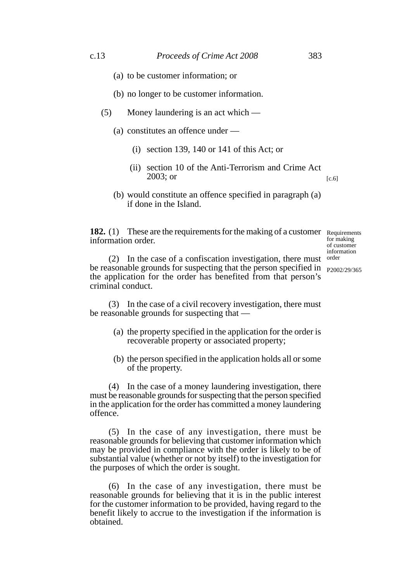- (a) to be customer information; or
- (b) no longer to be customer information.
- (5) Money laundering is an act which
	- (a) constitutes an offence under
		- (i) section 139, 140 or 141 of this Act; or
		- (ii) section 10 of the Anti-Terrorism and Crime Act 2003; or  $[c.6]$
	- (b) would constitute an offence specified in paragraph (a) if done in the Island.

**182.** (1) These are the requirements for the making of a customer Requirements information order.

for making of customer information

(2) In the case of a confiscation investigation, there must order be reasonable grounds for suspecting that the person specified in <sub>P2002/29/365</sub> the application for the order has benefited from that person's criminal conduct.

(3) In the case of a civil recovery investigation, there must be reasonable grounds for suspecting that —

- (a) the property specified in the application for the order is recoverable property or associated property;
- (b) the person specified in the application holds all or some of the property.

(4) In the case of a money laundering investigation, there must be reasonable grounds for suspecting that the person specified in the application for the order has committed a money laundering offence.

(5) In the case of any investigation, there must be reasonable grounds for believing that customer information which may be provided in compliance with the order is likely to be of substantial value (whether or not by itself) to the investigation for the purposes of which the order is sought.

(6) In the case of any investigation, there must be reasonable grounds for believing that it is in the public interest for the customer information to be provided, having regard to the benefit likely to accrue to the investigation if the information is obtained.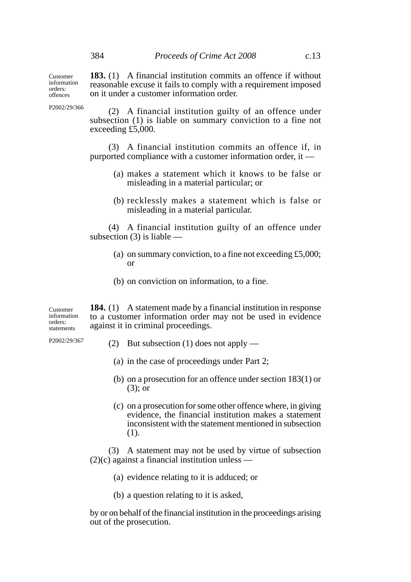Customer information orders: offences

**183.** (1) A financial institution commits an offence if without reasonable excuse it fails to comply with a requirement imposed on it under a customer information order.

P2002/29/366

(2) A financial institution guilty of an offence under subsection (1) is liable on summary conviction to a fine not exceeding £5,000.

(3) A financial institution commits an offence if, in purported compliance with a customer information order, it —

- (a) makes a statement which it knows to be false or misleading in a material particular; or
- (b) recklessly makes a statement which is false or misleading in a material particular.

(4) A financial institution guilty of an offence under subsection (3) is liable —

- (a) on summary conviction, to a fine not exceeding £5,000; or
- (b) on conviction on information, to a fine.

**184.** (1) A statement made by a financial institution in response to a customer information order may not be used in evidence against it in criminal proceedings. Customer information orders: statements

P2002/29/367

- (2) But subsection (1) does not apply
	- (a) in the case of proceedings under Part 2;
	- (b) on a prosecution for an offence under section 183(1) or (3); or
	- (c) on a prosecution for some other offence where, in giving evidence, the financial institution makes a statement inconsistent with the statement mentioned in subsection (1).

(3) A statement may not be used by virtue of subsection  $(2)(c)$  against a financial institution unless —

- (a) evidence relating to it is adduced; or
- (b) a question relating to it is asked,

by or on behalf of the financial institution in the proceedings arising out of the prosecution.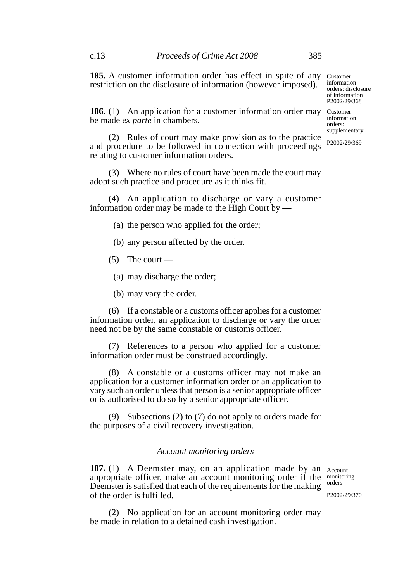**185.** A customer information order has effect in spite of any restriction on the disclosure of information (however imposed).

information orders: disclosure of information P2002/29/368

Customer

Customer

**186.** (1) An application for a customer information order may be made *ex parte* in chambers.

information orders: supplementary P2002/29/369

(2) Rules of court may make provision as to the practice and procedure to be followed in connection with proceedings relating to customer information orders.

(3) Where no rules of court have been made the court may adopt such practice and procedure as it thinks fit.

(4) An application to discharge or vary a customer information order may be made to the High Court by —

(a) the person who applied for the order;

(b) any person affected by the order.

 $(5)$  The court —

(a) may discharge the order;

(b) may vary the order.

(6) If a constable or a customs officer applies for a customer information order, an application to discharge or vary the order need not be by the same constable or customs officer.

(7) References to a person who applied for a customer information order must be construed accordingly.

(8) A constable or a customs officer may not make an application for a customer information order or an application to vary such an order unless that person is a senior appropriate officer or is authorised to do so by a senior appropriate officer.

(9) Subsections (2) to (7) do not apply to orders made for the purposes of a civil recovery investigation.

# *Account monitoring orders*

**187.** (1) A Deemster may, on an application made by an Account appropriate officer, make an account monitoring order if the Deemster is satisfied that each of the requirements for the making of the order is fulfilled.

monitoring orders

P2002/29/370

(2) No application for an account monitoring order may be made in relation to a detained cash investigation.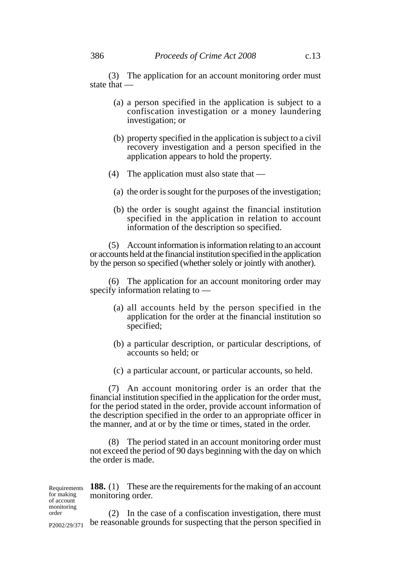(3) The application for an account monitoring order must state that —

- (a) a person specified in the application is subject to a confiscation investigation or a money laundering investigation; or
- (b) property specified in the application is subject to a civil recovery investigation and a person specified in the application appears to hold the property.
- (4) The application must also state that
	- (a) the order is sought for the purposes of the investigation;
	- (b) the order is sought against the financial institution specified in the application in relation to account information of the description so specified.

(5) Account information is information relating to an account or accounts held at the financial institution specified in the application by the person so specified (whether solely or jointly with another).

(6) The application for an account monitoring order may specify information relating to —

- (a) all accounts held by the person specified in the application for the order at the financial institution so specified;
- (b) a particular description, or particular descriptions, of accounts so held; or
- (c) a particular account, or particular accounts, so held.

(7) An account monitoring order is an order that the financial institution specified in the application for the order must, for the period stated in the order, provide account information of the description specified in the order to an appropriate officer in the manner, and at or by the time or times, stated in the order.

(8) The period stated in an account monitoring order must not exceed the period of 90 days beginning with the day on which the order is made.

Requirements **188.** (1) These are the requirements for the making of an account monitoring order.

(2) In the case of a confiscation investigation, there must be reasonable grounds for suspecting that the person specified in P2002/29/371

for making of account monitoring order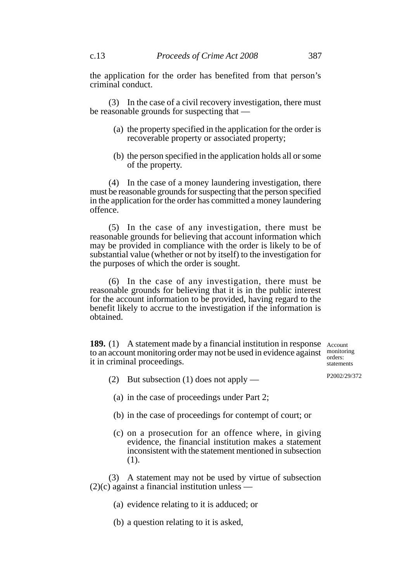the application for the order has benefited from that person's criminal conduct.

(3) In the case of a civil recovery investigation, there must be reasonable grounds for suspecting that —

- (a) the property specified in the application for the order is recoverable property or associated property;
- (b) the person specified in the application holds all or some of the property.

(4) In the case of a money laundering investigation, there must be reasonable grounds for suspecting that the person specified in the application for the order has committed a money laundering offence.

(5) In the case of any investigation, there must be reasonable grounds for believing that account information which may be provided in compliance with the order is likely to be of substantial value (whether or not by itself) to the investigation for the purposes of which the order is sought.

(6) In the case of any investigation, there must be reasonable grounds for believing that it is in the public interest for the account information to be provided, having regard to the benefit likely to accrue to the investigation if the information is obtained.

**189.** (1) A statement made by a financial institution in response Account to an account monitoring order may not be used in evidence against it in criminal proceedings.

monitoring orders: statements

(2) But subsection (1) does not apply —

P2002/29/372

- (a) in the case of proceedings under Part 2;
- (b) in the case of proceedings for contempt of court; or
- (c) on a prosecution for an offence where, in giving evidence, the financial institution makes a statement inconsistent with the statement mentioned in subsection (1).

(3) A statement may not be used by virtue of subsection  $(2)(c)$  against a financial institution unless —

- (a) evidence relating to it is adduced; or
- (b) a question relating to it is asked,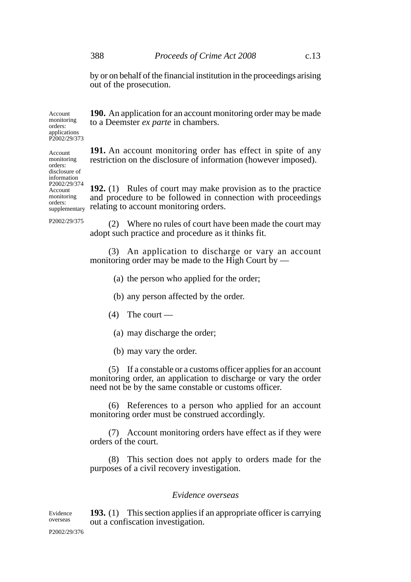by or on behalf of the financial institution in the proceedings arising out of the prosecution.

**190.** An application for an account monitoring order may be made to a Deemster *ex parte* in chambers.

orders: applications P2002/29/373

Account monitoring orders: disclosure of information

Account monitoring orders:

Account monitoring

> **191.** An account monitoring order has effect in spite of any restriction on the disclosure of information (however imposed).

**192.** (1) Rules of court may make provision as to the practice and procedure to be followed in connection with proceedings relating to account monitoring orders. P2002/29/374 supplementary

P2002/29/375

(2) Where no rules of court have been made the court may adopt such practice and procedure as it thinks fit.

(3) An application to discharge or vary an account monitoring order may be made to the High Court by  $-$ 

- (a) the person who applied for the order;
- (b) any person affected by the order.
- $(4)$  The court
	- (a) may discharge the order;
	- (b) may vary the order.

(5) If a constable or a customs officer applies for an account monitoring order, an application to discharge or vary the order need not be by the same constable or customs officer.

(6) References to a person who applied for an account monitoring order must be construed accordingly.

(7) Account monitoring orders have effect as if they were orders of the court.

(8) This section does not apply to orders made for the purposes of a civil recovery investigation.

## *Evidence overseas*

**193.** (1) This section applies if an appropriate officer is carrying out a confiscation investigation. Evidence overseas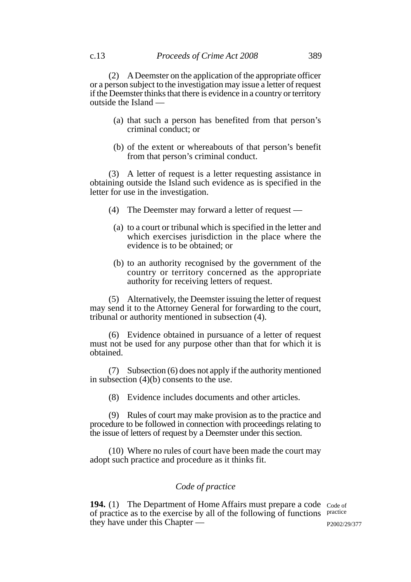(2) A Deemster on the application of the appropriate officer or a person subject to the investigation may issue a letter of request if the Deemster thinks that there is evidence in a country or territory outside the Island —

- (a) that such a person has benefited from that person's criminal conduct; or
- (b) of the extent or whereabouts of that person's benefit from that person's criminal conduct.

(3) A letter of request is a letter requesting assistance in obtaining outside the Island such evidence as is specified in the letter for use in the investigation.

- (4) The Deemster may forward a letter of request
	- (a) to a court or tribunal which is specified in the letter and which exercises jurisdiction in the place where the evidence is to be obtained; or
	- (b) to an authority recognised by the government of the country or territory concerned as the appropriate authority for receiving letters of request.

(5) Alternatively, the Deemster issuing the letter of request may send it to the Attorney General for forwarding to the court, tribunal or authority mentioned in subsection (4).

(6) Evidence obtained in pursuance of a letter of request must not be used for any purpose other than that for which it is obtained.

(7) Subsection (6) does not apply if the authority mentioned in subsection (4)(b) consents to the use.

(8) Evidence includes documents and other articles.

(9) Rules of court may make provision as to the practice and procedure to be followed in connection with proceedings relating to the issue of letters of request by a Deemster under this section.

(10) Where no rules of court have been made the court may adopt such practice and procedure as it thinks fit.

## *Code of practice*

194. (1) The Department of Home Affairs must prepare a code Code of of practice as to the exercise by all of the following of functions practice they have under this Chapter —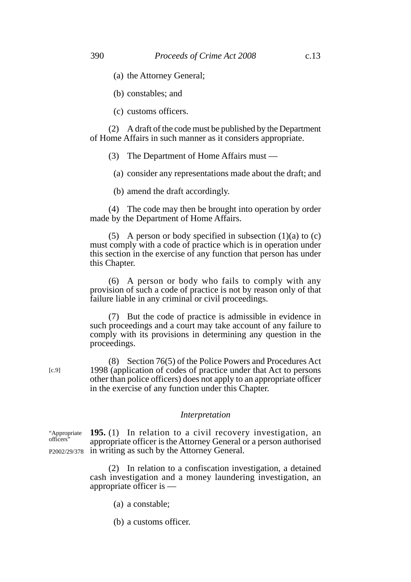(b) constables; and

(c) customs officers.

(2) A draft of the code must be published by the Department of Home Affairs in such manner as it considers appropriate.

(3) The Department of Home Affairs must —

(a) consider any representations made about the draft; and

(b) amend the draft accordingly.

(4) The code may then be brought into operation by order made by the Department of Home Affairs.

(5) A person or body specified in subsection  $(1)(a)$  to  $(c)$ must comply with a code of practice which is in operation under this section in the exercise of any function that person has under this Chapter.

(6) A person or body who fails to comply with any provision of such a code of practice is not by reason only of that failure liable in any criminal or civil proceedings.

(7) But the code of practice is admissible in evidence in such proceedings and a court may take account of any failure to comply with its provisions in determining any question in the proceedings.

(8) Section 76(5) of the Police Powers and Procedures Act 1998 (application of codes of practice under that Act to persons other than police officers) does not apply to an appropriate officer in the exercise of any function under this Chapter.

### *Interpretation*

**195.** (1) In relation to a civil recovery investigation, an appropriate officer is the Attorney General or a person authorised P2002/29/378 in writing as such by the Attorney General. "Appropriate officers"

> (2) In relation to a confiscation investigation, a detained cash investigation and a money laundering investigation, an appropriate officer is —

> > (a) a constable;

[c.9]

(b) a customs officer.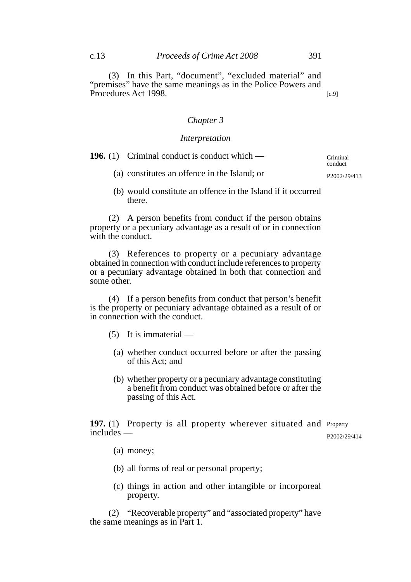(3) In this Part, "document", "excluded material" and "premises" have the same meanings as in the Police Powers and Procedures Act 1998. [c.9]

# *Chapter 3*

#### *Interpretation*

| <b>196.</b> (1) Criminal conduct is conduct which — | Criminal<br>conduct       |
|-----------------------------------------------------|---------------------------|
| (a) constitutes an offence in the Island; or        | P <sub>2002</sub> /29/413 |

(b) would constitute an offence in the Island if it occurred there.

(2) A person benefits from conduct if the person obtains property or a pecuniary advantage as a result of or in connection with the conduct.

(3) References to property or a pecuniary advantage obtained in connection with conduct include references to property or a pecuniary advantage obtained in both that connection and some other.

(4) If a person benefits from conduct that person's benefit is the property or pecuniary advantage obtained as a result of or in connection with the conduct.

- (5) It is immaterial
	- (a) whether conduct occurred before or after the passing of this Act; and
	- (b) whether property or a pecuniary advantage constituting a benefit from conduct was obtained before or after the passing of this Act.

197. (1) Property is all property wherever situated and Property includes — P2002/29/414

- (a) money;
- (b) all forms of real or personal property;
- (c) things in action and other intangible or incorporeal property.

(2) "Recoverable property" and "associated property" have the same meanings as in Part 1.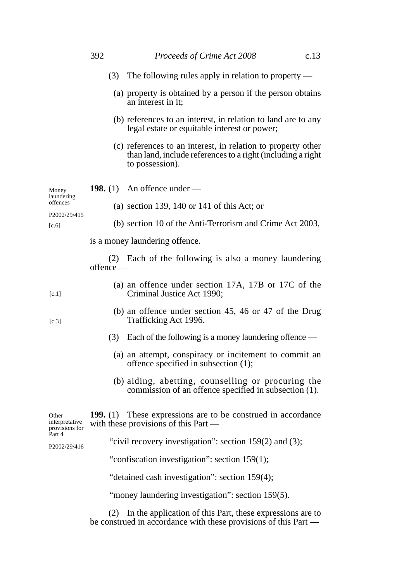|                                           | 392       | Proceeds of Crime Act 2008                                                                                                                     | c.13 |
|-------------------------------------------|-----------|------------------------------------------------------------------------------------------------------------------------------------------------|------|
|                                           | (3)       | The following rules apply in relation to property $-$                                                                                          |      |
|                                           |           | (a) property is obtained by a person if the person obtains<br>an interest in it;                                                               |      |
|                                           |           | (b) references to an interest, in relation to land are to any<br>legal estate or equitable interest or power;                                  |      |
|                                           |           | (c) references to an interest, in relation to property other<br>than land, include references to a right (including a right<br>to possession). |      |
| Money<br>laundering                       |           | <b>198.</b> (1) An offence under —                                                                                                             |      |
| offences                                  |           | (a) section 139, 140 or 141 of this Act; or                                                                                                    |      |
| P2002/29/415<br>[c.6]                     |           | (b) section 10 of the Anti-Terrorism and Crime Act 2003,                                                                                       |      |
|                                           |           | is a money laundering offence.                                                                                                                 |      |
|                                           | offence - | (2) Each of the following is also a money laundering                                                                                           |      |
| [c.1]                                     |           | (a) an offence under section 17A, 17B or 17C of the<br>Criminal Justice Act 1990;                                                              |      |
| [c.3]                                     |           | (b) an offence under section 45, 46 or 47 of the Drug<br>Trafficking Act 1996.                                                                 |      |
|                                           |           | $(3)$ Each of the following is a money laundering offence —                                                                                    |      |
|                                           |           | (a) an attempt, conspiracy or incitement to commit an<br>offence specified in subsection (1);                                                  |      |
|                                           |           | (b) aiding, abetting, counselling or procuring the<br>commission of an offence specified in subsection (1).                                    |      |
| Other<br>interpretative<br>provisions for |           | <b>199.</b> (1) These expressions are to be construed in accordance<br>with these provisions of this Part $-$                                  |      |
| Part 4<br>P2002/29/416                    |           | "civil recovery investigation": section 159(2) and (3);                                                                                        |      |
|                                           |           | "confiscation investigation": section 159(1);                                                                                                  |      |
|                                           |           | "detained cash investigation": section 159(4);                                                                                                 |      |
|                                           |           | "money laundering investigation": section 159(5).                                                                                              |      |
|                                           | (2)       | In the application of this Part, these expressions are to<br>be construed in accordance with these provisions of this Part -                   |      |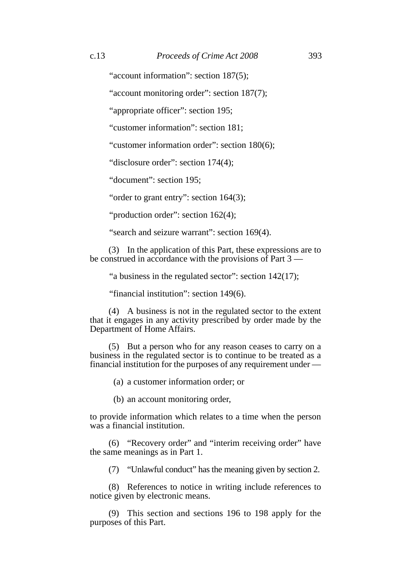"account information": section 187(5):

"account monitoring order": section 187(7);

"appropriate officer": section 195;

"customer information": section 181;

"customer information order": section 180(6);

"disclosure order": section 174(4);

"document": section 195;

"order to grant entry": section 164(3);

"production order": section 162(4);

"search and seizure warrant": section 169(4).

(3) In the application of this Part, these expressions are to be construed in accordance with the provisions of Part 3 —

"a business in the regulated sector": section 142(17);

"financial institution": section 149(6).

(4) A business is not in the regulated sector to the extent that it engages in any activity prescribed by order made by the Department of Home Affairs.

(5) But a person who for any reason ceases to carry on a business in the regulated sector is to continue to be treated as a financial institution for the purposes of any requirement under —

(a) a customer information order; or

(b) an account monitoring order,

to provide information which relates to a time when the person was a financial institution.

(6) "Recovery order" and "interim receiving order" have the same meanings as in Part 1.

(7) "Unlawful conduct" has the meaning given by section 2.

(8) References to notice in writing include references to notice given by electronic means.

(9) This section and sections 196 to 198 apply for the purposes of this Part.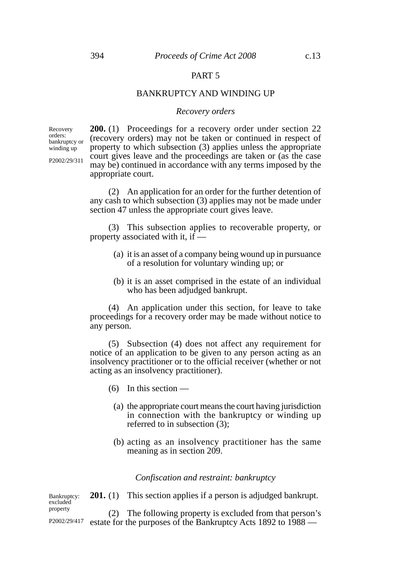## PART 5

#### BANKRUPTCY AND WINDING UP

#### *Recovery orders*

Recovery orders: bankruptcy or winding up

P2002/29/311

**200.** (1) Proceedings for a recovery order under section 22 (recovery orders) may not be taken or continued in respect of property to which subsection (3) applies unless the appropriate court gives leave and the proceedings are taken or (as the case may be) continued in accordance with any terms imposed by the appropriate court.

(2) An application for an order for the further detention of any cash to which subsection (3) applies may not be made under section 47 unless the appropriate court gives leave.

(3) This subsection applies to recoverable property, or property associated with it, if —

- (a) it is an asset of a company being wound up in pursuance of a resolution for voluntary winding up; or
- (b) it is an asset comprised in the estate of an individual who has been adjudged bankrupt.

(4) An application under this section, for leave to take proceedings for a recovery order may be made without notice to any person.

(5) Subsection (4) does not affect any requirement for notice of an application to be given to any person acting as an insolvency practitioner or to the official receiver (whether or not acting as an insolvency practitioner).

- $(6)$  In this section
	- (a) the appropriate court means the court having jurisdiction in connection with the bankruptcy or winding up referred to in subsection (3);
	- (b) acting as an insolvency practitioner has the same meaning as in section 209.

*Confiscation and restraint: bankruptcy*

**201.** (1) This section applies if a person is adjudged bankrupt. Bankruptcy: excluded property

P2002/29/417

(2) The following property is excluded from that person's estate for the purposes of the Bankruptcy Acts 1892 to 1988 —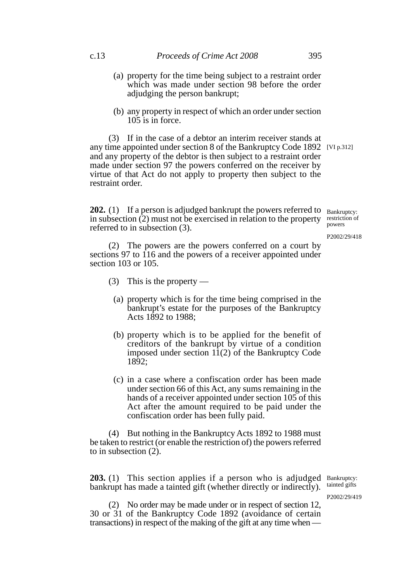- (a) property for the time being subject to a restraint order which was made under section 98 before the order adjudging the person bankrupt;
- (b) any property in respect of which an order under section  $105$  is in force.

(3) If in the case of a debtor an interim receiver stands at any time appointed under section 8 of the Bankruptcy Code 1892 [VI p.312] and any property of the debtor is then subject to a restraint order made under section 97 the powers conferred on the receiver by virtue of that Act do not apply to property then subject to the restraint order.

**202.** (1) If a person is adjudged bankrupt the powers referred to Bankruptcy: in subsection  $(2)$  must not be exercised in relation to the property restriction of referred to in subsection (3). powers

P2002/29/418

(2) The powers are the powers conferred on a court by sections 97 to 116 and the powers of a receiver appointed under section 103 or 105.

- (3) This is the property
	- (a) property which is for the time being comprised in the bankrupt's estate for the purposes of the Bankruptcy Acts 1892 to 1988;
	- (b) property which is to be applied for the benefit of creditors of the bankrupt by virtue of a condition imposed under section  $1\overline{1}(2)$  of the Bankruptcy Code 1892;
	- (c) in a case where a confiscation order has been made under section 66 of this Act, any sums remaining in the hands of a receiver appointed under section 105 of this Act after the amount required to be paid under the confiscation order has been fully paid.

(4) But nothing in the Bankruptcy Acts 1892 to 1988 must be taken to restrict (or enable the restriction of) the powers referred to in subsection (2).

203. (1) This section applies if a person who is adjudged Bankruptcy: bankrupt has made a tainted gift (whether directly or indirectly).

tainted gifts

P2002/29/419

(2) No order may be made under or in respect of section 12, 30 or 31 of the Bankruptcy Code 1892 (avoidance of certain transactions) in respect of the making of the gift at any time when —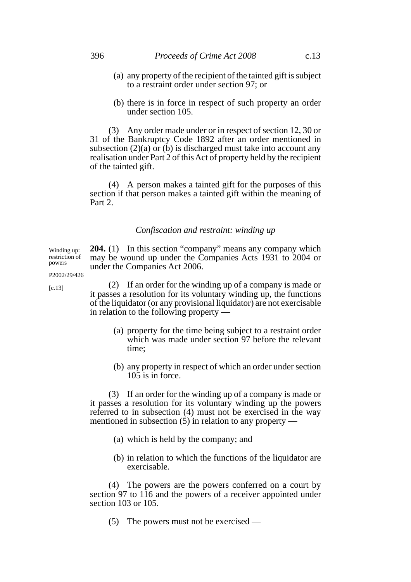- (a) any property of the recipient of the tainted gift is subject to a restraint order under section 97; or
- (b) there is in force in respect of such property an order under section 105.

(3) Any order made under or in respect of section 12, 30 or 31 of the Bankruptcy Code 1892 after an order mentioned in subsection  $(2)(a)$  or  $(b)$  is discharged must take into account any realisation under Part 2 of this Act of property held by the recipient of the tainted gift.

(4) A person makes a tainted gift for the purposes of this section if that person makes a tainted gift within the meaning of Part 2.

## *Confiscation and restraint: winding up*

**204.** (1) In this section "company" means any company which may be wound up under the Companies Acts 1931 to 2004 or under the Companies Act 2006. Winding up: restriction of

P2002/29/426

[c.13]

powers

(2) If an order for the winding up of a company is made or it passes a resolution for its voluntary winding up, the functions of the liquidator (or any provisional liquidator) are not exercisable in relation to the following property —

- (a) property for the time being subject to a restraint order which was made under section 97 before the relevant time;
- (b) any property in respect of which an order under section 105 is in force.

(3) If an order for the winding up of a company is made or it passes a resolution for its voluntary winding up the powers referred to in subsection (4) must not be exercised in the way mentioned in subsection (5) in relation to any property —

- (a) which is held by the company; and
- (b) in relation to which the functions of the liquidator are exercisable.

(4) The powers are the powers conferred on a court by section 97 to 116 and the powers of a receiver appointed under section 103 or 105.

(5) The powers must not be exercised —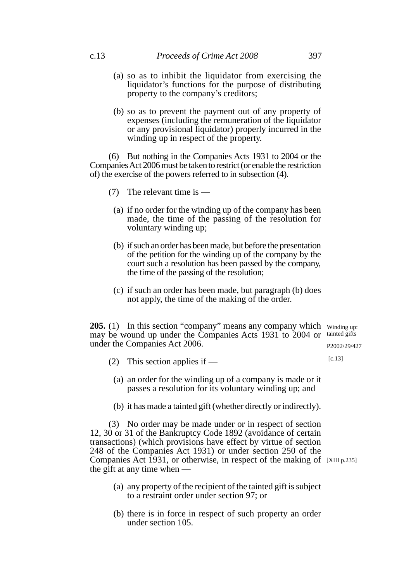- (a) so as to inhibit the liquidator from exercising the liquidator's functions for the purpose of distributing property to the company's creditors;
- (b) so as to prevent the payment out of any property of expenses (including the remuneration of the liquidator or any provisional liquidator) properly incurred in the winding up in respect of the property.

(6) But nothing in the Companies Acts 1931 to 2004 or the Companies Act 2006 must be taken to restrict (or enable the restriction of) the exercise of the powers referred to in subsection (4).

- (7) The relevant time is
	- (a) if no order for the winding up of the company has been made, the time of the passing of the resolution for voluntary winding up;
	- (b) if such an order has been made, but before the presentation of the petition for the winding up of the company by the court such a resolution has been passed by the company, the time of the passing of the resolution;
	- (c) if such an order has been made, but paragraph (b) does not apply, the time of the making of the order.

**205.** (1) In this section "company" means any company which winding up: may be wound up under the Companies Acts 1931 to 2004 or tainted gifts under the Companies Act 2006. P2002/29/427

- (2) This section applies if [c.13]
	- (a) an order for the winding up of a company is made or it passes a resolution for its voluntary winding up; and
	- (b) it has made a tainted gift (whether directly or indirectly).

(3) No order may be made under or in respect of section 12, 30 or 31 of the Bankruptcy Code 1892 (avoidance of certain transactions) (which provisions have effect by virtue of section 248 of the Companies Act 1931) or under section 250 of the Companies Act  $\overline{1}931$ , or otherwise, in respect of the making of [XIII p.235] the gift at any time when —

- (a) any property of the recipient of the tainted gift is subject to a restraint order under section 97; or
- (b) there is in force in respect of such property an order under section 105.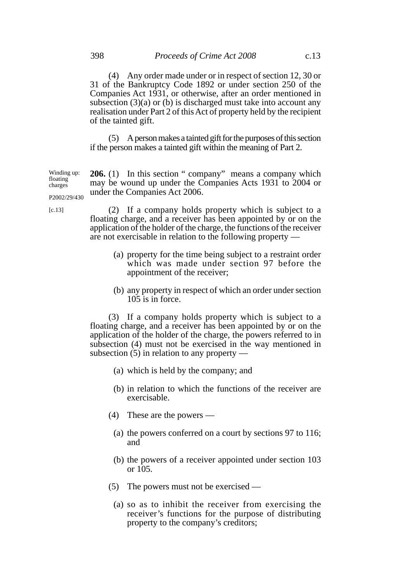(5) A person makes a tainted gift for the purposes of this section if the person makes a tainted gift within the meaning of Part 2.

**206.** (1) In this section " company" means a company which may be wound up under the Companies Acts 1931 to 2004 or under the Companies Act 2006. Winding up: floating charges P2002/29/430

[c.13]

(2) If a company holds property which is subject to a floating charge, and a receiver has been appointed by or on the application of the holder of the charge, the functions of the receiver are not exercisable in relation to the following property —

- (a) property for the time being subject to a restraint order which was made under section 97 before the appointment of the receiver;
- (b) any property in respect of which an order under section 105 is in force.

(3) If a company holds property which is subject to a floating charge, and a receiver has been appointed by or on the application of the holder of the charge, the powers referred to in subsection (4) must not be exercised in the way mentioned in subsection (5) in relation to any property —

- (a) which is held by the company; and
- (b) in relation to which the functions of the receiver are exercisable.
- (4) These are the powers
	- (a) the powers conferred on a court by sections 97 to 116; and
	- (b) the powers of a receiver appointed under section 103 or 105.
- (5) The powers must not be exercised
	- (a) so as to inhibit the receiver from exercising the receiver's functions for the purpose of distributing property to the company's creditors;

of the tainted gift.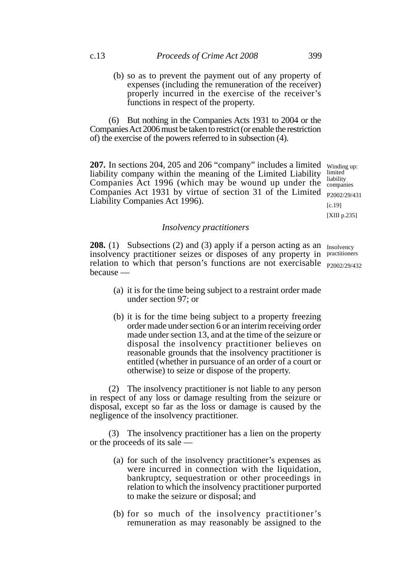(b) so as to prevent the payment out of any property of expenses (including the remuneration of the receiver) properly incurred in the exercise of the receiver's functions in respect of the property.

(6) But nothing in the Companies Acts 1931 to 2004 or the Companies Act 2006 must be taken to restrict (or enable the restriction of) the exercise of the powers referred to in subsection (4).

**207.** In sections 204, 205 and 206 "company" includes a limited winding up: liability company within the meaning of the Limited Liability Companies Act 1996 (which may be wound up under the Companies Act 1931 by virtue of section 31 of the Limited Liability Companies Act 1996).

limited liability companies P2002/29/431 [c.19] [XIII p.235]

#### *Insolvency practitioners*

**208.** (1) Subsections (2) and (3) apply if a person acting as an Insolvency insolvency practitioner seizes or disposes of any property in practitioners relation to which that person's functions are not exercisable <sub>P2002/29/432</sub> because —

- (a) it is for the time being subject to a restraint order made under section 97; or
- (b) it is for the time being subject to a property freezing order made under section 6 or an interim receiving order made under section 13, and at the time of the seizure or disposal the insolvency practitioner believes on reasonable grounds that the insolvency practitioner is entitled (whether in pursuance of an order of a court or otherwise) to seize or dispose of the property.

(2) The insolvency practitioner is not liable to any person in respect of any loss or damage resulting from the seizure or disposal, except so far as the loss or damage is caused by the negligence of the insolvency practitioner.

(3) The insolvency practitioner has a lien on the property or the proceeds of its sale —

- (a) for such of the insolvency practitioner's expenses as were incurred in connection with the liquidation, bankruptcy, sequestration or other proceedings in relation to which the insolvency practitioner purported to make the seizure or disposal; and
- (b) for so much of the insolvency practitioner's remuneration as may reasonably be assigned to the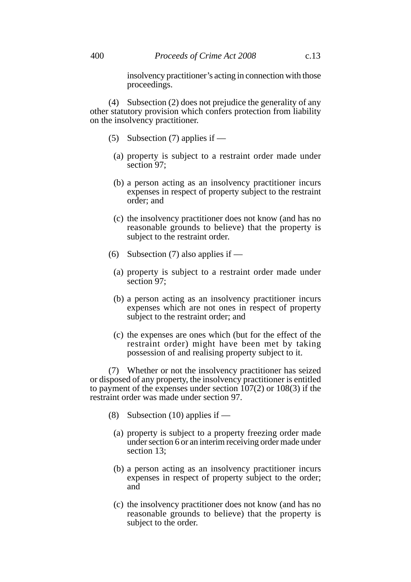insolvency practitioner's acting in connection with those proceedings.

(4) Subsection (2) does not prejudice the generality of any other statutory provision which confers protection from liability on the insolvency practitioner.

- (5) Subsection (7) applies if
	- (a) property is subject to a restraint order made under section 97;
	- (b) a person acting as an insolvency practitioner incurs expenses in respect of property subject to the restraint order; and
	- (c) the insolvency practitioner does not know (and has no reasonable grounds to believe) that the property is subject to the restraint order.
- (6) Subsection (7) also applies if  $-$ 
	- (a) property is subject to a restraint order made under section 97;
	- (b) a person acting as an insolvency practitioner incurs expenses which are not ones in respect of property subject to the restraint order; and
	- (c) the expenses are ones which (but for the effect of the restraint order) might have been met by taking possession of and realising property subject to it.

(7) Whether or not the insolvency practitioner has seized or disposed of any property, the insolvency practitioner is entitled to payment of the expenses under section 107(2) or 108(3) if the restraint order was made under section 97.

- (8) Subsection (10) applies if  $-$ 
	- (a) property is subject to a property freezing order made under section 6 or an interim receiving order made under section 13;
	- (b) a person acting as an insolvency practitioner incurs expenses in respect of property subject to the order; and
	- (c) the insolvency practitioner does not know (and has no reasonable grounds to believe) that the property is subject to the order.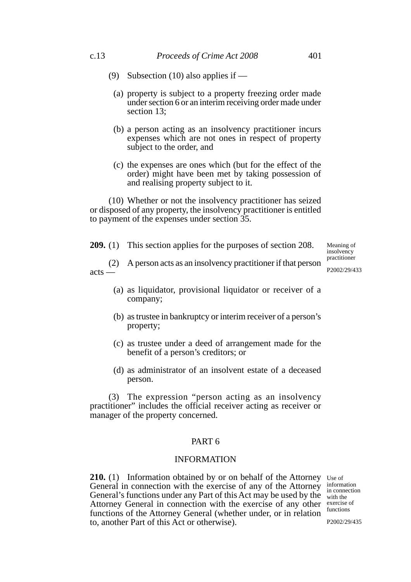- (9) Subsection (10) also applies if
	- (a) property is subject to a property freezing order made under section 6 or an interim receiving order made under section 13;
	- (b) a person acting as an insolvency practitioner incurs expenses which are not ones in respect of property subject to the order, and
	- (c) the expenses are ones which (but for the effect of the order) might have been met by taking possession of and realising property subject to it.

(10) Whether or not the insolvency practitioner has seized or disposed of any property, the insolvency practitioner is entitled to payment of the expenses under section 35.

**209.** (1) This section applies for the purposes of section 208.

Meaning of insolvency practitioner

(2) A person acts as an insolvency practitioner if that person acts — P2002/29/433

- (a) as liquidator, provisional liquidator or receiver of a company;
- (b) as trustee in bankruptcy or interim receiver of a person's property;
- (c) as trustee under a deed of arrangement made for the benefit of a person's creditors; or
- (d) as administrator of an insolvent estate of a deceased person.

(3) The expression "person acting as an insolvency practitioner" includes the official receiver acting as receiver or manager of the property concerned.

## PART 6

# INFORMATION

**210.** (1) Information obtained by or on behalf of the Attorney Use of General in connection with the exercise of any of the Attorney General's functions under any Part of this Act may be used by the Attorney General in connection with the exercise of any other functions of the Attorney General (whether under, or in relation to, another Part of this Act or otherwise).

information in connection with the exercise of functions

P2002/29/435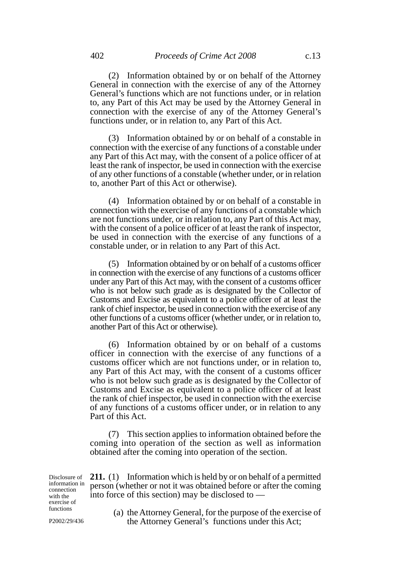(2) Information obtained by or on behalf of the Attorney General in connection with the exercise of any of the Attorney General's functions which are not functions under, or in relation to, any Part of this Act may be used by the Attorney General in connection with the exercise of any of the Attorney General's functions under, or in relation to, any Part of this Act.

(3) Information obtained by or on behalf of a constable in connection with the exercise of any functions of a constable under any Part of this Act may, with the consent of a police officer of at least the rank of inspector, be used in connection with the exercise of any other functions of a constable (whether under, or in relation to, another Part of this Act or otherwise).

(4) Information obtained by or on behalf of a constable in connection with the exercise of any functions of a constable which are not functions under, or in relation to, any Part of this Act may, with the consent of a police officer of at least the rank of inspector, be used in connection with the exercise of any functions of a constable under, or in relation to any Part of this Act.

(5) Information obtained by or on behalf of a customs officer in connection with the exercise of any functions of a customs officer under any Part of this Act may, with the consent of a customs officer who is not below such grade as is designated by the Collector of Customs and Excise as equivalent to a police officer of at least the rank of chief inspector, be used in connection with the exercise of any other functions of a customs officer (whether under, or in relation to, another Part of this Act or otherwise).

(6) Information obtained by or on behalf of a customs officer in connection with the exercise of any functions of a customs officer which are not functions under, or in relation to, any Part of this Act may, with the consent of a customs officer who is not below such grade as is designated by the Collector of Customs and Excise as equivalent to a police officer of at least the rank of chief inspector, be used in connection with the exercise of any functions of a customs officer under, or in relation to any Part of this Act.

(7) This section applies to information obtained before the coming into operation of the section as well as information obtained after the coming into operation of the section.

**211.** (1) Information which is held by or on behalf of a permitted person (whether or not it was obtained before or after the coming into force of this section) may be disclosed to — Disclosure of information in connection with the exercise of functions

P2002/29/436

(a) the Attorney General, for the purpose of the exercise of the Attorney General's functions under this Act;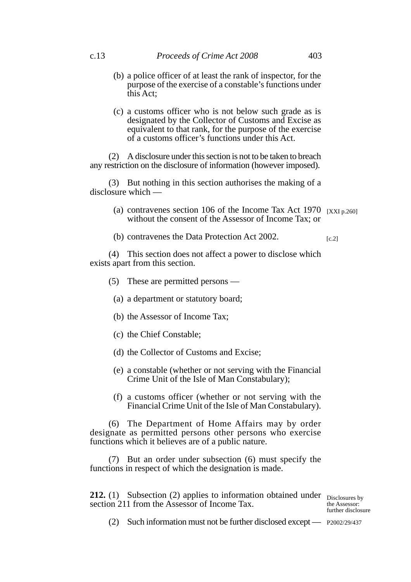- (b) a police officer of at least the rank of inspector, for the purpose of the exercise of a constable's functions under this Act;
- (c) a customs officer who is not below such grade as is designated by the Collector of Customs and Excise as equivalent to that rank, for the purpose of the exercise of a customs officer's functions under this Act.

(2) A disclosure under this section is not to be taken to breach any restriction on the disclosure of information (however imposed).

(3) But nothing in this section authorises the making of a disclosure which —

- (a) contravenes section 106 of the Income Tax Act 1970  $\rm [XXI p.260]$ without the consent of the Assessor of Income Tax; or
- (b) contravenes the Data Protection Act 2002.  $[c.2]$

(4) This section does not affect a power to disclose which exists apart from this section.

- (5) These are permitted persons
	- (a) a department or statutory board;
	- (b) the Assessor of Income Tax;
	- (c) the Chief Constable;
	- (d) the Collector of Customs and Excise;
	- (e) a constable (whether or not serving with the Financial Crime Unit of the Isle of Man Constabulary);
	- (f) a customs officer (whether or not serving with the Financial Crime Unit of the Isle of Man Constabulary).

(6) The Department of Home Affairs may by order designate as permitted persons other persons who exercise functions which it believes are of a public nature.

(7) But an order under subsection (6) must specify the functions in respect of which the designation is made.

**212.** (1) Subsection (2) applies to information obtained under Disclosures by section 211 from the Assessor of Income Tax.

the Assessor: further disclosure

(2) Such information must not be further disclosed except — P2002/29/437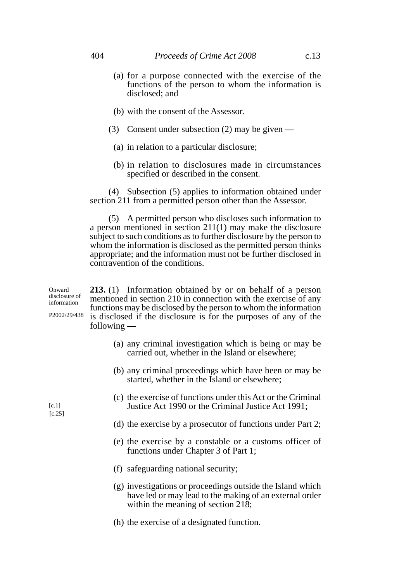- (a) for a purpose connected with the exercise of the functions of the person to whom the information is disclosed; and
- (b) with the consent of the Assessor.
- (3) Consent under subsection (2) may be given
	- (a) in relation to a particular disclosure;
	- (b) in relation to disclosures made in circumstances specified or described in the consent.

(4) Subsection (5) applies to information obtained under section 211 from a permitted person other than the Assessor.

(5) A permitted person who discloses such information to a person mentioned in section 211(1) may make the disclosure subject to such conditions as to further disclosure by the person to whom the information is disclosed as the permitted person thinks appropriate; and the information must not be further disclosed in contravention of the conditions.

**213.** (1) Information obtained by or on behalf of a person mentioned in section 210 in connection with the exercise of any functions may be disclosed by the person to whom the information is disclosed if the disclosure is for the purposes of any of the following — Onward disclosure of information P2002/29/438

- (a) any criminal investigation which is being or may be carried out, whether in the Island or elsewhere;
- (b) any criminal proceedings which have been or may be started, whether in the Island or elsewhere;
- (c) the exercise of functions under this Act or the Criminal Justice Act 1990 or the Criminal Justice Act 1991;
- (d) the exercise by a prosecutor of functions under Part 2;
- (e) the exercise by a constable or a customs officer of functions under Chapter 3 of Part 1;
- (f) safeguarding national security;
- (g) investigations or proceedings outside the Island which have led or may lead to the making of an external order within the meaning of section 218;
- (h) the exercise of a designated function.

 $[c.1]$ [c.25]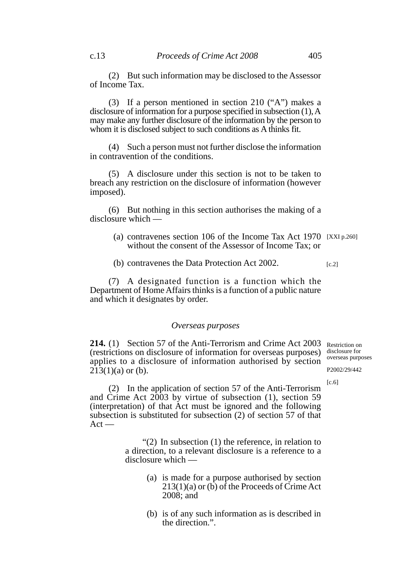(3) If a person mentioned in section 210 ("A") makes a disclosure of information for a purpose specified in subsection (1), A may make any further disclosure of the information by the person to whom it is disclosed subject to such conditions as A thinks fit.

(4) Such a person must not further disclose the information in contravention of the conditions.

(5) A disclosure under this section is not to be taken to breach any restriction on the disclosure of information (however imposed).

(6) But nothing in this section authorises the making of a disclosure which —

- (a) contravenes section 106 of the Income Tax Act 1970 [XXI p.260] without the consent of the Assessor of Income Tax; or
- (b) contravenes the Data Protection Act 2002.  $[c.2]$

(7) A designated function is a function which the Department of Home Affairs thinks is a function of a public nature and which it designates by order.

### *Overseas purposes*

214. (1) Section 57 of the Anti-Terrorism and Crime Act 2003 Restriction on (restrictions on disclosure of information for overseas purposes) applies to a disclosure of information authorised by section  $213(1)(a)$  or (b).

disclosure for overseas purposes

P2002/29/442

 $[c.6]$ 

(2) In the application of section 57 of the Anti-Terrorism and Crime Act 2003 by virtue of subsection (1), section 59 (interpretation) of that Act must be ignored and the following subsection is substituted for subsection (2) of section 57 of that  $Act -$ 

> "(2) In subsection (1) the reference, in relation to a direction, to a relevant disclosure is a reference to a disclosure which —

- (a) is made for a purpose authorised by section 213(1)(a) or (b) of the Proceeds of Crime Act 2008; and
- (b) is of any such information as is described in the direction.".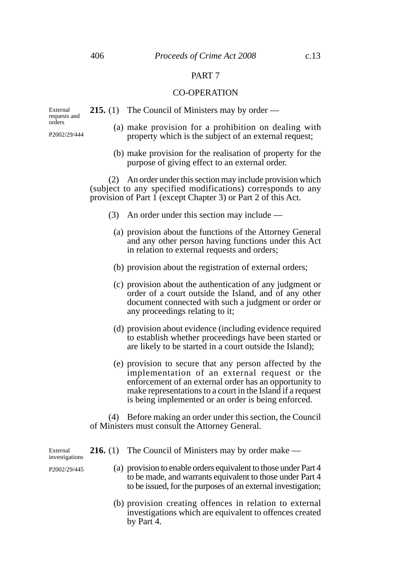## PART 7

#### CO-OPERATION

External requests and orders

P2002/29/444

- **215.** (1) The Council of Ministers may by order
	- (a) make provision for a prohibition on dealing with property which is the subject of an external request;
	- (b) make provision for the realisation of property for the purpose of giving effect to an external order.

(2) An order under this section may include provision which (subject to any specified modifications) corresponds to any provision of Part 1 (except Chapter 3) or Part 2 of this Act.

- (3) An order under this section may include
	- (a) provision about the functions of the Attorney General and any other person having functions under this Act in relation to external requests and orders;
	- (b) provision about the registration of external orders;
	- (c) provision about the authentication of any judgment or order of a court outside the Island, and of any other document connected with such a judgment or order or any proceedings relating to it;
	- (d) provision about evidence (including evidence required to establish whether proceedings have been started or are likely to be started in a court outside the Island);
	- (e) provision to secure that any person affected by the implementation of an external request or the enforcement of an external order has an opportunity to make representations to a court in the Island if a request is being implemented or an order is being enforced.

(4) Before making an order under this section, the Council of Ministers must consult the Attorney General.

- **216.** (1) The Council of Ministers may by order make
	- (a) provision to enable orders equivalent to those under Part 4 to be made, and warrants equivalent to those under Part 4 to be issued, for the purposes of an external investigation;
	- (b) provision creating offences in relation to external investigations which are equivalent to offences created by Part 4.

External investigations

P2002/29/445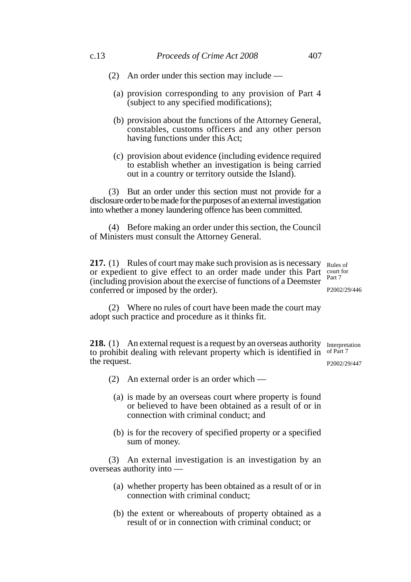- (2) An order under this section may include
	- (a) provision corresponding to any provision of Part 4 (subject to any specified modifications);
	- (b) provision about the functions of the Attorney General, constables, customs officers and any other person having functions under this Act;
	- (c) provision about evidence (including evidence required to establish whether an investigation is being carried out in a country or territory outside the Island).

(3) But an order under this section must not provide for a disclosure order to be made for the purposes of an external investigation into whether a money laundering offence has been committed.

(4) Before making an order under this section, the Council of Ministers must consult the Attorney General.

**217.** (1) Rules of court may make such provision as is necessary Rules of or expedient to give effect to an order made under this Part  $\frac{\text{count for}}{\text{Part 7}}$ (including provision about the exercise of functions of a Deemster conferred or imposed by the order).

Part 7 P2002/29/446

(2) Where no rules of court have been made the court may adopt such practice and procedure as it thinks fit.

218. (1) An external request is a request by an overseas authority Interpretation to prohibit dealing with relevant property which is identified in of Part 7 the request.

P2002/29/447

- (2) An external order is an order which
	- (a) is made by an overseas court where property is found or believed to have been obtained as a result of or in connection with criminal conduct; and
	- (b) is for the recovery of specified property or a specified sum of money.

(3) An external investigation is an investigation by an overseas authority into —

- (a) whether property has been obtained as a result of or in connection with criminal conduct;
- (b) the extent or whereabouts of property obtained as a result of or in connection with criminal conduct; or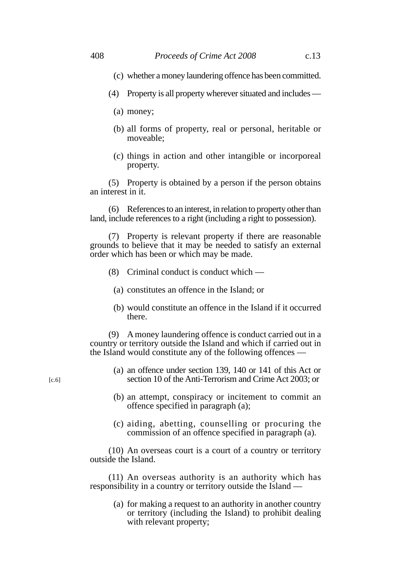- (c) whether a money laundering offence has been committed.
- (4) Property is all property wherever situated and includes
	- (a) money;
	- (b) all forms of property, real or personal, heritable or moveable;
	- (c) things in action and other intangible or incorporeal property.

(5) Property is obtained by a person if the person obtains an interest in it.

(6) References to an interest, in relation to property other than land, include references to a right (including a right to possession).

(7) Property is relevant property if there are reasonable grounds to believe that it may be needed to satisfy an external order which has been or which may be made.

- (8) Criminal conduct is conduct which
	- (a) constitutes an offence in the Island; or
	- (b) would constitute an offence in the Island if it occurred there.

(9) A money laundering offence is conduct carried out in a country or territory outside the Island and which if carried out in the Island would constitute any of the following offences —

- (a) an offence under section 139, 140 or 141 of this Act or section 10 of the Anti-Terrorism and Crime Act 2003; or
- (b) an attempt, conspiracy or incitement to commit an offence specified in paragraph (a);
- (c) aiding, abetting, counselling or procuring the commission of an offence specified in paragraph (a).

(10) An overseas court is a court of a country or territory outside the Island.

(11) An overseas authority is an authority which has responsibility in a country or territory outside the Island —

(a) for making a request to an authority in another country or territory (including the Island) to prohibit dealing with relevant property;

 $[c.6]$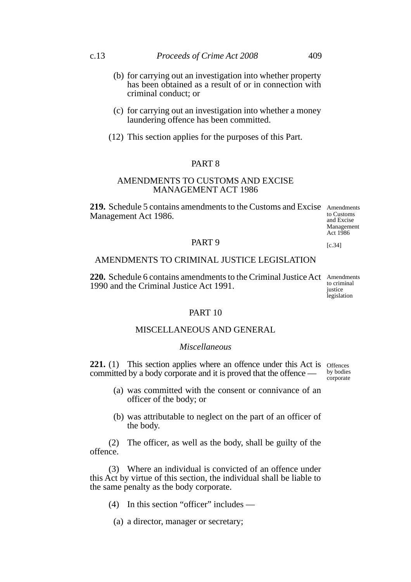- (b) for carrying out an investigation into whether property has been obtained as a result of or in connection with criminal conduct; or
- (c) for carrying out an investigation into whether a money laundering offence has been committed.
- (12) This section applies for the purposes of this Part.

## PART 8

# AMENDMENTS TO CUSTOMS AND EXCISE MANAGEMENT ACT 1986

219. Schedule 5 contains amendments to the Customs and Excise Amendments Management Act 1986.

to Customs and Excise Management Act 1986

 $[c.34]$ 

#### PART 9

# AMENDMENTS TO CRIMINAL JUSTICE LEGISLATION

220. Schedule 6 contains amendments to the Criminal Justice Act Amendments 1990 and the Criminal Justice Act 1991.

to criminal iustice legislation

#### PART 10

## MISCELLANEOUS AND GENERAL.

## *Miscellaneous*

**221.** (1) This section applies where an offence under this Act is offences committed by a body corporate and it is proved that the offence —

by bodies corporate

- (a) was committed with the consent or connivance of an officer of the body; or
- (b) was attributable to neglect on the part of an officer of the body.

(2) The officer, as well as the body, shall be guilty of the offence.

(3) Where an individual is convicted of an offence under this Act by virtue of this section, the individual shall be liable to the same penalty as the body corporate.

(4) In this section "officer" includes —

(a) a director, manager or secretary;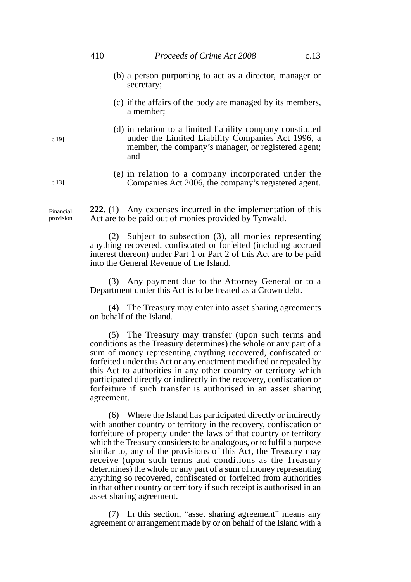#### 410 *Proceeds of Crime Act 2008* c.13

- (b) a person purporting to act as a director, manager or secretary;
- (c) if the affairs of the body are managed by its members, a member;
- (d) in relation to a limited liability company constituted under the Limited Liability Companies Act 1996, a member, the company's manager, or registered agent; and
- (e) in relation to a company incorporated under the Companies Act 2006, the company's registered agent.

**222.** (1) Any expenses incurred in the implementation of this Act are to be paid out of monies provided by Tynwald. Financial provision

> (2) Subject to subsection (3), all monies representing anything recovered, confiscated or forfeited (including accrued interest thereon) under Part 1 or Part 2 of this Act are to be paid into the General Revenue of the Island.

> (3) Any payment due to the Attorney General or to a Department under this Act is to be treated as a Crown debt.

> (4) The Treasury may enter into asset sharing agreements on behalf of the Island.

> (5) The Treasury may transfer (upon such terms and conditions as the Treasury determines) the whole or any part of a sum of money representing anything recovered, confiscated or forfeited under this Act or any enactment modified or repealed by this Act to authorities in any other country or territory which participated directly or indirectly in the recovery, confiscation or forfeiture if such transfer is authorised in an asset sharing agreement.

> (6) Where the Island has participated directly or indirectly with another country or territory in the recovery, confiscation or forfeiture of property under the laws of that country or territory which the Treasury considers to be analogous, or to fulfil a purpose similar to, any of the provisions of this Act, the Treasury may receive (upon such terms and conditions as the Treasury determines) the whole or any part of a sum of money representing anything so recovered, confiscated or forfeited from authorities in that other country or territory if such receipt is authorised in an asset sharing agreement.

> (7) In this section, "asset sharing agreement" means any agreement or arrangement made by or on behalf of the Island with a

[c.19]

[c.13]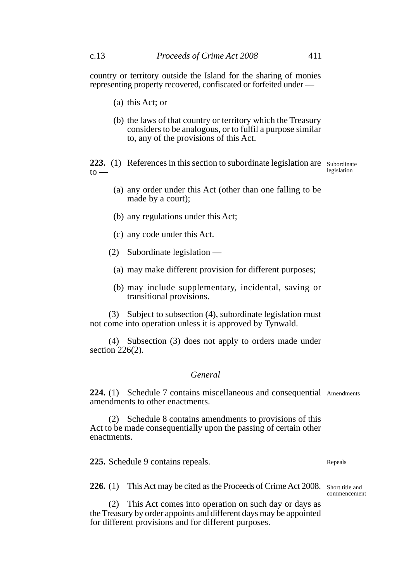country or territory outside the Island for the sharing of monies representing property recovered, confiscated or forfeited under —

- (a) this Act; or
- (b) the laws of that country or territory which the Treasury considers to be analogous, or to fulfil a purpose similar to, any of the provisions of this Act.

223. (1) References in this section to subordinate legislation are Subordinate  $to$ legislation

- (a) any order under this Act (other than one falling to be made by a court);
- (b) any regulations under this Act;
- (c) any code under this Act.
- (2) Subordinate legislation
	- (a) may make different provision for different purposes;
	- (b) may include supplementary, incidental, saving or transitional provisions.

(3) Subject to subsection (4), subordinate legislation must not come into operation unless it is approved by Tynwald.

(4) Subsection (3) does not apply to orders made under section 226(2).

## *General*

224. (1) Schedule 7 contains miscellaneous and consequential Amendments amendments to other enactments.

(2) Schedule 8 contains amendments to provisions of this Act to be made consequentially upon the passing of certain other enactments.

**225.** Schedule 9 contains repeals.

226. (1) This Act may be cited as the Proceeds of Crime Act 2008. Short title and

(2) This Act comes into operation on such day or days as the Treasury by order appoints and different days may be appointed for different provisions and for different purposes.

Repeals

commencement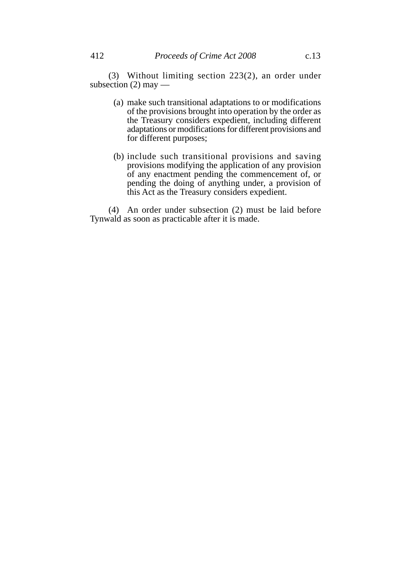- (a) make such transitional adaptations to or modifications of the provisions brought into operation by the order as the Treasury considers expedient, including different adaptations or modifications for different provisions and for different purposes;
- (b) include such transitional provisions and saving provisions modifying the application of any provision of any enactment pending the commencement of, or pending the doing of anything under, a provision of this Act as the Treasury considers expedient.

(4) An order under subsection (2) must be laid before Tynwald as soon as practicable after it is made.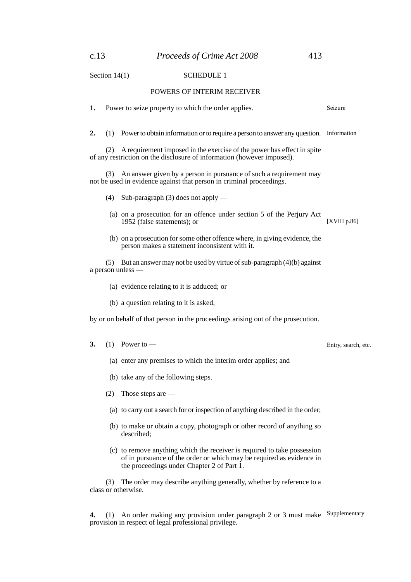## Section 14(1) SCHEDULE 1

#### POWERS OF INTERIM RECEIVER

**1.** Power to seize property to which the order applies. **2.** (1) Power to obtain information or to require a person to answer any question. Information (2) A requirement imposed in the exercise of the power has effect in spite of any restriction on the disclosure of information (however imposed). (3) An answer given by a person in pursuance of such a requirement may not be used in evidence against that person in criminal proceedings. (4) Sub-paragraph (3) does not apply — (a) on a prosecution for an offence under section 5 of the Perjury Act 1952 (false statements); or (b) on a prosecution for some other offence where, in giving evidence, the person makes a statement inconsistent with it. (5) But an answer may not be used by virtue of sub-paragraph (4)(b) against a person unless — (a) evidence relating to it is adduced; or (b) a question relating to it is asked, by or on behalf of that person in the proceedings arising out of the prosecution. **3.** (1) Power to — (a) enter any premises to which the interim order applies; and (b) take any of the following steps. (2) Those steps are — (a) to carry out a search for or inspection of anything described in the order; (b) to make or obtain a copy, photograph or other record of anything so described; (c) to remove anything which the receiver is required to take possession of in pursuance of the order or which may be required as evidence in the proceedings under Chapter 2 of Part 1. (3) The order may describe anything generally, whether by reference to a class or otherwise. Seizure [XVIII p.86] Entry, search, etc.

**4.** (1) An order making any provision under paragraph 2 or 3 must make Supplementaryprovision in respect of legal professional privilege.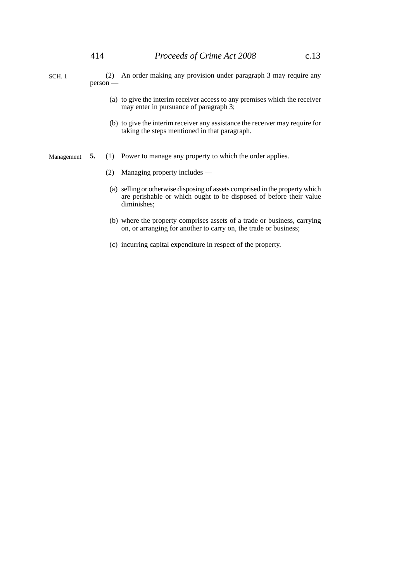- (2) An order making any provision under paragraph 3 may require any person — SCH. 1
	- (a) to give the interim receiver access to any premises which the receiver may enter in pursuance of paragraph 3;
	- (b) to give the interim receiver any assistance the receiver may require for taking the steps mentioned in that paragraph.
- **5.** (1) Power to manage any property to which the order applies. Management
	- (2) Managing property includes —
	- (a) selling or otherwise disposing of assets comprised in the property which are perishable or which ought to be disposed of before their value diminishes;
	- (b) where the property comprises assets of a trade or business, carrying on, or arranging for another to carry on, the trade or business;
	- (c) incurring capital expenditure in respect of the property.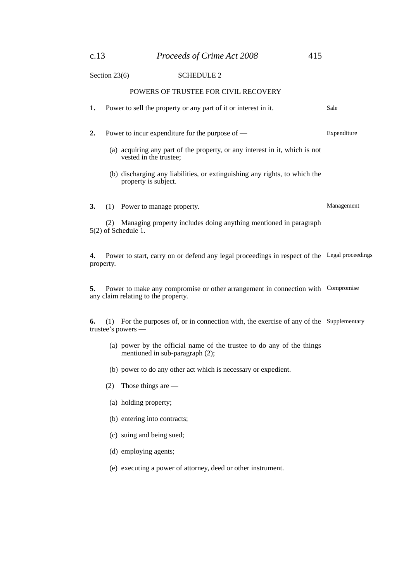| c.13 | Proceeds of Crime Act 2008 | 415 |
|------|----------------------------|-----|
|      |                            |     |

# Section 23(6) SCHEDULE 2

# POWERS OF TRUSTEE FOR CIVIL RECOVERY

| 1.                                                                                                              | Power to sell the property or any part of it or interest in it.                                                                                            | Sale        |  |  |
|-----------------------------------------------------------------------------------------------------------------|------------------------------------------------------------------------------------------------------------------------------------------------------------|-------------|--|--|
| 2.                                                                                                              | Power to incur expenditure for the purpose of $-$<br>(a) acquiring any part of the property, or any interest in it, which is not<br>vested in the trustee; | Expenditure |  |  |
|                                                                                                                 | (b) discharging any liabilities, or extinguishing any rights, to which the<br>property is subject.                                                         |             |  |  |
| 3.                                                                                                              | (1) Power to manage property.                                                                                                                              | Management  |  |  |
|                                                                                                                 | Managing property includes doing anything mentioned in paragraph<br>(2)<br>$5(2)$ of Schedule 1.                                                           |             |  |  |
| Power to start, carry on or defend any legal proceedings in respect of the Legal proceedings<br>4.<br>property. |                                                                                                                                                            |             |  |  |
| 5.<br>any claim relating to the property.                                                                       | Power to make any compromise or other arrangement in connection with Compromise                                                                            |             |  |  |
| 6.                                                                                                              | For the purposes of, or in connection with, the exercise of any of the Supplementary<br>(1)<br>trustee's powers —                                          |             |  |  |
|                                                                                                                 | (a) power by the official name of the trustee to do any of the things<br>mentioned in sub-paragraph (2);                                                   |             |  |  |
|                                                                                                                 | (b) power to do any other act which is necessary or expedient.                                                                                             |             |  |  |
|                                                                                                                 | (2)<br>Those things are $-$                                                                                                                                |             |  |  |
|                                                                                                                 | (a) holding property;                                                                                                                                      |             |  |  |
|                                                                                                                 | (b) entering into contracts;                                                                                                                               |             |  |  |
|                                                                                                                 | (c) suing and being sued;                                                                                                                                  |             |  |  |

- (d) employing agents;
- (e) executing a power of attorney, deed or other instrument.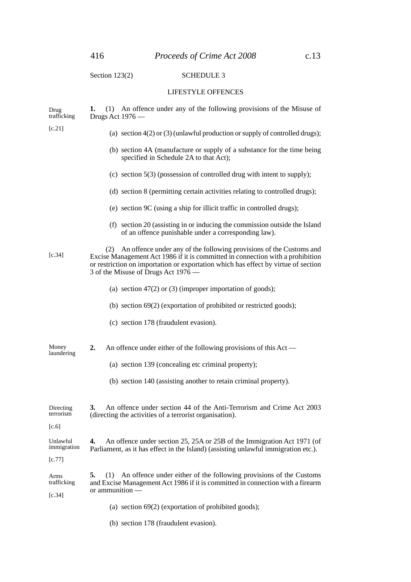# Section 123(2) SCHEDULE 3

## LIFESTYLE OFFENCES

| Drug<br>trafficking           | (1) An offence under any of the following provisions of the Misuse of<br>1.<br>Drugs Act 1976 —                                                                                                                                                                                           |
|-------------------------------|-------------------------------------------------------------------------------------------------------------------------------------------------------------------------------------------------------------------------------------------------------------------------------------------|
| [c.21]                        | (a) section $4(2)$ or (3) (unlawful production or supply of controlled drugs);                                                                                                                                                                                                            |
|                               | (b) section 4A (manufacture or supply of a substance for the time being<br>specified in Schedule 2A to that Act);                                                                                                                                                                         |
|                               | (c) section $5(3)$ (possession of controlled drug with intent to supply);                                                                                                                                                                                                                 |
|                               | (d) section 8 (permitting certain activities relating to controlled drugs);                                                                                                                                                                                                               |
|                               | (e) section 9C (using a ship for illicit traffic in controlled drugs);                                                                                                                                                                                                                    |
|                               | (f) section 20 (assisting in or inducing the commission outside the Island<br>of an offence punishable under a corresponding law).                                                                                                                                                        |
| [c.34]                        | An offence under any of the following provisions of the Customs and<br>(2)<br>Excise Management Act 1986 if it is committed in connection with a prohibition<br>or restriction on importation or exportation which has effect by virtue of section<br>3 of the Misuse of Drugs Act 1976 — |
|                               | (a) section $47(2)$ or (3) (improper importation of goods);                                                                                                                                                                                                                               |
|                               | (b) section $69(2)$ (exportation of prohibited or restricted goods);                                                                                                                                                                                                                      |
|                               | (c) section 178 (fraudulent evasion).                                                                                                                                                                                                                                                     |
| Money<br>laundering           | An offence under either of the following provisions of this Act —<br>2.                                                                                                                                                                                                                   |
|                               | (a) section 139 (concealing etc criminal property);                                                                                                                                                                                                                                       |
|                               | (b) section 140 (assisting another to retain criminal property).                                                                                                                                                                                                                          |
| Directing<br>terrorism        | An offence under section 44 of the Anti-Terrorism and Crime Act 2003<br>3.<br>(directing the activities of a terrorist organisation).                                                                                                                                                     |
| [c.6]                         |                                                                                                                                                                                                                                                                                           |
| Unlawful<br>immigration       | An offence under section 25, 25A or 25B of the Immigration Act 1971 (of<br>4.<br>Parliament, as it has effect in the Island) (assisting unlawful immigration etc.).                                                                                                                       |
| [c.77]                        |                                                                                                                                                                                                                                                                                           |
| Arms<br>trafficking<br>[c.34] | An offence under either of the following provisions of the Customs<br>5.<br>(1)<br>and Excise Management Act 1986 if it is committed in connection with a firearm<br>$or$ ammunition $-$                                                                                                  |
|                               | (a) section $69(2)$ (exportation of prohibited goods);                                                                                                                                                                                                                                    |

(b) section 178 (fraudulent evasion).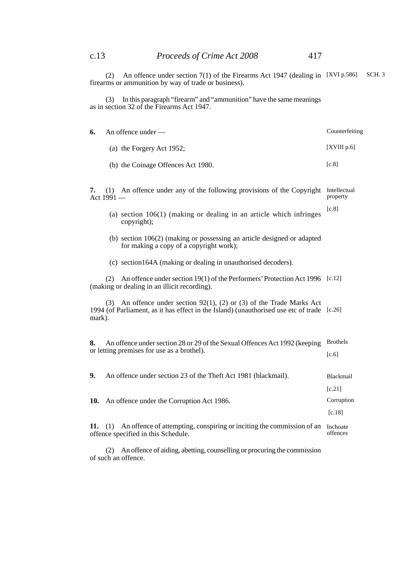(2) An offence under section 7(1) of the Firearms Act 1947 (dealing in firearms or ammunition by way of trade or business). [XVI p.586] SCH. 3

(3) In this paragraph "firearm" and "ammunition" have the same meanings as in section 32 of the Firearms Act 1947.

| 6.                                                                                                                             | An offence under -                                                                                                                                                     | Counterfeiting                   |
|--------------------------------------------------------------------------------------------------------------------------------|------------------------------------------------------------------------------------------------------------------------------------------------------------------------|----------------------------------|
|                                                                                                                                | (a) the Forgery Act 1952;                                                                                                                                              | [XVIII p.6]                      |
|                                                                                                                                | (b) the Coinage Offences Act 1980.                                                                                                                                     | [c.8]                            |
| 7.                                                                                                                             | (1) An offence under any of the following provisions of the Copyright<br>Act 1991 —                                                                                    | Intellectual<br>property         |
|                                                                                                                                | (a) section $106(1)$ (making or dealing in an article which infringes<br>copyright);                                                                                   | [c.8]                            |
|                                                                                                                                | (b) section $106(2)$ (making or possessing an article designed or adapted<br>for making a copy of a copyright work);                                                   |                                  |
|                                                                                                                                | (c) section 164A (making or dealing in unauthorised decoders).                                                                                                         |                                  |
|                                                                                                                                | An offence under section 19(1) of the Performers' Protection Act 1996 [c.12]<br>(2)<br>(making or dealing in an illicit recording).                                    |                                  |
| mark).                                                                                                                         | (3) An offence under section $92(1)$ , (2) or (3) of the Trade Marks Act<br>1994 (of Parliament, as it has effect in the Island) (unauthorised use etc of trade [c.26] |                                  |
| An offence under section 28 or 29 of the Sexual Offences Act 1992 (keeping<br>8.<br>or letting premises for use as a brothel). |                                                                                                                                                                        |                                  |
| 9.                                                                                                                             | An offence under section 23 of the Theft Act 1981 (blackmail).                                                                                                         | Blackmail                        |
| 10.                                                                                                                            | An offence under the Corruption Act 1986.                                                                                                                              | [c.21]<br>Corruption<br>$[c.18]$ |
| 11.                                                                                                                            | (1) An offence of attempting, conspiring or inciting the commission of an<br>offence specified in this Schedule.                                                       | Inchoate<br>offences             |

(2) An offence of aiding, abetting, counselling or procuring the commission of such an offence.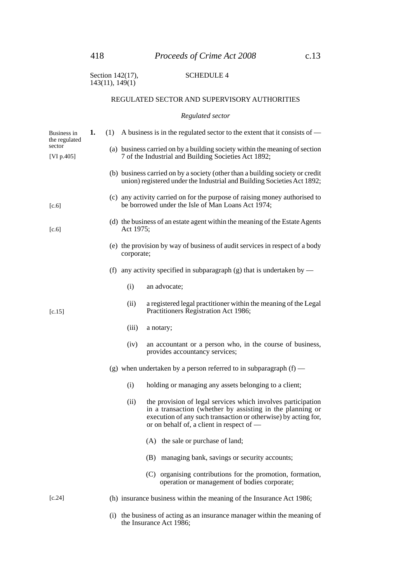| Section 142(17), | <b>SCHEDULE 4</b> |
|------------------|-------------------|
| 143(11), 149(1)  |                   |

## REGULATED SECTOR AND SUPERVISORY AUTHORITIES

#### *Regulated sector*

| Business in<br>the regulated | 1.        |     |            | (1) A business is in the regulated sector to the extent that it consists of $-$                                                                                                                                                          |
|------------------------------|-----------|-----|------------|------------------------------------------------------------------------------------------------------------------------------------------------------------------------------------------------------------------------------------------|
| sector<br>[VI p.405]         |           |     |            | (a) business carried on by a building society within the meaning of section<br>7 of the Industrial and Building Societies Act 1892;                                                                                                      |
|                              |           |     |            | (b) business carried on by a society (other than a building society or credit<br>union) registered under the Industrial and Building Societies Act 1892;                                                                                 |
| [c.6]                        |           |     |            | (c) any activity carried on for the purpose of raising money authorised to<br>be borrowed under the Isle of Man Loans Act 1974;                                                                                                          |
| [c.6]                        | Act 1975; |     |            | (d) the business of an estate agent within the meaning of the Estate Agents                                                                                                                                                              |
|                              |           |     | corporate; | (e) the provision by way of business of audit services in respect of a body                                                                                                                                                              |
|                              |           |     |            | (f) any activity specified in subparagraph (g) that is undertaken by —                                                                                                                                                                   |
|                              |           |     | (i)        | an advocate;                                                                                                                                                                                                                             |
| [c.15]                       |           |     | (ii)       | a registered legal practitioner within the meaning of the Legal<br>Practitioners Registration Act 1986;                                                                                                                                  |
|                              |           |     | (iii)      | a notary;                                                                                                                                                                                                                                |
|                              |           |     | (iv)       | an accountant or a person who, in the course of business,<br>provides accountancy services;                                                                                                                                              |
|                              |           |     |            | (g) when undertaken by a person referred to in subparagraph $(f)$ —                                                                                                                                                                      |
|                              |           |     | (i)        | holding or managing any assets belonging to a client;                                                                                                                                                                                    |
|                              |           |     | (ii)       | the provision of legal services which involves participation<br>in a transaction (whether by assisting in the planning or<br>execution of any such transaction or otherwise) by acting for,<br>or on behalf of, a client in respect of — |
|                              |           |     |            | (A) the sale or purchase of land;                                                                                                                                                                                                        |
|                              |           |     |            | managing bank, savings or security accounts;<br>(B)                                                                                                                                                                                      |
|                              |           |     |            | (C) organising contributions for the promotion, formation,<br>operation or management of bodies corporate;                                                                                                                               |
| [c.24]                       |           |     |            | (h) insurance business within the meaning of the Insurance Act 1986;                                                                                                                                                                     |
|                              |           | (i) |            | the business of acting as an insurance manager within the meaning of                                                                                                                                                                     |

the Insurance Act 1986;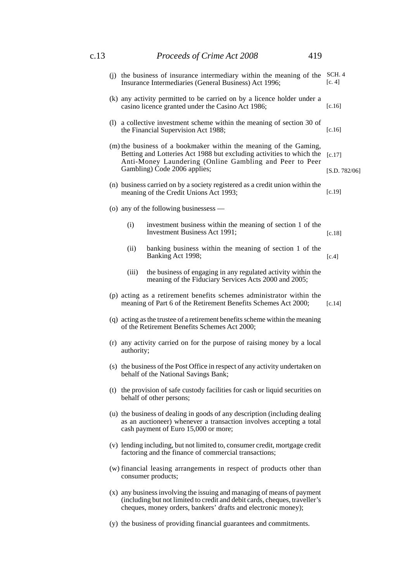| c.13 |  |                                                                                                                                                                                                                                                                 |                                                                                                                                                                                           |          |  |  |  |
|------|--|-----------------------------------------------------------------------------------------------------------------------------------------------------------------------------------------------------------------------------------------------------------------|-------------------------------------------------------------------------------------------------------------------------------------------------------------------------------------------|----------|--|--|--|
|      |  | (i) the business of insurance intermediary within the meaning of the<br>Insurance Intermediaries (General Business) Act 1996;                                                                                                                                   |                                                                                                                                                                                           |          |  |  |  |
|      |  |                                                                                                                                                                                                                                                                 | (k) any activity permitted to be carried on by a licence holder under a<br>casino licence granted under the Casino Act 1986;                                                              | $[c.16]$ |  |  |  |
|      |  |                                                                                                                                                                                                                                                                 | (1) a collective investment scheme within the meaning of section 30 of<br>the Financial Supervision Act 1988;                                                                             | $[c.16]$ |  |  |  |
|      |  | (m) the business of a bookmaker within the meaning of the Gaming,<br>Betting and Lotteries Act 1988 but excluding activities to which the<br>[c.17]<br>Anti-Money Laundering (Online Gambling and Peer to Peer<br>Gambling) Code 2006 applies;<br>[S.D. 782/06] |                                                                                                                                                                                           |          |  |  |  |
|      |  |                                                                                                                                                                                                                                                                 | (n) business carried on by a society registered as a credit union within the<br>meaning of the Credit Unions Act 1993;                                                                    | [c.19]   |  |  |  |
|      |  |                                                                                                                                                                                                                                                                 | (o) any of the following businessess —                                                                                                                                                    |          |  |  |  |
|      |  | (i)                                                                                                                                                                                                                                                             | investment business within the meaning of section 1 of the<br>Investment Business Act 1991;                                                                                               | [c.18]   |  |  |  |
|      |  | (ii)                                                                                                                                                                                                                                                            | banking business within the meaning of section 1 of the<br>Banking Act 1998;                                                                                                              | [c.4]    |  |  |  |
|      |  | (iii)                                                                                                                                                                                                                                                           | the business of engaging in any regulated activity within the<br>meaning of the Fiduciary Services Acts 2000 and 2005;                                                                    |          |  |  |  |
|      |  |                                                                                                                                                                                                                                                                 | (p) acting as a retirement benefits schemes administrator within the<br>meaning of Part 6 of the Retirement Benefits Schemes Act 2000;                                                    | [c.14]   |  |  |  |
|      |  | (q) acting as the trustee of a retirement benefits scheme within the meaning<br>of the Retirement Benefits Schemes Act 2000;                                                                                                                                    |                                                                                                                                                                                           |          |  |  |  |
|      |  | (r) any activity carried on for the purpose of raising money by a local<br>authority;                                                                                                                                                                           |                                                                                                                                                                                           |          |  |  |  |
|      |  | (s) the business of the Post Office in respect of any activity undertaken on<br>behalf of the National Savings Bank;                                                                                                                                            |                                                                                                                                                                                           |          |  |  |  |
|      |  | (t) the provision of safe custody facilities for cash or liquid securities on<br>behalf of other persons;                                                                                                                                                       |                                                                                                                                                                                           |          |  |  |  |
|      |  |                                                                                                                                                                                                                                                                 | (u) the business of dealing in goods of any description (including dealing<br>as an auctioneer) whenever a transaction involves accepting a total<br>cash payment of Euro 15,000 or more; |          |  |  |  |
|      |  |                                                                                                                                                                                                                                                                 | (v) lending including, but not limited to, consumer credit, mortgage credit<br>factoring and the finance of commercial transactions;                                                      |          |  |  |  |
|      |  |                                                                                                                                                                                                                                                                 | (w) financial leasing arrangements in respect of products other than<br>consumer products;                                                                                                |          |  |  |  |
|      |  | (x) any business involving the issuing and managing of means of payment<br>(including but not limited to credit and debit cards, cheques, traveller's<br>cheques, money orders, bankers' drafts and electronic money);                                          |                                                                                                                                                                                           |          |  |  |  |
|      |  |                                                                                                                                                                                                                                                                 | (y) the business of providing financial guarantees and commitments.                                                                                                                       |          |  |  |  |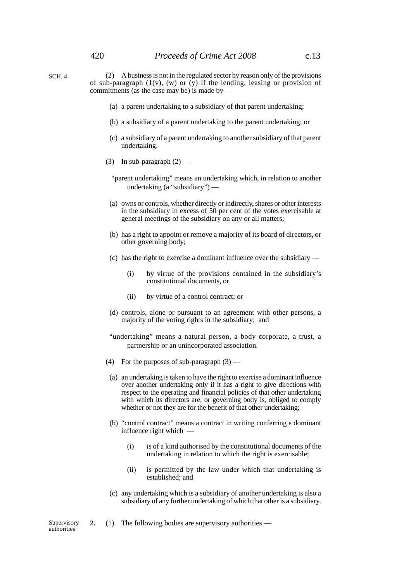- (2) A business is not in the regulated sector by reason only of the provisions of sub-paragraph  $(1(v), (w)$  or  $(y)$  if the lending, leasing or provision of commitments (as the case may be) is made by — SCH. 4
	- (a) a parent undertaking to a subsidiary of that parent undertaking;
	- (b) a subsidiary of a parent undertaking to the parent undertaking; or
	- (c) a subsidiary of a parent undertaking to another subsidiary of that parent undertaking.
	- (3) In sub-paragraph  $(2)$ 
		- "parent undertaking" means an undertaking which, in relation to another undertaking (a "subsidiary") —
		- (a) owns or controls, whether directly or indirectly, shares or other interests in the subsidiary in excess of 50 per cent of the votes exercisable at general meetings of the subsidiary on any or all matters;
	- (b) has a right to appoint or remove a majority of its board of directors, or other governing body;
	- (c) has the right to exercise a dominant influence over the subsidiary
		- (i) by virtue of the provisions contained in the subsidiary's constitutional documents, or
		- (ii) by virtue of a control contract; or
	- (d) controls, alone or pursuant to an agreement with other persons, a majority of the voting rights in the subsidiary; and
	- "undertaking" means a natural person, a body corporate, a trust, a partnership or an unincorporated association.
	- (4) For the purposes of sub-paragraph (3) —
	- (a) an undertaking is taken to have the right to exercise a dominant influence over another undertaking only if it has a right to give directions with respect to the operating and financial policies of that other undertaking with which its directors are, or governing body is, obliged to comply whether or not they are for the benefit of that other undertaking;
	- (b) "control contract" means a contract in writing conferring a dominant influence right which —
		- (i) is of a kind authorised by the constitutional documents of the undertaking in relation to which the right is exercisable;
		- (ii) is permitted by the law under which that undertaking is established; and
	- (c) any undertaking which is a subsidiary of another undertaking is also a subsidiary of any further undertaking of which that other is a subsidiary.

**2.** (1) The following bodies are supervisory authorities —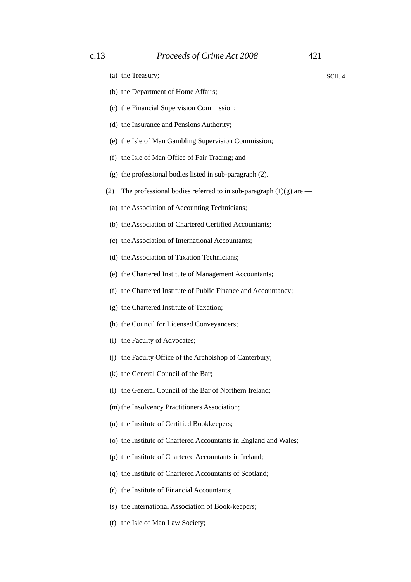SCH. 4

- (a) the Treasury;
- (b) the Department of Home Affairs;
- (c) the Financial Supervision Commission;
- (d) the Insurance and Pensions Authority;
- (e) the Isle of Man Gambling Supervision Commission;
- (f) the Isle of Man Office of Fair Trading; and
- (g) the professional bodies listed in sub-paragraph (2).
- (2) The professional bodies referred to in sub-paragraph  $(1)(g)$  are —
- (a) the Association of Accounting Technicians;
- (b) the Association of Chartered Certified Accountants;
- (c) the Association of International Accountants;
- (d) the Association of Taxation Technicians;
- (e) the Chartered Institute of Management Accountants;
- (f) the Chartered Institute of Public Finance and Accountancy;
- (g) the Chartered Institute of Taxation;
- (h) the Council for Licensed Conveyancers;
- (i) the Faculty of Advocates;
- (j) the Faculty Office of the Archbishop of Canterbury;
- (k) the General Council of the Bar;
- (l) the General Council of the Bar of Northern Ireland;
- (m) the Insolvency Practitioners Association;
- (n) the Institute of Certified Bookkeepers;
- (o) the Institute of Chartered Accountants in England and Wales;
- (p) the Institute of Chartered Accountants in Ireland;
- (q) the Institute of Chartered Accountants of Scotland;
- (r) the Institute of Financial Accountants;
- (s) the International Association of Book-keepers;
- (t) the Isle of Man Law Society;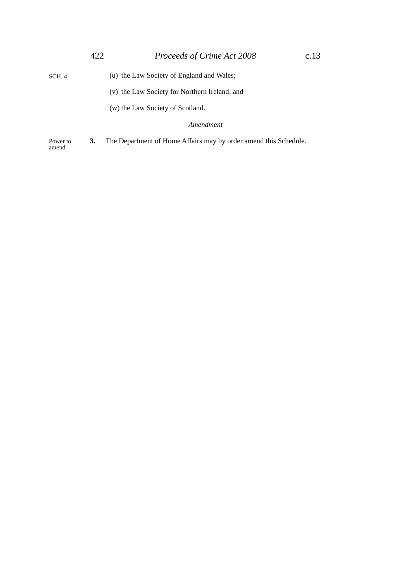- (u) the Law Society of England and Wales; SCH. 4
	- (v) the Law Society for Northern Ireland; and
	- (w) the Law Society of Scotland.

### *Amendment*

**3.** The Department of Home Affairs may by order amend this Schedule. Power to amend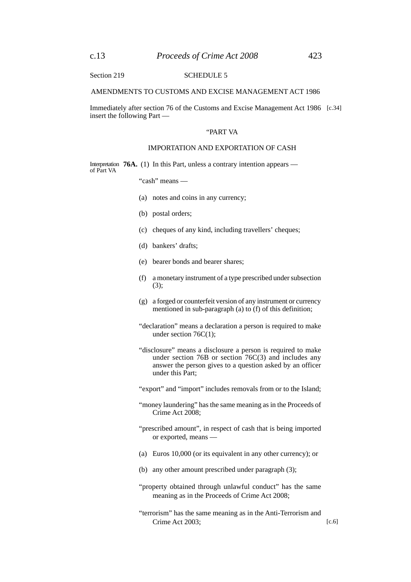Section 219 SCHEDULE 5

#### AMENDMENTS TO CUSTOMS AND EXCISE MANAGEMENT ACT 1986

Immediately after section 76 of the Customs and Excise Management Act 1986 [c.34]insert the following Part —

#### "PART VA

#### IMPORTATION AND EXPORTATION OF CASH

Interpretation 76A. (1) In this Part, unless a contrary intention appears of Part VA

"cash" means —

- (a) notes and coins in any currency;
- (b) postal orders;
- (c) cheques of any kind, including travellers' cheques;
- (d) bankers' drafts;
- (e) bearer bonds and bearer shares;
- (f) a monetary instrument of a type prescribed under subsection (3);
- (g) a forged or counterfeit version of any instrument or currency mentioned in sub-paragraph (a) to (f) of this definition;
- "declaration" means a declaration a person is required to make under section 76C(1);
- "disclosure" means a disclosure a person is required to make under section 76B or section 76C(3) and includes any answer the person gives to a question asked by an officer under this Part;
- "export" and "import" includes removals from or to the Island;
- "money laundering" has the same meaning as in the Proceeds of Crime Act 2008;
- "prescribed amount", in respect of cash that is being imported or exported, means —
- (a) Euros 10,000 (or its equivalent in any other currency); or
- (b) any other amount prescribed under paragraph (3);
- "property obtained through unlawful conduct" has the same meaning as in the Proceeds of Crime Act 2008;
- "terrorism" has the same meaning as in the Anti-Terrorism and Crime Act 2003;  $[c.6]$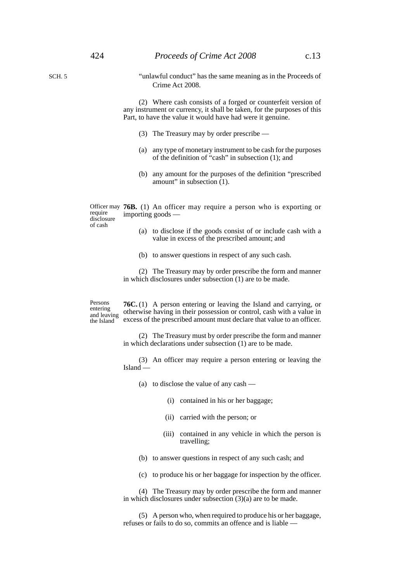SCH. 5

"unlawful conduct" has the same meaning as in the Proceeds of Crime Act 2008.

(2) Where cash consists of a forged or counterfeit version of any instrument or currency, it shall be taken, for the purposes of this Part, to have the value it would have had were it genuine.

- (3) The Treasury may by order prescribe —
- (a) any type of monetary instrument to be cash for the purposes of the definition of "cash" in subsection (1); and
- (b) any amount for the purposes of the definition "prescribed amount" in subsection (1).

Officer may **76B.** (1) An officer may require a person who is exporting or importing goods require disclosure

- (a) to disclose if the goods consist of or include cash with a value in excess of the prescribed amount; and
- (b) to answer questions in respect of any such cash.

(2) The Treasury may by order prescribe the form and manner in which disclosures under subsection (1) are to be made.

Persons entering and leaving the Island

of cash

**76C.** (1) A person entering or leaving the Island and carrying, or otherwise having in their possession or control, cash with a value in excess of the prescribed amount must declare that value to an officer.

(2) The Treasury must by order prescribe the form and manner in which declarations under subsection (1) are to be made.

(3) An officer may require a person entering or leaving the Island —

(a) to disclose the value of any cash —

- (i) contained in his or her baggage;
- (ii) carried with the person; or
- (iii) contained in any vehicle in which the person is travelling;
- (b) to answer questions in respect of any such cash; and
- (c) to produce his or her baggage for inspection by the officer.

(4) The Treasury may by order prescribe the form and manner in which disclosures under subsection (3)(a) are to be made.

(5) A person who, when required to produce his or her baggage, refuses or fails to do so, commits an offence and is liable —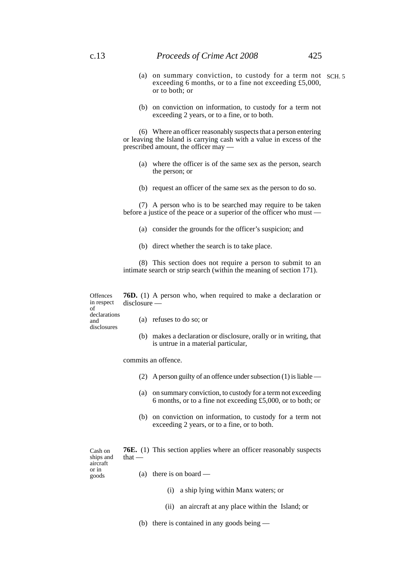- (a) on summary conviction, to custody for a term not SCH. 5 exceeding 6 months, or to a fine not exceeding £5,000, or to both; or
- (b) on conviction on information, to custody for a term not exceeding 2 years, or to a fine, or to both.

(6) Where an officer reasonably suspects that a person entering or leaving the Island is carrying cash with a value in excess of the prescribed amount, the officer may —

- (a) where the officer is of the same sex as the person, search the person; or
- (b) request an officer of the same sex as the person to do so.

(7) A person who is to be searched may require to be taken before a justice of the peace or a superior of the officer who must —

- (a) consider the grounds for the officer's suspicion; and
- (b) direct whether the search is to take place.

(8) This section does not require a person to submit to an intimate search or strip search (within the meaning of section 171).

**76D.** (1) A person who, when required to make a declaration or disclosure — **Offences** in respect

of declarations and disclosures

- (a) refuses to do so; or
- (b) makes a declaration or disclosure, orally or in writing, that is untrue in a material particular,

commits an offence.

- (2) A person guilty of an offence under subsection (1) is liable —
- (a) on summary conviction, to custody for a term not exceeding 6 months, or to a fine not exceeding £5,000, or to both; or
- (b) on conviction on information, to custody for a term not exceeding 2 years, or to a fine, or to both.

Cash on ships and aircraft or in goods

**76E.** (1) This section applies where an officer reasonably suspects that —

(a) there is on board  $-$ 

- (i) a ship lying within Manx waters; or
- (ii) an aircraft at any place within the Island; or
- (b) there is contained in any goods being —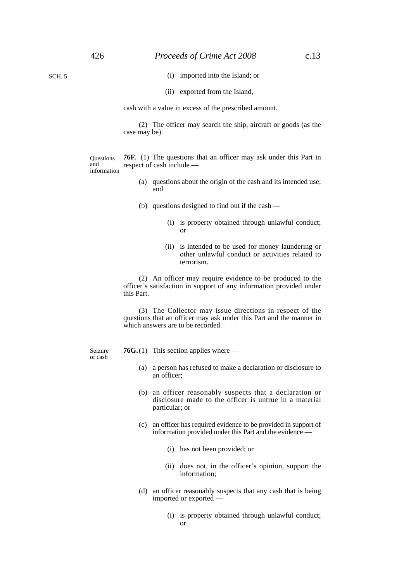SCH. 5

- (i) imported into the Island; or
- (ii) exported from the Island,

cash with a value in excess of the prescribed amount.

(2) The officer may search the ship, aircraft or goods (as the case may be).

**Ouestions** and information

**76F.** (1) The questions that an officer may ask under this Part in respect of cash include —

- (a) questions about the origin of the cash and its intended use; and
- (b) questions designed to find out if the cash
	- (i) is property obtained through unlawful conduct; or
	- (ii) is intended to be used for money laundering or other unlawful conduct or activities related to terrorism.

(2) An officer may require evidence to be produced to the officer's satisfaction in support of any information provided under this Part.

(3) The Collector may issue directions in respect of the questions that an officer may ask under this Part and the manner in which answers are to be recorded.

Seizure of cash

- **76G.**(1) This section applies where
	- (a) a person has refused to make a declaration or disclosure to an officer;
	- (b) an officer reasonably suspects that a declaration or disclosure made to the officer is untrue in a material particular; or
	- (c) an officer has required evidence to be provided in support of information provided under this Part and the evidence —
		- (i) has not been provided; or
		- (ii) does not, in the officer's opinion, support the information;
	- (d) an officer reasonably suspects that any cash that is being imported or exported —
		- (i) is property obtained through unlawful conduct; or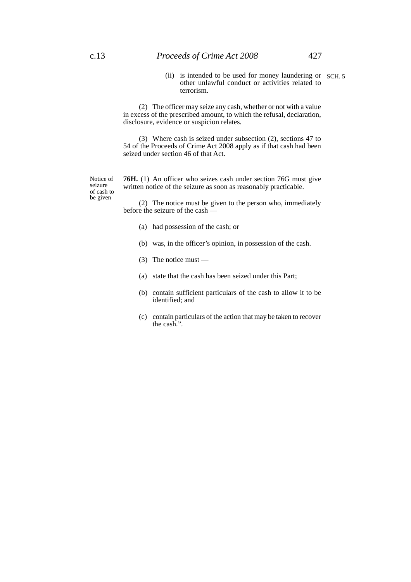(ii) is intended to be used for money laundering or SCH. 5 other unlawful conduct or activities related to terrorism.

(2) The officer may seize any cash, whether or not with a value in excess of the prescribed amount, to which the refusal, declaration, disclosure, evidence or suspicion relates.

(3) Where cash is seized under subsection (2), sections 47 to 54 of the Proceeds of Crime Act 2008 apply as if that cash had been seized under section 46 of that Act.

Notice of seizure of cash to be given

**76H.** (1) An officer who seizes cash under section 76G must give written notice of the seizure as soon as reasonably practicable.

(2) The notice must be given to the person who, immediately before the seizure of the cash —

- (a) had possession of the cash; or
- (b) was, in the officer's opinion, in possession of the cash.
- (3) The notice must —
- (a) state that the cash has been seized under this Part;
- (b) contain sufficient particulars of the cash to allow it to be identified; and
- (c) contain particulars of the action that may be taken to recover the cash.".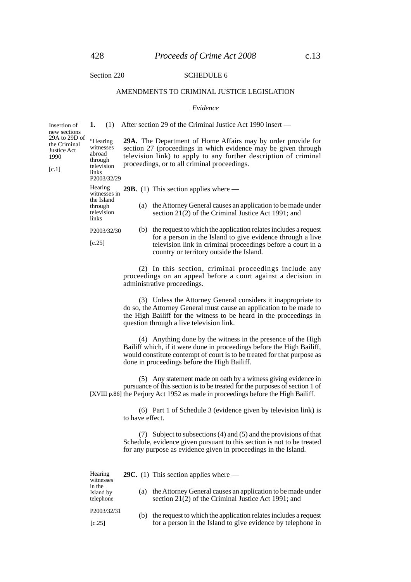Insertion of new sections 29A to 29D of the Criminal Justice Act 1990  $[c.1]$ 

#### Section 220 SCHEDULE 6

#### AMENDMENTS TO CRIMINAL JUSTICE LEGISLATION

#### *Evidence*

**1.** (1) After section 29 of the Criminal Justice Act 1990 insert —

**29A.** The Department of Home Affairs may by order provide for section 27 (proceedings in which evidence may be given through television link) to apply to any further description of criminal proceedings, or to all criminal proceedings. "Hearing witnesses television

P2003/32/29 Hearing

abroad through

links

| Hearing<br>witnesses in<br>the Island<br>through<br>television<br>links |     | <b>29B.</b> (1) This section applies where $-$                                                                                                                        |
|-------------------------------------------------------------------------|-----|-----------------------------------------------------------------------------------------------------------------------------------------------------------------------|
|                                                                         | (a) | the Attorney General causes an application to be made under<br>section 21(2) of the Criminal Justice Act 1991; and                                                    |
| P2003/32/30                                                             | (b) | the request to which the application relates includes a request                                                                                                       |
| [c.25]                                                                  |     | for a person in the Island to give evidence through a live<br>television link in criminal proceedings before a court in a<br>country or territory outside the Island. |

(2) In this section, criminal proceedings include any proceedings on an appeal before a court against a decision in administrative proceedings.

(3) Unless the Attorney General considers it inappropriate to do so, the Attorney General must cause an application to be made to the High Bailiff for the witness to be heard in the proceedings in question through a live television link.

(4) Anything done by the witness in the presence of the High Bailiff which, if it were done in proceedings before the High Bailiff, would constitute contempt of court is to be treated for that purpose as done in proceedings before the High Bailiff.

(5) Any statement made on oath by a witness giving evidence in pursuance of this section is to be treated for the purposes of section 1 of [XVIII p.86] the Perjury Act 1952 as made in proceedings before the High Bailiff.

> (6) Part 1 of Schedule 3 (evidence given by television link) is to have effect.

> (7) Subject to subsections (4) and (5) and the provisions of that Schedule, evidence given pursuant to this section is not to be treated for any purpose as evidence given in proceedings in the Island.

| Hearing<br>witnesses             |     | <b>29C.</b> (1) This section applies where $-$                                                                     |  |
|----------------------------------|-----|--------------------------------------------------------------------------------------------------------------------|--|
| in the<br>Island by<br>telephone | (a) | the Attorney General causes an application to be made under<br>section 21(2) of the Criminal Justice Act 1991; and |  |
| P2003/32/31                      | (b) | the request to which the application relates includes a request                                                    |  |
| [c.25]                           |     | for a person in the Island to give evidence by telephone in                                                        |  |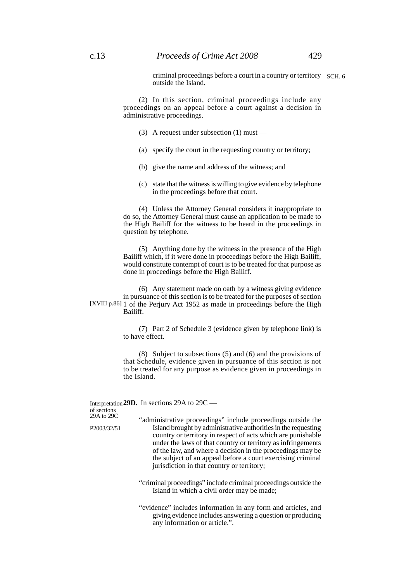criminal proceedings before a court in a country or territory SCH. 6 outside the Island.

(2) In this section, criminal proceedings include any proceedings on an appeal before a court against a decision in administrative proceedings.

- (3) A request under subsection (1) must —
- (a) specify the court in the requesting country or territory;
- (b) give the name and address of the witness; and
- (c) state that the witness is willing to give evidence by telephone in the proceedings before that court.

(4) Unless the Attorney General considers it inappropriate to do so, the Attorney General must cause an application to be made to the High Bailiff for the witness to be heard in the proceedings in question by telephone.

(5) Anything done by the witness in the presence of the High Bailiff which, if it were done in proceedings before the High Bailiff, would constitute contempt of court is to be treated for that purpose as done in proceedings before the High Bailiff.

(6) Any statement made on oath by a witness giving evidence in pursuance of this section is to be treated for the purposes of section [XVIII p.86] 1 of the Perjury Act 1952 as made in proceedings before the High Bailiff.

> (7) Part 2 of Schedule 3 (evidence given by telephone link) is to have effect.

> (8) Subject to subsections (5) and (6) and the provisions of that Schedule, evidence given in pursuance of this section is not to be treated for any purpose as evidence given in proceedings in the Island.

#### Interpretation **29D.** In sections 29A to 29C of sections

"administrative proceedings" include proceedings outside the Island brought by administrative authorities in the requesting country or territory in respect of acts which are punishable under the laws of that country or territory as infringements of the law, and where a decision in the proceedings may be the subject of an appeal before a court exercising criminal jurisdiction in that country or territory; 29A to 29C P2003/32/51

- "criminal proceedings" include criminal proceedings outside the Island in which a civil order may be made;
- "evidence" includes information in any form and articles, and giving evidence includes answering a question or producing any information or article.".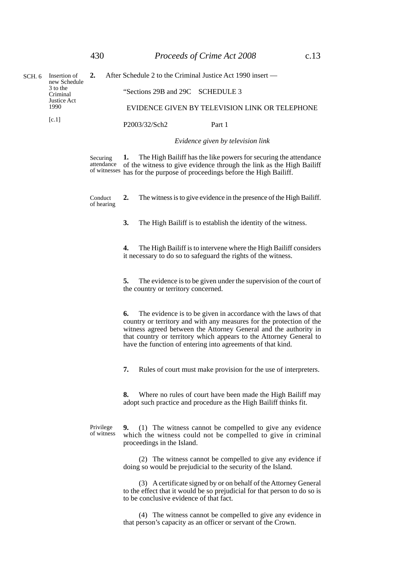| Insertion of<br>SCH. 6<br>3 to the<br>Criminal<br>Justice Act<br>1990 | new Schedule           | 2.                                                                                                                                                                                                                         | After Schedule 2 to the Criminal Justice Act 1990 insert —                                                                                                                                                                                                                                                                                             |
|-----------------------------------------------------------------------|------------------------|----------------------------------------------------------------------------------------------------------------------------------------------------------------------------------------------------------------------------|--------------------------------------------------------------------------------------------------------------------------------------------------------------------------------------------------------------------------------------------------------------------------------------------------------------------------------------------------------|
|                                                                       |                        |                                                                                                                                                                                                                            | "Sections 29B and 29C SCHEDULE 3                                                                                                                                                                                                                                                                                                                       |
|                                                                       |                        |                                                                                                                                                                                                                            | EVIDENCE GIVEN BY TELEVISION LINK OR TELEPHONE                                                                                                                                                                                                                                                                                                         |
|                                                                       | [c.1]                  |                                                                                                                                                                                                                            | P2003/32/Sch2<br>Part 1                                                                                                                                                                                                                                                                                                                                |
|                                                                       |                        |                                                                                                                                                                                                                            | Evidence given by television link                                                                                                                                                                                                                                                                                                                      |
|                                                                       | Securing<br>attendance | The High Bailiff has the like powers for securing the attendance<br>1.<br>of the witness to give evidence through the link as the High Bailiff<br>of witnesses has for the purpose of proceedings before the High Bailiff. |                                                                                                                                                                                                                                                                                                                                                        |
|                                                                       | Conduct<br>of hearing  | The witness is to give evidence in the presence of the High Bailiff.<br>2.                                                                                                                                                 |                                                                                                                                                                                                                                                                                                                                                        |
|                                                                       |                        | 3.<br>The High Bailiff is to establish the identity of the witness.                                                                                                                                                        |                                                                                                                                                                                                                                                                                                                                                        |
|                                                                       |                        |                                                                                                                                                                                                                            | 4.<br>The High Bailiff is to intervene where the High Bailiff considers<br>it necessary to do so to safeguard the rights of the witness.                                                                                                                                                                                                               |
|                                                                       |                        | 5.<br>The evidence is to be given under the supervision of the court of<br>the country or territory concerned.                                                                                                             |                                                                                                                                                                                                                                                                                                                                                        |
|                                                                       |                        |                                                                                                                                                                                                                            | The evidence is to be given in accordance with the laws of that<br>6.<br>country or territory and with any measures for the protection of the<br>witness agreed between the Attorney General and the authority in<br>that country or territory which appears to the Attorney General to<br>have the function of entering into agreements of that kind. |
|                                                                       |                        |                                                                                                                                                                                                                            | Rules of court must make provision for the use of interpreters.<br>7.                                                                                                                                                                                                                                                                                  |
|                                                                       |                        |                                                                                                                                                                                                                            | 8.<br>Where no rules of court have been made the High Bailiff may<br>adopt such practice and procedure as the High Bailiff thinks fit.                                                                                                                                                                                                                 |
|                                                                       |                        | Privilege<br>of witness                                                                                                                                                                                                    | (1) The witness cannot be compelled to give any evidence<br>9.<br>which the witness could not be compelled to give in criminal<br>proceedings in the Island.                                                                                                                                                                                           |
|                                                                       |                        |                                                                                                                                                                                                                            | (2) The witness cannot be compelled to give any evidence if<br>doing so would be prejudicial to the security of the Island.                                                                                                                                                                                                                            |
|                                                                       |                        | (3) A certificate signed by or on behalf of the Attorney General<br>to the effect that it would be so prejudicial for that person to do so is<br>to be conclusive evidence of that fact.                                   |                                                                                                                                                                                                                                                                                                                                                        |

(4) The witness cannot be compelled to give any evidence in that person's capacity as an officer or servant of the Crown.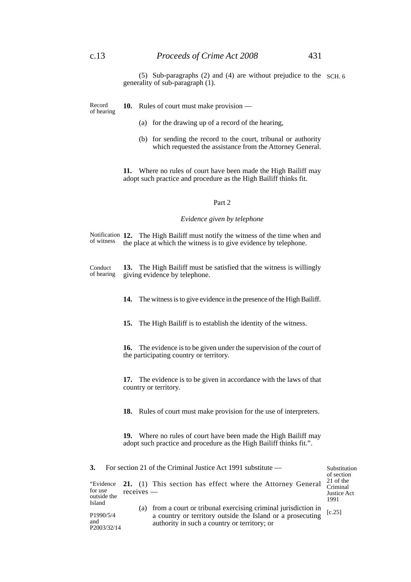Record of hearing **10.** Rules of court must make provision —

- (a) for the drawing up of a record of the hearing,
- (b) for sending the record to the court, tribunal or authority which requested the assistance from the Attorney General.

**11.** Where no rules of court have been made the High Bailiff may adopt such practice and procedure as the High Bailiff thinks fit.

### Part 2

#### *Evidence given by telephone*

Notification 12. The High Bailiff must notify the witness of the time when and the place at which the witness is to give evidence by telephone. of witness

**13.** The High Bailiff must be satisfied that the witness is willingly giving evidence by telephone. Conduct of hearing

**14.** The witness is to give evidence in the presence of the High Bailiff.

**15.** The High Bailiff is to establish the identity of the witness.

**16.** The evidence is to be given under the supervision of the court of the participating country or territory.

**17.** The evidence is to be given in accordance with the laws of that country or territory.

**18.** Rules of court must make provision for the use of interpreters.

**19.** Where no rules of court have been made the High Bailiff may adopt such practice and procedure as the High Bailiff thinks fit.".

| <b>3.</b>                            |              | For section 21 of the Criminal Justice Act 1991 substitute $-$                                                                                                                 | Substitution<br>of section                   |
|--------------------------------------|--------------|--------------------------------------------------------------------------------------------------------------------------------------------------------------------------------|----------------------------------------------|
| "Evidence"<br>for use<br>outside the | $receives$ — | 21. (1) This section has effect where the Attorney General                                                                                                                     | 21 of the<br>Criminal<br>Justice Act<br>1991 |
| Island<br>P1990/5/4<br>and           |              | (a) from a court or tribunal exercising criminal jurisdiction in<br>a country or territory outside the Island or a prosecuting<br>authority in such a country or territory; or | $[c.25]$                                     |
| P2003/32/14                          |              |                                                                                                                                                                                |                                              |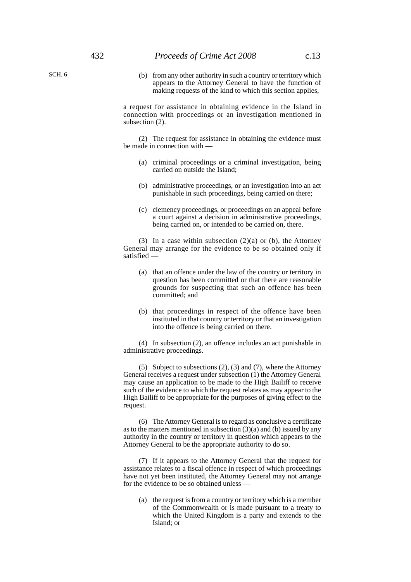(b) from any other authority in such a country or territory which appears to the Attorney General to have the function of making requests of the kind to which this section applies,

a request for assistance in obtaining evidence in the Island in connection with proceedings or an investigation mentioned in subsection (2).

(2) The request for assistance in obtaining the evidence must be made in connection with —

- (a) criminal proceedings or a criminal investigation, being carried on outside the Island;
- (b) administrative proceedings, or an investigation into an act punishable in such proceedings, being carried on there;
- (c) clemency proceedings, or proceedings on an appeal before a court against a decision in administrative proceedings, being carried on, or intended to be carried on, there.

(3) In a case within subsection  $(2)(a)$  or (b), the Attorney General may arrange for the evidence to be so obtained only if satisfied —

- (a) that an offence under the law of the country or territory in question has been committed or that there are reasonable grounds for suspecting that such an offence has been committed; and
- (b) that proceedings in respect of the offence have been instituted in that country or territory or that an investigation into the offence is being carried on there.

(4) In subsection (2), an offence includes an act punishable in administrative proceedings.

(5) Subject to subsections (2), (3) and (7), where the Attorney General receives a request under subsection (1) the Attorney General may cause an application to be made to the High Bailiff to receive such of the evidence to which the request relates as may appear to the High Bailiff to be appropriate for the purposes of giving effect to the request.

(6) The Attorney General is to regard as conclusive a certificate as to the matters mentioned in subsection  $(3)(a)$  and  $(b)$  issued by any authority in the country or territory in question which appears to the Attorney General to be the appropriate authority to do so.

(7) If it appears to the Attorney General that the request for assistance relates to a fiscal offence in respect of which proceedings have not yet been instituted, the Attorney General may not arrange for the evidence to be so obtained unless —

(a) the request is from a country or territory which is a member of the Commonwealth or is made pursuant to a treaty to which the United Kingdom is a party and extends to the Island; or

SCH. 6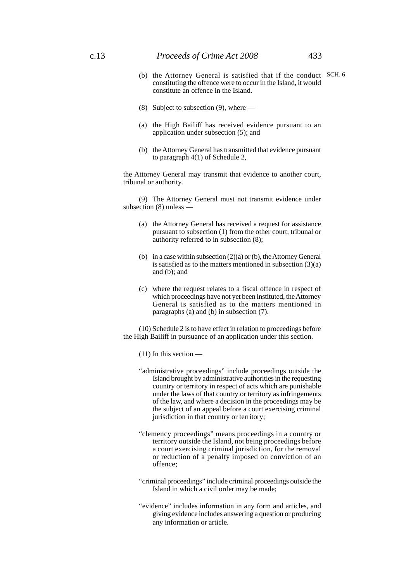### c.13 *Proceeds of Crime Act 2008* 433

- (b) the Attorney General is satisfied that if the conduct SCH. 6constituting the offence were to occur in the Island, it would constitute an offence in the Island.
- (8) Subject to subsection (9), where —
- (a) the High Bailiff has received evidence pursuant to an application under subsection (5); and
- (b) the Attorney General has transmitted that evidence pursuant to paragraph 4(1) of Schedule 2,

the Attorney General may transmit that evidence to another court, tribunal or authority.

(9) The Attorney General must not transmit evidence under subsection (8) unless —

- (a) the Attorney General has received a request for assistance pursuant to subsection (1) from the other court, tribunal or authority referred to in subsection (8);
- (b) in a case within subsection (2)(a) or (b), the Attorney General is satisfied as to the matters mentioned in subsection (3)(a) and (b); and
- (c) where the request relates to a fiscal offence in respect of which proceedings have not yet been instituted, the Attorney General is satisfied as to the matters mentioned in paragraphs (a) and (b) in subsection (7).

(10) Schedule 2 is to have effect in relation to proceedings before the High Bailiff in pursuance of an application under this section.

(11) In this section —

- "administrative proceedings" include proceedings outside the Island brought by administrative authorities in the requesting country or territory in respect of acts which are punishable under the laws of that country or territory as infringements of the law, and where a decision in the proceedings may be the subject of an appeal before a court exercising criminal jurisdiction in that country or territory;
- "clemency proceedings" means proceedings in a country or territory outside the Island, not being proceedings before a court exercising criminal jurisdiction, for the removal or reduction of a penalty imposed on conviction of an offence;
- "criminal proceedings" include criminal proceedings outside the Island in which a civil order may be made;
- "evidence" includes information in any form and articles, and giving evidence includes answering a question or producing any information or article.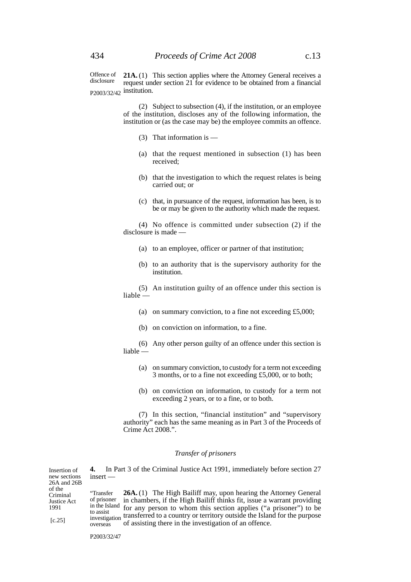**21A.** (1) This section applies where the Attorney General receives a request under section 21 for evidence to be obtained from a financial P2003/32/42 institution. Offence of disclosure

> (2) Subject to subsection (4), if the institution, or an employee of the institution, discloses any of the following information, the institution or (as the case may be) the employee commits an offence.

- (3) That information is —
- (a) that the request mentioned in subsection (1) has been received;
- (b) that the investigation to which the request relates is being carried out; or
- (c) that, in pursuance of the request, information has been, is to be or may be given to the authority which made the request.

(4) No offence is committed under subsection (2) if the disclosure is made —

- (a) to an employee, officer or partner of that institution;
- (b) to an authority that is the supervisory authority for the institution.

(5) An institution guilty of an offence under this section is liable —

- (a) on summary conviction, to a fine not exceeding £5,000;
- (b) on conviction on information, to a fine.

(6) Any other person guilty of an offence under this section is liable —

- (a) on summary conviction, to custody for a term not exceeding 3 months, or to a fine not exceeding £5,000, or to both;
- (b) on conviction on information, to custody for a term not exceeding 2 years, or to a fine, or to both.

(7) In this section, "financial institution" and "supervisory authority" each has the same meaning as in Part 3 of the Proceeds of Crime Act 2008.".

#### *Transfer of prisoners*

| Insertion of<br>new sections<br>26A and 26B         | $insert -$                                        | In Part 3 of the Criminal Justice Act 1991, immediately before section 27                                                                                                                                                                                                                                                                                                               |
|-----------------------------------------------------|---------------------------------------------------|-----------------------------------------------------------------------------------------------------------------------------------------------------------------------------------------------------------------------------------------------------------------------------------------------------------------------------------------------------------------------------------------|
| of the<br>Criminal<br>Justice Act<br>1991<br>[c.25] | "Transfer<br>of prisoner<br>to assist<br>overseas | <b>26A.</b> (1) The High Bailiff may, upon hearing the Attorney General<br>in chambers, if the High Bailiff thinks fit, issue a warrant providing<br>in the Island for any person to whom this section applies ("a prisoner") to be<br>investigation transferred to a country or territory outside the Island for the purpose<br>of assisting there in the investigation of an offence. |

P2003/32/47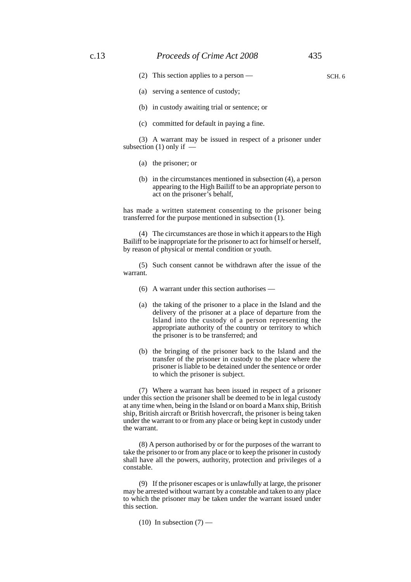SCH. 6

- (2) This section applies to a person —
- (a) serving a sentence of custody;
- (b) in custody awaiting trial or sentence; or
- (c) committed for default in paying a fine.

(3) A warrant may be issued in respect of a prisoner under subsection  $(1)$  only if  $-$ 

- (a) the prisoner; or
- (b) in the circumstances mentioned in subsection (4), a person appearing to the High Bailiff to be an appropriate person to act on the prisoner's behalf,

has made a written statement consenting to the prisoner being transferred for the purpose mentioned in subsection (1).

(4) The circumstances are those in which it appears to the High Bailiff to be inappropriate for the prisoner to act for himself or herself, by reason of physical or mental condition or youth.

(5) Such consent cannot be withdrawn after the issue of the warrant.

- (6) A warrant under this section authorises —
- (a) the taking of the prisoner to a place in the Island and the delivery of the prisoner at a place of departure from the Island into the custody of a person representing the appropriate authority of the country or territory to which the prisoner is to be transferred; and
- (b) the bringing of the prisoner back to the Island and the transfer of the prisoner in custody to the place where the prisoner is liable to be detained under the sentence or order to which the prisoner is subject.

(7) Where a warrant has been issued in respect of a prisoner under this section the prisoner shall be deemed to be in legal custody at any time when, being in the Island or on board a Manx ship, British ship, British aircraft or British hovercraft, the prisoner is being taken under the warrant to or from any place or being kept in custody under the warrant.

(8) A person authorised by or for the purposes of the warrant to take the prisoner to or from any place or to keep the prisoner in custody shall have all the powers, authority, protection and privileges of a constable.

(9) If the prisoner escapes or is unlawfully at large, the prisoner may be arrested without warrant by a constable and taken to any place to which the prisoner may be taken under the warrant issued under this section.

 $(10)$  In subsection  $(7)$  —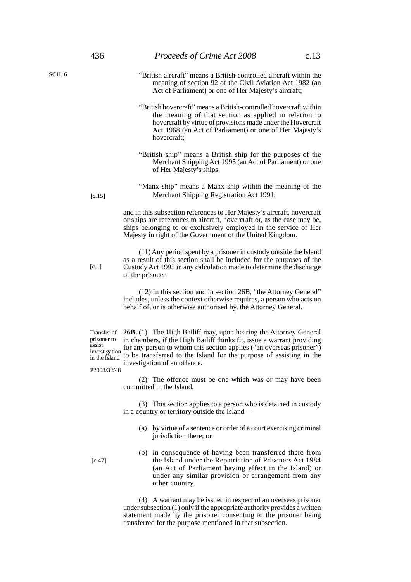- "British aircraft" means a British-controlled aircraft within the meaning of section 92 of the Civil Aviation Act 1982 (an Act of Parliament) or one of Her Majesty's aircraft;
- "British hovercraft" means a British-controlled hovercraft within the meaning of that section as applied in relation to hovercraft by virtue of provisions made under the Hovercraft Act 1968 (an Act of Parliament) or one of Her Majesty's hovercraft;
- "British ship" means a British ship for the purposes of the Merchant Shipping Act 1995 (an Act of Parliament) or one of Her Majesty's ships;
- "Manx ship" means a Manx ship within the meaning of the Merchant Shipping Registration Act 1991;

and in this subsection references to Her Majesty's aircraft, hovercraft or ships are references to aircraft, hovercraft or, as the case may be, ships belonging to or exclusively employed in the service of Her Majesty in right of the Government of the United Kingdom.

(11) Any period spent by a prisoner in custody outside the Island as a result of this section shall be included for the purposes of the Custody Act 1995 in any calculation made to determine the discharge of the prisoner.

(12) In this section and in section 26B, "the Attorney General" includes, unless the context otherwise requires, a person who acts on behalf of, or is otherwise authorised by, the Attorney General.

Transfer of prisoner to assist<br>investigation in the Island

**26B.** (1) The High Bailiff may, upon hearing the Attorney General in chambers, if the High Bailiff thinks fit, issue a warrant providing for any person to whom this section applies ("an overseas prisoner")  $t_{\text{in the Island}}$  to be transferred to the Island for the purpose of assisting in the investigation of an offence.

P2003/32/48

(2) The offence must be one which was or may have been committed in the Island.

(3) This section applies to a person who is detained in custody in a country or territory outside the Island —

(a) by virtue of a sentence or order of a court exercising criminal jurisdiction there; or

[c.47]

(b) in consequence of having been transferred there from the Island under the Repatriation of Prisoners Act 1984 (an Act of Parliament having effect in the Island) or under any similar provision or arrangement from any other country.

(4) A warrant may be issued in respect of an overseas prisoner under subsection (1) only if the appropriate authority provides a written statement made by the prisoner consenting to the prisoner being transferred for the purpose mentioned in that subsection.

[c.15]

SCH. 6

[c.1]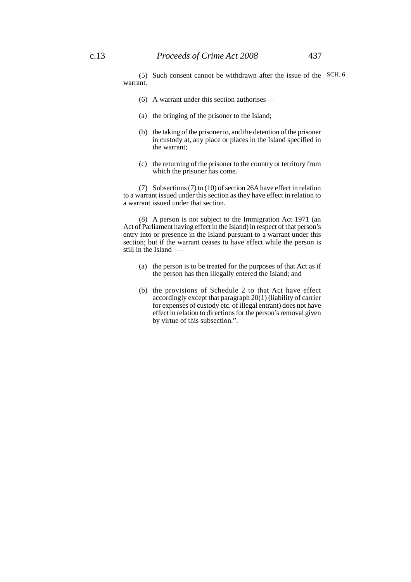(5) Such consent cannot be withdrawn after the issue of the SCH. 6warrant.

- (6) A warrant under this section authorises —
- (a) the bringing of the prisoner to the Island;
- (b) the taking of the prisoner to, and the detention of the prisoner in custody at, any place or places in the Island specified in the warrant;
- (c) the returning of the prisoner to the country or territory from which the prisoner has come.

(7) Subsections (7) to (10) of section 26A have effect in relation to a warrant issued under this section as they have effect in relation to a warrant issued under that section.

(8) A person is not subject to the Immigration Act 1971 (an Act of Parliament having effect in the Island) in respect of that person's entry into or presence in the Island pursuant to a warrant under this section; but if the warrant ceases to have effect while the person is still in the Island —

- (a) the person is to be treated for the purposes of that Act as if the person has then illegally entered the Island; and
- (b) the provisions of Schedule 2 to that Act have effect accordingly except that paragraph 20(1) (liability of carrier for expenses of custody etc. of illegal entrant) does not have effect in relation to directions for the person's removal given by virtue of this subsection.".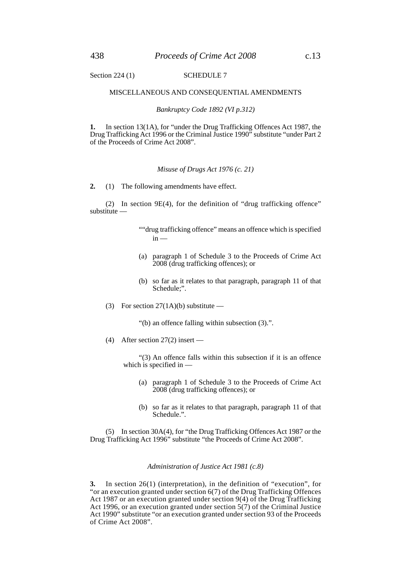#### MISCELLANEOUS AND CONSEQUENTIAL AMENDMENTS

*Bankruptcy Code 1892 (VI p.312)*

**1.** In section 13(1A), for "under the Drug Trafficking Offences Act 1987, the Drug Trafficking Act 1996 or the Criminal Justice 1990" substitute "under Part 2 of the Proceeds of Crime Act 2008".

#### *Misuse of Drugs Act 1976 (c. 21)*

**2.** (1) The following amendments have effect.

(2) In section 9E(4), for the definition of "drug trafficking offence" substitute —

- ""drug trafficking offence" means an offence which is specified in —
- (a) paragraph 1 of Schedule 3 to the Proceeds of Crime Act 2008 (drug trafficking offences); or
- (b) so far as it relates to that paragraph, paragraph 11 of that Schedule;".
- (3) For section  $27(1A)(b)$  substitute —

"(b) an offence falling within subsection (3).".

(4) After section 27(2) insert —

"(3) An offence falls within this subsection if it is an offence which is specified in —

- (a) paragraph 1 of Schedule 3 to the Proceeds of Crime Act 2008 (drug trafficking offences); or
- (b) so far as it relates to that paragraph, paragraph 11 of that Schedule.".

(5) In section 30A(4), for "the Drug Trafficking Offences Act 1987 or the Drug Trafficking Act 1996" substitute "the Proceeds of Crime Act 2008".

#### *Administration of Justice Act 1981 (c.8)*

**3.** In section 26(1) (interpretation), in the definition of "execution", for "or an execution granted under section 6(7) of the Drug Trafficking Offences Act 1987 or an execution granted under section 9(4) of the Drug Trafficking Act 1996, or an execution granted under section 5(7) of the Criminal Justice Act 1990" substitute "or an execution granted under section 93 of the Proceeds of Crime Act 2008".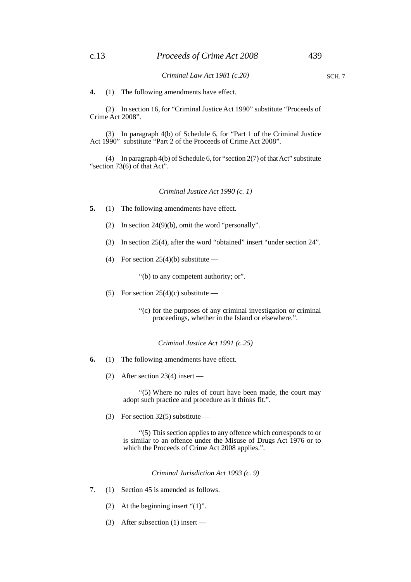**4.** (1) The following amendments have effect.

(2) In section 16, for "Criminal Justice Act 1990" substitute "Proceeds of Crime Act 2008".

(3) In paragraph 4(b) of Schedule 6, for "Part 1 of the Criminal Justice Act 1990" substitute "Part 2 of the Proceeds of Crime Act 2008".

(4) In paragraph 4(b) of Schedule 6, for "section 2(7) of that Act" substitute "section 73(6) of that Act".

*Criminal Justice Act 1990 (c. 1)*

- **5.** (1) The following amendments have effect.
	- (2) In section 24(9)(b), omit the word "personally".
	- (3) In section 25(4), after the word "obtained" insert "under section 24".
	- (4) For section  $25(4)(b)$  substitute —

"(b) to any competent authority; or".

- (5) For section  $25(4)(c)$  substitute
	- "(c) for the purposes of any criminal investigation or criminal proceedings, whether in the Island or elsewhere.".

*Criminal Justice Act 1991 (c.25)*

- **6.** (1) The following amendments have effect.
	- (2) After section 23(4) insert —

"(5) Where no rules of court have been made, the court may adopt such practice and procedure as it thinks fit.".

(3) For section  $32(5)$  substitute —

"(5) This section applies to any offence which corresponds to or is similar to an offence under the Misuse of Drugs Act 1976 or to which the Proceeds of Crime Act 2008 applies.".

*Criminal Jurisdiction Act 1993 (c. 9)*

- 7. (1) Section 45 is amended as follows.
	- (2) At the beginning insert " $(1)$ ".
	- (3) After subsection (1) insert —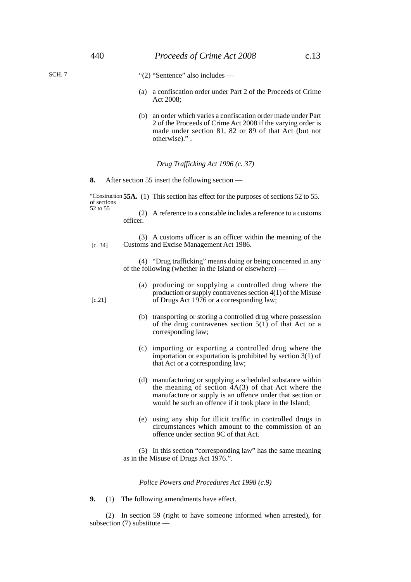"(2) "Sentence" also includes —

- (a) a confiscation order under Part 2 of the Proceeds of Crime Act 2008;
- (b) an order which varies a confiscation order made under Part 2 of the Proceeds of Crime Act 2008 if the varying order is made under section 81, 82 or 89 of that Act (but not otherwise)." .

#### *Drug Trafficking Act 1996 (c. 37)*

**8.** After section 55 insert the following section —

"Construction **55A.** (1) This section has effect for the purposes of sections 52 to 55. of sections 52 to 55

(2) A reference to a constable includes a reference to a customs officer.

(3) A customs officer is an officer within the meaning of the Customs and Excise Management Act 1986. [c. 34]

> (4) "Drug trafficking" means doing or being concerned in any of the following (whether in the Island or elsewhere) —

- (a) producing or supplying a controlled drug where the production or supply contravenes section 4(1) of the Misuse of Drugs Act 1976 or a corresponding law;
- (b) transporting or storing a controlled drug where possession of the drug contravenes section 5(1) of that Act or a corresponding law;
- (c) importing or exporting a controlled drug where the importation or exportation is prohibited by section 3(1) of that Act or a corresponding law;
- (d) manufacturing or supplying a scheduled substance within the meaning of section  $4A(3)$  of that Act where the manufacture or supply is an offence under that section or would be such an offence if it took place in the Island;
- (e) using any ship for illicit traffic in controlled drugs in circumstances which amount to the commission of an offence under section 9C of that Act.

(5) In this section "corresponding law" has the same meaning as in the Misuse of Drugs Act 1976.".

*Police Powers and Procedures Act 1998 (c.9)*

**9.** (1) The following amendments have effect.

(2) In section 59 (right to have someone informed when arrested), for subsection (7) substitute —

[c.21]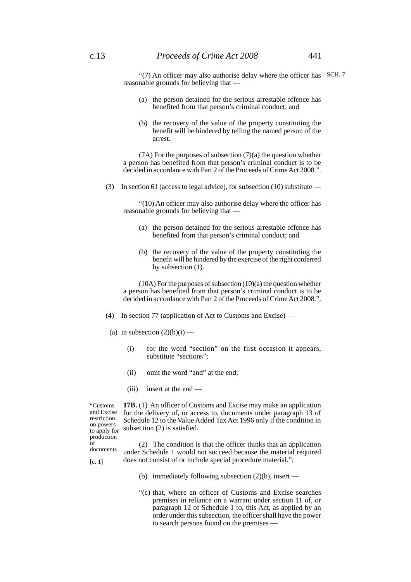"(7) An officer may also authorise delay where the officer has SCH. 7 reasonable grounds for believing that —

- (a) the person detained for the serious arrestable offence has benefited from that person's criminal conduct; and
- (b) the recovery of the value of the property constituting the benefit will be hindered by telling the named person of the arrest.

 $(7A)$  For the purposes of subsection  $(7)(a)$  the question whether a person has benefited from that person's criminal conduct is to be decided in accordance with Part 2 of the Proceeds of Crime Act 2008.".

(3) In section 61 (access to legal advice), for subsection (10) substitute —

"(10) An officer may also authorise delay where the officer has reasonable grounds for believing that —

- (a) the person detained for the serious arrestable offence has benefited from that person's criminal conduct; and
- (b) the recovery of the value of the property constituting the benefit will be hindered by the exercise of the right conferred by subsection (1).

(10A) For the purposes of subsection (10)(a) the question whether a person has benefited from that person's criminal conduct is to be decided in accordance with Part 2 of the Proceeds of Crime Act 2008.".

- (4) In section 77 (application of Act to Customs and Excise) —
- (a) in subsection  $(2)(b)(i)$ 
	- (i) for the word "section" on the first occasion it appears, substitute "sections";
	- (ii) omit the word "and" at the end;
	- (iii) insert at the end —

**17B.** (1) An officer of Customs and Excise may make an application "Customs and Excise restriction on powers production of documents

[c. 1]

for the delivery of, or access to, documents under paragraph 13 of Schedule 12 to the Value Added Tax Act 1996 only if the condition in on powers subsection  $(2)$  is satisfied.

(2) The condition is that the officer thinks that an application under Schedule 1 would not succeed because the material required does not consist of or include special procedure material.";

- (b) immediately following subsection  $(2)(b)$ , insert —
- "(c) that, where an officer of Customs and Excise searches premises in reliance on a warrant under section 11 of, or paragraph 12 of Schedule 1 to, this Act, as applied by an order under this subsection, the officer shall have the power to search persons found on the premises —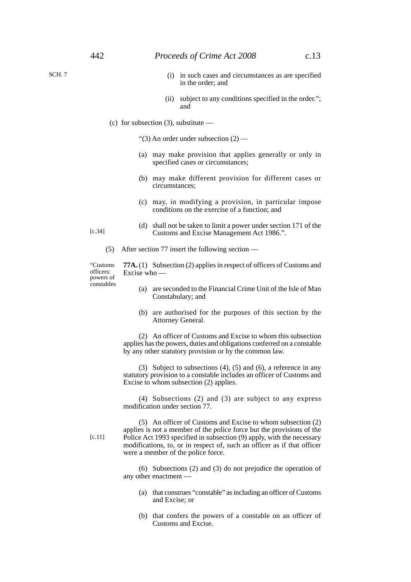SCH. 7

- (i) in such cases and circumstances as are specified in the order; and
- (ii) subject to any conditions specified in the order."; and
- (c) for subsection  $(3)$ , substitute —

"(3) An order under subsection  $(2)$  —

- (a) may make provision that applies generally or only in specified cases or circumstances;
- (b) may make different provision for different cases or circumstances;
- (c) may, in modifying a provision, in particular impose conditions on the exercise of a function; and
- (d) shall not be taken to limit a power under section 171 of the Customs and Excise Management Act 1986.".
- (5) After section 77 insert the following section —

"Customs officers: powers of constables

**77A.** (1) Subsection (2) applies in respect of officers of Customs and Excise who —

- (a) are seconded to the Financial Crime Unit of the Isle of Man Constabulary; and
- (b) are authorised for the purposes of this section by the Attorney General.

(2) An officer of Customs and Excise to whom this subsection applies has the powers, duties and obligations conferred on a constable by any other statutory provision or by the common law.

(3) Subject to subsections (4), (5) and (6), a reference in any statutory provision to a constable includes an officer of Customs and Excise to whom subsection (2) applies.

(4) Subsections (2) and (3) are subject to any express modification under section 77.

[c.11]

(5) An officer of Customs and Excise to whom subsection (2) applies is not a member of the police force but the provisions of the Police Act 1993 specified in subsection (9) apply, with the necessary modifications, to, or in respect of, such an officer as if that officer were a member of the police force.

(6) Subsections (2) and (3) do not prejudice the operation of any other enactment —

- (a) that construes "constable" as including an officer of Customs and Excise; or
- (b) that confers the powers of a constable on an officer of Customs and Excise.

[c.34]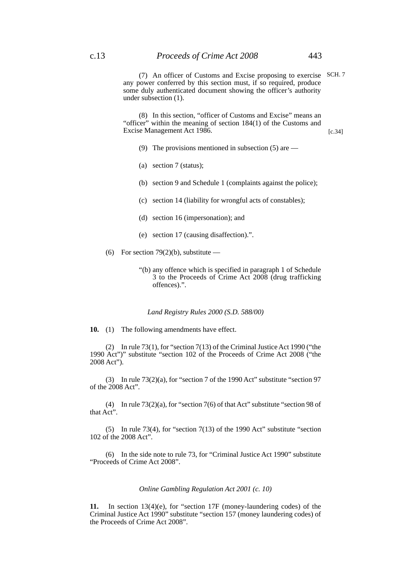(7) An officer of Customs and Excise proposing to exercise SCH. 7any power conferred by this section must, if so required, produce some duly authenticated document showing the officer's authority under subsection (1).

(8) In this section, "officer of Customs and Excise" means an "officer" within the meaning of section 184(1) of the Customs and Excise Management Act 1986.

- (9) The provisions mentioned in subsection (5) are —
- (a) section 7 (status);
- (b) section 9 and Schedule 1 (complaints against the police);
- (c) section 14 (liability for wrongful acts of constables);
- (d) section 16 (impersonation); and
- (e) section 17 (causing disaffection).".
- (6) For section 79(2)(b), substitute
	- "(b) any offence which is specified in paragraph 1 of Schedule 3 to the Proceeds of Crime Act 2008 (drug trafficking offences).".

#### *Land Registry Rules 2000 (S.D. 588/00)*

**10.** (1) The following amendments have effect.

(2) In rule 73(1), for "section 7(13) of the Criminal Justice Act 1990 ("the 1990 Act")" substitute "section 102 of the Proceeds of Crime Act 2008 ("the 2008 Act").

(3) In rule 73(2)(a), for "section 7 of the 1990 Act" substitute "section 97 of the 2008 Act".

(4) In rule 73(2)(a), for "section 7(6) of that Act" substitute "section 98 of that Act".

(5) In rule 73(4), for "section 7(13) of the 1990 Act" substitute "section 102 of the 2008 Act".

(6) In the side note to rule 73, for "Criminal Justice Act 1990" substitute "Proceeds of Crime Act 2008".

#### *Online Gambling Regulation Act 2001 (c. 10)*

**11.** In section 13(4)(e), for "section 17F (money-laundering codes) of the Criminal Justice Act 1990" substitute "section 157 (money laundering codes) of the Proceeds of Crime Act 2008".

[c.34]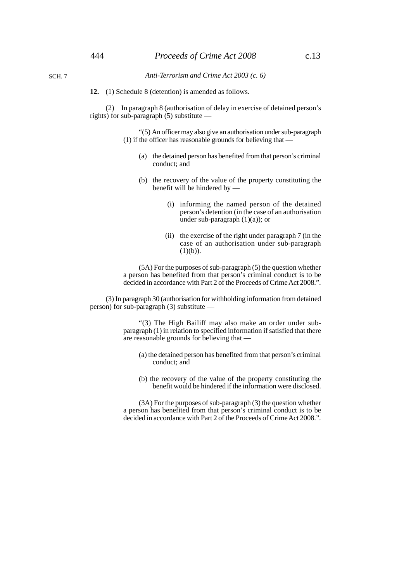*Anti-Terrorism and Crime Act 2003 (c. 6)*

SCH. 7

**12.** (1) Schedule 8 (detention) is amended as follows.

(2) In paragraph 8 (authorisation of delay in exercise of detained person's rights) for sub-paragraph (5) substitute —

> "(5) An officer may also give an authorisation under sub-paragraph (1) if the officer has reasonable grounds for believing that —

- (a) the detained person has benefited from that person's criminal conduct; and
- (b) the recovery of the value of the property constituting the benefit will be hindered by —
	- (i) informing the named person of the detained person's detention (in the case of an authorisation under sub-paragraph  $(1)(a)$ ; or
	- (ii) the exercise of the right under paragraph 7 (in the case of an authorisation under sub-paragraph  $(1)(b)$ ).

(5A) For the purposes of sub-paragraph (5) the question whether a person has benefited from that person's criminal conduct is to be decided in accordance with Part 2 of the Proceeds of Crime Act 2008.".

(3) In paragraph 30 (authorisation for withholding information from detained person) for sub-paragraph (3) substitute —

> "(3) The High Bailiff may also make an order under subparagraph (1) in relation to specified information if satisfied that there are reasonable grounds for believing that —

- (a) the detained person has benefited from that person's criminal conduct; and
- (b) the recovery of the value of the property constituting the benefit would be hindered if the information were disclosed.

(3A) For the purposes of sub-paragraph (3) the question whether a person has benefited from that person's criminal conduct is to be decided in accordance with Part 2 of the Proceeds of Crime Act 2008.".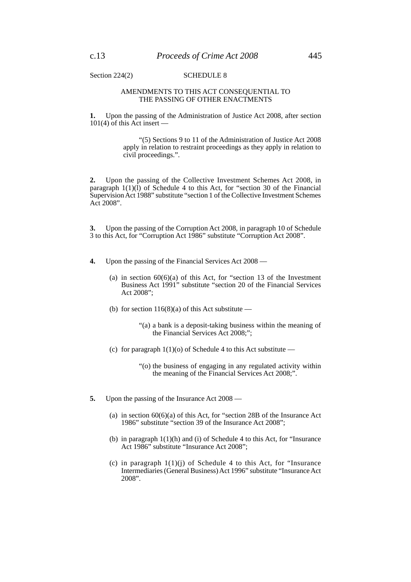Section 224(2) SCHEDULE 8

#### AMENDMENTS TO THIS ACT CONSEQUENTIAL TO THE PASSING OF OTHER ENACTMENTS

**1.** Upon the passing of the Administration of Justice Act 2008, after section 101(4) of this Act insert —

> "(5) Sections 9 to 11 of the Administration of Justice Act 2008 apply in relation to restraint proceedings as they apply in relation to civil proceedings.".

**2.** Upon the passing of the Collective Investment Schemes Act 2008, in paragraph  $1(1)(1)$  of Schedule 4 to this Act, for "section 30 of the Financial Supervision Act 1988" substitute "section 1 of the Collective Investment Schemes Act 2008".

**3.** Upon the passing of the Corruption Act 2008, in paragraph 10 of Schedule 3 to this Act, for "Corruption Act 1986" substitute "Corruption Act 2008".

- **4.** Upon the passing of the Financial Services Act 2008
	- (a) in section  $60(6)(a)$  of this Act, for "section 13 of the Investment Business Act 1991" substitute "section 20 of the Financial Services Act 2008";
	- (b) for section  $116(8)(a)$  of this Act substitute
		- "(a) a bank is a deposit-taking business within the meaning of the Financial Services Act 2008;";
	- (c) for paragraph  $1(1)(o)$  of Schedule 4 to this Act substitute
		- "(o) the business of engaging in any regulated activity within the meaning of the Financial Services Act 2008;".
- **5.** Upon the passing of the Insurance Act 2008
	- (a) in section  $60(6)(a)$  of this Act, for "section 28B of the Insurance Act 1986" substitute "section 39 of the Insurance Act 2008";
	- (b) in paragraph 1(1)(h) and (i) of Schedule 4 to this Act, for "Insurance Act 1986" substitute "Insurance Act 2008";
	- (c) in paragraph 1(1)(j) of Schedule 4 to this Act, for "Insurance Intermediaries (General Business) Act 1996" substitute "Insurance Act 2008".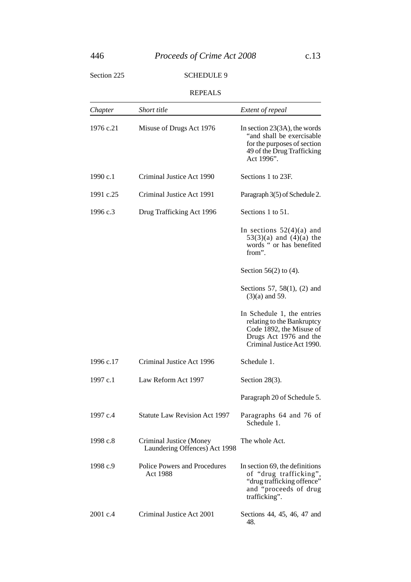# 446 *Proceeds of Crime Act 2008* c.13

# Section 225 SCHEDULE 9

## REPEALS

| Chapter   | <b>Short title</b>                                       | Extent of repeal                                                                                                                             |
|-----------|----------------------------------------------------------|----------------------------------------------------------------------------------------------------------------------------------------------|
| 1976 c.21 | Misuse of Drugs Act 1976                                 | In section $23(3A)$ , the words<br>"and shall be exercisable"<br>for the purposes of section<br>49 of the Drug Trafficking<br>Act 1996".     |
| 1990c.1   | Criminal Justice Act 1990                                | Sections 1 to 23F.                                                                                                                           |
| 1991 c.25 | Criminal Justice Act 1991                                | Paragraph 3(5) of Schedule 2.                                                                                                                |
| 1996 c.3  | Drug Trafficking Act 1996                                | Sections 1 to 51.                                                                                                                            |
|           |                                                          | In sections $52(4)(a)$ and<br>$53(3)(a)$ and $(4)(a)$ the<br>words " or has benefited<br>from".                                              |
|           |                                                          | Section $56(2)$ to $(4)$ .                                                                                                                   |
|           |                                                          | Sections 57, 58(1), (2) and<br>$(3)(a)$ and 59.                                                                                              |
|           |                                                          | In Schedule 1, the entries<br>relating to the Bankruptcy<br>Code 1892, the Misuse of<br>Drugs Act 1976 and the<br>Criminal Justice Act 1990. |
| 1996 c.17 | Criminal Justice Act 1996                                | Schedule 1.                                                                                                                                  |
| 1997 c.1  | Law Reform Act 1997                                      | Section $28(3)$ .                                                                                                                            |
|           |                                                          | Paragraph 20 of Schedule 5.                                                                                                                  |
| 1997 c.4  | <b>Statute Law Revision Act 1997</b>                     | Paragraphs 64 and 76 of<br>Schedule 1.                                                                                                       |
| 1998 c.8  | Criminal Justice (Money<br>Laundering Offences) Act 1998 | The whole Act.                                                                                                                               |
| 1998 c.9  | <b>Police Powers and Procedures</b><br>Act 1988          | In section 69, the definitions<br>of "drug trafficking",<br>"drug trafficking offence"<br>and "proceeds of drug<br>trafficking".             |
| 2001 c.4  | Criminal Justice Act 2001                                | Sections 44, 45, 46, 47 and<br>48.                                                                                                           |